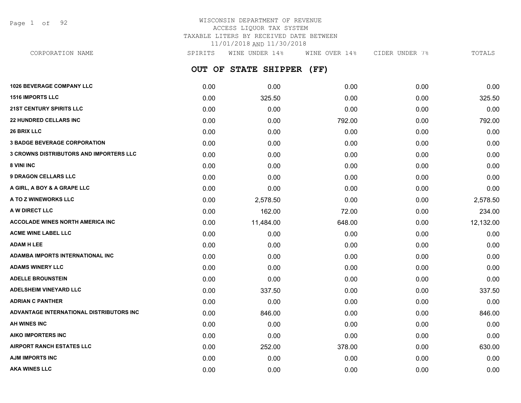Page 1 of 92

## WISCONSIN DEPARTMENT OF REVENUE ACCESS LIQUOR TAX SYSTEM TAXABLE LITERS BY RECEIVED DATE BETWEEN 11/01/2018 AND 11/30/2018

| CORPORATION NAME                               | SPIRITS | WINE UNDER 14%       | WINE OVER 14% | CIDER UNDER 7% | TOTALS    |
|------------------------------------------------|---------|----------------------|---------------|----------------|-----------|
|                                                |         | OUT OF STATE SHIPPER | (FF)          |                |           |
| <b>1026 BEVERAGE COMPANY LLC</b>               | 0.00    | 0.00                 | 0.00          | 0.00           | 0.00      |
| <b>1516 IMPORTS LLC</b>                        | 0.00    | 325.50               | 0.00          | 0.00           | 325.50    |
| <b>21ST CENTURY SPIRITS LLC</b>                | 0.00    | 0.00                 | 0.00          | 0.00           | 0.00      |
| <b>22 HUNDRED CELLARS INC</b>                  | 0.00    | 0.00                 | 792.00        | 0.00           | 792.00    |
| <b>26 BRIX LLC</b>                             | 0.00    | 0.00                 | 0.00          | 0.00           | 0.00      |
| <b>3 BADGE BEVERAGE CORPORATION</b>            | 0.00    | 0.00                 | 0.00          | 0.00           | 0.00      |
| <b>3 CROWNS DISTRIBUTORS AND IMPORTERS LLC</b> | 0.00    | 0.00                 | 0.00          | 0.00           | 0.00      |
| <b>8 VINI INC</b>                              | 0.00    | 0.00                 | 0.00          | 0.00           | 0.00      |
| <b>9 DRAGON CELLARS LLC</b>                    | 0.00    | 0.00                 | 0.00          | 0.00           | 0.00      |
| A GIRL, A BOY & A GRAPE LLC                    | 0.00    | 0.00                 | 0.00          | 0.00           | 0.00      |
| <b>A TO Z WINEWORKS LLC</b>                    | 0.00    | 2,578.50             | 0.00          | 0.00           | 2,578.50  |
| <b>A W DIRECT LLC</b>                          | 0.00    | 162.00               | 72.00         | 0.00           | 234.00    |
| <b>ACCOLADE WINES NORTH AMERICA INC</b>        | 0.00    | 11,484.00            | 648.00        | 0.00           | 12,132.00 |
| <b>ACME WINE LABEL LLC</b>                     | 0.00    | 0.00                 | 0.00          | 0.00           | 0.00      |
| <b>ADAM H LEE</b>                              | 0.00    | 0.00                 | 0.00          | 0.00           | 0.00      |
| ADAMBA IMPORTS INTERNATIONAL INC               | 0.00    | 0.00                 | 0.00          | 0.00           | 0.00      |
| <b>ADAMS WINERY LLC</b>                        | 0.00    | 0.00                 | 0.00          | 0.00           | 0.00      |
| <b>ADELLE BROUNSTEIN</b>                       | 0.00    | 0.00                 | 0.00          | 0.00           | 0.00      |
| <b>ADELSHEIM VINEYARD LLC</b>                  | 0.00    | 337.50               | 0.00          | 0.00           | 337.50    |
| ADRIAN C PANTHER                               | 0.00    | 0.00                 | 0.00          | 0.00           | 0.00      |
| ADVANTAGE INTERNATIONAL DISTRIBUTORS INC       | 0.00    | 846.00               | 0.00          | 0.00           | 846.00    |
|                                                |         |                      |               |                |           |

**AH WINES INC** 0.00 0.00 0.00 0.00 0.00 **AIKO IMPORTERS INC** 0.00 0.00 0.00 0.00 0.00 **AIRPORT RANCH ESTATES LLC** 0.00 252.00 378.00 0.00 630.00 **AJM IMPORTS INC** 0.00 0.00 0.00 0.00 0.00 **AKA WINES LLC** 0.00 0.00 0.00 0.00 0.00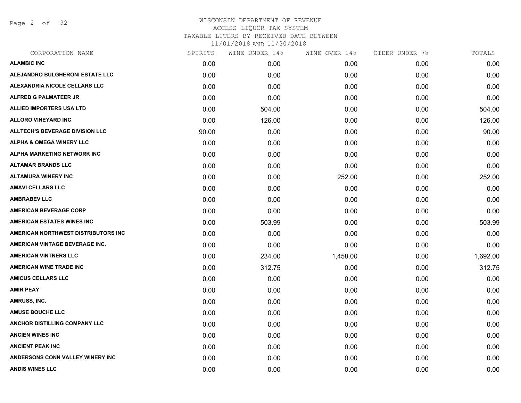Page 2 of 92

| CORPORATION NAME                       | SPIRITS | WINE UNDER 14% | WINE OVER 14% | CIDER UNDER 7% | TOTALS   |
|----------------------------------------|---------|----------------|---------------|----------------|----------|
| <b>ALAMBIC INC</b>                     | 0.00    | 0.00           | 0.00          | 0.00           | 0.00     |
| <b>ALEJANDRO BULGHERONI ESTATE LLC</b> | 0.00    | 0.00           | 0.00          | 0.00           | 0.00     |
| ALEXANDRIA NICOLE CELLARS LLC          | 0.00    | 0.00           | 0.00          | 0.00           | 0.00     |
| ALFRED G PALMATEER JR                  | 0.00    | 0.00           | 0.00          | 0.00           | 0.00     |
| <b>ALLIED IMPORTERS USA LTD</b>        | 0.00    | 504.00         | 0.00          | 0.00           | 504.00   |
| <b>ALLORO VINEYARD INC</b>             | 0.00    | 126.00         | 0.00          | 0.00           | 126.00   |
| <b>ALLTECH'S BEVERAGE DIVISION LLC</b> | 90.00   | 0.00           | 0.00          | 0.00           | 90.00    |
| <b>ALPHA &amp; OMEGA WINERY LLC</b>    | 0.00    | 0.00           | 0.00          | 0.00           | 0.00     |
| ALPHA MARKETING NETWORK INC            | 0.00    | 0.00           | 0.00          | 0.00           | 0.00     |
| <b>ALTAMAR BRANDS LLC</b>              | 0.00    | 0.00           | 0.00          | 0.00           | 0.00     |
| <b>ALTAMURA WINERY INC</b>             | 0.00    | 0.00           | 252.00        | 0.00           | 252.00   |
| <b>AMAVI CELLARS LLC</b>               | 0.00    | 0.00           | 0.00          | 0.00           | 0.00     |
| <b>AMBRABEV LLC</b>                    | 0.00    | 0.00           | 0.00          | 0.00           | 0.00     |
| <b>AMERICAN BEVERAGE CORP</b>          | 0.00    | 0.00           | 0.00          | 0.00           | 0.00     |
| <b>AMERICAN ESTATES WINES INC</b>      | 0.00    | 503.99         | 0.00          | 0.00           | 503.99   |
| AMERICAN NORTHWEST DISTRIBUTORS INC    | 0.00    | 0.00           | 0.00          | 0.00           | 0.00     |
| AMERICAN VINTAGE BEVERAGE INC.         | 0.00    | 0.00           | 0.00          | 0.00           | 0.00     |
| <b>AMERICAN VINTNERS LLC</b>           | 0.00    | 234.00         | 1,458.00      | 0.00           | 1,692.00 |
| <b>AMERICAN WINE TRADE INC</b>         | 0.00    | 312.75         | 0.00          | 0.00           | 312.75   |
| <b>AMICUS CELLARS LLC</b>              | 0.00    | 0.00           | 0.00          | 0.00           | 0.00     |
| <b>AMIR PEAY</b>                       | 0.00    | 0.00           | 0.00          | 0.00           | 0.00     |
| AMRUSS, INC.                           | 0.00    | 0.00           | 0.00          | 0.00           | 0.00     |
| <b>AMUSE BOUCHE LLC</b>                | 0.00    | 0.00           | 0.00          | 0.00           | 0.00     |
| <b>ANCHOR DISTILLING COMPANY LLC</b>   | 0.00    | 0.00           | 0.00          | 0.00           | 0.00     |
| <b>ANCIEN WINES INC</b>                | 0.00    | 0.00           | 0.00          | 0.00           | 0.00     |
| <b>ANCIENT PEAK INC</b>                | 0.00    | 0.00           | 0.00          | 0.00           | 0.00     |
| ANDERSONS CONN VALLEY WINERY INC       | 0.00    | 0.00           | 0.00          | 0.00           | 0.00     |
| <b>ANDIS WINES LLC</b>                 | 0.00    | 0.00           | 0.00          | 0.00           | 0.00     |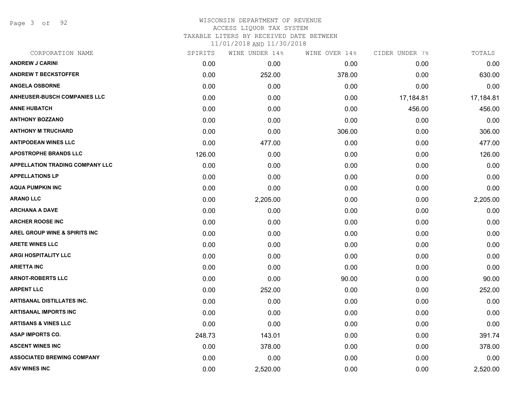Page 3 of 92

| CORPORATION NAME                         | SPIRITS | WINE UNDER 14% | WINE OVER 14% | CIDER UNDER 7% | TOTALS    |
|------------------------------------------|---------|----------------|---------------|----------------|-----------|
| <b>ANDREW J CARINI</b>                   | 0.00    | 0.00           | 0.00          | 0.00           | 0.00      |
| <b>ANDREW T BECKSTOFFER</b>              | 0.00    | 252.00         | 378.00        | 0.00           | 630.00    |
| <b>ANGELA OSBORNE</b>                    | 0.00    | 0.00           | 0.00          | 0.00           | 0.00      |
| <b>ANHEUSER-BUSCH COMPANIES LLC</b>      | 0.00    | 0.00           | 0.00          | 17,184.81      | 17,184.81 |
| <b>ANNE HUBATCH</b>                      | 0.00    | 0.00           | 0.00          | 456.00         | 456.00    |
| <b>ANTHONY BOZZANO</b>                   | 0.00    | 0.00           | 0.00          | 0.00           | 0.00      |
| <b>ANTHONY M TRUCHARD</b>                | 0.00    | 0.00           | 306.00        | 0.00           | 306.00    |
| <b>ANTIPODEAN WINES LLC</b>              | 0.00    | 477.00         | 0.00          | 0.00           | 477.00    |
| <b>APOSTROPHE BRANDS LLC</b>             | 126.00  | 0.00           | 0.00          | 0.00           | 126.00    |
| <b>APPELLATION TRADING COMPANY LLC</b>   | 0.00    | 0.00           | 0.00          | 0.00           | 0.00      |
| <b>APPELLATIONS LP</b>                   | 0.00    | 0.00           | 0.00          | 0.00           | 0.00      |
| <b>AQUA PUMPKIN INC</b>                  | 0.00    | 0.00           | 0.00          | 0.00           | 0.00      |
| <b>ARANO LLC</b>                         | 0.00    | 2,205.00       | 0.00          | 0.00           | 2,205.00  |
| <b>ARCHANA A DAVE</b>                    | 0.00    | 0.00           | 0.00          | 0.00           | 0.00      |
| <b>ARCHER ROOSE INC</b>                  | 0.00    | 0.00           | 0.00          | 0.00           | 0.00      |
| <b>AREL GROUP WINE &amp; SPIRITS INC</b> | 0.00    | 0.00           | 0.00          | 0.00           | 0.00      |
| <b>ARETE WINES LLC</b>                   | 0.00    | 0.00           | 0.00          | 0.00           | 0.00      |
| <b>ARGI HOSPITALITY LLC</b>              | 0.00    | 0.00           | 0.00          | 0.00           | 0.00      |
| <b>ARIETTA INC</b>                       | 0.00    | 0.00           | 0.00          | 0.00           | 0.00      |
| <b>ARNOT-ROBERTS LLC</b>                 | 0.00    | 0.00           | 90.00         | 0.00           | 90.00     |
| <b>ARPENT LLC</b>                        | 0.00    | 252.00         | 0.00          | 0.00           | 252.00    |
| <b>ARTISANAL DISTILLATES INC.</b>        | 0.00    | 0.00           | 0.00          | 0.00           | 0.00      |
| <b>ARTISANAL IMPORTS INC</b>             | 0.00    | 0.00           | 0.00          | 0.00           | 0.00      |
| <b>ARTISANS &amp; VINES LLC</b>          | 0.00    | 0.00           | 0.00          | 0.00           | 0.00      |
| <b>ASAP IMPORTS CO.</b>                  | 248.73  | 143.01         | 0.00          | 0.00           | 391.74    |
| <b>ASCENT WINES INC</b>                  | 0.00    | 378.00         | 0.00          | 0.00           | 378.00    |
| <b>ASSOCIATED BREWING COMPANY</b>        | 0.00    | 0.00           | 0.00          | 0.00           | 0.00      |
| <b>ASV WINES INC</b>                     | 0.00    | 2,520.00       | 0.00          | 0.00           | 2,520.00  |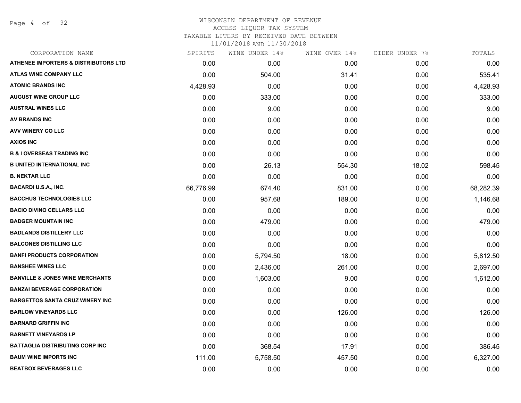Page 4 of 92

### WISCONSIN DEPARTMENT OF REVENUE ACCESS LIQUOR TAX SYSTEM TAXABLE LITERS BY RECEIVED DATE BETWEEN

| CORPORATION NAME                                | SPIRITS   | WINE UNDER 14% | WINE OVER 14% | CIDER UNDER 7% | TOTALS    |
|-------------------------------------------------|-----------|----------------|---------------|----------------|-----------|
| <b>ATHENEE IMPORTERS &amp; DISTRIBUTORS LTD</b> | 0.00      | 0.00           | 0.00          | 0.00           | 0.00      |
| <b>ATLAS WINE COMPANY LLC</b>                   | 0.00      | 504.00         | 31.41         | 0.00           | 535.41    |
| <b>ATOMIC BRANDS INC</b>                        | 4,428.93  | 0.00           | 0.00          | 0.00           | 4,428.93  |
| <b>AUGUST WINE GROUP LLC</b>                    | 0.00      | 333.00         | 0.00          | 0.00           | 333.00    |
| <b>AUSTRAL WINES LLC</b>                        | 0.00      | 9.00           | 0.00          | 0.00           | 9.00      |
| AV BRANDS INC                                   | 0.00      | 0.00           | 0.00          | 0.00           | 0.00      |
| AVV WINERY CO LLC                               | 0.00      | 0.00           | 0.00          | 0.00           | 0.00      |
| <b>AXIOS INC</b>                                | 0.00      | 0.00           | 0.00          | 0.00           | 0.00      |
| <b>B &amp; I OVERSEAS TRADING INC</b>           | 0.00      | 0.00           | 0.00          | 0.00           | 0.00      |
| <b>B UNITED INTERNATIONAL INC</b>               | 0.00      | 26.13          | 554.30        | 18.02          | 598.45    |
| <b>B. NEKTAR LLC</b>                            | 0.00      | 0.00           | 0.00          | 0.00           | 0.00      |
| <b>BACARDI U.S.A., INC.</b>                     | 66,776.99 | 674.40         | 831.00        | 0.00           | 68,282.39 |
| <b>BACCHUS TECHNOLOGIES LLC</b>                 | 0.00      | 957.68         | 189.00        | 0.00           | 1,146.68  |
| <b>BACIO DIVINO CELLARS LLC</b>                 | 0.00      | 0.00           | 0.00          | 0.00           | 0.00      |
| <b>BADGER MOUNTAIN INC</b>                      | 0.00      | 479.00         | 0.00          | 0.00           | 479.00    |
| <b>BADLANDS DISTILLERY LLC</b>                  | 0.00      | 0.00           | 0.00          | 0.00           | 0.00      |
| <b>BALCONES DISTILLING LLC</b>                  | 0.00      | 0.00           | 0.00          | 0.00           | 0.00      |
| <b>BANFI PRODUCTS CORPORATION</b>               | 0.00      | 5,794.50       | 18.00         | 0.00           | 5,812.50  |
| <b>BANSHEE WINES LLC</b>                        | 0.00      | 2,436.00       | 261.00        | 0.00           | 2,697.00  |
| <b>BANVILLE &amp; JONES WINE MERCHANTS</b>      | 0.00      | 1,603.00       | 9.00          | 0.00           | 1,612.00  |
| <b>BANZAI BEVERAGE CORPORATION</b>              | 0.00      | 0.00           | 0.00          | 0.00           | 0.00      |
| <b>BARGETTOS SANTA CRUZ WINERY INC</b>          | 0.00      | 0.00           | 0.00          | 0.00           | 0.00      |
| <b>BARLOW VINEYARDS LLC</b>                     | 0.00      | 0.00           | 126.00        | 0.00           | 126.00    |
| <b>BARNARD GRIFFIN INC</b>                      | 0.00      | 0.00           | 0.00          | 0.00           | 0.00      |
| <b>BARNETT VINEYARDS LP</b>                     | 0.00      | 0.00           | 0.00          | 0.00           | 0.00      |
| <b>BATTAGLIA DISTRIBUTING CORP INC</b>          | 0.00      | 368.54         | 17.91         | 0.00           | 386.45    |
| <b>BAUM WINE IMPORTS INC</b>                    | 111.00    | 5,758.50       | 457.50        | 0.00           | 6,327.00  |
| <b>BEATBOX BEVERAGES LLC</b>                    | 0.00      | 0.00           | 0.00          | 0.00           | 0.00      |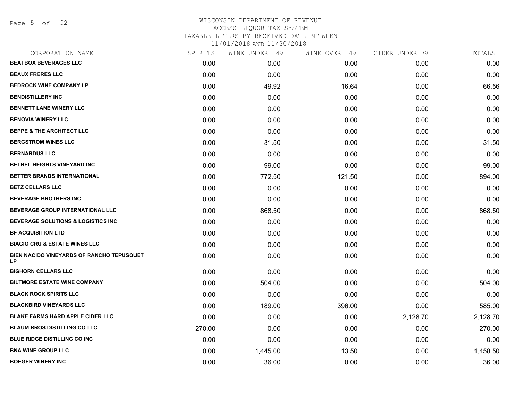Page 5 of 92

|        | WINE UNDER 14% |        | CIDER UNDER 7% | TOTALS   |
|--------|----------------|--------|----------------|----------|
| 0.00   | 0.00           | 0.00   | 0.00           | 0.00     |
| 0.00   | 0.00           | 0.00   | 0.00           | 0.00     |
| 0.00   | 49.92          | 16.64  | 0.00           | 66.56    |
| 0.00   | 0.00           | 0.00   | 0.00           | 0.00     |
| 0.00   | 0.00           | 0.00   | 0.00           | 0.00     |
| 0.00   | 0.00           | 0.00   | 0.00           | 0.00     |
| 0.00   | 0.00           | 0.00   | 0.00           | 0.00     |
| 0.00   | 31.50          | 0.00   | 0.00           | 31.50    |
| 0.00   | 0.00           | 0.00   | 0.00           | 0.00     |
| 0.00   | 99.00          | 0.00   | 0.00           | 99.00    |
| 0.00   | 772.50         | 121.50 | 0.00           | 894.00   |
| 0.00   | 0.00           | 0.00   | 0.00           | 0.00     |
| 0.00   | 0.00           | 0.00   | 0.00           | 0.00     |
| 0.00   | 868.50         | 0.00   | 0.00           | 868.50   |
| 0.00   | 0.00           | 0.00   | 0.00           | 0.00     |
| 0.00   | 0.00           | 0.00   | 0.00           | 0.00     |
| 0.00   | 0.00           | 0.00   | 0.00           | 0.00     |
| 0.00   | 0.00           | 0.00   | 0.00           | 0.00     |
| 0.00   | 0.00           | 0.00   | 0.00           | 0.00     |
| 0.00   | 504.00         | 0.00   | 0.00           | 504.00   |
| 0.00   | 0.00           | 0.00   | 0.00           | 0.00     |
| 0.00   | 189.00         | 396.00 | 0.00           | 585.00   |
| 0.00   | 0.00           | 0.00   | 2,128.70       | 2,128.70 |
| 270.00 | 0.00           | 0.00   | 0.00           | 270.00   |
| 0.00   | 0.00           | 0.00   | 0.00           | 0.00     |
| 0.00   | 1,445.00       | 13.50  | 0.00           | 1,458.50 |
| 0.00   | 36.00          | 0.00   | 0.00           | 36.00    |
|        | SPIRITS        |        | WINE OVER 14%  |          |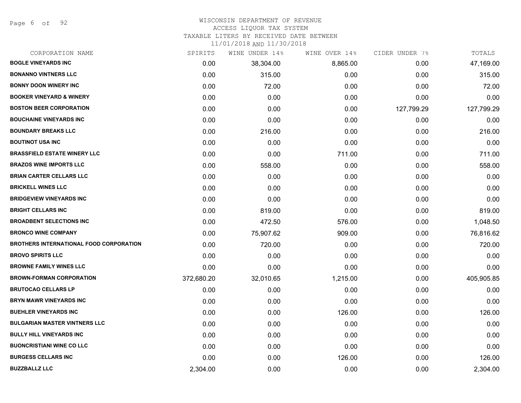Page 6 of 92

#### WISCONSIN DEPARTMENT OF REVENUE ACCESS LIQUOR TAX SYSTEM

TAXABLE LITERS BY RECEIVED DATE BETWEEN

| CORPORATION NAME                               | SPIRITS    | WINE UNDER 14% | WINE OVER 14% | CIDER UNDER 7% | TOTALS     |
|------------------------------------------------|------------|----------------|---------------|----------------|------------|
| <b>BOGLE VINEYARDS INC</b>                     | 0.00       | 38,304.00      | 8,865.00      | 0.00           | 47,169.00  |
| <b>BONANNO VINTNERS LLC</b>                    | 0.00       | 315.00         | 0.00          | 0.00           | 315.00     |
| <b>BONNY DOON WINERY INC</b>                   | 0.00       | 72.00          | 0.00          | 0.00           | 72.00      |
| <b>BOOKER VINEYARD &amp; WINERY</b>            | 0.00       | 0.00           | 0.00          | 0.00           | 0.00       |
| <b>BOSTON BEER CORPORATION</b>                 | 0.00       | 0.00           | 0.00          | 127,799.29     | 127,799.29 |
| <b>BOUCHAINE VINEYARDS INC</b>                 | 0.00       | 0.00           | 0.00          | 0.00           | 0.00       |
| <b>BOUNDARY BREAKS LLC</b>                     | 0.00       | 216.00         | 0.00          | 0.00           | 216.00     |
| <b>BOUTINOT USA INC</b>                        | 0.00       | 0.00           | 0.00          | 0.00           | 0.00       |
| <b>BRASSFIELD ESTATE WINERY LLC</b>            | 0.00       | 0.00           | 711.00        | 0.00           | 711.00     |
| <b>BRAZOS WINE IMPORTS LLC</b>                 | 0.00       | 558.00         | 0.00          | 0.00           | 558.00     |
| <b>BRIAN CARTER CELLARS LLC</b>                | 0.00       | 0.00           | 0.00          | 0.00           | 0.00       |
| <b>BRICKELL WINES LLC</b>                      | 0.00       | 0.00           | 0.00          | 0.00           | 0.00       |
| <b>BRIDGEVIEW VINEYARDS INC</b>                | 0.00       | 0.00           | 0.00          | 0.00           | 0.00       |
| <b>BRIGHT CELLARS INC</b>                      | 0.00       | 819.00         | 0.00          | 0.00           | 819.00     |
| <b>BROADBENT SELECTIONS INC</b>                | 0.00       | 472.50         | 576.00        | 0.00           | 1,048.50   |
| <b>BRONCO WINE COMPANY</b>                     | 0.00       | 75,907.62      | 909.00        | 0.00           | 76,816.62  |
| <b>BROTHERS INTERNATIONAL FOOD CORPORATION</b> | 0.00       | 720.00         | 0.00          | 0.00           | 720.00     |
| <b>BROVO SPIRITS LLC</b>                       | 0.00       | 0.00           | 0.00          | 0.00           | 0.00       |
| <b>BROWNE FAMILY WINES LLC</b>                 | 0.00       | 0.00           | 0.00          | 0.00           | 0.00       |
| <b>BROWN-FORMAN CORPORATION</b>                | 372,680.20 | 32,010.65      | 1,215.00      | 0.00           | 405,905.85 |
| <b>BRUTOCAO CELLARS LP</b>                     | 0.00       | 0.00           | 0.00          | 0.00           | 0.00       |
| <b>BRYN MAWR VINEYARDS INC</b>                 | 0.00       | 0.00           | 0.00          | 0.00           | 0.00       |
| <b>BUEHLER VINEYARDS INC</b>                   | 0.00       | 0.00           | 126.00        | 0.00           | 126.00     |
| <b>BULGARIAN MASTER VINTNERS LLC</b>           | 0.00       | 0.00           | 0.00          | 0.00           | 0.00       |
| <b>BULLY HILL VINEYARDS INC</b>                | 0.00       | 0.00           | 0.00          | 0.00           | 0.00       |
| <b>BUONCRISTIANI WINE CO LLC</b>               | 0.00       | 0.00           | 0.00          | 0.00           | 0.00       |
| <b>BURGESS CELLARS INC</b>                     | 0.00       | 0.00           | 126.00        | 0.00           | 126.00     |
| <b>BUZZBALLZ LLC</b>                           | 2,304.00   | 0.00           | 0.00          | 0.00           | 2,304.00   |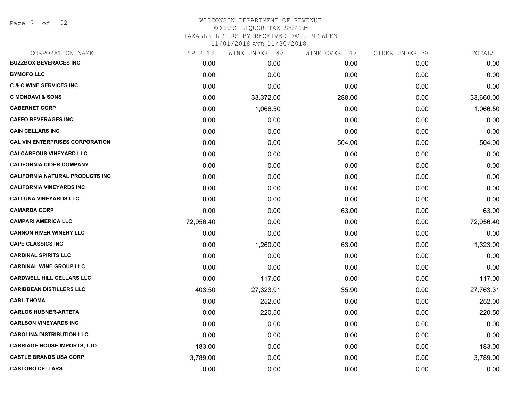Page 7 of 92

# WISCONSIN DEPARTMENT OF REVENUE ACCESS LIQUOR TAX SYSTEM TAXABLE LITERS BY RECEIVED DATE BETWEEN

| CORPORATION NAME                       | SPIRITS   | WINE UNDER 14% | WINE OVER 14% | CIDER UNDER 7% | TOTALS    |
|----------------------------------------|-----------|----------------|---------------|----------------|-----------|
| <b>BUZZBOX BEVERAGES INC</b>           | 0.00      | 0.00           | 0.00          | 0.00           | 0.00      |
| <b>BYMOFO LLC</b>                      | 0.00      | 0.00           | 0.00          | 0.00           | 0.00      |
| <b>C &amp; C WINE SERVICES INC</b>     | 0.00      | 0.00           | 0.00          | 0.00           | 0.00      |
| <b>C MONDAVI &amp; SONS</b>            | 0.00      | 33,372.00      | 288.00        | 0.00           | 33,660.00 |
| <b>CABERNET CORP</b>                   | 0.00      | 1,066.50       | 0.00          | 0.00           | 1,066.50  |
| <b>CAFFO BEVERAGES INC</b>             | 0.00      | 0.00           | 0.00          | 0.00           | 0.00      |
| <b>CAIN CELLARS INC</b>                | 0.00      | 0.00           | 0.00          | 0.00           | 0.00      |
| <b>CAL VIN ENTERPRISES CORPORATION</b> | 0.00      | 0.00           | 504.00        | 0.00           | 504.00    |
| <b>CALCAREOUS VINEYARD LLC</b>         | 0.00      | 0.00           | 0.00          | 0.00           | 0.00      |
| <b>CALIFORNIA CIDER COMPANY</b>        | 0.00      | 0.00           | 0.00          | 0.00           | 0.00      |
| <b>CALIFORNIA NATURAL PRODUCTS INC</b> | 0.00      | 0.00           | 0.00          | 0.00           | 0.00      |
| <b>CALIFORNIA VINEYARDS INC</b>        | 0.00      | 0.00           | 0.00          | 0.00           | 0.00      |
| <b>CALLUNA VINEYARDS LLC</b>           | 0.00      | 0.00           | 0.00          | 0.00           | 0.00      |
| <b>CAMARDA CORP</b>                    | 0.00      | 0.00           | 63.00         | 0.00           | 63.00     |
| <b>CAMPARI AMERICA LLC</b>             | 72,956.40 | 0.00           | 0.00          | 0.00           | 72,956.40 |
| <b>CANNON RIVER WINERY LLC</b>         | 0.00      | 0.00           | 0.00          | 0.00           | 0.00      |
| <b>CAPE CLASSICS INC</b>               | 0.00      | 1,260.00       | 63.00         | 0.00           | 1,323.00  |
| <b>CARDINAL SPIRITS LLC</b>            | 0.00      | 0.00           | 0.00          | 0.00           | 0.00      |
| <b>CARDINAL WINE GROUP LLC</b>         | 0.00      | 0.00           | 0.00          | 0.00           | 0.00      |
| <b>CARDWELL HILL CELLARS LLC</b>       | 0.00      | 117.00         | 0.00          | 0.00           | 117.00    |
| <b>CARIBBEAN DISTILLERS LLC</b>        | 403.50    | 27,323.91      | 35.90         | 0.00           | 27,763.31 |
| <b>CARL THOMA</b>                      | 0.00      | 252.00         | 0.00          | 0.00           | 252.00    |
| <b>CARLOS HUBNER-ARTETA</b>            | 0.00      | 220.50         | 0.00          | 0.00           | 220.50    |
| <b>CARLSON VINEYARDS INC</b>           | 0.00      | 0.00           | 0.00          | 0.00           | 0.00      |
| <b>CAROLINA DISTRIBUTION LLC</b>       | 0.00      | 0.00           | 0.00          | 0.00           | 0.00      |
| <b>CARRIAGE HOUSE IMPORTS, LTD.</b>    | 183.00    | 0.00           | 0.00          | 0.00           | 183.00    |
| <b>CASTLE BRANDS USA CORP</b>          | 3,789.00  | 0.00           | 0.00          | 0.00           | 3,789.00  |
| <b>CASTORO CELLARS</b>                 | 0.00      | 0.00           | 0.00          | 0.00           | 0.00      |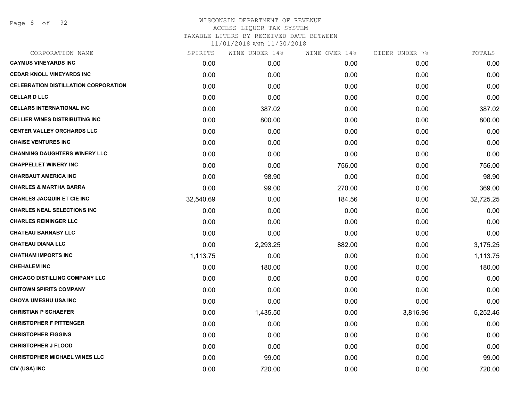| CORPORATION NAME                            | SPIRITS   | WINE UNDER 14% | WINE OVER 14% | CIDER UNDER 7% | TOTALS    |
|---------------------------------------------|-----------|----------------|---------------|----------------|-----------|
| <b>CAYMUS VINEYARDS INC</b>                 | 0.00      | 0.00           | 0.00          | 0.00           | 0.00      |
| <b>CEDAR KNOLL VINEYARDS INC</b>            | 0.00      | 0.00           | 0.00          | 0.00           | 0.00      |
| <b>CELEBRATION DISTILLATION CORPORATION</b> | 0.00      | 0.00           | 0.00          | 0.00           | 0.00      |
| <b>CELLAR D LLC</b>                         | 0.00      | 0.00           | 0.00          | 0.00           | 0.00      |
| <b>CELLARS INTERNATIONAL INC</b>            | 0.00      | 387.02         | 0.00          | 0.00           | 387.02    |
| <b>CELLIER WINES DISTRIBUTING INC</b>       | 0.00      | 800.00         | 0.00          | 0.00           | 800.00    |
| <b>CENTER VALLEY ORCHARDS LLC</b>           | 0.00      | 0.00           | 0.00          | 0.00           | 0.00      |
| <b>CHAISE VENTURES INC</b>                  | 0.00      | 0.00           | 0.00          | 0.00           | 0.00      |
| <b>CHANNING DAUGHTERS WINERY LLC</b>        | 0.00      | 0.00           | 0.00          | 0.00           | 0.00      |
| <b>CHAPPELLET WINERY INC</b>                | 0.00      | 0.00           | 756.00        | 0.00           | 756.00    |
| <b>CHARBAUT AMERICA INC</b>                 | 0.00      | 98.90          | 0.00          | 0.00           | 98.90     |
| <b>CHARLES &amp; MARTHA BARRA</b>           | 0.00      | 99.00          | 270.00        | 0.00           | 369.00    |
| <b>CHARLES JACQUIN ET CIE INC</b>           | 32,540.69 | 0.00           | 184.56        | 0.00           | 32,725.25 |
| <b>CHARLES NEAL SELECTIONS INC</b>          | 0.00      | 0.00           | 0.00          | 0.00           | 0.00      |
| <b>CHARLES REININGER LLC</b>                | 0.00      | 0.00           | 0.00          | 0.00           | 0.00      |
| <b>CHATEAU BARNABY LLC</b>                  | 0.00      | 0.00           | 0.00          | 0.00           | 0.00      |
| <b>CHATEAU DIANA LLC</b>                    | 0.00      | 2,293.25       | 882.00        | 0.00           | 3,175.25  |
| <b>CHATHAM IMPORTS INC</b>                  | 1,113.75  | 0.00           | 0.00          | 0.00           | 1,113.75  |
| <b>CHEHALEM INC</b>                         | 0.00      | 180.00         | 0.00          | 0.00           | 180.00    |
| <b>CHICAGO DISTILLING COMPANY LLC</b>       | 0.00      | 0.00           | 0.00          | 0.00           | 0.00      |
| <b>CHITOWN SPIRITS COMPANY</b>              | 0.00      | 0.00           | 0.00          | 0.00           | 0.00      |
| <b>CHOYA UMESHU USA INC</b>                 | 0.00      | 0.00           | 0.00          | 0.00           | 0.00      |
| <b>CHRISTIAN P SCHAEFER</b>                 | 0.00      | 1,435.50       | 0.00          | 3,816.96       | 5,252.46  |
| <b>CHRISTOPHER F PITTENGER</b>              | 0.00      | 0.00           | 0.00          | 0.00           | 0.00      |
| <b>CHRISTOPHER FIGGINS</b>                  | 0.00      | 0.00           | 0.00          | 0.00           | 0.00      |
| <b>CHRISTOPHER J FLOOD</b>                  | 0.00      | 0.00           | 0.00          | 0.00           | 0.00      |
| <b>CHRISTOPHER MICHAEL WINES LLC</b>        | 0.00      | 99.00          | 0.00          | 0.00           | 99.00     |
| CIV (USA) INC                               | 0.00      | 720.00         | 0.00          | 0.00           | 720.00    |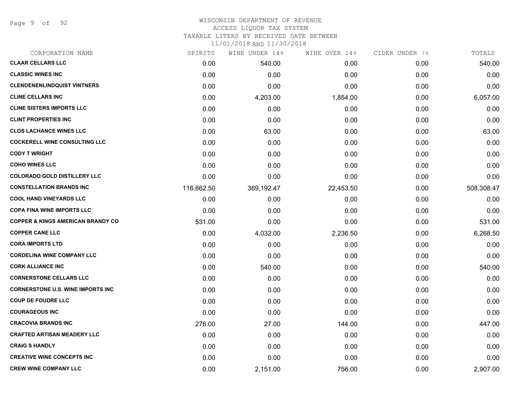Page 9 of 92

## WISCONSIN DEPARTMENT OF REVENUE ACCESS LIQUOR TAX SYSTEM

TAXABLE LITERS BY RECEIVED DATE BETWEEN

| CORPORATION NAME                             | SPIRITS    | WINE UNDER 14% | WINE OVER 14% | CIDER UNDER 7% | TOTALS     |
|----------------------------------------------|------------|----------------|---------------|----------------|------------|
| <b>CLAAR CELLARS LLC</b>                     | 0.00       | 540.00         | 0.00          | 0.00           | 540.00     |
| <b>CLASSIC WINES INC</b>                     | 0.00       | 0.00           | 0.00          | 0.00           | 0.00       |
| <b>CLENDENENLINDQUIST VINTNERS</b>           | 0.00       | 0.00           | 0.00          | 0.00           | 0.00       |
| <b>CLINE CELLARS INC</b>                     | 0.00       | 4,203.00       | 1,854.00      | 0.00           | 6,057.00   |
| <b>CLINE SISTERS IMPORTS LLC</b>             | 0.00       | 0.00           | 0.00          | 0.00           | 0.00       |
| <b>CLINT PROPERTIES INC</b>                  | 0.00       | 0.00           | 0.00          | 0.00           | 0.00       |
| <b>CLOS LACHANCE WINES LLC</b>               | 0.00       | 63.00          | 0.00          | 0.00           | 63.00      |
| <b>COCKERELL WINE CONSULTING LLC</b>         | 0.00       | 0.00           | 0.00          | 0.00           | 0.00       |
| <b>CODY T WRIGHT</b>                         | 0.00       | 0.00           | 0.00          | 0.00           | 0.00       |
| <b>COHO WINES LLC</b>                        | 0.00       | 0.00           | 0.00          | 0.00           | 0.00       |
| <b>COLORADO GOLD DISTILLERY LLC</b>          | 0.00       | 0.00           | 0.00          | 0.00           | 0.00       |
| <b>CONSTELLATION BRANDS INC</b>              | 116,662.50 | 369,192.47     | 22,453.50     | 0.00           | 508,308.47 |
| <b>COOL HAND VINEYARDS LLC</b>               | 0.00       | 0.00           | 0.00          | 0.00           | 0.00       |
| <b>COPA FINA WINE IMPORTS LLC</b>            | 0.00       | 0.00           | 0.00          | 0.00           | 0.00       |
| <b>COPPER &amp; KINGS AMERICAN BRANDY CO</b> | 531.00     | 0.00           | 0.00          | 0.00           | 531.00     |
| <b>COPPER CANE LLC</b>                       | 0.00       | 4,032.00       | 2,236.50      | 0.00           | 6,268.50   |
| <b>CORA IMPORTS LTD</b>                      | 0.00       | 0.00           | 0.00          | 0.00           | 0.00       |
| <b>CORDELINA WINE COMPANY LLC</b>            | 0.00       | 0.00           | 0.00          | 0.00           | 0.00       |
| <b>CORK ALLIANCE INC</b>                     | 0.00       | 540.00         | 0.00          | 0.00           | 540.00     |
| <b>CORNERSTONE CELLARS LLC</b>               | 0.00       | 0.00           | 0.00          | 0.00           | 0.00       |
| <b>CORNERSTONE U.S. WINE IMPORTS INC</b>     | 0.00       | 0.00           | 0.00          | 0.00           | 0.00       |
| <b>COUP DE FOUDRE LLC</b>                    | 0.00       | 0.00           | 0.00          | 0.00           | 0.00       |
| <b>COURAGEOUS INC</b>                        | 0.00       | 0.00           | 0.00          | 0.00           | 0.00       |
| <b>CRACOVIA BRANDS INC</b>                   | 276.00     | 27.00          | 144.00        | 0.00           | 447.00     |
| <b>CRAFTED ARTISAN MEADERY LLC</b>           | 0.00       | 0.00           | 0.00          | 0.00           | 0.00       |
| <b>CRAIG S HANDLY</b>                        | 0.00       | 0.00           | 0.00          | 0.00           | 0.00       |
| <b>CREATIVE WINE CONCEPTS INC</b>            | 0.00       | 0.00           | 0.00          | 0.00           | 0.00       |
| <b>CREW WINE COMPANY LLC</b>                 | 0.00       | 2,151.00       | 756.00        | 0.00           | 2,907.00   |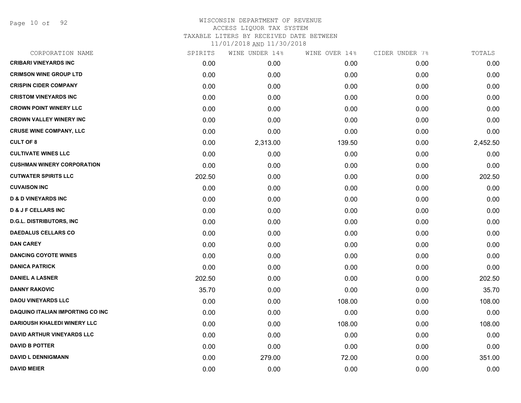Page 10 of 92

| CORPORATION NAME                   | SPIRITS | WINE UNDER 14% | WINE OVER 14% | CIDER UNDER 7% | TOTALS   |
|------------------------------------|---------|----------------|---------------|----------------|----------|
| <b>CRIBARI VINEYARDS INC</b>       | 0.00    | 0.00           | 0.00          | 0.00           | 0.00     |
| <b>CRIMSON WINE GROUP LTD</b>      | 0.00    | 0.00           | 0.00          | 0.00           | 0.00     |
| <b>CRISPIN CIDER COMPANY</b>       | 0.00    | 0.00           | 0.00          | 0.00           | 0.00     |
| <b>CRISTOM VINEYARDS INC</b>       | 0.00    | 0.00           | 0.00          | 0.00           | 0.00     |
| <b>CROWN POINT WINERY LLC</b>      | 0.00    | 0.00           | 0.00          | 0.00           | 0.00     |
| <b>CROWN VALLEY WINERY INC</b>     | 0.00    | 0.00           | 0.00          | 0.00           | 0.00     |
| <b>CRUSE WINE COMPANY, LLC</b>     | 0.00    | 0.00           | 0.00          | 0.00           | 0.00     |
| <b>CULT OF 8</b>                   | 0.00    | 2,313.00       | 139.50        | 0.00           | 2,452.50 |
| <b>CULTIVATE WINES LLC</b>         | 0.00    | 0.00           | 0.00          | 0.00           | 0.00     |
| <b>CUSHMAN WINERY CORPORATION</b>  | 0.00    | 0.00           | 0.00          | 0.00           | 0.00     |
| <b>CUTWATER SPIRITS LLC</b>        | 202.50  | 0.00           | 0.00          | 0.00           | 202.50   |
| <b>CUVAISON INC</b>                | 0.00    | 0.00           | 0.00          | 0.00           | 0.00     |
| <b>D &amp; D VINEYARDS INC</b>     | 0.00    | 0.00           | 0.00          | 0.00           | 0.00     |
| <b>D &amp; J F CELLARS INC</b>     | 0.00    | 0.00           | 0.00          | 0.00           | 0.00     |
| <b>D.G.L. DISTRIBUTORS, INC.</b>   | 0.00    | 0.00           | 0.00          | 0.00           | 0.00     |
| <b>DAEDALUS CELLARS CO</b>         | 0.00    | 0.00           | 0.00          | 0.00           | 0.00     |
| <b>DAN CAREY</b>                   | 0.00    | 0.00           | 0.00          | 0.00           | 0.00     |
| <b>DANCING COYOTE WINES</b>        | 0.00    | 0.00           | 0.00          | 0.00           | 0.00     |
| <b>DANICA PATRICK</b>              | 0.00    | 0.00           | 0.00          | 0.00           | 0.00     |
| <b>DANIEL A LASNER</b>             | 202.50  | 0.00           | 0.00          | 0.00           | 202.50   |
| <b>DANNY RAKOVIC</b>               | 35.70   | 0.00           | 0.00          | 0.00           | 35.70    |
| <b>DAOU VINEYARDS LLC</b>          | 0.00    | 0.00           | 108.00        | 0.00           | 108.00   |
| DAQUINO ITALIAN IMPORTING CO INC   | 0.00    | 0.00           | 0.00          | 0.00           | 0.00     |
| <b>DARIOUSH KHALEDI WINERY LLC</b> | 0.00    | 0.00           | 108.00        | 0.00           | 108.00   |
| DAVID ARTHUR VINEYARDS LLC         | 0.00    | 0.00           | 0.00          | 0.00           | 0.00     |
| <b>DAVID B POTTER</b>              | 0.00    | 0.00           | 0.00          | 0.00           | 0.00     |
| <b>DAVID L DENNIGMANN</b>          | 0.00    | 279.00         | 72.00         | 0.00           | 351.00   |
| <b>DAVID MEIER</b>                 | 0.00    | 0.00           | 0.00          | 0.00           | 0.00     |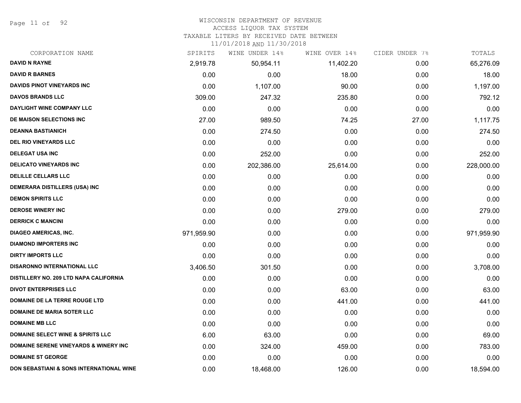Page 11 of 92

# WISCONSIN DEPARTMENT OF REVENUE

### ACCESS LIQUOR TAX SYSTEM

TAXABLE LITERS BY RECEIVED DATE BETWEEN

| CORPORATION NAME                                 | SPIRITS    | WINE UNDER 14% | WINE OVER 14% | CIDER UNDER 7% | TOTALS     |
|--------------------------------------------------|------------|----------------|---------------|----------------|------------|
| <b>DAVID N RAYNE</b>                             | 2,919.78   | 50,954.11      | 11,402.20     | 0.00           | 65,276.09  |
| <b>DAVID R BARNES</b>                            | 0.00       | 0.00           | 18.00         | 0.00           | 18.00      |
| <b>DAVIDS PINOT VINEYARDS INC</b>                | 0.00       | 1,107.00       | 90.00         | 0.00           | 1,197.00   |
| <b>DAVOS BRANDS LLC</b>                          | 309.00     | 247.32         | 235.80        | 0.00           | 792.12     |
| DAYLIGHT WINE COMPANY LLC                        | 0.00       | 0.00           | 0.00          | 0.00           | 0.00       |
| DE MAISON SELECTIONS INC                         | 27.00      | 989.50         | 74.25         | 27.00          | 1,117.75   |
| <b>DEANNA BASTIANICH</b>                         | 0.00       | 274.50         | 0.00          | 0.00           | 274.50     |
| <b>DEL RIO VINEYARDS LLC</b>                     | 0.00       | 0.00           | 0.00          | 0.00           | 0.00       |
| <b>DELEGAT USA INC</b>                           | 0.00       | 252.00         | 0.00          | 0.00           | 252.00     |
| <b>DELICATO VINEYARDS INC</b>                    | 0.00       | 202,386.00     | 25,614.00     | 0.00           | 228,000.00 |
| <b>DELILLE CELLARS LLC</b>                       | 0.00       | 0.00           | 0.00          | 0.00           | 0.00       |
| DEMERARA DISTILLERS (USA) INC                    | 0.00       | 0.00           | 0.00          | 0.00           | 0.00       |
| <b>DEMON SPIRITS LLC</b>                         | 0.00       | 0.00           | 0.00          | 0.00           | 0.00       |
| <b>DEROSE WINERY INC</b>                         | 0.00       | 0.00           | 279.00        | 0.00           | 279.00     |
| <b>DERRICK C MANCINI</b>                         | 0.00       | 0.00           | 0.00          | 0.00           | 0.00       |
| <b>DIAGEO AMERICAS, INC.</b>                     | 971,959.90 | 0.00           | 0.00          | 0.00           | 971,959.90 |
| <b>DIAMOND IMPORTERS INC</b>                     | 0.00       | 0.00           | 0.00          | 0.00           | 0.00       |
| <b>DIRTY IMPORTS LLC</b>                         | 0.00       | 0.00           | 0.00          | 0.00           | 0.00       |
| <b>DISARONNO INTERNATIONAL LLC</b>               | 3,406.50   | 301.50         | 0.00          | 0.00           | 3,708.00   |
| DISTILLERY NO. 209 LTD NAPA CALIFORNIA           | 0.00       | 0.00           | 0.00          | 0.00           | 0.00       |
| <b>DIVOT ENTERPRISES LLC</b>                     | 0.00       | 0.00           | 63.00         | 0.00           | 63.00      |
| DOMAINE DE LA TERRE ROUGE LTD                    | 0.00       | 0.00           | 441.00        | 0.00           | 441.00     |
| <b>DOMAINE DE MARIA SOTER LLC</b>                | 0.00       | 0.00           | 0.00          | 0.00           | 0.00       |
| <b>DOMAINE MB LLC</b>                            | 0.00       | 0.00           | 0.00          | 0.00           | 0.00       |
| <b>DOMAINE SELECT WINE &amp; SPIRITS LLC</b>     | 6.00       | 63.00          | 0.00          | 0.00           | 69.00      |
| <b>DOMAINE SERENE VINEYARDS &amp; WINERY INC</b> | 0.00       | 324.00         | 459.00        | 0.00           | 783.00     |
| <b>DOMAINE ST GEORGE</b>                         | 0.00       | 0.00           | 0.00          | 0.00           | 0.00       |
| DON SEBASTIANI & SONS INTERNATIONAL WINE         | 0.00       | 18,468.00      | 126.00        | 0.00           | 18,594.00  |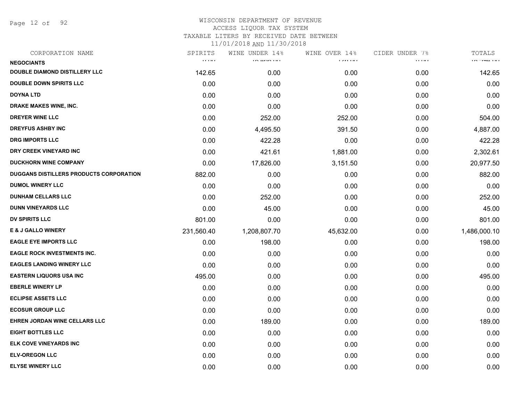Page 12 of 92

| SPIRITS                                        | WINE UNDER 14% | WINE OVER 14%               | CIDER UNDER 7%                            | TOTALS            |
|------------------------------------------------|----------------|-----------------------------|-------------------------------------------|-------------------|
| $\mathbf{r}$ , $\mathbf{r}$ , and $\mathbf{r}$ | 10.4101111     | <b><i>A A A A A A A</i></b> | $\alpha$ , $\alpha$ , $\alpha$ , $\alpha$ | <b>IN THALLIE</b> |
| 142.65                                         | 0.00           | 0.00                        | 0.00                                      | 142.65            |
| 0.00                                           | 0.00           | 0.00                        | 0.00                                      | 0.00              |
| 0.00                                           | 0.00           | 0.00                        | 0.00                                      | 0.00              |
| 0.00                                           | 0.00           | 0.00                        | 0.00                                      | 0.00              |
| 0.00                                           | 252.00         | 252.00                      | 0.00                                      | 504.00            |
| 0.00                                           | 4,495.50       | 391.50                      | 0.00                                      | 4,887.00          |
| 0.00                                           | 422.28         | 0.00                        | 0.00                                      | 422.28            |
| 0.00                                           | 421.61         | 1,881.00                    | 0.00                                      | 2,302.61          |
| 0.00                                           | 17,826.00      | 3,151.50                    | 0.00                                      | 20,977.50         |
| 882.00                                         | 0.00           | 0.00                        | 0.00                                      | 882.00            |
| 0.00                                           | 0.00           | 0.00                        | 0.00                                      | 0.00              |
| 0.00                                           | 252.00         | 0.00                        | 0.00                                      | 252.00            |
| 0.00                                           | 45.00          | 0.00                        | 0.00                                      | 45.00             |
| 801.00                                         | 0.00           | 0.00                        | 0.00                                      | 801.00            |
| 231,560.40                                     | 1,208,807.70   | 45,632.00                   | 0.00                                      | 1,486,000.10      |
| 0.00                                           | 198.00         | 0.00                        | 0.00                                      | 198.00            |
| 0.00                                           | 0.00           | 0.00                        | 0.00                                      | 0.00              |
| 0.00                                           | 0.00           | 0.00                        | 0.00                                      | 0.00              |
| 495.00                                         | 0.00           | 0.00                        | 0.00                                      | 495.00            |
| 0.00                                           | 0.00           | 0.00                        | 0.00                                      | 0.00              |
| 0.00                                           | 0.00           | 0.00                        | 0.00                                      | 0.00              |
| 0.00                                           | 0.00           | 0.00                        | 0.00                                      | 0.00              |
| 0.00                                           | 189.00         | 0.00                        | 0.00                                      | 189.00            |
| 0.00                                           | 0.00           | 0.00                        | 0.00                                      | 0.00              |
| 0.00                                           | 0.00           | 0.00                        | 0.00                                      | 0.00              |
| 0.00                                           | 0.00           | 0.00                        | 0.00                                      | 0.00              |
| 0.00                                           | 0.00           | 0.00                        | 0.00                                      | 0.00              |
|                                                |                |                             |                                           |                   |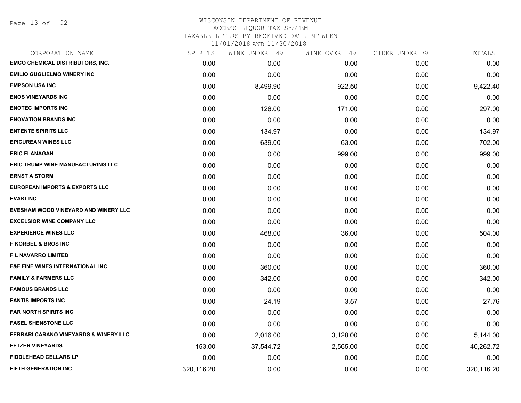Page 13 of 92

# WISCONSIN DEPARTMENT OF REVENUE ACCESS LIQUOR TAX SYSTEM TAXABLE LITERS BY RECEIVED DATE BETWEEN

| CORPORATION NAME                                 | SPIRITS    | WINE UNDER 14% | WINE OVER 14% | CIDER UNDER 7% | TOTALS     |
|--------------------------------------------------|------------|----------------|---------------|----------------|------------|
| <b>EMCO CHEMICAL DISTRIBUTORS, INC.</b>          | 0.00       | 0.00           | 0.00          | 0.00           | 0.00       |
| <b>EMILIO GUGLIELMO WINERY INC</b>               | 0.00       | 0.00           | 0.00          | 0.00           | 0.00       |
| <b>EMPSON USA INC</b>                            | 0.00       | 8,499.90       | 922.50        | 0.00           | 9,422.40   |
| <b>ENOS VINEYARDS INC</b>                        | 0.00       | 0.00           | 0.00          | 0.00           | 0.00       |
| <b>ENOTEC IMPORTS INC</b>                        | 0.00       | 126.00         | 171.00        | 0.00           | 297.00     |
| <b>ENOVATION BRANDS INC</b>                      | 0.00       | 0.00           | 0.00          | 0.00           | 0.00       |
| <b>ENTENTE SPIRITS LLC</b>                       | 0.00       | 134.97         | 0.00          | 0.00           | 134.97     |
| <b>EPICUREAN WINES LLC</b>                       | 0.00       | 639.00         | 63.00         | 0.00           | 702.00     |
| <b>ERIC FLANAGAN</b>                             | 0.00       | 0.00           | 999.00        | 0.00           | 999.00     |
| <b>ERIC TRUMP WINE MANUFACTURING LLC</b>         | 0.00       | 0.00           | 0.00          | 0.00           | 0.00       |
| <b>ERNST A STORM</b>                             | 0.00       | 0.00           | 0.00          | 0.00           | 0.00       |
| <b>EUROPEAN IMPORTS &amp; EXPORTS LLC</b>        | 0.00       | 0.00           | 0.00          | 0.00           | 0.00       |
| <b>EVAKI INC</b>                                 | 0.00       | 0.00           | 0.00          | 0.00           | 0.00       |
| EVESHAM WOOD VINEYARD AND WINERY LLC             | 0.00       | 0.00           | 0.00          | 0.00           | 0.00       |
| <b>EXCELSIOR WINE COMPANY LLC</b>                | 0.00       | 0.00           | 0.00          | 0.00           | 0.00       |
| <b>EXPERIENCE WINES LLC</b>                      | 0.00       | 468.00         | 36.00         | 0.00           | 504.00     |
| <b>F KORBEL &amp; BROS INC</b>                   | 0.00       | 0.00           | 0.00          | 0.00           | 0.00       |
| F L NAVARRO LIMITED                              | 0.00       | 0.00           | 0.00          | 0.00           | 0.00       |
| <b>F&amp;F FINE WINES INTERNATIONAL INC</b>      | 0.00       | 360.00         | 0.00          | 0.00           | 360.00     |
| <b>FAMILY &amp; FARMERS LLC</b>                  | 0.00       | 342.00         | 0.00          | 0.00           | 342.00     |
| <b>FAMOUS BRANDS LLC</b>                         | 0.00       | 0.00           | 0.00          | 0.00           | 0.00       |
| <b>FANTIS IMPORTS INC</b>                        | 0.00       | 24.19          | 3.57          | 0.00           | 27.76      |
| <b>FAR NORTH SPIRITS INC</b>                     | 0.00       | 0.00           | 0.00          | 0.00           | 0.00       |
| <b>FASEL SHENSTONE LLC</b>                       | 0.00       | 0.00           | 0.00          | 0.00           | 0.00       |
| <b>FERRARI CARANO VINEYARDS &amp; WINERY LLC</b> | 0.00       | 2,016.00       | 3,128.00      | 0.00           | 5,144.00   |
| <b>FETZER VINEYARDS</b>                          | 153.00     | 37,544.72      | 2,565.00      | 0.00           | 40,262.72  |
| <b>FIDDLEHEAD CELLARS LP</b>                     | 0.00       | 0.00           | 0.00          | 0.00           | 0.00       |
| <b>FIFTH GENERATION INC</b>                      | 320,116.20 | 0.00           | 0.00          | 0.00           | 320,116.20 |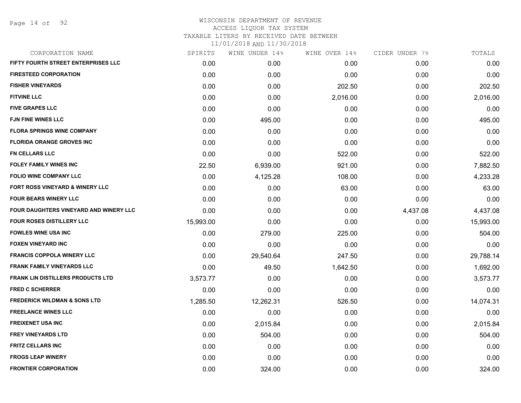Page 14 of 92

| CORPORATION NAME                              | SPIRITS   | WINE UNDER 14% | WINE OVER 14% | CIDER UNDER 7% | TOTALS    |
|-----------------------------------------------|-----------|----------------|---------------|----------------|-----------|
| FIFTY FOURTH STREET ENTERPRISES LLC           | 0.00      | 0.00           | 0.00          | 0.00           | 0.00      |
| <b>FIRESTEED CORPORATION</b>                  | 0.00      | 0.00           | 0.00          | 0.00           | 0.00      |
| <b>FISHER VINEYARDS</b>                       | 0.00      | 0.00           | 202.50        | 0.00           | 202.50    |
| <b>FITVINE LLC</b>                            | 0.00      | 0.00           | 2,016.00      | 0.00           | 2,016.00  |
| <b>FIVE GRAPES LLC</b>                        | 0.00      | 0.00           | 0.00          | 0.00           | 0.00      |
| <b>FJN FINE WINES LLC</b>                     | 0.00      | 495.00         | 0.00          | 0.00           | 495.00    |
| <b>FLORA SPRINGS WINE COMPANY</b>             | 0.00      | 0.00           | 0.00          | 0.00           | 0.00      |
| <b>FLORIDA ORANGE GROVES INC</b>              | 0.00      | 0.00           | 0.00          | 0.00           | 0.00      |
| <b>FN CELLARS LLC</b>                         | 0.00      | 0.00           | 522.00        | 0.00           | 522.00    |
| <b>FOLEY FAMILY WINES INC</b>                 | 22.50     | 6,939.00       | 921.00        | 0.00           | 7,882.50  |
| <b>FOLIO WINE COMPANY LLC</b>                 | 0.00      | 4,125.28       | 108.00        | 0.00           | 4,233.28  |
| <b>FORT ROSS VINEYARD &amp; WINERY LLC</b>    | 0.00      | 0.00           | 63.00         | 0.00           | 63.00     |
| <b>FOUR BEARS WINERY LLC</b>                  | 0.00      | 0.00           | 0.00          | 0.00           | 0.00      |
| <b>FOUR DAUGHTERS VINEYARD AND WINERY LLC</b> | 0.00      | 0.00           | 0.00          | 4,437.08       | 4,437.08  |
| <b>FOUR ROSES DISTILLERY LLC</b>              | 15,993.00 | 0.00           | 0.00          | 0.00           | 15,993.00 |
| <b>FOWLES WINE USA INC</b>                    | 0.00      | 279.00         | 225.00        | 0.00           | 504.00    |
| <b>FOXEN VINEYARD INC</b>                     | 0.00      | 0.00           | 0.00          | 0.00           | 0.00      |
| <b>FRANCIS COPPOLA WINERY LLC</b>             | 0.00      | 29,540.64      | 247.50        | 0.00           | 29,788.14 |
| <b>FRANK FAMILY VINEYARDS LLC</b>             | 0.00      | 49.50          | 1,642.50      | 0.00           | 1,692.00  |
| <b>FRANK LIN DISTILLERS PRODUCTS LTD</b>      | 3,573.77  | 0.00           | 0.00          | 0.00           | 3,573.77  |
| <b>FRED C SCHERRER</b>                        | 0.00      | 0.00           | 0.00          | 0.00           | 0.00      |
| <b>FREDERICK WILDMAN &amp; SONS LTD</b>       | 1,285.50  | 12,262.31      | 526.50        | 0.00           | 14,074.31 |
| <b>FREELANCE WINES LLC</b>                    | 0.00      | 0.00           | 0.00          | 0.00           | 0.00      |
| <b>FREIXENET USA INC</b>                      | 0.00      | 2,015.84       | 0.00          | 0.00           | 2,015.84  |
| <b>FREY VINEYARDS LTD</b>                     | 0.00      | 504.00         | 0.00          | 0.00           | 504.00    |
| <b>FRITZ CELLARS INC</b>                      | 0.00      | 0.00           | 0.00          | 0.00           | 0.00      |
| <b>FROGS LEAP WINERY</b>                      | 0.00      | 0.00           | 0.00          | 0.00           | 0.00      |
| <b>FRONTIER CORPORATION</b>                   | 0.00      | 324.00         | 0.00          | 0.00           | 324.00    |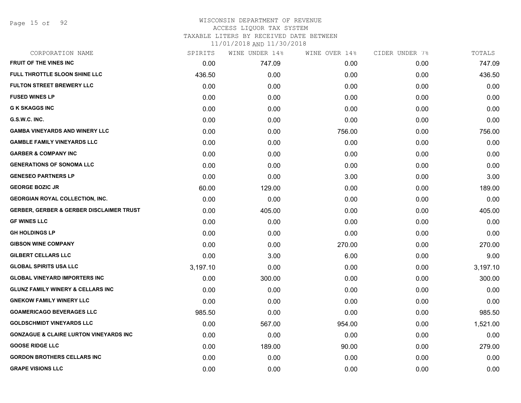Page 15 of 92

# WISCONSIN DEPARTMENT OF REVENUE ACCESS LIQUOR TAX SYSTEM TAXABLE LITERS BY RECEIVED DATE BETWEEN

| CORPORATION NAME                                    | SPIRITS  | WINE UNDER 14% | WINE OVER 14% | CIDER UNDER 7% | TOTALS   |
|-----------------------------------------------------|----------|----------------|---------------|----------------|----------|
| <b>FRUIT OF THE VINES INC</b>                       | 0.00     | 747.09         | 0.00          | 0.00           | 747.09   |
| <b>FULL THROTTLE SLOON SHINE LLC</b>                | 436.50   | 0.00           | 0.00          | 0.00           | 436.50   |
| <b>FULTON STREET BREWERY LLC</b>                    | 0.00     | 0.00           | 0.00          | 0.00           | 0.00     |
| <b>FUSED WINES LP</b>                               | 0.00     | 0.00           | 0.00          | 0.00           | 0.00     |
| <b>G K SKAGGS INC</b>                               | 0.00     | 0.00           | 0.00          | 0.00           | 0.00     |
| G.S.W.C. INC.                                       | 0.00     | 0.00           | 0.00          | 0.00           | 0.00     |
| <b>GAMBA VINEYARDS AND WINERY LLC</b>               | 0.00     | 0.00           | 756.00        | 0.00           | 756.00   |
| <b>GAMBLE FAMILY VINEYARDS LLC</b>                  | 0.00     | 0.00           | 0.00          | 0.00           | 0.00     |
| <b>GARBER &amp; COMPANY INC</b>                     | 0.00     | 0.00           | 0.00          | 0.00           | 0.00     |
| <b>GENERATIONS OF SONOMA LLC</b>                    | 0.00     | 0.00           | 0.00          | 0.00           | 0.00     |
| <b>GENESEO PARTNERS LP</b>                          | 0.00     | 0.00           | 3.00          | 0.00           | 3.00     |
| <b>GEORGE BOZIC JR</b>                              | 60.00    | 129.00         | 0.00          | 0.00           | 189.00   |
| <b>GEORGIAN ROYAL COLLECTION, INC.</b>              | 0.00     | 0.00           | 0.00          | 0.00           | 0.00     |
| <b>GERBER, GERBER &amp; GERBER DISCLAIMER TRUST</b> | 0.00     | 405.00         | 0.00          | 0.00           | 405.00   |
| <b>GF WINES LLC</b>                                 | 0.00     | 0.00           | 0.00          | 0.00           | 0.00     |
| <b>GH HOLDINGS LP</b>                               | 0.00     | 0.00           | 0.00          | 0.00           | 0.00     |
| <b>GIBSON WINE COMPANY</b>                          | 0.00     | 0.00           | 270.00        | 0.00           | 270.00   |
| <b>GILBERT CELLARS LLC</b>                          | 0.00     | 3.00           | 6.00          | 0.00           | 9.00     |
| <b>GLOBAL SPIRITS USA LLC</b>                       | 3,197.10 | 0.00           | 0.00          | 0.00           | 3,197.10 |
| <b>GLOBAL VINEYARD IMPORTERS INC</b>                | 0.00     | 300.00         | 0.00          | 0.00           | 300.00   |
| <b>GLUNZ FAMILY WINERY &amp; CELLARS INC</b>        | 0.00     | 0.00           | 0.00          | 0.00           | 0.00     |
| <b>GNEKOW FAMILY WINERY LLC</b>                     | 0.00     | 0.00           | 0.00          | 0.00           | 0.00     |
| <b>GOAMERICAGO BEVERAGES LLC</b>                    | 985.50   | 0.00           | 0.00          | 0.00           | 985.50   |
| <b>GOLDSCHMIDT VINEYARDS LLC</b>                    | 0.00     | 567.00         | 954.00        | 0.00           | 1,521.00 |
| <b>GONZAGUE &amp; CLAIRE LURTON VINEYARDS INC</b>   | 0.00     | 0.00           | 0.00          | 0.00           | 0.00     |
| <b>GOOSE RIDGE LLC</b>                              | 0.00     | 189.00         | 90.00         | 0.00           | 279.00   |
| <b>GORDON BROTHERS CELLARS INC</b>                  | 0.00     | 0.00           | 0.00          | 0.00           | 0.00     |
| <b>GRAPE VISIONS LLC</b>                            | 0.00     | 0.00           | 0.00          | 0.00           | 0.00     |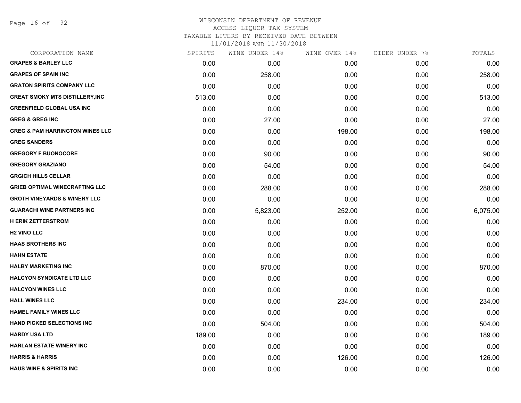Page 16 of 92

### WISCONSIN DEPARTMENT OF REVENUE ACCESS LIQUOR TAX SYSTEM

TAXABLE LITERS BY RECEIVED DATE BETWEEN

| CORPORATION NAME                           | SPIRITS | WINE UNDER 14% | WINE OVER 14% | CIDER UNDER 7% | TOTALS   |
|--------------------------------------------|---------|----------------|---------------|----------------|----------|
| <b>GRAPES &amp; BARLEY LLC</b>             | 0.00    | 0.00           | 0.00          | 0.00           | 0.00     |
| <b>GRAPES OF SPAIN INC</b>                 | 0.00    | 258.00         | 0.00          | 0.00           | 258.00   |
| <b>GRATON SPIRITS COMPANY LLC</b>          | 0.00    | 0.00           | 0.00          | 0.00           | 0.00     |
| <b>GREAT SMOKY MTS DISTILLERY, INC</b>     | 513.00  | 0.00           | 0.00          | 0.00           | 513.00   |
| <b>GREENFIELD GLOBAL USA INC</b>           | 0.00    | 0.00           | 0.00          | 0.00           | 0.00     |
| <b>GREG &amp; GREG INC</b>                 | 0.00    | 27.00          | 0.00          | 0.00           | 27.00    |
| <b>GREG &amp; PAM HARRINGTON WINES LLC</b> | 0.00    | 0.00           | 198.00        | 0.00           | 198.00   |
| <b>GREG SANDERS</b>                        | 0.00    | 0.00           | 0.00          | 0.00           | 0.00     |
| <b>GREGORY F BUONOCORE</b>                 | 0.00    | 90.00          | 0.00          | 0.00           | 90.00    |
| <b>GREGORY GRAZIANO</b>                    | 0.00    | 54.00          | 0.00          | 0.00           | 54.00    |
| <b>GRGICH HILLS CELLAR</b>                 | 0.00    | 0.00           | 0.00          | 0.00           | 0.00     |
| <b>GRIEB OPTIMAL WINECRAFTING LLC</b>      | 0.00    | 288.00         | 0.00          | 0.00           | 288.00   |
| <b>GROTH VINEYARDS &amp; WINERY LLC</b>    | 0.00    | 0.00           | 0.00          | 0.00           | 0.00     |
| <b>GUARACHI WINE PARTNERS INC</b>          | 0.00    | 5,823.00       | 252.00        | 0.00           | 6,075.00 |
| <b>H ERIK ZETTERSTROM</b>                  | 0.00    | 0.00           | 0.00          | 0.00           | 0.00     |
| <b>H2 VINO LLC</b>                         | 0.00    | 0.00           | 0.00          | 0.00           | 0.00     |
| <b>HAAS BROTHERS INC</b>                   | 0.00    | 0.00           | 0.00          | 0.00           | 0.00     |
| <b>HAHN ESTATE</b>                         | 0.00    | 0.00           | 0.00          | 0.00           | 0.00     |
| <b>HALBY MARKETING INC</b>                 | 0.00    | 870.00         | 0.00          | 0.00           | 870.00   |
| <b>HALCYON SYNDICATE LTD LLC</b>           | 0.00    | 0.00           | 0.00          | 0.00           | 0.00     |
| <b>HALCYON WINES LLC</b>                   | 0.00    | 0.00           | 0.00          | 0.00           | 0.00     |
| <b>HALL WINES LLC</b>                      | 0.00    | 0.00           | 234.00        | 0.00           | 234.00   |
| <b>HAMEL FAMILY WINES LLC</b>              | 0.00    | 0.00           | 0.00          | 0.00           | 0.00     |
| <b>HAND PICKED SELECTIONS INC</b>          | 0.00    | 504.00         | 0.00          | 0.00           | 504.00   |
| <b>HARDY USA LTD</b>                       | 189.00  | 0.00           | 0.00          | 0.00           | 189.00   |
| <b>HARLAN ESTATE WINERY INC</b>            | 0.00    | 0.00           | 0.00          | 0.00           | 0.00     |
| <b>HARRIS &amp; HARRIS</b>                 | 0.00    | 0.00           | 126.00        | 0.00           | 126.00   |
| <b>HAUS WINE &amp; SPIRITS INC</b>         | 0.00    | 0.00           | 0.00          | 0.00           | 0.00     |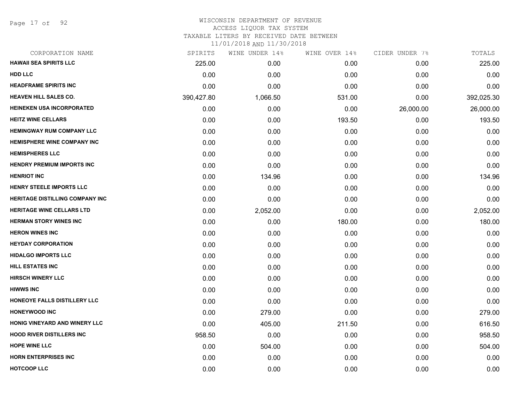Page 17 of 92

### WISCONSIN DEPARTMENT OF REVENUE ACCESS LIQUOR TAX SYSTEM TAXABLE LITERS BY RECEIVED DATE BETWEEN

| CORPORATION NAME                       | SPIRITS    | WINE UNDER 14% | WINE OVER 14% | CIDER UNDER 7% | TOTALS     |
|----------------------------------------|------------|----------------|---------------|----------------|------------|
| <b>HAWAII SEA SPIRITS LLC</b>          | 225.00     | 0.00           | 0.00          | 0.00           | 225.00     |
| <b>HDD LLC</b>                         | 0.00       | 0.00           | 0.00          | 0.00           | 0.00       |
| <b>HEADFRAME SPIRITS INC</b>           | 0.00       | 0.00           | 0.00          | 0.00           | 0.00       |
| <b>HEAVEN HILL SALES CO.</b>           | 390,427.80 | 1,066.50       | 531.00        | 0.00           | 392,025.30 |
| <b>HEINEKEN USA INCORPORATED</b>       | 0.00       | 0.00           | 0.00          | 26,000.00      | 26,000.00  |
| <b>HEITZ WINE CELLARS</b>              | 0.00       | 0.00           | 193.50        | 0.00           | 193.50     |
| <b>HEMINGWAY RUM COMPANY LLC</b>       | 0.00       | 0.00           | 0.00          | 0.00           | 0.00       |
| <b>HEMISPHERE WINE COMPANY INC</b>     | 0.00       | 0.00           | 0.00          | 0.00           | 0.00       |
| <b>HEMISPHERES LLC</b>                 | 0.00       | 0.00           | 0.00          | 0.00           | 0.00       |
| <b>HENDRY PREMIUM IMPORTS INC</b>      | 0.00       | 0.00           | 0.00          | 0.00           | 0.00       |
| <b>HENRIOT INC</b>                     | 0.00       | 134.96         | 0.00          | 0.00           | 134.96     |
| HENRY STEELE IMPORTS LLC               | 0.00       | 0.00           | 0.00          | 0.00           | 0.00       |
| <b>HERITAGE DISTILLING COMPANY INC</b> | 0.00       | 0.00           | 0.00          | 0.00           | 0.00       |
| <b>HERITAGE WINE CELLARS LTD</b>       | 0.00       | 2,052.00       | 0.00          | 0.00           | 2,052.00   |
| <b>HERMAN STORY WINES INC</b>          | 0.00       | 0.00           | 180.00        | 0.00           | 180.00     |
| <b>HERON WINES INC</b>                 | 0.00       | 0.00           | 0.00          | 0.00           | 0.00       |
| <b>HEYDAY CORPORATION</b>              | 0.00       | 0.00           | 0.00          | 0.00           | 0.00       |
| <b>HIDALGO IMPORTS LLC</b>             | 0.00       | 0.00           | 0.00          | 0.00           | 0.00       |
| HILL ESTATES INC                       | 0.00       | 0.00           | 0.00          | 0.00           | 0.00       |
| <b>HIRSCH WINERY LLC</b>               | 0.00       | 0.00           | 0.00          | 0.00           | 0.00       |
| <b>HIWWS INC</b>                       | 0.00       | 0.00           | 0.00          | 0.00           | 0.00       |
| HONEOYE FALLS DISTILLERY LLC           | 0.00       | 0.00           | 0.00          | 0.00           | 0.00       |
| <b>HONEYWOOD INC</b>                   | 0.00       | 279.00         | 0.00          | 0.00           | 279.00     |
| HONIG VINEYARD AND WINERY LLC          | 0.00       | 405.00         | 211.50        | 0.00           | 616.50     |
| <b>HOOD RIVER DISTILLERS INC</b>       | 958.50     | 0.00           | 0.00          | 0.00           | 958.50     |
| <b>HOPE WINE LLC</b>                   | 0.00       | 504.00         | 0.00          | 0.00           | 504.00     |
| <b>HORN ENTERPRISES INC</b>            | 0.00       | 0.00           | 0.00          | 0.00           | 0.00       |
| <b>HOTCOOP LLC</b>                     | 0.00       | 0.00           | 0.00          | 0.00           | 0.00       |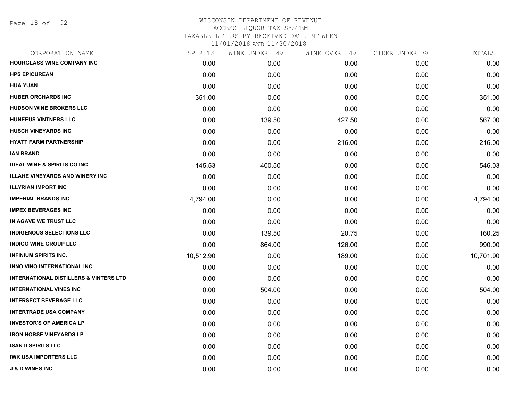Page 18 of 92

| CORPORATION NAME                                  | SPIRITS   | WINE UNDER 14% | WINE OVER 14% | CIDER UNDER 7% | TOTALS    |
|---------------------------------------------------|-----------|----------------|---------------|----------------|-----------|
| <b>HOURGLASS WINE COMPANY INC</b>                 | 0.00      | 0.00           | 0.00          | 0.00           | 0.00      |
| <b>HPS EPICUREAN</b>                              | 0.00      | 0.00           | 0.00          | 0.00           | 0.00      |
| <b>HUA YUAN</b>                                   | 0.00      | 0.00           | 0.00          | 0.00           | 0.00      |
| <b>HUBER ORCHARDS INC</b>                         | 351.00    | 0.00           | 0.00          | 0.00           | 351.00    |
| <b>HUDSON WINE BROKERS LLC</b>                    | 0.00      | 0.00           | 0.00          | 0.00           | 0.00      |
| <b>HUNEEUS VINTNERS LLC</b>                       | 0.00      | 139.50         | 427.50        | 0.00           | 567.00    |
| <b>HUSCH VINEYARDS INC</b>                        | 0.00      | 0.00           | 0.00          | 0.00           | 0.00      |
| <b>HYATT FARM PARTNERSHIP</b>                     | 0.00      | 0.00           | 216.00        | 0.00           | 216.00    |
| <b>IAN BRAND</b>                                  | 0.00      | 0.00           | 0.00          | 0.00           | 0.00      |
| <b>IDEAL WINE &amp; SPIRITS CO INC</b>            | 145.53    | 400.50         | 0.00          | 0.00           | 546.03    |
| <b>ILLAHE VINEYARDS AND WINERY INC</b>            | 0.00      | 0.00           | 0.00          | 0.00           | 0.00      |
| <b>ILLYRIAN IMPORT INC</b>                        | 0.00      | 0.00           | 0.00          | 0.00           | 0.00      |
| <b>IMPERIAL BRANDS INC</b>                        | 4,794.00  | 0.00           | 0.00          | 0.00           | 4,794.00  |
| <b>IMPEX BEVERAGES INC</b>                        | 0.00      | 0.00           | 0.00          | 0.00           | 0.00      |
| IN AGAVE WE TRUST LLC                             | 0.00      | 0.00           | 0.00          | 0.00           | 0.00      |
| <b>INDIGENOUS SELECTIONS LLC</b>                  | 0.00      | 139.50         | 20.75         | 0.00           | 160.25    |
| <b>INDIGO WINE GROUP LLC</b>                      | 0.00      | 864.00         | 126.00        | 0.00           | 990.00    |
| <b>INFINIUM SPIRITS INC.</b>                      | 10,512.90 | 0.00           | 189.00        | 0.00           | 10,701.90 |
| <b>INNO VINO INTERNATIONAL INC</b>                | 0.00      | 0.00           | 0.00          | 0.00           | 0.00      |
| <b>INTERNATIONAL DISTILLERS &amp; VINTERS LTD</b> | 0.00      | 0.00           | 0.00          | 0.00           | 0.00      |
| <b>INTERNATIONAL VINES INC</b>                    | 0.00      | 504.00         | 0.00          | 0.00           | 504.00    |
| <b>INTERSECT BEVERAGE LLC</b>                     | 0.00      | 0.00           | 0.00          | 0.00           | 0.00      |
| <b>INTERTRADE USA COMPANY</b>                     | 0.00      | 0.00           | 0.00          | 0.00           | 0.00      |
| <b>INVESTOR'S OF AMERICA LP</b>                   | 0.00      | 0.00           | 0.00          | 0.00           | 0.00      |
| <b>IRON HORSE VINEYARDS LP</b>                    | 0.00      | 0.00           | 0.00          | 0.00           | 0.00      |
| <b>ISANTI SPIRITS LLC</b>                         | 0.00      | 0.00           | 0.00          | 0.00           | 0.00      |
| <b>IWK USA IMPORTERS LLC</b>                      | 0.00      | 0.00           | 0.00          | 0.00           | 0.00      |
| <b>J &amp; D WINES INC</b>                        | 0.00      | 0.00           | 0.00          | 0.00           | 0.00      |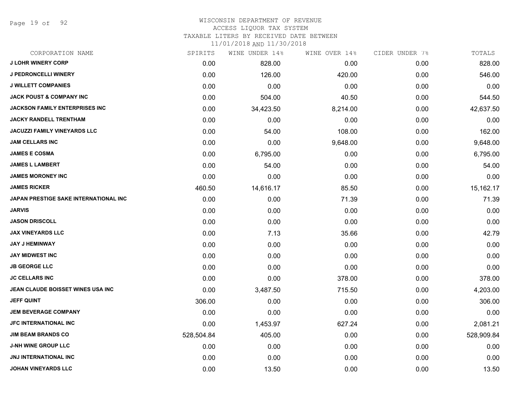Page 19 of 92

### WISCONSIN DEPARTMENT OF REVENUE ACCESS LIQUOR TAX SYSTEM

TAXABLE LITERS BY RECEIVED DATE BETWEEN

| CORPORATION NAME                      | SPIRITS    | WINE UNDER 14% | WINE OVER 14% | CIDER UNDER 7% | TOTALS     |
|---------------------------------------|------------|----------------|---------------|----------------|------------|
| <b>J LOHR WINERY CORP</b>             | 0.00       | 828.00         | 0.00          | 0.00           | 828.00     |
| <b>J PEDRONCELLI WINERY</b>           | 0.00       | 126.00         | 420.00        | 0.00           | 546.00     |
| <b>J WILLETT COMPANIES</b>            | 0.00       | 0.00           | 0.00          | 0.00           | 0.00       |
| <b>JACK POUST &amp; COMPANY INC</b>   | 0.00       | 504.00         | 40.50         | 0.00           | 544.50     |
| <b>JACKSON FAMILY ENTERPRISES INC</b> | 0.00       | 34,423.50      | 8,214.00      | 0.00           | 42,637.50  |
| <b>JACKY RANDELL TRENTHAM</b>         | 0.00       | 0.00           | 0.00          | 0.00           | 0.00       |
| <b>JACUZZI FAMILY VINEYARDS LLC</b>   | 0.00       | 54.00          | 108.00        | 0.00           | 162.00     |
| <b>JAM CELLARS INC</b>                | 0.00       | 0.00           | 9,648.00      | 0.00           | 9,648.00   |
| <b>JAMES E COSMA</b>                  | 0.00       | 6,795.00       | 0.00          | 0.00           | 6,795.00   |
| <b>JAMES L LAMBERT</b>                | 0.00       | 54.00          | 0.00          | 0.00           | 54.00      |
| <b>JAMES MORONEY INC</b>              | 0.00       | 0.00           | 0.00          | 0.00           | 0.00       |
| <b>JAMES RICKER</b>                   | 460.50     | 14,616.17      | 85.50         | 0.00           | 15,162.17  |
| JAPAN PRESTIGE SAKE INTERNATIONAL INC | 0.00       | 0.00           | 71.39         | 0.00           | 71.39      |
| <b>JARVIS</b>                         | 0.00       | 0.00           | 0.00          | 0.00           | 0.00       |
| <b>JASON DRISCOLL</b>                 | 0.00       | 0.00           | 0.00          | 0.00           | 0.00       |
| <b>JAX VINEYARDS LLC</b>              | 0.00       | 7.13           | 35.66         | 0.00           | 42.79      |
| <b>JAY J HEMINWAY</b>                 | 0.00       | 0.00           | 0.00          | 0.00           | 0.00       |
| <b>JAY MIDWEST INC</b>                | 0.00       | 0.00           | 0.00          | 0.00           | 0.00       |
| <b>JB GEORGE LLC</b>                  | 0.00       | 0.00           | 0.00          | 0.00           | 0.00       |
| <b>JC CELLARS INC</b>                 | 0.00       | 0.00           | 378.00        | 0.00           | 378.00     |
| JEAN CLAUDE BOISSET WINES USA INC     | 0.00       | 3,487.50       | 715.50        | 0.00           | 4,203.00   |
| <b>JEFF QUINT</b>                     | 306.00     | 0.00           | 0.00          | 0.00           | 306.00     |
| <b>JEM BEVERAGE COMPANY</b>           | 0.00       | 0.00           | 0.00          | 0.00           | 0.00       |
| <b>JFC INTERNATIONAL INC</b>          | 0.00       | 1,453.97       | 627.24        | 0.00           | 2,081.21   |
| <b>JIM BEAM BRANDS CO</b>             | 528,504.84 | 405.00         | 0.00          | 0.00           | 528,909.84 |
| <b>J-NH WINE GROUP LLC</b>            | 0.00       | 0.00           | 0.00          | 0.00           | 0.00       |
| <b>JNJ INTERNATIONAL INC</b>          | 0.00       | 0.00           | 0.00          | 0.00           | 0.00       |
| <b>JOHAN VINEYARDS LLC</b>            | 0.00       | 13.50          | 0.00          | 0.00           | 13.50      |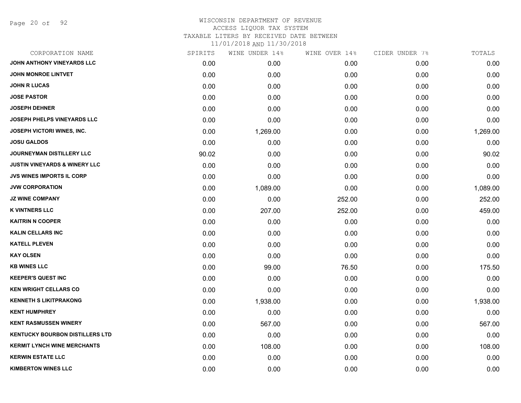Page 20 of 92

| CORPORATION NAME                         | SPIRITS | WINE UNDER 14% | WINE OVER 14% | CIDER UNDER 7% | TOTALS   |
|------------------------------------------|---------|----------------|---------------|----------------|----------|
| JOHN ANTHONY VINEYARDS LLC               | 0.00    | 0.00           | 0.00          | 0.00           | 0.00     |
| <b>JOHN MONROE LINTVET</b>               | 0.00    | 0.00           | 0.00          | 0.00           | 0.00     |
| <b>JOHN R LUCAS</b>                      | 0.00    | 0.00           | 0.00          | 0.00           | 0.00     |
| <b>JOSE PASTOR</b>                       | 0.00    | 0.00           | 0.00          | 0.00           | 0.00     |
| <b>JOSEPH DEHNER</b>                     | 0.00    | 0.00           | 0.00          | 0.00           | 0.00     |
| JOSEPH PHELPS VINEYARDS LLC              | 0.00    | 0.00           | 0.00          | 0.00           | 0.00     |
| <b>JOSEPH VICTORI WINES, INC.</b>        | 0.00    | 1,269.00       | 0.00          | 0.00           | 1,269.00 |
| <b>JOSU GALDOS</b>                       | 0.00    | 0.00           | 0.00          | 0.00           | 0.00     |
| <b>JOURNEYMAN DISTILLERY LLC</b>         | 90.02   | 0.00           | 0.00          | 0.00           | 90.02    |
| <b>JUSTIN VINEYARDS &amp; WINERY LLC</b> | 0.00    | 0.00           | 0.00          | 0.00           | 0.00     |
| <b>JVS WINES IMPORTS IL CORP</b>         | 0.00    | 0.00           | 0.00          | 0.00           | 0.00     |
| <b>JVW CORPORATION</b>                   | 0.00    | 1,089.00       | 0.00          | 0.00           | 1,089.00 |
| <b>JZ WINE COMPANY</b>                   | 0.00    | 0.00           | 252.00        | 0.00           | 252.00   |
| <b>K VINTNERS LLC</b>                    | 0.00    | 207.00         | 252.00        | 0.00           | 459.00   |
| <b>KAITRIN N COOPER</b>                  | 0.00    | 0.00           | 0.00          | 0.00           | 0.00     |
| <b>KALIN CELLARS INC</b>                 | 0.00    | 0.00           | 0.00          | 0.00           | 0.00     |
| <b>KATELL PLEVEN</b>                     | 0.00    | 0.00           | 0.00          | 0.00           | 0.00     |
| <b>KAY OLSEN</b>                         | 0.00    | 0.00           | 0.00          | 0.00           | 0.00     |
| <b>KB WINES LLC</b>                      | 0.00    | 99.00          | 76.50         | 0.00           | 175.50   |
| <b>KEEPER'S QUEST INC</b>                | 0.00    | 0.00           | 0.00          | 0.00           | 0.00     |
| <b>KEN WRIGHT CELLARS CO</b>             | 0.00    | 0.00           | 0.00          | 0.00           | 0.00     |
| <b>KENNETH S LIKITPRAKONG</b>            | 0.00    | 1,938.00       | 0.00          | 0.00           | 1,938.00 |
| <b>KENT HUMPHREY</b>                     | 0.00    | 0.00           | 0.00          | 0.00           | 0.00     |
| <b>KENT RASMUSSEN WINERY</b>             | 0.00    | 567.00         | 0.00          | 0.00           | 567.00   |
| <b>KENTUCKY BOURBON DISTILLERS LTD</b>   | 0.00    | 0.00           | 0.00          | 0.00           | 0.00     |
| <b>KERMIT LYNCH WINE MERCHANTS</b>       | 0.00    | 108.00         | 0.00          | 0.00           | 108.00   |
| <b>KERWIN ESTATE LLC</b>                 | 0.00    | 0.00           | 0.00          | 0.00           | 0.00     |
| <b>KIMBERTON WINES LLC</b>               | 0.00    | 0.00           | 0.00          | 0.00           | 0.00     |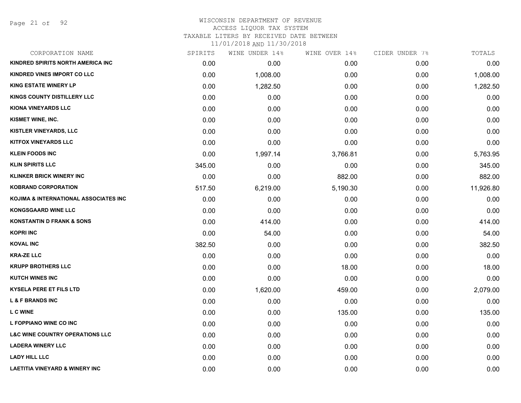Page 21 of 92

### WISCONSIN DEPARTMENT OF REVENUE ACCESS LIQUOR TAX SYSTEM TAXABLE LITERS BY RECEIVED DATE BETWEEN

| CORPORATION NAME                           | SPIRITS | WINE UNDER 14% | WINE OVER 14% | CIDER UNDER 7% | TOTALS    |
|--------------------------------------------|---------|----------------|---------------|----------------|-----------|
| KINDRED SPIRITS NORTH AMERICA INC          | 0.00    | 0.00           | 0.00          | 0.00           | 0.00      |
| KINDRED VINES IMPORT CO LLC                | 0.00    | 1,008.00       | 0.00          | 0.00           | 1,008.00  |
| <b>KING ESTATE WINERY LP</b>               | 0.00    | 1,282.50       | 0.00          | 0.00           | 1,282.50  |
| KINGS COUNTY DISTILLERY LLC                | 0.00    | 0.00           | 0.00          | 0.00           | 0.00      |
| <b>KIONA VINEYARDS LLC</b>                 | 0.00    | 0.00           | 0.00          | 0.00           | 0.00      |
| KISMET WINE, INC.                          | 0.00    | 0.00           | 0.00          | 0.00           | 0.00      |
| KISTLER VINEYARDS, LLC                     | 0.00    | 0.00           | 0.00          | 0.00           | 0.00      |
| <b>KITFOX VINEYARDS LLC</b>                | 0.00    | 0.00           | 0.00          | 0.00           | 0.00      |
| <b>KLEIN FOODS INC</b>                     | 0.00    | 1,997.14       | 3,766.81      | 0.00           | 5,763.95  |
| <b>KLIN SPIRITS LLC</b>                    | 345.00  | 0.00           | 0.00          | 0.00           | 345.00    |
| <b>KLINKER BRICK WINERY INC</b>            | 0.00    | 0.00           | 882.00        | 0.00           | 882.00    |
| <b>KOBRAND CORPORATION</b>                 | 517.50  | 6,219.00       | 5,190.30      | 0.00           | 11,926.80 |
| KOJIMA & INTERNATIONAL ASSOCIATES INC      | 0.00    | 0.00           | 0.00          | 0.00           | 0.00      |
| <b>KONGSGAARD WINE LLC</b>                 | 0.00    | 0.00           | 0.00          | 0.00           | 0.00      |
| <b>KONSTANTIN D FRANK &amp; SONS</b>       | 0.00    | 414.00         | 0.00          | 0.00           | 414.00    |
| <b>KOPRI INC</b>                           | 0.00    | 54.00          | 0.00          | 0.00           | 54.00     |
| <b>KOVAL INC</b>                           | 382.50  | 0.00           | 0.00          | 0.00           | 382.50    |
| <b>KRA-ZE LLC</b>                          | 0.00    | 0.00           | 0.00          | 0.00           | 0.00      |
| <b>KRUPP BROTHERS LLC</b>                  | 0.00    | 0.00           | 18.00         | 0.00           | 18.00     |
| <b>KUTCH WINES INC</b>                     | 0.00    | 0.00           | 0.00          | 0.00           | 0.00      |
| <b>KYSELA PERE ET FILS LTD</b>             | 0.00    | 1,620.00       | 459.00        | 0.00           | 2,079.00  |
| <b>L &amp; F BRANDS INC</b>                | 0.00    | 0.00           | 0.00          | 0.00           | 0.00      |
| L C WINE                                   | 0.00    | 0.00           | 135.00        | 0.00           | 135.00    |
| L FOPPIANO WINE CO INC                     | 0.00    | 0.00           | 0.00          | 0.00           | 0.00      |
| <b>L&amp;C WINE COUNTRY OPERATIONS LLC</b> | 0.00    | 0.00           | 0.00          | 0.00           | 0.00      |
| <b>LADERA WINERY LLC</b>                   | 0.00    | 0.00           | 0.00          | 0.00           | 0.00      |
| <b>LADY HILL LLC</b>                       | 0.00    | 0.00           | 0.00          | 0.00           | 0.00      |
| <b>LAETITIA VINEYARD &amp; WINERY INC</b>  | 0.00    | 0.00           | 0.00          | 0.00           | 0.00      |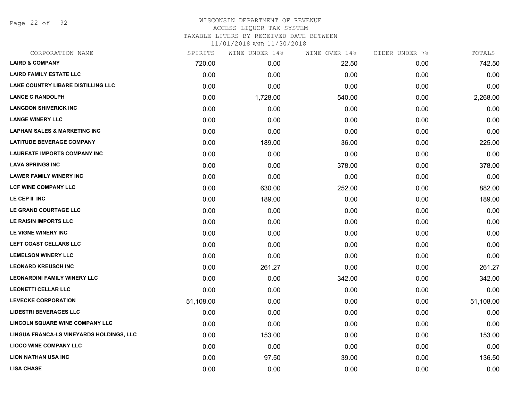Page 22 of 92

# WISCONSIN DEPARTMENT OF REVENUE ACCESS LIQUOR TAX SYSTEM TAXABLE LITERS BY RECEIVED DATE BETWEEN

| CORPORATION NAME                          | SPIRITS   | WINE UNDER 14% | WINE OVER 14% | CIDER UNDER 7% | TOTALS    |
|-------------------------------------------|-----------|----------------|---------------|----------------|-----------|
| <b>LAIRD &amp; COMPANY</b>                | 720.00    | 0.00           | 22.50         | 0.00           | 742.50    |
| <b>LAIRD FAMILY ESTATE LLC</b>            | 0.00      | 0.00           | 0.00          | 0.00           | 0.00      |
| <b>LAKE COUNTRY LIBARE DISTILLING LLC</b> | 0.00      | 0.00           | 0.00          | 0.00           | 0.00      |
| <b>LANCE C RANDOLPH</b>                   | 0.00      | 1,728.00       | 540.00        | 0.00           | 2,268.00  |
| <b>LANGDON SHIVERICK INC</b>              | 0.00      | 0.00           | 0.00          | 0.00           | 0.00      |
| <b>LANGE WINERY LLC</b>                   | 0.00      | 0.00           | 0.00          | 0.00           | 0.00      |
| <b>LAPHAM SALES &amp; MARKETING INC</b>   | 0.00      | 0.00           | 0.00          | 0.00           | 0.00      |
| <b>LATITUDE BEVERAGE COMPANY</b>          | 0.00      | 189.00         | 36.00         | 0.00           | 225.00    |
| <b>LAUREATE IMPORTS COMPANY INC</b>       | 0.00      | 0.00           | 0.00          | 0.00           | 0.00      |
| <b>LAVA SPRINGS INC</b>                   | 0.00      | 0.00           | 378.00        | 0.00           | 378.00    |
| <b>LAWER FAMILY WINERY INC</b>            | 0.00      | 0.00           | 0.00          | 0.00           | 0.00      |
| <b>LCF WINE COMPANY LLC</b>               | 0.00      | 630.00         | 252.00        | 0.00           | 882.00    |
| LE CEP II INC                             | 0.00      | 189.00         | 0.00          | 0.00           | 189.00    |
| LE GRAND COURTAGE LLC                     | 0.00      | 0.00           | 0.00          | 0.00           | 0.00      |
| LE RAISIN IMPORTS LLC                     | 0.00      | 0.00           | 0.00          | 0.00           | 0.00      |
| LE VIGNE WINERY INC                       | 0.00      | 0.00           | 0.00          | 0.00           | 0.00      |
| LEFT COAST CELLARS LLC                    | 0.00      | 0.00           | 0.00          | 0.00           | 0.00      |
| <b>LEMELSON WINERY LLC</b>                | 0.00      | 0.00           | 0.00          | 0.00           | 0.00      |
| <b>LEONARD KREUSCH INC</b>                | 0.00      | 261.27         | 0.00          | 0.00           | 261.27    |
| <b>LEONARDINI FAMILY WINERY LLC</b>       | 0.00      | 0.00           | 342.00        | 0.00           | 342.00    |
| <b>LEONETTI CELLAR LLC</b>                | 0.00      | 0.00           | 0.00          | 0.00           | 0.00      |
| <b>LEVECKE CORPORATION</b>                | 51,108.00 | 0.00           | 0.00          | 0.00           | 51,108.00 |
| <b>LIDESTRI BEVERAGES LLC</b>             | 0.00      | 0.00           | 0.00          | 0.00           | 0.00      |
| LINCOLN SQUARE WINE COMPANY LLC           | 0.00      | 0.00           | 0.00          | 0.00           | 0.00      |
| LINGUA FRANCA-LS VINEYARDS HOLDINGS, LLC  | 0.00      | 153.00         | 0.00          | 0.00           | 153.00    |
| <b>LIOCO WINE COMPANY LLC</b>             | 0.00      | 0.00           | 0.00          | 0.00           | 0.00      |
| <b>LION NATHAN USA INC</b>                | 0.00      | 97.50          | 39.00         | 0.00           | 136.50    |
| <b>LISA CHASE</b>                         | 0.00      | 0.00           | 0.00          | 0.00           | 0.00      |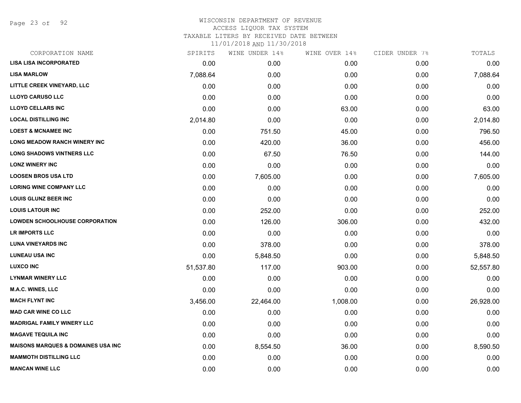Page 23 of 92

| CORPORATION NAME                              | SPIRITS   | WINE UNDER 14% | WINE OVER 14% | CIDER UNDER 7% | TOTALS    |
|-----------------------------------------------|-----------|----------------|---------------|----------------|-----------|
| <b>LISA LISA INCORPORATED</b>                 | 0.00      | 0.00           | 0.00          | 0.00           | 0.00      |
| <b>LISA MARLOW</b>                            | 7,088.64  | 0.00           | 0.00          | 0.00           | 7,088.64  |
| LITTLE CREEK VINEYARD, LLC                    | 0.00      | 0.00           | 0.00          | 0.00           | 0.00      |
| <b>LLOYD CARUSO LLC</b>                       | 0.00      | 0.00           | 0.00          | 0.00           | 0.00      |
| <b>LLOYD CELLARS INC</b>                      | 0.00      | 0.00           | 63.00         | 0.00           | 63.00     |
| <b>LOCAL DISTILLING INC</b>                   | 2,014.80  | 0.00           | 0.00          | 0.00           | 2,014.80  |
| <b>LOEST &amp; MCNAMEE INC</b>                | 0.00      | 751.50         | 45.00         | 0.00           | 796.50    |
| <b>LONG MEADOW RANCH WINERY INC</b>           | 0.00      | 420.00         | 36.00         | 0.00           | 456.00    |
| <b>LONG SHADOWS VINTNERS LLC</b>              | 0.00      | 67.50          | 76.50         | 0.00           | 144.00    |
| <b>LONZ WINERY INC</b>                        | 0.00      | 0.00           | 0.00          | 0.00           | 0.00      |
| <b>LOOSEN BROS USA LTD</b>                    | 0.00      | 7,605.00       | 0.00          | 0.00           | 7,605.00  |
| <b>LORING WINE COMPANY LLC</b>                | 0.00      | 0.00           | 0.00          | 0.00           | 0.00      |
| <b>LOUIS GLUNZ BEER INC</b>                   | 0.00      | 0.00           | 0.00          | 0.00           | 0.00      |
| <b>LOUIS LATOUR INC</b>                       | 0.00      | 252.00         | 0.00          | 0.00           | 252.00    |
| <b>LOWDEN SCHOOLHOUSE CORPORATION</b>         | 0.00      | 126.00         | 306.00        | 0.00           | 432.00    |
| LR IMPORTS LLC                                | 0.00      | 0.00           | 0.00          | 0.00           | 0.00      |
| <b>LUNA VINEYARDS INC</b>                     | 0.00      | 378.00         | 0.00          | 0.00           | 378.00    |
| <b>LUNEAU USA INC</b>                         | 0.00      | 5,848.50       | 0.00          | 0.00           | 5,848.50  |
| <b>LUXCO INC</b>                              | 51,537.80 | 117.00         | 903.00        | 0.00           | 52,557.80 |
| <b>LYNMAR WINERY LLC</b>                      | 0.00      | 0.00           | 0.00          | 0.00           | 0.00      |
| <b>M.A.C. WINES, LLC</b>                      | 0.00      | 0.00           | 0.00          | 0.00           | 0.00      |
| <b>MACH FLYNT INC</b>                         | 3,456.00  | 22,464.00      | 1,008.00      | 0.00           | 26,928.00 |
| <b>MAD CAR WINE CO LLC</b>                    | 0.00      | 0.00           | 0.00          | 0.00           | 0.00      |
| <b>MADRIGAL FAMILY WINERY LLC</b>             | 0.00      | 0.00           | 0.00          | 0.00           | 0.00      |
| <b>MAGAVE TEQUILA INC</b>                     | 0.00      | 0.00           | 0.00          | 0.00           | 0.00      |
| <b>MAISONS MARQUES &amp; DOMAINES USA INC</b> | 0.00      | 8,554.50       | 36.00         | 0.00           | 8,590.50  |
| <b>MAMMOTH DISTILLING LLC</b>                 | 0.00      | 0.00           | 0.00          | 0.00           | 0.00      |
| <b>MANCAN WINE LLC</b>                        | 0.00      | 0.00           | 0.00          | 0.00           | 0.00      |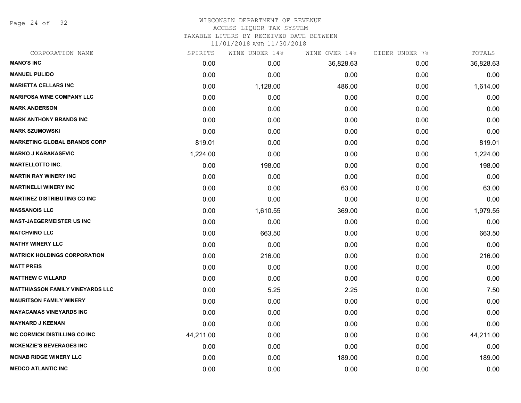Page 24 of 92

### WISCONSIN DEPARTMENT OF REVENUE ACCESS LIQUOR TAX SYSTEM

TAXABLE LITERS BY RECEIVED DATE BETWEEN

| CORPORATION NAME                        | SPIRITS   | WINE UNDER 14% | WINE OVER 14% | CIDER UNDER 7% | TOTALS    |
|-----------------------------------------|-----------|----------------|---------------|----------------|-----------|
| <b>MANO'S INC</b>                       | 0.00      | 0.00           | 36,828.63     | 0.00           | 36,828.63 |
| <b>MANUEL PULIDO</b>                    | 0.00      | 0.00           | 0.00          | 0.00           | 0.00      |
| <b>MARIETTA CELLARS INC</b>             | 0.00      | 1,128.00       | 486.00        | 0.00           | 1,614.00  |
| <b>MARIPOSA WINE COMPANY LLC</b>        | 0.00      | 0.00           | 0.00          | 0.00           | 0.00      |
| <b>MARK ANDERSON</b>                    | 0.00      | 0.00           | 0.00          | 0.00           | 0.00      |
| <b>MARK ANTHONY BRANDS INC</b>          | 0.00      | 0.00           | 0.00          | 0.00           | 0.00      |
| <b>MARK SZUMOWSKI</b>                   | 0.00      | 0.00           | 0.00          | 0.00           | 0.00      |
| <b>MARKETING GLOBAL BRANDS CORP</b>     | 819.01    | 0.00           | 0.00          | 0.00           | 819.01    |
| <b>MARKO J KARAKASEVIC</b>              | 1,224.00  | 0.00           | 0.00          | 0.00           | 1,224.00  |
| <b>MARTELLOTTO INC.</b>                 | 0.00      | 198.00         | 0.00          | 0.00           | 198.00    |
| <b>MARTIN RAY WINERY INC</b>            | 0.00      | 0.00           | 0.00          | 0.00           | 0.00      |
| <b>MARTINELLI WINERY INC</b>            | 0.00      | 0.00           | 63.00         | 0.00           | 63.00     |
| <b>MARTINEZ DISTRIBUTING CO INC</b>     | 0.00      | 0.00           | 0.00          | 0.00           | 0.00      |
| <b>MASSANOIS LLC</b>                    | 0.00      | 1,610.55       | 369.00        | 0.00           | 1,979.55  |
| <b>MAST-JAEGERMEISTER US INC</b>        | 0.00      | 0.00           | 0.00          | 0.00           | 0.00      |
| <b>MATCHVINO LLC</b>                    | 0.00      | 663.50         | 0.00          | 0.00           | 663.50    |
| <b>MATHY WINERY LLC</b>                 | 0.00      | 0.00           | 0.00          | 0.00           | 0.00      |
| <b>MATRICK HOLDINGS CORPORATION</b>     | 0.00      | 216.00         | 0.00          | 0.00           | 216.00    |
| <b>MATT PREIS</b>                       | 0.00      | 0.00           | 0.00          | 0.00           | 0.00      |
| <b>MATTHEW C VILLARD</b>                | 0.00      | 0.00           | 0.00          | 0.00           | 0.00      |
| <b>MATTHIASSON FAMILY VINEYARDS LLC</b> | 0.00      | 5.25           | 2.25          | 0.00           | 7.50      |
| <b>MAURITSON FAMILY WINERY</b>          | 0.00      | 0.00           | 0.00          | 0.00           | 0.00      |
| <b>MAYACAMAS VINEYARDS INC</b>          | 0.00      | 0.00           | 0.00          | 0.00           | 0.00      |
| <b>MAYNARD J KEENAN</b>                 | 0.00      | 0.00           | 0.00          | 0.00           | 0.00      |
| <b>MC CORMICK DISTILLING CO INC</b>     | 44,211.00 | 0.00           | 0.00          | 0.00           | 44,211.00 |
| <b>MCKENZIE'S BEVERAGES INC</b>         | 0.00      | 0.00           | 0.00          | 0.00           | 0.00      |
| <b>MCNAB RIDGE WINERY LLC</b>           | 0.00      | 0.00           | 189.00        | 0.00           | 189.00    |
| <b>MEDCO ATLANTIC INC</b>               | 0.00      | 0.00           | 0.00          | 0.00           | 0.00      |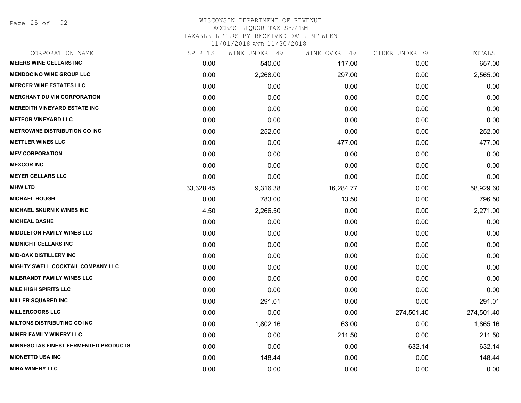Page 25 of 92

# WISCONSIN DEPARTMENT OF REVENUE ACCESS LIQUOR TAX SYSTEM

TAXABLE LITERS BY RECEIVED DATE BETWEEN

| CORPORATION NAME                            | SPIRITS   | WINE UNDER 14% | WINE OVER 14% | CIDER UNDER 7% | TOTALS     |
|---------------------------------------------|-----------|----------------|---------------|----------------|------------|
| <b>MEIERS WINE CELLARS INC</b>              | 0.00      | 540.00         | 117.00        | 0.00           | 657.00     |
| <b>MENDOCINO WINE GROUP LLC</b>             | 0.00      | 2,268.00       | 297.00        | 0.00           | 2,565.00   |
| <b>MERCER WINE ESTATES LLC</b>              | 0.00      | 0.00           | 0.00          | 0.00           | 0.00       |
| <b>MERCHANT DU VIN CORPORATION</b>          | 0.00      | 0.00           | 0.00          | 0.00           | 0.00       |
| <b>MEREDITH VINEYARD ESTATE INC</b>         | 0.00      | 0.00           | 0.00          | 0.00           | 0.00       |
| <b>METEOR VINEYARD LLC</b>                  | 0.00      | 0.00           | 0.00          | 0.00           | 0.00       |
| <b>METROWINE DISTRIBUTION CO INC</b>        | 0.00      | 252.00         | 0.00          | 0.00           | 252.00     |
| <b>METTLER WINES LLC</b>                    | 0.00      | 0.00           | 477.00        | 0.00           | 477.00     |
| <b>MEV CORPORATION</b>                      | 0.00      | 0.00           | 0.00          | 0.00           | 0.00       |
| <b>MEXCOR INC</b>                           | 0.00      | 0.00           | 0.00          | 0.00           | 0.00       |
| <b>MEYER CELLARS LLC</b>                    | 0.00      | 0.00           | 0.00          | 0.00           | 0.00       |
| <b>MHW LTD</b>                              | 33,328.45 | 9,316.38       | 16,284.77     | 0.00           | 58,929.60  |
| <b>MICHAEL HOUGH</b>                        | 0.00      | 783.00         | 13.50         | 0.00           | 796.50     |
| <b>MICHAEL SKURNIK WINES INC</b>            | 4.50      | 2,266.50       | 0.00          | 0.00           | 2,271.00   |
| <b>MICHEAL DASHE</b>                        | 0.00      | 0.00           | 0.00          | 0.00           | 0.00       |
| <b>MIDDLETON FAMILY WINES LLC</b>           | 0.00      | 0.00           | 0.00          | 0.00           | 0.00       |
| <b>MIDNIGHT CELLARS INC</b>                 | 0.00      | 0.00           | 0.00          | 0.00           | 0.00       |
| <b>MID-OAK DISTILLERY INC</b>               | 0.00      | 0.00           | 0.00          | 0.00           | 0.00       |
| MIGHTY SWELL COCKTAIL COMPANY LLC           | 0.00      | 0.00           | 0.00          | 0.00           | 0.00       |
| <b>MILBRANDT FAMILY WINES LLC</b>           | 0.00      | 0.00           | 0.00          | 0.00           | 0.00       |
| <b>MILE HIGH SPIRITS LLC</b>                | 0.00      | 0.00           | 0.00          | 0.00           | 0.00       |
| <b>MILLER SQUARED INC</b>                   | 0.00      | 291.01         | 0.00          | 0.00           | 291.01     |
| <b>MILLERCOORS LLC</b>                      | 0.00      | 0.00           | 0.00          | 274,501.40     | 274,501.40 |
| <b>MILTONS DISTRIBUTING CO INC</b>          | 0.00      | 1,802.16       | 63.00         | 0.00           | 1,865.16   |
| <b>MINER FAMILY WINERY LLC</b>              | 0.00      | 0.00           | 211.50        | 0.00           | 211.50     |
| <b>MINNESOTAS FINEST FERMENTED PRODUCTS</b> | 0.00      | 0.00           | 0.00          | 632.14         | 632.14     |
| <b>MIONETTO USA INC</b>                     | 0.00      | 148.44         | 0.00          | 0.00           | 148.44     |
| <b>MIRA WINERY LLC</b>                      | 0.00      | 0.00           | 0.00          | 0.00           | 0.00       |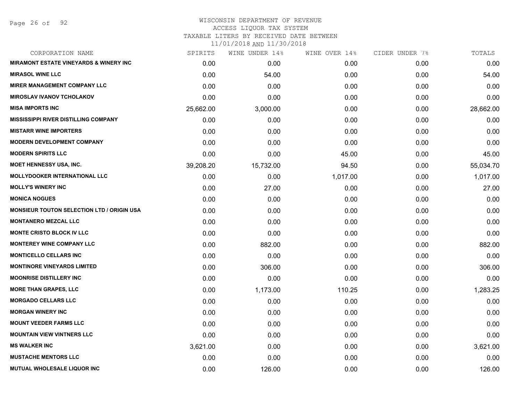Page 26 of 92

# WISCONSIN DEPARTMENT OF REVENUE ACCESS LIQUOR TAX SYSTEM

TAXABLE LITERS BY RECEIVED DATE BETWEEN

| CORPORATION NAME                                  | SPIRITS   | WINE UNDER 14% | WINE OVER 14% | CIDER UNDER 7% | TOTALS    |
|---------------------------------------------------|-----------|----------------|---------------|----------------|-----------|
| <b>MIRAMONT ESTATE VINEYARDS &amp; WINERY INC</b> | 0.00      | 0.00           | 0.00          | 0.00           | 0.00      |
| <b>MIRASOL WINE LLC</b>                           | 0.00      | 54.00          | 0.00          | 0.00           | 54.00     |
| <b>MIRER MANAGEMENT COMPANY LLC</b>               | 0.00      | 0.00           | 0.00          | 0.00           | 0.00      |
| <b>MIROSLAV IVANOV TCHOLAKOV</b>                  | 0.00      | 0.00           | 0.00          | 0.00           | 0.00      |
| <b>MISA IMPORTS INC</b>                           | 25,662.00 | 3,000.00       | 0.00          | 0.00           | 28,662.00 |
| <b>MISSISSIPPI RIVER DISTILLING COMPANY</b>       | 0.00      | 0.00           | 0.00          | 0.00           | 0.00      |
| <b>MISTARR WINE IMPORTERS</b>                     | 0.00      | 0.00           | 0.00          | 0.00           | 0.00      |
| <b>MODERN DEVELOPMENT COMPANY</b>                 | 0.00      | 0.00           | 0.00          | 0.00           | 0.00      |
| <b>MODERN SPIRITS LLC</b>                         | 0.00      | 0.00           | 45.00         | 0.00           | 45.00     |
| <b>MOET HENNESSY USA, INC.</b>                    | 39,208.20 | 15,732.00      | 94.50         | 0.00           | 55,034.70 |
| <b>MOLLYDOOKER INTERNATIONAL LLC</b>              | 0.00      | 0.00           | 1,017.00      | 0.00           | 1,017.00  |
| <b>MOLLY'S WINERY INC</b>                         | 0.00      | 27.00          | 0.00          | 0.00           | 27.00     |
| <b>MONICA NOGUES</b>                              | 0.00      | 0.00           | 0.00          | 0.00           | 0.00      |
| <b>MONSIEUR TOUTON SELECTION LTD / ORIGIN USA</b> | 0.00      | 0.00           | 0.00          | 0.00           | 0.00      |
| <b>MONTANERO MEZCAL LLC</b>                       | 0.00      | 0.00           | 0.00          | 0.00           | 0.00      |
| <b>MONTE CRISTO BLOCK IV LLC</b>                  | 0.00      | 0.00           | 0.00          | 0.00           | 0.00      |
| <b>MONTEREY WINE COMPANY LLC</b>                  | 0.00      | 882.00         | 0.00          | 0.00           | 882.00    |
| <b>MONTICELLO CELLARS INC</b>                     | 0.00      | 0.00           | 0.00          | 0.00           | 0.00      |
| <b>MONTINORE VINEYARDS LIMITED</b>                | 0.00      | 306.00         | 0.00          | 0.00           | 306.00    |
| <b>MOONRISE DISTILLERY INC</b>                    | 0.00      | 0.00           | 0.00          | 0.00           | 0.00      |
| <b>MORE THAN GRAPES, LLC</b>                      | 0.00      | 1,173.00       | 110.25        | 0.00           | 1,283.25  |
| <b>MORGADO CELLARS LLC</b>                        | 0.00      | 0.00           | 0.00          | 0.00           | 0.00      |
| <b>MORGAN WINERY INC</b>                          | 0.00      | 0.00           | 0.00          | 0.00           | 0.00      |
| <b>MOUNT VEEDER FARMS LLC</b>                     | 0.00      | 0.00           | 0.00          | 0.00           | 0.00      |
| <b>MOUNTAIN VIEW VINTNERS LLC</b>                 | 0.00      | 0.00           | 0.00          | 0.00           | 0.00      |
| <b>MS WALKER INC</b>                              | 3,621.00  | 0.00           | 0.00          | 0.00           | 3,621.00  |
| <b>MUSTACHE MENTORS LLC</b>                       | 0.00      | 0.00           | 0.00          | 0.00           | 0.00      |
| <b>MUTUAL WHOLESALE LIQUOR INC</b>                | 0.00      | 126.00         | 0.00          | 0.00           | 126.00    |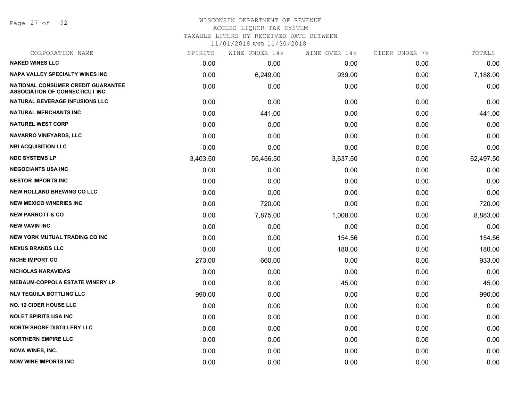Page 27 of 92

## WISCONSIN DEPARTMENT OF REVENUE ACCESS LIQUOR TAX SYSTEM TAXABLE LITERS BY RECEIVED DATE BETWEEN

| CORPORATION NAME                                                            | SPIRITS  | WINE UNDER 14% | WINE OVER 14% | CIDER UNDER 7% | TOTALS    |
|-----------------------------------------------------------------------------|----------|----------------|---------------|----------------|-----------|
| <b>NAKED WINES LLC</b>                                                      | 0.00     | 0.00           | 0.00          | 0.00           | 0.00      |
| <b>NAPA VALLEY SPECIALTY WINES INC</b>                                      | 0.00     | 6,249.00       | 939.00        | 0.00           | 7,188.00  |
| NATIONAL CONSUMER CREDIT GUARANTEE<br><b>ASSOCIATION OF CONNECTICUT INC</b> | 0.00     | 0.00           | 0.00          | 0.00           | 0.00      |
| NATURAL BEVERAGE INFUSIONS LLC                                              | 0.00     | 0.00           | 0.00          | 0.00           | 0.00      |
| <b>NATURAL MERCHANTS INC</b>                                                | 0.00     | 441.00         | 0.00          | 0.00           | 441.00    |
| <b>NATUREL WEST CORP</b>                                                    | 0.00     | 0.00           | 0.00          | 0.00           | 0.00      |
| NAVARRO VINEYARDS, LLC                                                      | 0.00     | 0.00           | 0.00          | 0.00           | 0.00      |
| <b>NBI ACQUISITION LLC</b>                                                  | 0.00     | 0.00           | 0.00          | 0.00           | 0.00      |
| <b>NDC SYSTEMS LP</b>                                                       | 3,403.50 | 55,456.50      | 3,637.50      | 0.00           | 62,497.50 |
| <b>NEGOCIANTS USA INC</b>                                                   | 0.00     | 0.00           | 0.00          | 0.00           | 0.00      |
| <b>NESTOR IMPORTS INC</b>                                                   | 0.00     | 0.00           | 0.00          | 0.00           | 0.00      |
| <b>NEW HOLLAND BREWING CO LLC</b>                                           | 0.00     | 0.00           | 0.00          | 0.00           | 0.00      |
| <b>NEW MEXICO WINERIES INC</b>                                              | 0.00     | 720.00         | 0.00          | 0.00           | 720.00    |
| <b>NEW PARROTT &amp; CO</b>                                                 | 0.00     | 7,875.00       | 1,008.00      | 0.00           | 8,883.00  |
| <b>NEW VAVIN INC</b>                                                        | 0.00     | 0.00           | 0.00          | 0.00           | 0.00      |
| <b>NEW YORK MUTUAL TRADING CO INC</b>                                       | 0.00     | 0.00           | 154.56        | 0.00           | 154.56    |
| <b>NEXUS BRANDS LLC</b>                                                     | 0.00     | 0.00           | 180.00        | 0.00           | 180.00    |
| <b>NICHE IMPORT CO</b>                                                      | 273.00   | 660.00         | 0.00          | 0.00           | 933.00    |
| <b>NICHOLAS KARAVIDAS</b>                                                   | 0.00     | 0.00           | 0.00          | 0.00           | 0.00      |
| NIEBAUM-COPPOLA ESTATE WINERY LP                                            | 0.00     | 0.00           | 45.00         | 0.00           | 45.00     |
| <b>NLV TEQUILA BOTTLING LLC</b>                                             | 990.00   | 0.00           | 0.00          | 0.00           | 990.00    |
| <b>NO. 12 CIDER HOUSE LLC</b>                                               | 0.00     | 0.00           | 0.00          | 0.00           | 0.00      |
| <b>NOLET SPIRITS USA INC</b>                                                | 0.00     | 0.00           | 0.00          | 0.00           | 0.00      |
| <b>NORTH SHORE DISTILLERY LLC</b>                                           | 0.00     | 0.00           | 0.00          | 0.00           | 0.00      |
| <b>NORTHERN EMPIRE LLC</b>                                                  | 0.00     | 0.00           | 0.00          | 0.00           | 0.00      |
| <b>NOVA WINES, INC.</b>                                                     | 0.00     | 0.00           | 0.00          | 0.00           | 0.00      |
| <b>NOW WINE IMPORTS INC</b>                                                 | 0.00     | 0.00           | 0.00          | 0.00           | 0.00      |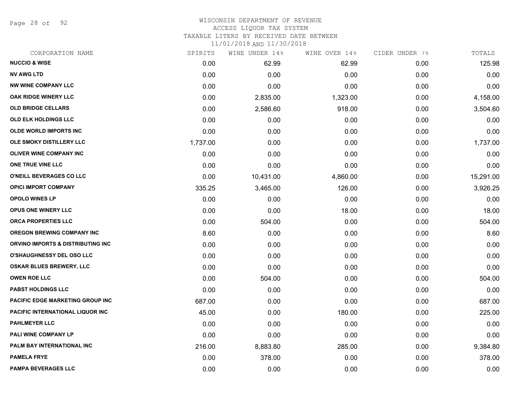Page 28 of 92

# WISCONSIN DEPARTMENT OF REVENUE ACCESS LIQUOR TAX SYSTEM

TAXABLE LITERS BY RECEIVED DATE BETWEEN

| CORPORATION NAME                  | SPIRITS  | WINE UNDER 14% | WINE OVER 14% | CIDER UNDER 7% | TOTALS    |
|-----------------------------------|----------|----------------|---------------|----------------|-----------|
| <b>NUCCIO &amp; WISE</b>          | 0.00     | 62.99          | 62.99         | 0.00           | 125.98    |
| <b>NV AWG LTD</b>                 | 0.00     | 0.00           | 0.00          | 0.00           | 0.00      |
| <b>NW WINE COMPANY LLC</b>        | 0.00     | 0.00           | 0.00          | 0.00           | 0.00      |
| OAK RIDGE WINERY LLC              | 0.00     | 2,835.00       | 1,323.00      | 0.00           | 4,158.00  |
| <b>OLD BRIDGE CELLARS</b>         | 0.00     | 2,586.60       | 918.00        | 0.00           | 3,504.60  |
| OLD ELK HOLDINGS LLC              | 0.00     | 0.00           | 0.00          | 0.00           | 0.00      |
| <b>OLDE WORLD IMPORTS INC</b>     | 0.00     | 0.00           | 0.00          | 0.00           | 0.00      |
| OLE SMOKY DISTILLERY LLC          | 1,737.00 | 0.00           | 0.00          | 0.00           | 1,737.00  |
| <b>OLIVER WINE COMPANY INC</b>    | 0.00     | 0.00           | 0.00          | 0.00           | 0.00      |
| ONE TRUE VINE LLC                 | 0.00     | 0.00           | 0.00          | 0.00           | 0.00      |
| O'NEILL BEVERAGES CO LLC          | 0.00     | 10,431.00      | 4,860.00      | 0.00           | 15,291.00 |
| <b>OPICI IMPORT COMPANY</b>       | 335.25   | 3,465.00       | 126.00        | 0.00           | 3,926.25  |
| <b>OPOLO WINES LP</b>             | 0.00     | 0.00           | 0.00          | 0.00           | 0.00      |
| OPUS ONE WINERY LLC               | 0.00     | 0.00           | 18.00         | 0.00           | 18.00     |
| ORCA PROPERTIES LLC               | 0.00     | 504.00         | 0.00          | 0.00           | 504.00    |
| <b>OREGON BREWING COMPANY INC</b> | 8.60     | 0.00           | 0.00          | 0.00           | 8.60      |
| ORVINO IMPORTS & DISTRIBUTING INC | 0.00     | 0.00           | 0.00          | 0.00           | 0.00      |
| O'SHAUGHNESSY DEL OSO LLC         | 0.00     | 0.00           | 0.00          | 0.00           | 0.00      |
| <b>OSKAR BLUES BREWERY, LLC</b>   | 0.00     | 0.00           | 0.00          | 0.00           | 0.00      |
| <b>OWEN ROE LLC</b>               | 0.00     | 504.00         | 0.00          | 0.00           | 504.00    |
| <b>PABST HOLDINGS LLC</b>         | 0.00     | 0.00           | 0.00          | 0.00           | 0.00      |
| PACIFIC EDGE MARKETING GROUP INC  | 687.00   | 0.00           | 0.00          | 0.00           | 687.00    |
| PACIFIC INTERNATIONAL LIQUOR INC  | 45.00    | 0.00           | 180.00        | 0.00           | 225.00    |
| <b>PAHLMEYER LLC</b>              | 0.00     | 0.00           | 0.00          | 0.00           | 0.00      |
| PALI WINE COMPANY LP              | 0.00     | 0.00           | 0.00          | 0.00           | 0.00      |
| PALM BAY INTERNATIONAL INC        | 216.00   | 8,883.80       | 285.00        | 0.00           | 9,384.80  |
| <b>PAMELA FRYE</b>                | 0.00     | 378.00         | 0.00          | 0.00           | 378.00    |
| <b>PAMPA BEVERAGES LLC</b>        | 0.00     | 0.00           | 0.00          | 0.00           | 0.00      |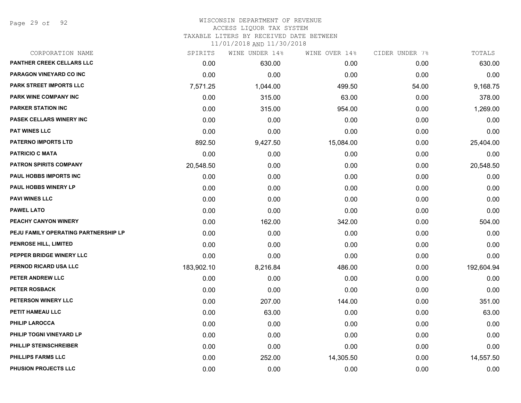Page 29 of 92

### WISCONSIN DEPARTMENT OF REVENUE ACCESS LIQUOR TAX SYSTEM

TAXABLE LITERS BY RECEIVED DATE BETWEEN

| CORPORATION NAME                     | SPIRITS    | WINE UNDER 14% | WINE OVER 14% | CIDER UNDER 7% | TOTALS     |
|--------------------------------------|------------|----------------|---------------|----------------|------------|
| PANTHER CREEK CELLARS LLC            | 0.00       | 630.00         | 0.00          | 0.00           | 630.00     |
| PARAGON VINEYARD CO INC              | 0.00       | 0.00           | 0.00          | 0.00           | 0.00       |
| <b>PARK STREET IMPORTS LLC</b>       | 7,571.25   | 1,044.00       | 499.50        | 54.00          | 9,168.75   |
| <b>PARK WINE COMPANY INC</b>         | 0.00       | 315.00         | 63.00         | 0.00           | 378.00     |
| <b>PARKER STATION INC</b>            | 0.00       | 315.00         | 954.00        | 0.00           | 1,269.00   |
| PASEK CELLARS WINERY INC             | 0.00       | 0.00           | 0.00          | 0.00           | 0.00       |
| <b>PAT WINES LLC</b>                 | 0.00       | 0.00           | 0.00          | 0.00           | 0.00       |
| <b>PATERNO IMPORTS LTD</b>           | 892.50     | 9,427.50       | 15,084.00     | 0.00           | 25,404.00  |
| <b>PATRICIO C MATA</b>               | 0.00       | 0.00           | 0.00          | 0.00           | 0.00       |
| <b>PATRON SPIRITS COMPANY</b>        | 20,548.50  | 0.00           | 0.00          | 0.00           | 20,548.50  |
| PAUL HOBBS IMPORTS INC               | 0.00       | 0.00           | 0.00          | 0.00           | 0.00       |
| PAUL HOBBS WINERY LP                 | 0.00       | 0.00           | 0.00          | 0.00           | 0.00       |
| <b>PAVI WINES LLC</b>                | 0.00       | 0.00           | 0.00          | 0.00           | 0.00       |
| <b>PAWEL LATO</b>                    | 0.00       | 0.00           | 0.00          | 0.00           | 0.00       |
| PEACHY CANYON WINERY                 | 0.00       | 162.00         | 342.00        | 0.00           | 504.00     |
| PEJU FAMILY OPERATING PARTNERSHIP LP | 0.00       | 0.00           | 0.00          | 0.00           | 0.00       |
| PENROSE HILL, LIMITED                | 0.00       | 0.00           | 0.00          | 0.00           | 0.00       |
| PEPPER BRIDGE WINERY LLC             | 0.00       | 0.00           | 0.00          | 0.00           | 0.00       |
| PERNOD RICARD USA LLC                | 183,902.10 | 8,216.84       | 486.00        | 0.00           | 192,604.94 |
| PETER ANDREW LLC                     | 0.00       | 0.00           | 0.00          | 0.00           | 0.00       |
| PETER ROSBACK                        | 0.00       | 0.00           | 0.00          | 0.00           | 0.00       |
| PETERSON WINERY LLC                  | 0.00       | 207.00         | 144.00        | 0.00           | 351.00     |
| PETIT HAMEAU LLC                     | 0.00       | 63.00          | 0.00          | 0.00           | 63.00      |
| PHILIP LAROCCA                       | 0.00       | 0.00           | 0.00          | 0.00           | 0.00       |
| PHILIP TOGNI VINEYARD LP             | 0.00       | 0.00           | 0.00          | 0.00           | 0.00       |
| PHILLIP STEINSCHREIBER               | 0.00       | 0.00           | 0.00          | 0.00           | 0.00       |
| PHILLIPS FARMS LLC                   | 0.00       | 252.00         | 14,305.50     | 0.00           | 14,557.50  |
| PHUSION PROJECTS LLC                 | 0.00       | 0.00           | 0.00          | 0.00           | 0.00       |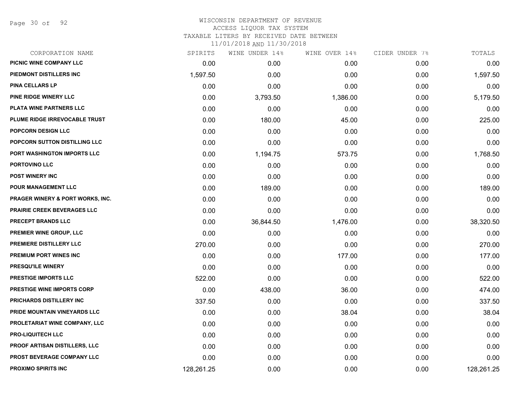Page 30 of 92

### WISCONSIN DEPARTMENT OF REVENUE ACCESS LIQUOR TAX SYSTEM

TAXABLE LITERS BY RECEIVED DATE BETWEEN

| CORPORATION NAME                   | SPIRITS    | WINE UNDER 14% | WINE OVER 14% | CIDER UNDER 7% | TOTALS     |
|------------------------------------|------------|----------------|---------------|----------------|------------|
| PICNIC WINE COMPANY LLC            | 0.00       | 0.00           | 0.00          | 0.00           | 0.00       |
| PIEDMONT DISTILLERS INC            | 1,597.50   | 0.00           | 0.00          | 0.00           | 1,597.50   |
| <b>PINA CELLARS LP</b>             | 0.00       | 0.00           | 0.00          | 0.00           | 0.00       |
| <b>PINE RIDGE WINERY LLC</b>       | 0.00       | 3,793.50       | 1,386.00      | 0.00           | 5,179.50   |
| PLATA WINE PARTNERS LLC            | 0.00       | 0.00           | 0.00          | 0.00           | 0.00       |
| PLUME RIDGE IRREVOCABLE TRUST      | 0.00       | 180.00         | 45.00         | 0.00           | 225.00     |
| POPCORN DESIGN LLC                 | 0.00       | 0.00           | 0.00          | 0.00           | 0.00       |
| POPCORN SUTTON DISTILLING LLC      | 0.00       | 0.00           | 0.00          | 0.00           | 0.00       |
| PORT WASHINGTON IMPORTS LLC        | 0.00       | 1,194.75       | 573.75        | 0.00           | 1,768.50   |
| PORTOVINO LLC                      | 0.00       | 0.00           | 0.00          | 0.00           | 0.00       |
| <b>POST WINERY INC</b>             | 0.00       | 0.00           | 0.00          | 0.00           | 0.00       |
| POUR MANAGEMENT LLC                | 0.00       | 189.00         | 0.00          | 0.00           | 189.00     |
| PRAGER WINERY & PORT WORKS, INC.   | 0.00       | 0.00           | 0.00          | 0.00           | 0.00       |
| <b>PRAIRIE CREEK BEVERAGES LLC</b> | 0.00       | 0.00           | 0.00          | 0.00           | 0.00       |
| PRECEPT BRANDS LLC                 | 0.00       | 36,844.50      | 1,476.00      | 0.00           | 38,320.50  |
| <b>PREMIER WINE GROUP, LLC</b>     | 0.00       | 0.00           | 0.00          | 0.00           | 0.00       |
| PREMIERE DISTILLERY LLC            | 270.00     | 0.00           | 0.00          | 0.00           | 270.00     |
| PREMIUM PORT WINES INC             | 0.00       | 0.00           | 177.00        | 0.00           | 177.00     |
| <b>PRESQU'ILE WINERY</b>           | 0.00       | 0.00           | 0.00          | 0.00           | 0.00       |
| <b>PRESTIGE IMPORTS LLC</b>        | 522.00     | 0.00           | 0.00          | 0.00           | 522.00     |
| <b>PRESTIGE WINE IMPORTS CORP</b>  | 0.00       | 438.00         | 36.00         | 0.00           | 474.00     |
| PRICHARDS DISTILLERY INC           | 337.50     | 0.00           | 0.00          | 0.00           | 337.50     |
| PRIDE MOUNTAIN VINEYARDS LLC       | 0.00       | 0.00           | 38.04         | 0.00           | 38.04      |
| PROLETARIAT WINE COMPANY, LLC      | 0.00       | 0.00           | 0.00          | 0.00           | 0.00       |
| <b>PRO-LIQUITECH LLC</b>           | 0.00       | 0.00           | 0.00          | 0.00           | 0.00       |
| PROOF ARTISAN DISTILLERS, LLC      | 0.00       | 0.00           | 0.00          | 0.00           | 0.00       |
| PROST BEVERAGE COMPANY LLC         | 0.00       | 0.00           | 0.00          | 0.00           | 0.00       |
| <b>PROXIMO SPIRITS INC</b>         | 128,261.25 | 0.00           | 0.00          | 0.00           | 128,261.25 |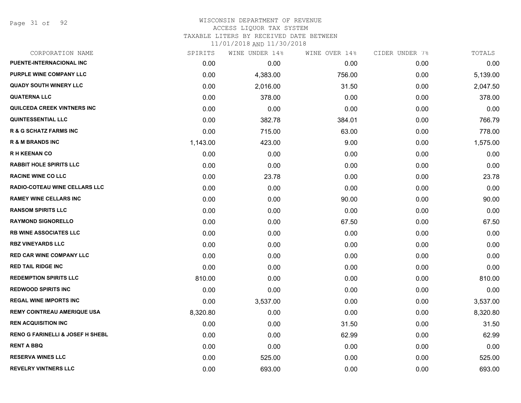Page 31 of 92

### WISCONSIN DEPARTMENT OF REVENUE ACCESS LIQUOR TAX SYSTEM TAXABLE LITERS BY RECEIVED DATE BETWEEN

| CORPORATION NAME                            | SPIRITS  | WINE UNDER 14% | WINE OVER 14% | CIDER UNDER 7% | TOTALS   |
|---------------------------------------------|----------|----------------|---------------|----------------|----------|
| PUENTE-INTERNACIONAL INC                    | 0.00     | 0.00           | 0.00          | 0.00           | 0.00     |
| PURPLE WINE COMPANY LLC                     | 0.00     | 4,383.00       | 756.00        | 0.00           | 5,139.00 |
| <b>QUADY SOUTH WINERY LLC</b>               | 0.00     | 2,016.00       | 31.50         | 0.00           | 2,047.50 |
| <b>QUATERNA LLC</b>                         | 0.00     | 378.00         | 0.00          | 0.00           | 378.00   |
| <b>QUILCEDA CREEK VINTNERS INC</b>          | 0.00     | 0.00           | 0.00          | 0.00           | 0.00     |
| <b>QUINTESSENTIAL LLC</b>                   | 0.00     | 382.78         | 384.01        | 0.00           | 766.79   |
| <b>R &amp; G SCHATZ FARMS INC</b>           | 0.00     | 715.00         | 63.00         | 0.00           | 778.00   |
| <b>R &amp; M BRANDS INC</b>                 | 1,143.00 | 423.00         | 9.00          | 0.00           | 1,575.00 |
| <b>RH KEENAN CO</b>                         | 0.00     | 0.00           | 0.00          | 0.00           | 0.00     |
| <b>RABBIT HOLE SPIRITS LLC</b>              | 0.00     | 0.00           | 0.00          | 0.00           | 0.00     |
| <b>RACINE WINE CO LLC</b>                   | 0.00     | 23.78          | 0.00          | 0.00           | 23.78    |
| RADIO-COTEAU WINE CELLARS LLC               | 0.00     | 0.00           | 0.00          | 0.00           | 0.00     |
| <b>RAMEY WINE CELLARS INC</b>               | 0.00     | 0.00           | 90.00         | 0.00           | 90.00    |
| <b>RANSOM SPIRITS LLC</b>                   | 0.00     | 0.00           | 0.00          | 0.00           | 0.00     |
| <b>RAYMOND SIGNORELLO</b>                   | 0.00     | 0.00           | 67.50         | 0.00           | 67.50    |
| <b>RB WINE ASSOCIATES LLC</b>               | 0.00     | 0.00           | 0.00          | 0.00           | 0.00     |
| <b>RBZ VINEYARDS LLC</b>                    | 0.00     | 0.00           | 0.00          | 0.00           | 0.00     |
| <b>RED CAR WINE COMPANY LLC</b>             | 0.00     | 0.00           | 0.00          | 0.00           | 0.00     |
| <b>RED TAIL RIDGE INC</b>                   | 0.00     | 0.00           | 0.00          | 0.00           | 0.00     |
| <b>REDEMPTION SPIRITS LLC</b>               | 810.00   | 0.00           | 0.00          | 0.00           | 810.00   |
| <b>REDWOOD SPIRITS INC</b>                  | 0.00     | 0.00           | 0.00          | 0.00           | 0.00     |
| <b>REGAL WINE IMPORTS INC</b>               | 0.00     | 3,537.00       | 0.00          | 0.00           | 3,537.00 |
| <b>REMY COINTREAU AMERIQUE USA</b>          | 8,320.80 | 0.00           | 0.00          | 0.00           | 8,320.80 |
| <b>REN ACQUISITION INC</b>                  | 0.00     | 0.00           | 31.50         | 0.00           | 31.50    |
| <b>RENO G FARINELLI &amp; JOSEF H SHEBL</b> | 0.00     | 0.00           | 62.99         | 0.00           | 62.99    |
| <b>RENT A BBQ</b>                           | 0.00     | 0.00           | 0.00          | 0.00           | 0.00     |
| <b>RESERVA WINES LLC</b>                    | 0.00     | 525.00         | 0.00          | 0.00           | 525.00   |
| <b>REVELRY VINTNERS LLC</b>                 | 0.00     | 693.00         | 0.00          | 0.00           | 693.00   |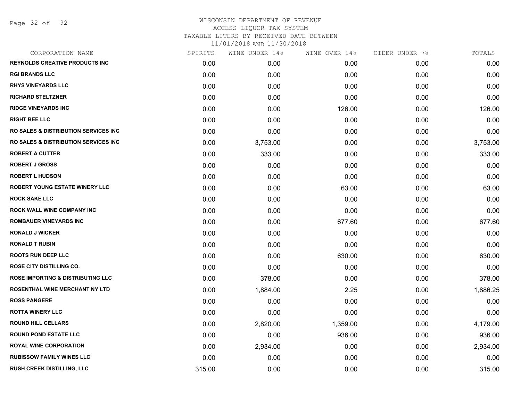Page 32 of 92

## WISCONSIN DEPARTMENT OF REVENUE ACCESS LIQUOR TAX SYSTEM TAXABLE LITERS BY RECEIVED DATE BETWEEN

| CORPORATION NAME                                | SPIRITS | WINE UNDER 14% | WINE OVER 14% | CIDER UNDER 7% | TOTALS   |
|-------------------------------------------------|---------|----------------|---------------|----------------|----------|
| <b>REYNOLDS CREATIVE PRODUCTS INC</b>           | 0.00    | 0.00           | 0.00          | 0.00           | 0.00     |
| <b>RGI BRANDS LLC</b>                           | 0.00    | 0.00           | 0.00          | 0.00           | 0.00     |
| <b>RHYS VINEYARDS LLC</b>                       | 0.00    | 0.00           | 0.00          | 0.00           | 0.00     |
| <b>RICHARD STELTZNER</b>                        | 0.00    | 0.00           | 0.00          | 0.00           | 0.00     |
| <b>RIDGE VINEYARDS INC</b>                      | 0.00    | 0.00           | 126.00        | 0.00           | 126.00   |
| <b>RIGHT BEE LLC</b>                            | 0.00    | 0.00           | 0.00          | 0.00           | 0.00     |
| <b>RO SALES &amp; DISTRIBUTION SERVICES INC</b> | 0.00    | 0.00           | 0.00          | 0.00           | 0.00     |
| RO SALES & DISTRIBUTION SERVICES INC            | 0.00    | 3,753.00       | 0.00          | 0.00           | 3,753.00 |
| <b>ROBERT A CUTTER</b>                          | 0.00    | 333.00         | 0.00          | 0.00           | 333.00   |
| <b>ROBERT J GROSS</b>                           | 0.00    | 0.00           | 0.00          | 0.00           | 0.00     |
| <b>ROBERT L HUDSON</b>                          | 0.00    | 0.00           | 0.00          | 0.00           | 0.00     |
| <b>ROBERT YOUNG ESTATE WINERY LLC</b>           | 0.00    | 0.00           | 63.00         | 0.00           | 63.00    |
| <b>ROCK SAKE LLC</b>                            | 0.00    | 0.00           | 0.00          | 0.00           | 0.00     |
| <b>ROCK WALL WINE COMPANY INC</b>               | 0.00    | 0.00           | 0.00          | 0.00           | 0.00     |
| <b>ROMBAUER VINEYARDS INC</b>                   | 0.00    | 0.00           | 677.60        | 0.00           | 677.60   |
| <b>RONALD J WICKER</b>                          | 0.00    | 0.00           | 0.00          | 0.00           | 0.00     |
| <b>RONALD T RUBIN</b>                           | 0.00    | 0.00           | 0.00          | 0.00           | 0.00     |
| <b>ROOTS RUN DEEP LLC</b>                       | 0.00    | 0.00           | 630.00        | 0.00           | 630.00   |
| <b>ROSE CITY DISTILLING CO.</b>                 | 0.00    | 0.00           | 0.00          | 0.00           | 0.00     |
| <b>ROSE IMPORTING &amp; DISTRIBUTING LLC</b>    | 0.00    | 378.00         | 0.00          | 0.00           | 378.00   |
| <b>ROSENTHAL WINE MERCHANT NY LTD</b>           | 0.00    | 1,884.00       | 2.25          | 0.00           | 1,886.25 |
| <b>ROSS PANGERE</b>                             | 0.00    | 0.00           | 0.00          | 0.00           | 0.00     |
| <b>ROTTA WINERY LLC</b>                         | 0.00    | 0.00           | 0.00          | 0.00           | 0.00     |
| <b>ROUND HILL CELLARS</b>                       | 0.00    | 2,820.00       | 1,359.00      | 0.00           | 4,179.00 |
| <b>ROUND POND ESTATE LLC</b>                    | 0.00    | 0.00           | 936.00        | 0.00           | 936.00   |
| <b>ROYAL WINE CORPORATION</b>                   | 0.00    | 2,934.00       | 0.00          | 0.00           | 2,934.00 |
| <b>RUBISSOW FAMILY WINES LLC</b>                | 0.00    | 0.00           | 0.00          | 0.00           | 0.00     |
| RUSH CREEK DISTILLING, LLC                      | 315.00  | 0.00           | 0.00          | 0.00           | 315.00   |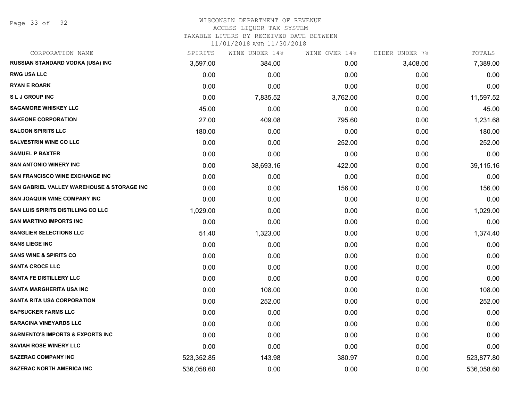Page 33 of 92

# WISCONSIN DEPARTMENT OF REVENUE

# ACCESS LIQUOR TAX SYSTEM

TAXABLE LITERS BY RECEIVED DATE BETWEEN

| CORPORATION NAME                            | SPIRITS    | WINE UNDER 14% | WINE OVER 14% | CIDER UNDER 7% | TOTALS     |
|---------------------------------------------|------------|----------------|---------------|----------------|------------|
| RUSSIAN STANDARD VODKA (USA) INC            | 3,597.00   | 384.00         | 0.00          | 3,408.00       | 7,389.00   |
| <b>RWG USA LLC</b>                          | 0.00       | 0.00           | 0.00          | 0.00           | 0.00       |
| <b>RYAN E ROARK</b>                         | 0.00       | 0.00           | 0.00          | 0.00           | 0.00       |
| <b>SLJ GROUP INC</b>                        | 0.00       | 7,835.52       | 3,762.00      | 0.00           | 11,597.52  |
| <b>SAGAMORE WHISKEY LLC</b>                 | 45.00      | 0.00           | 0.00          | 0.00           | 45.00      |
| <b>SAKEONE CORPORATION</b>                  | 27.00      | 409.08         | 795.60        | 0.00           | 1,231.68   |
| <b>SALOON SPIRITS LLC</b>                   | 180.00     | 0.00           | 0.00          | 0.00           | 180.00     |
| <b>SALVESTRIN WINE CO LLC</b>               | 0.00       | 0.00           | 252.00        | 0.00           | 252.00     |
| <b>SAMUEL P BAXTER</b>                      | 0.00       | 0.00           | 0.00          | 0.00           | 0.00       |
| <b>SAN ANTONIO WINERY INC</b>               | 0.00       | 38,693.16      | 422.00        | 0.00           | 39,115.16  |
| <b>SAN FRANCISCO WINE EXCHANGE INC</b>      | 0.00       | 0.00           | 0.00          | 0.00           | 0.00       |
| SAN GABRIEL VALLEY WAREHOUSE & STORAGE INC  | 0.00       | 0.00           | 156.00        | 0.00           | 156.00     |
| <b>SAN JOAQUIN WINE COMPANY INC</b>         | 0.00       | 0.00           | 0.00          | 0.00           | 0.00       |
| SAN LUIS SPIRITS DISTILLING CO LLC          | 1,029.00   | 0.00           | 0.00          | 0.00           | 1,029.00   |
| <b>SAN MARTINO IMPORTS INC</b>              | 0.00       | 0.00           | 0.00          | 0.00           | 0.00       |
| <b>SANGLIER SELECTIONS LLC</b>              | 51.40      | 1,323.00       | 0.00          | 0.00           | 1,374.40   |
| <b>SANS LIEGE INC</b>                       | 0.00       | 0.00           | 0.00          | 0.00           | 0.00       |
| <b>SANS WINE &amp; SPIRITS CO</b>           | 0.00       | 0.00           | 0.00          | 0.00           | 0.00       |
| <b>SANTA CROCE LLC</b>                      | 0.00       | 0.00           | 0.00          | 0.00           | 0.00       |
| <b>SANTA FE DISTILLERY LLC</b>              | 0.00       | 0.00           | 0.00          | 0.00           | 0.00       |
| <b>SANTA MARGHERITA USA INC</b>             | 0.00       | 108.00         | 0.00          | 0.00           | 108.00     |
| <b>SANTA RITA USA CORPORATION</b>           | 0.00       | 252.00         | 0.00          | 0.00           | 252.00     |
| <b>SAPSUCKER FARMS LLC</b>                  | 0.00       | 0.00           | 0.00          | 0.00           | 0.00       |
| <b>SARACINA VINEYARDS LLC</b>               | 0.00       | 0.00           | 0.00          | 0.00           | 0.00       |
| <b>SARMENTO'S IMPORTS &amp; EXPORTS INC</b> | 0.00       | 0.00           | 0.00          | 0.00           | 0.00       |
| <b>SAVIAH ROSE WINERY LLC</b>               | 0.00       | 0.00           | 0.00          | 0.00           | 0.00       |
| <b>SAZERAC COMPANY INC</b>                  | 523,352.85 | 143.98         | 380.97        | 0.00           | 523,877.80 |
| <b>SAZERAC NORTH AMERICA INC</b>            | 536,058.60 | 0.00           | 0.00          | 0.00           | 536,058.60 |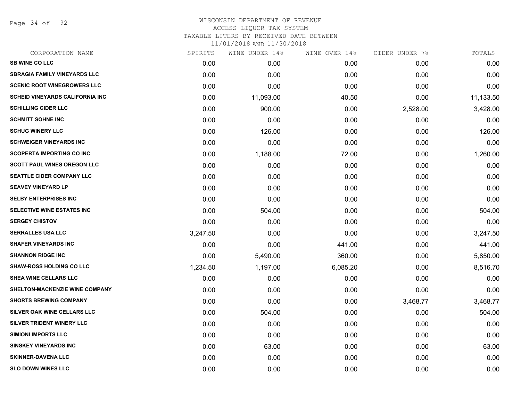Page 34 of 92

# WISCONSIN DEPARTMENT OF REVENUE ACCESS LIQUOR TAX SYSTEM TAXABLE LITERS BY RECEIVED DATE BETWEEN

| CORPORATION NAME                        | SPIRITS  | WINE UNDER 14% | WINE OVER 14% | CIDER UNDER 7% | TOTALS    |
|-----------------------------------------|----------|----------------|---------------|----------------|-----------|
| <b>SB WINE CO LLC</b>                   | 0.00     | 0.00           | 0.00          | 0.00           | 0.00      |
| <b>SBRAGIA FAMILY VINEYARDS LLC</b>     | 0.00     | 0.00           | 0.00          | 0.00           | 0.00      |
| <b>SCENIC ROOT WINEGROWERS LLC</b>      | 0.00     | 0.00           | 0.00          | 0.00           | 0.00      |
| <b>SCHEID VINEYARDS CALIFORNIA INC.</b> | 0.00     | 11,093.00      | 40.50         | 0.00           | 11,133.50 |
| <b>SCHILLING CIDER LLC</b>              | 0.00     | 900.00         | 0.00          | 2,528.00       | 3,428.00  |
| <b>SCHMITT SOHNE INC</b>                | 0.00     | 0.00           | 0.00          | 0.00           | 0.00      |
| <b>SCHUG WINERY LLC</b>                 | 0.00     | 126.00         | 0.00          | 0.00           | 126.00    |
| <b>SCHWEIGER VINEYARDS INC</b>          | 0.00     | 0.00           | 0.00          | 0.00           | 0.00      |
| <b>SCOPERTA IMPORTING CO INC</b>        | 0.00     | 1,188.00       | 72.00         | 0.00           | 1,260.00  |
| <b>SCOTT PAUL WINES OREGON LLC</b>      | 0.00     | 0.00           | 0.00          | 0.00           | 0.00      |
| <b>SEATTLE CIDER COMPANY LLC</b>        | 0.00     | 0.00           | 0.00          | 0.00           | 0.00      |
| <b>SEAVEY VINEYARD LP</b>               | 0.00     | 0.00           | 0.00          | 0.00           | 0.00      |
| <b>SELBY ENTERPRISES INC</b>            | 0.00     | 0.00           | 0.00          | 0.00           | 0.00      |
| <b>SELECTIVE WINE ESTATES INC</b>       | 0.00     | 504.00         | 0.00          | 0.00           | 504.00    |
| <b>SERGEY CHISTOV</b>                   | 0.00     | 0.00           | 0.00          | 0.00           | 0.00      |
| <b>SERRALLES USA LLC</b>                | 3,247.50 | 0.00           | 0.00          | 0.00           | 3,247.50  |
| <b>SHAFER VINEYARDS INC</b>             | 0.00     | 0.00           | 441.00        | 0.00           | 441.00    |
| <b>SHANNON RIDGE INC</b>                | 0.00     | 5,490.00       | 360.00        | 0.00           | 5,850.00  |
| <b>SHAW-ROSS HOLDING CO LLC</b>         | 1,234.50 | 1,197.00       | 6,085.20      | 0.00           | 8,516.70  |
| <b>SHEA WINE CELLARS LLC</b>            | 0.00     | 0.00           | 0.00          | 0.00           | 0.00      |
| SHELTON-MACKENZIE WINE COMPANY          | 0.00     | 0.00           | 0.00          | 0.00           | 0.00      |
| <b>SHORTS BREWING COMPANY</b>           | 0.00     | 0.00           | 0.00          | 3,468.77       | 3,468.77  |
| SILVER OAK WINE CELLARS LLC             | 0.00     | 504.00         | 0.00          | 0.00           | 504.00    |
| SILVER TRIDENT WINERY LLC               | 0.00     | 0.00           | 0.00          | 0.00           | 0.00      |
| <b>SIMIONI IMPORTS LLC</b>              | 0.00     | 0.00           | 0.00          | 0.00           | 0.00      |
| <b>SINSKEY VINEYARDS INC</b>            | 0.00     | 63.00          | 0.00          | 0.00           | 63.00     |
| <b>SKINNER-DAVENA LLC</b>               | 0.00     | 0.00           | 0.00          | 0.00           | 0.00      |
| <b>SLO DOWN WINES LLC</b>               | 0.00     | 0.00           | 0.00          | 0.00           | 0.00      |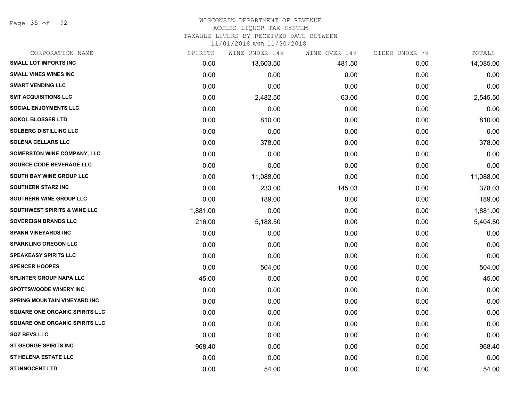Page 35 of 92

## WISCONSIN DEPARTMENT OF REVENUE

### ACCESS LIQUOR TAX SYSTEM

TAXABLE LITERS BY RECEIVED DATE BETWEEN

| CORPORATION NAME                        | SPIRITS  | WINE UNDER 14% | WINE OVER 14% | CIDER UNDER 7% | TOTALS    |
|-----------------------------------------|----------|----------------|---------------|----------------|-----------|
| <b>SMALL LOT IMPORTS INC</b>            | 0.00     | 13,603.50      | 481.50        | 0.00           | 14,085.00 |
| <b>SMALL VINES WINES INC</b>            | 0.00     | 0.00           | 0.00          | 0.00           | 0.00      |
| <b>SMART VENDING LLC</b>                | 0.00     | 0.00           | 0.00          | 0.00           | 0.00      |
| <b>SMT ACQUISITIONS LLC</b>             | 0.00     | 2,482.50       | 63.00         | 0.00           | 2,545.50  |
| <b>SOCIAL ENJOYMENTS LLC</b>            | 0.00     | 0.00           | 0.00          | 0.00           | 0.00      |
| <b>SOKOL BLOSSER LTD</b>                | 0.00     | 810.00         | 0.00          | 0.00           | 810.00    |
| <b>SOLBERG DISTILLING LLC</b>           | 0.00     | 0.00           | 0.00          | 0.00           | 0.00      |
| <b>SOLENA CELLARS LLC</b>               | 0.00     | 378.00         | 0.00          | 0.00           | 378.00    |
| SOMERSTON WINE COMPANY, LLC             | 0.00     | 0.00           | 0.00          | 0.00           | 0.00      |
| SOURCE CODE BEVERAGE LLC                | 0.00     | 0.00           | 0.00          | 0.00           | 0.00      |
| SOUTH BAY WINE GROUP LLC                | 0.00     | 11,088.00      | 0.00          | 0.00           | 11,088.00 |
| <b>SOUTHERN STARZ INC</b>               | 0.00     | 233.00         | 145.03        | 0.00           | 378.03    |
| SOUTHERN WINE GROUP LLC                 | 0.00     | 189.00         | 0.00          | 0.00           | 189.00    |
| <b>SOUTHWEST SPIRITS &amp; WINE LLC</b> | 1,881.00 | 0.00           | 0.00          | 0.00           | 1,881.00  |
| <b>SOVEREIGN BRANDS LLC</b>             | 216.00   | 5,188.50       | 0.00          | 0.00           | 5,404.50  |
| <b>SPANN VINEYARDS INC</b>              | 0.00     | 0.00           | 0.00          | 0.00           | 0.00      |
| <b>SPARKLING OREGON LLC</b>             | 0.00     | 0.00           | 0.00          | 0.00           | 0.00      |
| <b>SPEAKEASY SPIRITS LLC</b>            | 0.00     | 0.00           | 0.00          | 0.00           | 0.00      |
| <b>SPENCER HOOPES</b>                   | 0.00     | 504.00         | 0.00          | 0.00           | 504.00    |
| <b>SPLINTER GROUP NAPA LLC</b>          | 45.00    | 0.00           | 0.00          | 0.00           | 45.00     |
| <b>SPOTTSWOODE WINERY INC.</b>          | 0.00     | 0.00           | 0.00          | 0.00           | 0.00      |
| SPRING MOUNTAIN VINEYARD INC            | 0.00     | 0.00           | 0.00          | 0.00           | 0.00      |
| <b>SQUARE ONE ORGANIC SPIRITS LLC</b>   | 0.00     | 0.00           | 0.00          | 0.00           | 0.00      |
| <b>SQUARE ONE ORGANIC SPIRITS LLC</b>   | 0.00     | 0.00           | 0.00          | 0.00           | 0.00      |
| <b>SQZ BEVS LLC</b>                     | 0.00     | 0.00           | 0.00          | 0.00           | 0.00      |
| <b>ST GEORGE SPIRITS INC</b>            | 968.40   | 0.00           | 0.00          | 0.00           | 968.40    |
| <b>ST HELENA ESTATE LLC</b>             | 0.00     | 0.00           | 0.00          | 0.00           | 0.00      |
| <b>ST INNOCENT LTD</b>                  | 0.00     | 54.00          | 0.00          | 0.00           | 54.00     |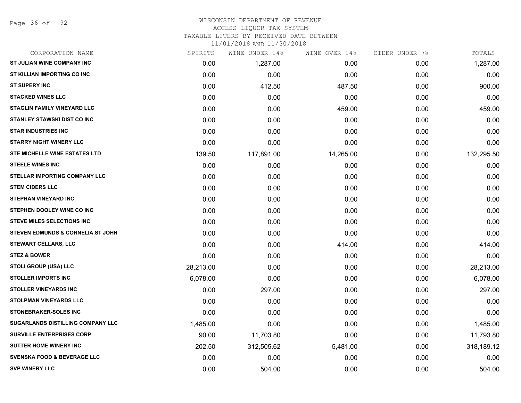### WISCONSIN DEPARTMENT OF REVENUE ACCESS LIQUOR TAX SYSTEM

TAXABLE LITERS BY RECEIVED DATE BETWEEN

| CORPORATION NAME                         | SPIRITS   | WINE UNDER 14% | WINE OVER 14% | CIDER UNDER 7% | TOTALS     |
|------------------------------------------|-----------|----------------|---------------|----------------|------------|
| ST JULIAN WINE COMPANY INC               | 0.00      | 1,287.00       | 0.00          | 0.00           | 1,287.00   |
| ST KILLIAN IMPORTING CO INC              | 0.00      | 0.00           | 0.00          | 0.00           | 0.00       |
| <b>ST SUPERY INC</b>                     | 0.00      | 412.50         | 487.50        | 0.00           | 900.00     |
| <b>STACKED WINES LLC</b>                 | 0.00      | 0.00           | 0.00          | 0.00           | 0.00       |
| <b>STAGLIN FAMILY VINEYARD LLC</b>       | 0.00      | 0.00           | 459.00        | 0.00           | 459.00     |
| STANLEY STAWSKI DIST CO INC              | 0.00      | 0.00           | 0.00          | 0.00           | 0.00       |
| <b>STAR INDUSTRIES INC</b>               | 0.00      | 0.00           | 0.00          | 0.00           | 0.00       |
| <b>STARRY NIGHT WINERY LLC</b>           | 0.00      | 0.00           | 0.00          | 0.00           | 0.00       |
| <b>STE MICHELLE WINE ESTATES LTD</b>     | 139.50    | 117,891.00     | 14,265.00     | 0.00           | 132,295.50 |
| <b>STEELE WINES INC</b>                  | 0.00      | 0.00           | 0.00          | 0.00           | 0.00       |
| STELLAR IMPORTING COMPANY LLC            | 0.00      | 0.00           | 0.00          | 0.00           | 0.00       |
| <b>STEM CIDERS LLC</b>                   | 0.00      | 0.00           | 0.00          | 0.00           | 0.00       |
| <b>STEPHAN VINEYARD INC</b>              | 0.00      | 0.00           | 0.00          | 0.00           | 0.00       |
| STEPHEN DOOLEY WINE CO INC               | 0.00      | 0.00           | 0.00          | 0.00           | 0.00       |
| <b>STEVE MILES SELECTIONS INC</b>        | 0.00      | 0.00           | 0.00          | 0.00           | 0.00       |
| STEVEN EDMUNDS & CORNELIA ST JOHN        | 0.00      | 0.00           | 0.00          | 0.00           | 0.00       |
| <b>STEWART CELLARS, LLC</b>              | 0.00      | 0.00           | 414.00        | 0.00           | 414.00     |
| <b>STEZ &amp; BOWER</b>                  | 0.00      | 0.00           | 0.00          | 0.00           | 0.00       |
| <b>STOLI GROUP (USA) LLC</b>             | 28,213.00 | 0.00           | 0.00          | 0.00           | 28,213.00  |
| <b>STOLLER IMPORTS INC</b>               | 6,078.00  | 0.00           | 0.00          | 0.00           | 6,078.00   |
| <b>STOLLER VINEYARDS INC</b>             | 0.00      | 297.00         | 0.00          | 0.00           | 297.00     |
| <b>STOLPMAN VINEYARDS LLC</b>            | 0.00      | 0.00           | 0.00          | 0.00           | 0.00       |
| <b>STONEBRAKER-SOLES INC</b>             | 0.00      | 0.00           | 0.00          | 0.00           | 0.00       |
| <b>SUGARLANDS DISTILLING COMPANY LLC</b> | 1,485.00  | 0.00           | 0.00          | 0.00           | 1,485.00   |
| <b>SURVILLE ENTERPRISES CORP</b>         | 90.00     | 11,703.80      | 0.00          | 0.00           | 11,793.80  |
| <b>SUTTER HOME WINERY INC</b>            | 202.50    | 312,505.62     | 5,481.00      | 0.00           | 318,189.12 |
| <b>SVENSKA FOOD &amp; BEVERAGE LLC</b>   | 0.00      | 0.00           | 0.00          | 0.00           | 0.00       |
| <b>SVP WINERY LLC</b>                    | 0.00      | 504.00         | 0.00          | 0.00           | 504.00     |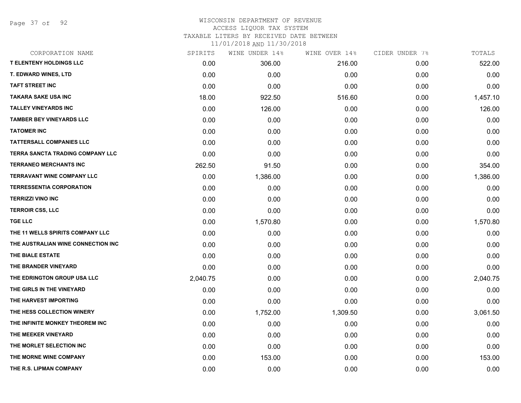Page 37 of 92

### WISCONSIN DEPARTMENT OF REVENUE ACCESS LIQUOR TAX SYSTEM TAXABLE LITERS BY RECEIVED DATE BETWEEN

| CORPORATION NAME                   | SPIRITS  | WINE UNDER 14% | WINE OVER 14% | CIDER UNDER 7% | TOTALS   |
|------------------------------------|----------|----------------|---------------|----------------|----------|
| <b>T ELENTENY HOLDINGS LLC</b>     | 0.00     | 306.00         | 216.00        | 0.00           | 522.00   |
| <b>T. EDWARD WINES, LTD</b>        | 0.00     | 0.00           | 0.00          | 0.00           | 0.00     |
| <b>TAFT STREET INC</b>             | 0.00     | 0.00           | 0.00          | 0.00           | 0.00     |
| <b>TAKARA SAKE USA INC</b>         | 18.00    | 922.50         | 516.60        | 0.00           | 1,457.10 |
| <b>TALLEY VINEYARDS INC</b>        | 0.00     | 126.00         | 0.00          | 0.00           | 126.00   |
| <b>TAMBER BEY VINEYARDS LLC</b>    | 0.00     | 0.00           | 0.00          | 0.00           | 0.00     |
| <b>TATOMER INC</b>                 | 0.00     | 0.00           | 0.00          | 0.00           | 0.00     |
| <b>TATTERSALL COMPANIES LLC</b>    | 0.00     | 0.00           | 0.00          | 0.00           | 0.00     |
| TERRA SANCTA TRADING COMPANY LLC   | 0.00     | 0.00           | 0.00          | 0.00           | 0.00     |
| <b>TERRANEO MERCHANTS INC</b>      | 262.50   | 91.50          | 0.00          | 0.00           | 354.00   |
| <b>TERRAVANT WINE COMPANY LLC</b>  | 0.00     | 1,386.00       | 0.00          | 0.00           | 1,386.00 |
| <b>TERRESSENTIA CORPORATION</b>    | 0.00     | 0.00           | 0.00          | 0.00           | 0.00     |
| <b>TERRIZZI VINO INC</b>           | 0.00     | 0.00           | 0.00          | 0.00           | 0.00     |
| <b>TERROIR CSS, LLC</b>            | 0.00     | 0.00           | 0.00          | 0.00           | 0.00     |
| <b>TGE LLC</b>                     | 0.00     | 1,570.80       | 0.00          | 0.00           | 1,570.80 |
| THE 11 WELLS SPIRITS COMPANY LLC   | 0.00     | 0.00           | 0.00          | 0.00           | 0.00     |
| THE AUSTRALIAN WINE CONNECTION INC | 0.00     | 0.00           | 0.00          | 0.00           | 0.00     |
| THE BIALE ESTATE                   | 0.00     | 0.00           | 0.00          | 0.00           | 0.00     |
| THE BRANDER VINEYARD               | 0.00     | 0.00           | 0.00          | 0.00           | 0.00     |
| THE EDRINGTON GROUP USA LLC        | 2,040.75 | 0.00           | 0.00          | 0.00           | 2,040.75 |
| THE GIRLS IN THE VINEYARD          | 0.00     | 0.00           | 0.00          | 0.00           | 0.00     |
| THE HARVEST IMPORTING              | 0.00     | 0.00           | 0.00          | 0.00           | 0.00     |
| THE HESS COLLECTION WINERY         | 0.00     | 1,752.00       | 1,309.50      | 0.00           | 3,061.50 |
| THE INFINITE MONKEY THEOREM INC.   | 0.00     | 0.00           | 0.00          | 0.00           | 0.00     |
| THE MEEKER VINEYARD                | 0.00     | 0.00           | 0.00          | 0.00           | 0.00     |
| THE MORLET SELECTION INC           | 0.00     | 0.00           | 0.00          | 0.00           | 0.00     |
| THE MORNE WINE COMPANY             | 0.00     | 153.00         | 0.00          | 0.00           | 153.00   |
| THE R.S. LIPMAN COMPANY            | 0.00     | 0.00           | 0.00          | 0.00           | 0.00     |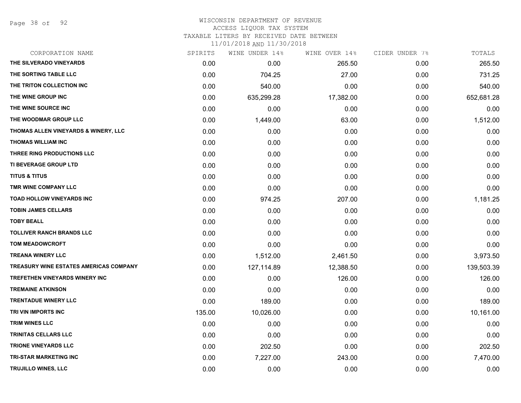Page 38 of 92

### WISCONSIN DEPARTMENT OF REVENUE ACCESS LIQUOR TAX SYSTEM

TAXABLE LITERS BY RECEIVED DATE BETWEEN

| CORPORATION NAME                       | SPIRITS | WINE UNDER 14% | WINE OVER 14% | CIDER UNDER 7% | TOTALS     |
|----------------------------------------|---------|----------------|---------------|----------------|------------|
| THE SILVERADO VINEYARDS                | 0.00    | 0.00           | 265.50        | 0.00           | 265.50     |
| THE SORTING TABLE LLC                  | 0.00    | 704.25         | 27.00         | 0.00           | 731.25     |
| THE TRITON COLLECTION INC              | 0.00    | 540.00         | 0.00          | 0.00           | 540.00     |
| THE WINE GROUP INC                     | 0.00    | 635,299.28     | 17,382.00     | 0.00           | 652,681.28 |
| THE WINE SOURCE INC                    | 0.00    | 0.00           | 0.00          | 0.00           | 0.00       |
| THE WOODMAR GROUP LLC                  | 0.00    | 1,449.00       | 63.00         | 0.00           | 1,512.00   |
| THOMAS ALLEN VINEYARDS & WINERY, LLC   | 0.00    | 0.00           | 0.00          | 0.00           | 0.00       |
| <b>THOMAS WILLIAM INC</b>              | 0.00    | 0.00           | 0.00          | 0.00           | 0.00       |
| THREE RING PRODUCTIONS LLC             | 0.00    | 0.00           | 0.00          | 0.00           | 0.00       |
| TI BEVERAGE GROUP LTD                  | 0.00    | 0.00           | 0.00          | 0.00           | 0.00       |
| <b>TITUS &amp; TITUS</b>               | 0.00    | 0.00           | 0.00          | 0.00           | 0.00       |
| TMR WINE COMPANY LLC                   | 0.00    | 0.00           | 0.00          | 0.00           | 0.00       |
| TOAD HOLLOW VINEYARDS INC              | 0.00    | 974.25         | 207.00        | 0.00           | 1,181.25   |
| <b>TOBIN JAMES CELLARS</b>             | 0.00    | 0.00           | 0.00          | 0.00           | 0.00       |
| <b>TOBY BEALL</b>                      | 0.00    | 0.00           | 0.00          | 0.00           | 0.00       |
| <b>TOLLIVER RANCH BRANDS LLC</b>       | 0.00    | 0.00           | 0.00          | 0.00           | 0.00       |
| <b>TOM MEADOWCROFT</b>                 | 0.00    | 0.00           | 0.00          | 0.00           | 0.00       |
| <b>TREANA WINERY LLC</b>               | 0.00    | 1,512.00       | 2,461.50      | 0.00           | 3,973.50   |
| TREASURY WINE ESTATES AMERICAS COMPANY | 0.00    | 127,114.89     | 12,388.50     | 0.00           | 139,503.39 |
| TREFETHEN VINEYARDS WINERY INC         | 0.00    | 0.00           | 126.00        | 0.00           | 126.00     |
| <b>TREMAINE ATKINSON</b>               | 0.00    | 0.00           | 0.00          | 0.00           | 0.00       |
| <b>TRENTADUE WINERY LLC</b>            | 0.00    | 189.00         | 0.00          | 0.00           | 189.00     |
| TRI VIN IMPORTS INC                    | 135.00  | 10,026.00      | 0.00          | 0.00           | 10,161.00  |
| <b>TRIM WINES LLC</b>                  | 0.00    | 0.00           | 0.00          | 0.00           | 0.00       |
| TRINITAS CELLARS LLC                   | 0.00    | 0.00           | 0.00          | 0.00           | 0.00       |
| <b>TRIONE VINEYARDS LLC</b>            | 0.00    | 202.50         | 0.00          | 0.00           | 202.50     |
| <b>TRI-STAR MARKETING INC</b>          | 0.00    | 7,227.00       | 243.00        | 0.00           | 7,470.00   |
| <b>TRUJILLO WINES, LLC</b>             | 0.00    | 0.00           | 0.00          | 0.00           | 0.00       |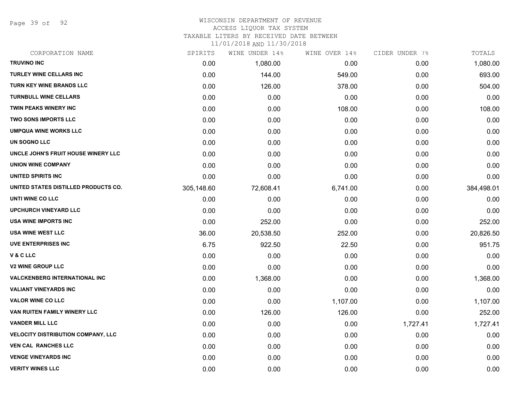Page 39 of 92

### WISCONSIN DEPARTMENT OF REVENUE ACCESS LIQUOR TAX SYSTEM

TAXABLE LITERS BY RECEIVED DATE BETWEEN

| CORPORATION NAME                     | SPIRITS    | WINE UNDER 14% | WINE OVER 14% | CIDER UNDER 7% | TOTALS     |
|--------------------------------------|------------|----------------|---------------|----------------|------------|
| <b>TRUVINO INC</b>                   | 0.00       | 1,080.00       | 0.00          | 0.00           | 1,080.00   |
| <b>TURLEY WINE CELLARS INC</b>       | 0.00       | 144.00         | 549.00        | 0.00           | 693.00     |
| TURN KEY WINE BRANDS LLC             | 0.00       | 126.00         | 378.00        | 0.00           | 504.00     |
| <b>TURNBULL WINE CELLARS</b>         | 0.00       | 0.00           | 0.00          | 0.00           | 0.00       |
| TWIN PEAKS WINERY INC                | 0.00       | 0.00           | 108.00        | 0.00           | 108.00     |
| <b>TWO SONS IMPORTS LLC</b>          | 0.00       | 0.00           | 0.00          | 0.00           | 0.00       |
| <b>UMPQUA WINE WORKS LLC</b>         | 0.00       | 0.00           | 0.00          | 0.00           | 0.00       |
| UN SOGNO LLC                         | 0.00       | 0.00           | 0.00          | 0.00           | 0.00       |
| UNCLE JOHN'S FRUIT HOUSE WINERY LLC  | 0.00       | 0.00           | 0.00          | 0.00           | 0.00       |
| <b>UNION WINE COMPANY</b>            | 0.00       | 0.00           | 0.00          | 0.00           | 0.00       |
| UNITED SPIRITS INC                   | 0.00       | 0.00           | 0.00          | 0.00           | 0.00       |
| UNITED STATES DISTILLED PRODUCTS CO. | 305,148.60 | 72,608.41      | 6,741.00      | 0.00           | 384,498.01 |
| UNTI WINE CO LLC                     | 0.00       | 0.00           | 0.00          | 0.00           | 0.00       |
| <b>UPCHURCH VINEYARD LLC</b>         | 0.00       | 0.00           | 0.00          | 0.00           | 0.00       |
| <b>USA WINE IMPORTS INC</b>          | 0.00       | 252.00         | 0.00          | 0.00           | 252.00     |
| <b>USA WINE WEST LLC</b>             | 36.00      | 20,538.50      | 252.00        | 0.00           | 20,826.50  |
| <b>UVE ENTERPRISES INC</b>           | 6.75       | 922.50         | 22.50         | 0.00           | 951.75     |
| V&CLLC                               | 0.00       | 0.00           | 0.00          | 0.00           | 0.00       |
| <b>V2 WINE GROUP LLC</b>             | 0.00       | 0.00           | 0.00          | 0.00           | 0.00       |
| <b>VALCKENBERG INTERNATIONAL INC</b> | 0.00       | 1,368.00       | 0.00          | 0.00           | 1,368.00   |
| <b>VALIANT VINEYARDS INC</b>         | 0.00       | 0.00           | 0.00          | 0.00           | 0.00       |
| <b>VALOR WINE CO LLC</b>             | 0.00       | 0.00           | 1,107.00      | 0.00           | 1,107.00   |
| VAN RUITEN FAMILY WINERY LLC         | 0.00       | 126.00         | 126.00        | 0.00           | 252.00     |
| <b>VANDER MILL LLC</b>               | 0.00       | 0.00           | 0.00          | 1,727.41       | 1,727.41   |
| VELOCITY DISTRIBUTION COMPANY, LLC   | 0.00       | 0.00           | 0.00          | 0.00           | 0.00       |
| <b>VEN CAL RANCHES LLC</b>           | 0.00       | 0.00           | 0.00          | 0.00           | 0.00       |
| <b>VENGE VINEYARDS INC</b>           | 0.00       | 0.00           | 0.00          | 0.00           | 0.00       |
| <b>VERITY WINES LLC</b>              | 0.00       | 0.00           | 0.00          | 0.00           | 0.00       |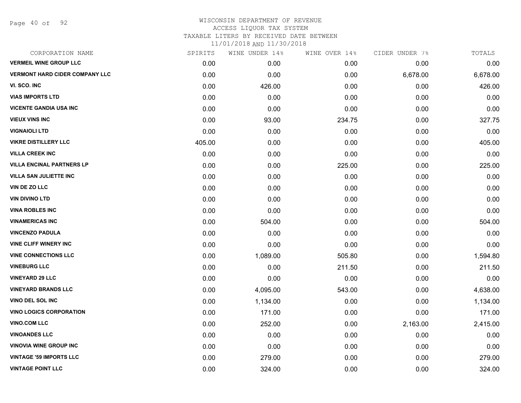Page 40 of 92

| CORPORATION NAME                      | SPIRITS | WINE UNDER 14% | WINE OVER 14% | CIDER UNDER 7% | TOTALS   |
|---------------------------------------|---------|----------------|---------------|----------------|----------|
| <b>VERMEIL WINE GROUP LLC</b>         | 0.00    | 0.00           | 0.00          | 0.00           | 0.00     |
| <b>VERMONT HARD CIDER COMPANY LLC</b> | 0.00    | 0.00           | 0.00          | 6,678.00       | 6,678.00 |
| VI. SCO. INC                          | 0.00    | 426.00         | 0.00          | 0.00           | 426.00   |
| <b>VIAS IMPORTS LTD</b>               | 0.00    | 0.00           | 0.00          | 0.00           | 0.00     |
| <b>VICENTE GANDIA USA INC</b>         | 0.00    | 0.00           | 0.00          | 0.00           | 0.00     |
| <b>VIEUX VINS INC</b>                 | 0.00    | 93.00          | 234.75        | 0.00           | 327.75   |
| <b>VIGNAIOLI LTD</b>                  | 0.00    | 0.00           | 0.00          | 0.00           | 0.00     |
| <b>VIKRE DISTILLERY LLC</b>           | 405.00  | 0.00           | 0.00          | 0.00           | 405.00   |
| <b>VILLA CREEK INC</b>                | 0.00    | 0.00           | 0.00          | 0.00           | 0.00     |
| <b>VILLA ENCINAL PARTNERS LP</b>      | 0.00    | 0.00           | 225.00        | 0.00           | 225.00   |
| <b>VILLA SAN JULIETTE INC</b>         | 0.00    | 0.00           | 0.00          | 0.00           | 0.00     |
| <b>VIN DE ZO LLC</b>                  | 0.00    | 0.00           | 0.00          | 0.00           | 0.00     |
| <b>VIN DIVINO LTD</b>                 | 0.00    | 0.00           | 0.00          | 0.00           | 0.00     |
| <b>VINA ROBLES INC</b>                | 0.00    | 0.00           | 0.00          | 0.00           | 0.00     |
| <b>VINAMERICAS INC</b>                | 0.00    | 504.00         | 0.00          | 0.00           | 504.00   |
| <b>VINCENZO PADULA</b>                | 0.00    | 0.00           | 0.00          | 0.00           | 0.00     |
| <b>VINE CLIFF WINERY INC</b>          | 0.00    | 0.00           | 0.00          | 0.00           | 0.00     |
| <b>VINE CONNECTIONS LLC</b>           | 0.00    | 1,089.00       | 505.80        | 0.00           | 1,594.80 |
| <b>VINEBURG LLC</b>                   | 0.00    | 0.00           | 211.50        | 0.00           | 211.50   |
| <b>VINEYARD 29 LLC</b>                | 0.00    | 0.00           | 0.00          | 0.00           | 0.00     |
| <b>VINEYARD BRANDS LLC</b>            | 0.00    | 4,095.00       | 543.00        | 0.00           | 4,638.00 |
| VINO DEL SOL INC                      | 0.00    | 1,134.00       | 0.00          | 0.00           | 1,134.00 |
| <b>VINO LOGICS CORPORATION</b>        | 0.00    | 171.00         | 0.00          | 0.00           | 171.00   |
| <b>VINO.COM LLC</b>                   | 0.00    | 252.00         | 0.00          | 2,163.00       | 2,415.00 |
| <b>VINOANDES LLC</b>                  | 0.00    | 0.00           | 0.00          | 0.00           | 0.00     |
| <b>VINOVIA WINE GROUP INC</b>         | 0.00    | 0.00           | 0.00          | 0.00           | 0.00     |
| <b>VINTAGE '59 IMPORTS LLC</b>        | 0.00    | 279.00         | 0.00          | 0.00           | 279.00   |
| <b>VINTAGE POINT LLC</b>              | 0.00    | 324.00         | 0.00          | 0.00           | 324.00   |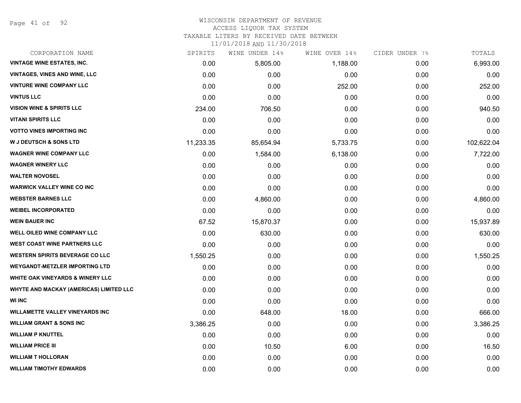Page 41 of 92

### WISCONSIN DEPARTMENT OF REVENUE ACCESS LIQUOR TAX SYSTEM

TAXABLE LITERS BY RECEIVED DATE BETWEEN

| CORPORATION NAME                            | SPIRITS   | WINE UNDER 14% | WINE OVER 14% | CIDER UNDER 7% | TOTALS     |
|---------------------------------------------|-----------|----------------|---------------|----------------|------------|
| <b>VINTAGE WINE ESTATES, INC.</b>           | 0.00      | 5,805.00       | 1,188.00      | 0.00           | 6,993.00   |
| VINTAGES, VINES AND WINE, LLC               | 0.00      | 0.00           | 0.00          | 0.00           | 0.00       |
| <b>VINTURE WINE COMPANY LLC</b>             | 0.00      | 0.00           | 252.00        | 0.00           | 252.00     |
| <b>VINTUS LLC</b>                           | 0.00      | 0.00           | 0.00          | 0.00           | 0.00       |
| <b>VISION WINE &amp; SPIRITS LLC</b>        | 234.00    | 706.50         | 0.00          | 0.00           | 940.50     |
| <b>VITANI SPIRITS LLC</b>                   | 0.00      | 0.00           | 0.00          | 0.00           | 0.00       |
| <b>VOTTO VINES IMPORTING INC</b>            | 0.00      | 0.00           | 0.00          | 0.00           | 0.00       |
| <b>W J DEUTSCH &amp; SONS LTD</b>           | 11,233.35 | 85,654.94      | 5,733.75      | 0.00           | 102,622.04 |
| <b>WAGNER WINE COMPANY LLC</b>              | 0.00      | 1,584.00       | 6,138.00      | 0.00           | 7,722.00   |
| <b>WAGNER WINERY LLC</b>                    | 0.00      | 0.00           | 0.00          | 0.00           | 0.00       |
| <b>WALTER NOVOSEL</b>                       | 0.00      | 0.00           | 0.00          | 0.00           | 0.00       |
| <b>WARWICK VALLEY WINE CO INC</b>           | 0.00      | 0.00           | 0.00          | 0.00           | 0.00       |
| <b>WEBSTER BARNES LLC</b>                   | 0.00      | 4,860.00       | 0.00          | 0.00           | 4,860.00   |
| <b>WEIBEL INCORPORATED</b>                  | 0.00      | 0.00           | 0.00          | 0.00           | 0.00       |
| <b>WEIN BAUER INC</b>                       | 67.52     | 15,870.37      | 0.00          | 0.00           | 15,937.89  |
| WELL OILED WINE COMPANY LLC                 | 0.00      | 630.00         | 0.00          | 0.00           | 630.00     |
| <b>WEST COAST WINE PARTNERS LLC</b>         | 0.00      | 0.00           | 0.00          | 0.00           | 0.00       |
| <b>WESTERN SPIRITS BEVERAGE CO LLC</b>      | 1,550.25  | 0.00           | 0.00          | 0.00           | 1,550.25   |
| <b>WEYGANDT-METZLER IMPORTING LTD</b>       | 0.00      | 0.00           | 0.00          | 0.00           | 0.00       |
| <b>WHITE OAK VINEYARDS &amp; WINERY LLC</b> | 0.00      | 0.00           | 0.00          | 0.00           | 0.00       |
| WHYTE AND MACKAY (AMERICAS) LIMITED LLC     | 0.00      | 0.00           | 0.00          | 0.00           | 0.00       |
| <b>WI INC</b>                               | 0.00      | 0.00           | 0.00          | 0.00           | 0.00       |
| <b>WILLAMETTE VALLEY VINEYARDS INC</b>      | 0.00      | 648.00         | 18.00         | 0.00           | 666.00     |
| <b>WILLIAM GRANT &amp; SONS INC</b>         | 3,386.25  | 0.00           | 0.00          | 0.00           | 3,386.25   |
| <b>WILLIAM P KNUTTEL</b>                    | 0.00      | 0.00           | 0.00          | 0.00           | 0.00       |
| <b>WILLIAM PRICE III</b>                    | 0.00      | 10.50          | 6.00          | 0.00           | 16.50      |
| <b>WILLIAM T HOLLORAN</b>                   | 0.00      | 0.00           | 0.00          | 0.00           | 0.00       |
| <b>WILLIAM TIMOTHY EDWARDS</b>              | 0.00      | 0.00           | 0.00          | 0.00           | 0.00       |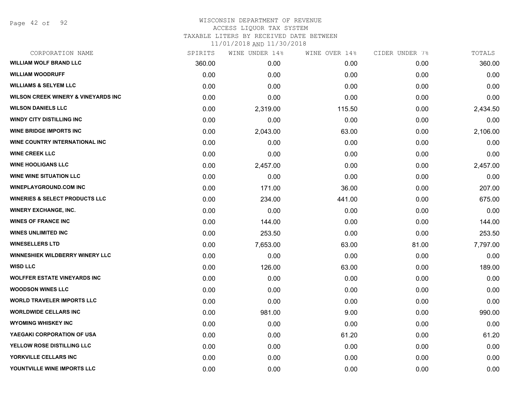# WISCONSIN DEPARTMENT OF REVENUE ACCESS LIQUOR TAX SYSTEM

TAXABLE LITERS BY RECEIVED DATE BETWEEN

| CORPORATION NAME                               | SPIRITS | WINE UNDER 14% | WINE OVER 14% | CIDER UNDER 7% | TOTALS   |
|------------------------------------------------|---------|----------------|---------------|----------------|----------|
| <b>WILLIAM WOLF BRAND LLC</b>                  | 360.00  | 0.00           | 0.00          | 0.00           | 360.00   |
| <b>WILLIAM WOODRUFF</b>                        | 0.00    | 0.00           | 0.00          | 0.00           | 0.00     |
| <b>WILLIAMS &amp; SELYEM LLC</b>               | 0.00    | 0.00           | 0.00          | 0.00           | 0.00     |
| <b>WILSON CREEK WINERY &amp; VINEYARDS INC</b> | 0.00    | 0.00           | 0.00          | 0.00           | 0.00     |
| <b>WILSON DANIELS LLC</b>                      | 0.00    | 2,319.00       | 115.50        | 0.00           | 2,434.50 |
| <b>WINDY CITY DISTILLING INC</b>               | 0.00    | 0.00           | 0.00          | 0.00           | 0.00     |
| <b>WINE BRIDGE IMPORTS INC.</b>                | 0.00    | 2,043.00       | 63.00         | 0.00           | 2,106.00 |
| WINE COUNTRY INTERNATIONAL INC                 | 0.00    | 0.00           | 0.00          | 0.00           | 0.00     |
| <b>WINE CREEK LLC</b>                          | 0.00    | 0.00           | 0.00          | 0.00           | 0.00     |
| <b>WINE HOOLIGANS LLC</b>                      | 0.00    | 2,457.00       | 0.00          | 0.00           | 2,457.00 |
| <b>WINE WINE SITUATION LLC</b>                 | 0.00    | 0.00           | 0.00          | 0.00           | 0.00     |
| <b>WINEPLAYGROUND.COM INC</b>                  | 0.00    | 171.00         | 36.00         | 0.00           | 207.00   |
| <b>WINERIES &amp; SELECT PRODUCTS LLC</b>      | 0.00    | 234.00         | 441.00        | 0.00           | 675.00   |
| <b>WINERY EXCHANGE, INC.</b>                   | 0.00    | 0.00           | 0.00          | 0.00           | 0.00     |
| <b>WINES OF FRANCE INC</b>                     | 0.00    | 144.00         | 0.00          | 0.00           | 144.00   |
| <b>WINES UNLIMITED INC</b>                     | 0.00    | 253.50         | 0.00          | 0.00           | 253.50   |
| <b>WINESELLERS LTD</b>                         | 0.00    | 7,653.00       | 63.00         | 81.00          | 7,797.00 |
| <b>WINNESHIEK WILDBERRY WINERY LLC</b>         | 0.00    | 0.00           | 0.00          | 0.00           | 0.00     |
| <b>WISD LLC</b>                                | 0.00    | 126.00         | 63.00         | 0.00           | 189.00   |
| <b>WOLFFER ESTATE VINEYARDS INC</b>            | 0.00    | 0.00           | 0.00          | 0.00           | 0.00     |
| <b>WOODSON WINES LLC</b>                       | 0.00    | 0.00           | 0.00          | 0.00           | 0.00     |
| <b>WORLD TRAVELER IMPORTS LLC</b>              | 0.00    | 0.00           | 0.00          | 0.00           | 0.00     |
| <b>WORLDWIDE CELLARS INC</b>                   | 0.00    | 981.00         | 9.00          | 0.00           | 990.00   |
| <b>WYOMING WHISKEY INC</b>                     | 0.00    | 0.00           | 0.00          | 0.00           | 0.00     |
| YAEGAKI CORPORATION OF USA                     | 0.00    | 0.00           | 61.20         | 0.00           | 61.20    |
| YELLOW ROSE DISTILLING LLC                     | 0.00    | 0.00           | 0.00          | 0.00           | 0.00     |
| YORKVILLE CELLARS INC                          | 0.00    | 0.00           | 0.00          | 0.00           | 0.00     |
| YOUNTVILLE WINE IMPORTS LLC                    | 0.00    | 0.00           | 0.00          | 0.00           | 0.00     |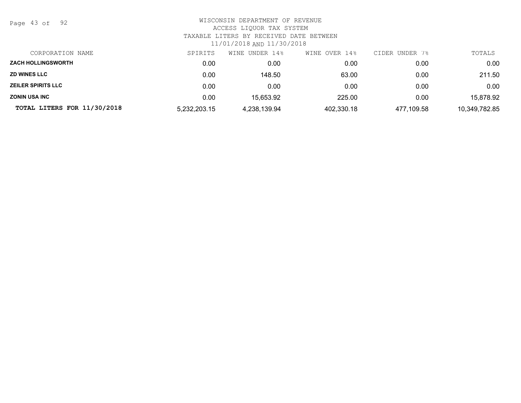Page 43 of 92

| CORPORATION NAME            | SPIRITS      | UNDER 14%<br>WINE | WINE OVER 14% | CIDER UNDER<br>7% | TOTALS        |
|-----------------------------|--------------|-------------------|---------------|-------------------|---------------|
| <b>ZACH HOLLINGSWORTH</b>   | 0.00         | 0.00              | 0.00          | 0.00              | 0.00          |
| <b>ZD WINES LLC</b>         | 0.00         | 148.50            | 63.00         | 0.00              | 211.50        |
| <b>ZEILER SPIRITS LLC</b>   | 0.00         | 0.00              | 0.00          | 0.00              | 0.00          |
| <b>ZONIN USA INC</b>        | 0.00         | 15,653.92         | 225.00        | 0.00              | 15,878.92     |
| TOTAL LITERS FOR 11/30/2018 | 5,232,203.15 | 4,238,139.94      | 402,330.18    | 477,109.58        | 10,349,782.85 |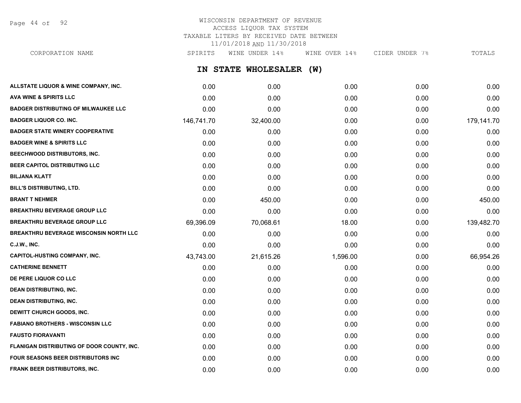Page 44 of 92

## WISCONSIN DEPARTMENT OF REVENUE ACCESS LIQUOR TAX SYSTEM TAXABLE LITERS BY RECEIVED DATE BETWEEN 11/01/2018 AND 11/30/2018

**IN STATE WHOLESALER (W) ALLSTATE LIQUOR & WINE COMPANY, INC.** 0.00 0.00 0.00 0.00 0.00 **AVA WINE & SPIRITS LLC** 0.00 0.00 0.00 0.00 0.00 **BADGER DISTRIBUTING OF MILWAUKEE LLC** 0.00 0.00 0.00 0.00 0.00 **BADGER LIQUOR CO. INC.** 146,741.70 32,400.00 0.00 0.00 179,141.70 **BADGER STATE WINERY COOPERATIVE** 0.00 0.00 0.00 0.00 0.00 **BADGER WINE & SPIRITS LLC** 0.00 0.00 0.00 0.00 0.00 **BEECHWOOD DISTRIBUTORS, INC.** 0.00 0.00 0.00 0.00 0.00 **BEER CAPITOL DISTRIBUTING LLC** 0.00 0.00 0.00 0.00 0.00 **BILJANA KLATT** 0.00 0.00 0.00 0.00 0.00 CORPORATION NAME SPIRITS WINE UNDER 14% WINE OVER 14% CIDER UNDER 7% TOTALS

| <b>BILL'S DISTRIBUTING, LTD.</b>              | 0.00      | 0.00      | 0.00     | 0.00 | 0.00       |
|-----------------------------------------------|-----------|-----------|----------|------|------------|
| <b>BRANT T NEHMER</b>                         | 0.00      | 450.00    | 0.00     | 0.00 | 450.00     |
| <b>BREAKTHRU BEVERAGE GROUP LLC</b>           | 0.00      | 0.00      | 0.00     | 0.00 | 0.00       |
| <b>BREAKTHRU BEVERAGE GROUP LLC</b>           | 69,396.09 | 70,068.61 | 18.00    | 0.00 | 139,482.70 |
| <b>BREAKTHRU BEVERAGE WISCONSIN NORTH LLC</b> | 0.00      | 0.00      | 0.00     | 0.00 | 0.00       |
| C.J.W., INC.                                  | 0.00      | 0.00      | 0.00     | 0.00 | 0.00       |
| <b>CAPITOL-HUSTING COMPANY, INC.</b>          | 43,743.00 | 21,615.26 | 1,596.00 | 0.00 | 66,954.26  |
| <b>CATHERINE BENNETT</b>                      | 0.00      | 0.00      | 0.00     | 0.00 | 0.00       |
| DE PERE LIQUOR CO LLC                         | 0.00      | 0.00      | 0.00     | 0.00 | 0.00       |
| <b>DEAN DISTRIBUTING, INC.</b>                | 0.00      | 0.00      | 0.00     | 0.00 | 0.00       |
| <b>DEAN DISTRIBUTING, INC.</b>                | 0.00      | 0.00      | 0.00     | 0.00 | 0.00       |
| DEWITT CHURCH GOODS, INC.                     | 0.00      | 0.00      | 0.00     | 0.00 | 0.00       |
| <b>FABIANO BROTHERS - WISCONSIN LLC</b>       | 0.00      | 0.00      | 0.00     | 0.00 | 0.00       |
| <b>FAUSTO FIORAVANTI</b>                      | 0.00      | 0.00      | 0.00     | 0.00 | 0.00       |
| FLANIGAN DISTRIBUTING OF DOOR COUNTY, INC.    | 0.00      | 0.00      | 0.00     | 0.00 | 0.00       |
| <b>FOUR SEASONS BEER DISTRIBUTORS INC.</b>    | 0.00      | 0.00      | 0.00     | 0.00 | 0.00       |

**FRANK BEER DISTRIBUTORS, INC.** 0.00 0.00 0.00 0.00 0.00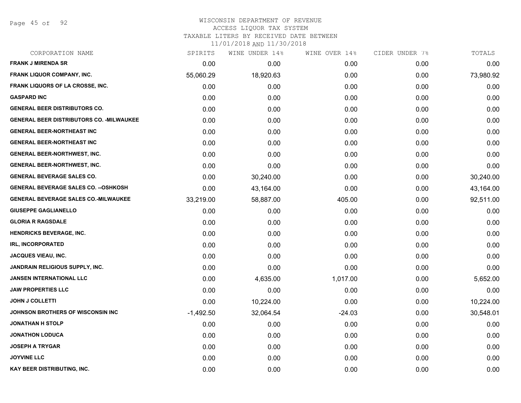Page 45 of 92

## WISCONSIN DEPARTMENT OF REVENUE ACCESS LIQUOR TAX SYSTEM

TAXABLE LITERS BY RECEIVED DATE BETWEEN

| CORPORATION NAME                                 | SPIRITS     | WINE UNDER 14% | WINE OVER 14% | CIDER UNDER 7% | TOTALS    |
|--------------------------------------------------|-------------|----------------|---------------|----------------|-----------|
| <b>FRANK J MIRENDA SR</b>                        | 0.00        | 0.00           | 0.00          | 0.00           | 0.00      |
| FRANK LIQUOR COMPANY, INC.                       | 55,060.29   | 18,920.63      | 0.00          | 0.00           | 73,980.92 |
| FRANK LIQUORS OF LA CROSSE, INC.                 | 0.00        | 0.00           | 0.00          | 0.00           | 0.00      |
| <b>GASPARD INC</b>                               | 0.00        | 0.00           | 0.00          | 0.00           | 0.00      |
| <b>GENERAL BEER DISTRIBUTORS CO.</b>             | 0.00        | 0.00           | 0.00          | 0.00           | 0.00      |
| <b>GENERAL BEER DISTRIBUTORS CO. - MILWAUKEE</b> | 0.00        | 0.00           | 0.00          | 0.00           | 0.00      |
| <b>GENERAL BEER-NORTHEAST INC</b>                | 0.00        | 0.00           | 0.00          | 0.00           | 0.00      |
| <b>GENERAL BEER-NORTHEAST INC</b>                | 0.00        | 0.00           | 0.00          | 0.00           | 0.00      |
| <b>GENERAL BEER-NORTHWEST, INC.</b>              | 0.00        | 0.00           | 0.00          | 0.00           | 0.00      |
| <b>GENERAL BEER-NORTHWEST, INC.</b>              | 0.00        | 0.00           | 0.00          | 0.00           | 0.00      |
| <b>GENERAL BEVERAGE SALES CO.</b>                | 0.00        | 30,240.00      | 0.00          | 0.00           | 30,240.00 |
| <b>GENERAL BEVERAGE SALES CO. -- OSHKOSH</b>     | 0.00        | 43,164.00      | 0.00          | 0.00           | 43,164.00 |
| <b>GENERAL BEVERAGE SALES CO.-MILWAUKEE</b>      | 33,219.00   | 58,887.00      | 405.00        | 0.00           | 92,511.00 |
| <b>GIUSEPPE GAGLIANELLO</b>                      | 0.00        | 0.00           | 0.00          | 0.00           | 0.00      |
| <b>GLORIA R RAGSDALE</b>                         | 0.00        | 0.00           | 0.00          | 0.00           | 0.00      |
| <b>HENDRICKS BEVERAGE, INC.</b>                  | 0.00        | 0.00           | 0.00          | 0.00           | 0.00      |
| <b>IRL, INCORPORATED</b>                         | 0.00        | 0.00           | 0.00          | 0.00           | 0.00      |
| <b>JACQUES VIEAU, INC.</b>                       | 0.00        | 0.00           | 0.00          | 0.00           | 0.00      |
| <b>JANDRAIN RELIGIOUS SUPPLY, INC.</b>           | 0.00        | 0.00           | 0.00          | 0.00           | 0.00      |
| <b>JANSEN INTERNATIONAL LLC</b>                  | 0.00        | 4,635.00       | 1,017.00      | 0.00           | 5,652.00  |
| <b>JAW PROPERTIES LLC</b>                        | 0.00        | 0.00           | 0.00          | 0.00           | 0.00      |
| <b>JOHN J COLLETTI</b>                           | 0.00        | 10,224.00      | 0.00          | 0.00           | 10,224.00 |
| JOHNSON BROTHERS OF WISCONSIN INC                | $-1,492.50$ | 32,064.54      | $-24.03$      | 0.00           | 30,548.01 |
| <b>JONATHAN H STOLP</b>                          | 0.00        | 0.00           | 0.00          | 0.00           | 0.00      |
| <b>JONATHON LODUCA</b>                           | 0.00        | 0.00           | 0.00          | 0.00           | 0.00      |
| <b>JOSEPH A TRYGAR</b>                           | 0.00        | 0.00           | 0.00          | 0.00           | 0.00      |
| <b>JOYVINE LLC</b>                               | 0.00        | 0.00           | 0.00          | 0.00           | 0.00      |
| <b>KAY BEER DISTRIBUTING, INC.</b>               | 0.00        | 0.00           | 0.00          | 0.00           | 0.00      |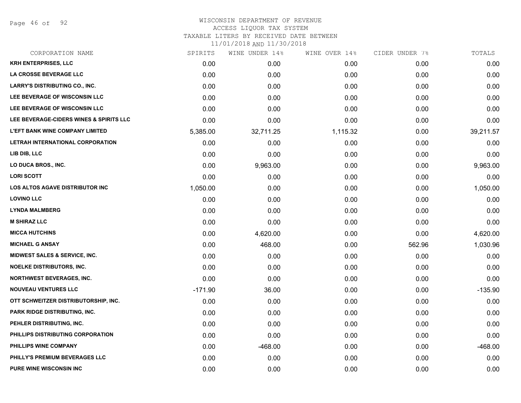Page 46 of 92

### WISCONSIN DEPARTMENT OF REVENUE ACCESS LIQUOR TAX SYSTEM

TAXABLE LITERS BY RECEIVED DATE BETWEEN

| CORPORATION NAME                        | SPIRITS   | WINE UNDER 14% | WINE OVER 14% | CIDER UNDER 7% | TOTALS    |
|-----------------------------------------|-----------|----------------|---------------|----------------|-----------|
| <b>KRH ENTERPRISES, LLC</b>             | 0.00      | 0.00           | 0.00          | 0.00           | 0.00      |
| LA CROSSE BEVERAGE LLC                  | 0.00      | 0.00           | 0.00          | 0.00           | 0.00      |
| <b>LARRY'S DISTRIBUTING CO., INC.</b>   | 0.00      | 0.00           | 0.00          | 0.00           | 0.00      |
| LEE BEVERAGE OF WISCONSIN LLC           | 0.00      | 0.00           | 0.00          | 0.00           | 0.00      |
| LEE BEVERAGE OF WISCONSIN LLC           | 0.00      | 0.00           | 0.00          | 0.00           | 0.00      |
| LEE BEVERAGE-CIDERS WINES & SPIRITS LLC | 0.00      | 0.00           | 0.00          | 0.00           | 0.00      |
| <b>L'EFT BANK WINE COMPANY LIMITED</b>  | 5,385.00  | 32,711.25      | 1,115.32      | 0.00           | 39,211.57 |
| LETRAH INTERNATIONAL CORPORATION        | 0.00      | 0.00           | 0.00          | 0.00           | 0.00      |
| LIB DIB, LLC                            | 0.00      | 0.00           | 0.00          | 0.00           | 0.00      |
| LO DUCA BROS., INC.                     | 0.00      | 9,963.00       | 0.00          | 0.00           | 9,963.00  |
| <b>LORI SCOTT</b>                       | 0.00      | 0.00           | 0.00          | 0.00           | 0.00      |
| <b>LOS ALTOS AGAVE DISTRIBUTOR INC</b>  | 1,050.00  | 0.00           | 0.00          | 0.00           | 1,050.00  |
| <b>LOVINO LLC</b>                       | 0.00      | 0.00           | 0.00          | 0.00           | 0.00      |
| <b>LYNDA MALMBERG</b>                   | 0.00      | 0.00           | 0.00          | 0.00           | 0.00      |
| <b>M SHIRAZ LLC</b>                     | 0.00      | 0.00           | 0.00          | 0.00           | 0.00      |
| <b>MICCA HUTCHINS</b>                   | 0.00      | 4,620.00       | 0.00          | 0.00           | 4,620.00  |
| <b>MICHAEL G ANSAY</b>                  | 0.00      | 468.00         | 0.00          | 562.96         | 1,030.96  |
| MIDWEST SALES & SERVICE, INC.           | 0.00      | 0.00           | 0.00          | 0.00           | 0.00      |
| <b>NOELKE DISTRIBUTORS, INC.</b>        | 0.00      | 0.00           | 0.00          | 0.00           | 0.00      |
| <b>NORTHWEST BEVERAGES, INC.</b>        | 0.00      | 0.00           | 0.00          | 0.00           | 0.00      |
| <b>NOUVEAU VENTURES LLC</b>             | $-171.90$ | 36.00          | 0.00          | 0.00           | $-135.90$ |
| OTT SCHWEITZER DISTRIBUTORSHIP, INC.    | 0.00      | 0.00           | 0.00          | 0.00           | 0.00      |
| PARK RIDGE DISTRIBUTING, INC.           | 0.00      | 0.00           | 0.00          | 0.00           | 0.00      |
| PEHLER DISTRIBUTING, INC.               | 0.00      | 0.00           | 0.00          | 0.00           | 0.00      |
| PHILLIPS DISTRIBUTING CORPORATION       | 0.00      | 0.00           | 0.00          | 0.00           | 0.00      |
| PHILLIPS WINE COMPANY                   | 0.00      | $-468.00$      | 0.00          | 0.00           | $-468.00$ |
| PHILLY'S PREMIUM BEVERAGES LLC          | 0.00      | 0.00           | 0.00          | 0.00           | 0.00      |
| <b>PURE WINE WISCONSIN INC</b>          | 0.00      | 0.00           | 0.00          | 0.00           | 0.00      |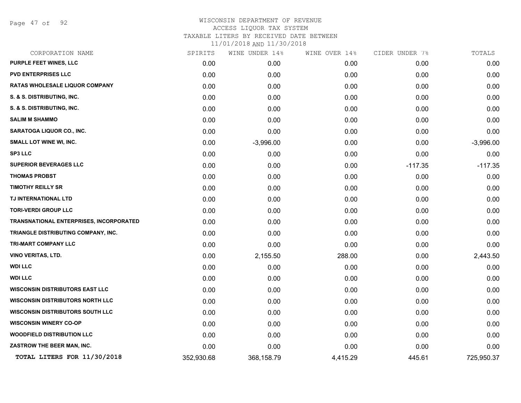Page 47 of 92

| CORPORATION NAME                        | SPIRITS    | WINE UNDER 14% | WINE OVER 14% | CIDER UNDER 7% | TOTALS      |
|-----------------------------------------|------------|----------------|---------------|----------------|-------------|
| PURPLE FEET WINES, LLC                  | 0.00       | 0.00           | 0.00          | 0.00           | 0.00        |
| <b>PVD ENTERPRISES LLC</b>              | 0.00       | 0.00           | 0.00          | 0.00           | 0.00        |
| <b>RATAS WHOLESALE LIQUOR COMPANY</b>   | 0.00       | 0.00           | 0.00          | 0.00           | 0.00        |
| S. & S. DISTRIBUTING, INC.              | 0.00       | 0.00           | 0.00          | 0.00           | 0.00        |
| S. & S. DISTRIBUTING, INC.              | 0.00       | 0.00           | 0.00          | 0.00           | 0.00        |
| <b>SALIM M SHAMMO</b>                   | 0.00       | 0.00           | 0.00          | 0.00           | 0.00        |
| <b>SARATOGA LIQUOR CO., INC.</b>        | 0.00       | 0.00           | 0.00          | 0.00           | 0.00        |
| SMALL LOT WINE WI, INC.                 | 0.00       | $-3,996.00$    | 0.00          | 0.00           | $-3,996.00$ |
| <b>SP3 LLC</b>                          | 0.00       | 0.00           | 0.00          | 0.00           | 0.00        |
| <b>SUPERIOR BEVERAGES LLC</b>           | 0.00       | 0.00           | 0.00          | $-117.35$      | $-117.35$   |
| <b>THOMAS PROBST</b>                    | 0.00       | 0.00           | 0.00          | 0.00           | 0.00        |
| <b>TIMOTHY REILLY SR</b>                | 0.00       | 0.00           | 0.00          | 0.00           | 0.00        |
| TJ INTERNATIONAL LTD                    | 0.00       | 0.00           | 0.00          | 0.00           | 0.00        |
| <b>TORI-VERDI GROUP LLC</b>             | 0.00       | 0.00           | 0.00          | 0.00           | 0.00        |
| TRANSNATIONAL ENTERPRISES, INCORPORATED | 0.00       | 0.00           | 0.00          | 0.00           | 0.00        |
| TRIANGLE DISTRIBUTING COMPANY, INC.     | 0.00       | 0.00           | 0.00          | 0.00           | 0.00        |
| TRI-MART COMPANY LLC                    | 0.00       | 0.00           | 0.00          | 0.00           | 0.00        |
| <b>VINO VERITAS, LTD.</b>               | 0.00       | 2,155.50       | 288.00        | 0.00           | 2,443.50    |
| <b>WDI LLC</b>                          | 0.00       | 0.00           | 0.00          | 0.00           | 0.00        |
| <b>WDI LLC</b>                          | 0.00       | 0.00           | 0.00          | 0.00           | 0.00        |
| <b>WISCONSIN DISTRIBUTORS EAST LLC</b>  | 0.00       | 0.00           | 0.00          | 0.00           | 0.00        |
| <b>WISCONSIN DISTRIBUTORS NORTH LLC</b> | 0.00       | 0.00           | 0.00          | 0.00           | 0.00        |
| <b>WISCONSIN DISTRIBUTORS SOUTH LLC</b> | 0.00       | 0.00           | 0.00          | 0.00           | 0.00        |
| <b>WISCONSIN WINERY CO-OP</b>           | 0.00       | 0.00           | 0.00          | 0.00           | 0.00        |
| <b>WOODFIELD DISTRIBUTION LLC</b>       | 0.00       | 0.00           | 0.00          | 0.00           | 0.00        |
| ZASTROW THE BEER MAN, INC.              | 0.00       | 0.00           | 0.00          | 0.00           | 0.00        |
| TOTAL LITERS FOR 11/30/2018             | 352,930.68 | 368,158.79     | 4,415.29      | 445.61         | 725,950.37  |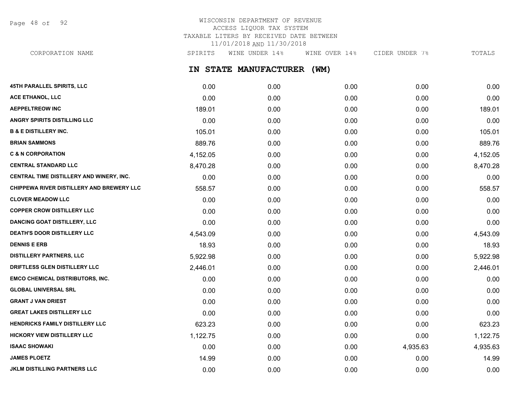Page 48 of 92

## WISCONSIN DEPARTMENT OF REVENUE ACCESS LIQUOR TAX SYSTEM TAXABLE LITERS BY RECEIVED DATE BETWEEN 11/01/2018 AND 11/30/2018

CORPORATION NAME SPIRITS WINE UNDER 14% WINE OVER 14% CIDER UNDER 7% TOTALS

**IN STATE MANUFACTURER (WM)**

| 45TH PARALLEL SPIRITS, LLC                | 0.00     | 0.00 | 0.00 | 0.00     | 0.00     |
|-------------------------------------------|----------|------|------|----------|----------|
| ACE ETHANOL, LLC                          | 0.00     | 0.00 | 0.00 | 0.00     | 0.00     |
| <b>AEPPELTREOW INC</b>                    | 189.01   | 0.00 | 0.00 | 0.00     | 189.01   |
| <b>ANGRY SPIRITS DISTILLING LLC</b>       | 0.00     | 0.00 | 0.00 | 0.00     | 0.00     |
| <b>B &amp; E DISTILLERY INC.</b>          | 105.01   | 0.00 | 0.00 | 0.00     | 105.01   |
| <b>BRIAN SAMMONS</b>                      | 889.76   | 0.00 | 0.00 | 0.00     | 889.76   |
| <b>C &amp; N CORPORATION</b>              | 4,152.05 | 0.00 | 0.00 | 0.00     | 4,152.05 |
| <b>CENTRAL STANDARD LLC</b>               | 8,470.28 | 0.00 | 0.00 | 0.00     | 8,470.28 |
| CENTRAL TIME DISTILLERY AND WINERY, INC.  | 0.00     | 0.00 | 0.00 | 0.00     | 0.00     |
| CHIPPEWA RIVER DISTILLERY AND BREWERY LLC | 558.57   | 0.00 | 0.00 | 0.00     | 558.57   |
| <b>CLOVER MEADOW LLC</b>                  | 0.00     | 0.00 | 0.00 | 0.00     | 0.00     |
| <b>COPPER CROW DISTILLERY LLC</b>         | 0.00     | 0.00 | 0.00 | 0.00     | 0.00     |
| <b>DANCING GOAT DISTILLERY, LLC</b>       | 0.00     | 0.00 | 0.00 | 0.00     | 0.00     |
| DEATH'S DOOR DISTILLERY LLC               | 4,543.09 | 0.00 | 0.00 | 0.00     | 4,543.09 |
| <b>DENNIS E ERB</b>                       | 18.93    | 0.00 | 0.00 | 0.00     | 18.93    |
| <b>DISTILLERY PARTNERS, LLC</b>           | 5,922.98 | 0.00 | 0.00 | 0.00     | 5,922.98 |
| DRIFTLESS GLEN DISTILLERY LLC             | 2,446.01 | 0.00 | 0.00 | 0.00     | 2,446.01 |
| <b>EMCO CHEMICAL DISTRIBUTORS, INC.</b>   | 0.00     | 0.00 | 0.00 | 0.00     | 0.00     |
| <b>GLOBAL UNIVERSAL SRL</b>               | 0.00     | 0.00 | 0.00 | 0.00     | 0.00     |
| <b>GRANT J VAN DRIEST</b>                 | 0.00     | 0.00 | 0.00 | 0.00     | 0.00     |
| <b>GREAT LAKES DISTILLERY LLC</b>         | 0.00     | 0.00 | 0.00 | 0.00     | 0.00     |
| HENDRICKS FAMILY DISTILLERY LLC           | 623.23   | 0.00 | 0.00 | 0.00     | 623.23   |
| <b>HICKORY VIEW DISTILLERY LLC</b>        | 1,122.75 | 0.00 | 0.00 | 0.00     | 1,122.75 |
| <b>ISAAC SHOWAKI</b>                      | 0.00     | 0.00 | 0.00 | 4,935.63 | 4,935.63 |
| <b>JAMES PLOETZ</b>                       | 14.99    | 0.00 | 0.00 | 0.00     | 14.99    |
| JKLM DISTILLING PARTNERS LLC              | 0.00     | 0.00 | 0.00 | 0.00     | 0.00     |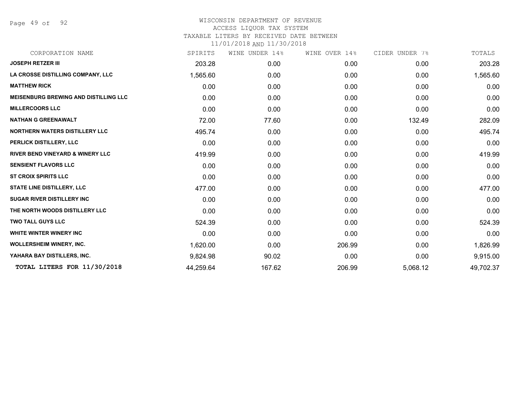Page 49 of 92

| CORPORATION NAME                             | SPIRITS   | WINE UNDER 14% | WINE OVER 14% | CIDER UNDER 7% | TOTALS    |
|----------------------------------------------|-----------|----------------|---------------|----------------|-----------|
| <b>JOSEPH RETZER III</b>                     | 203.28    | 0.00           | 0.00          | 0.00           | 203.28    |
| LA CROSSE DISTILLING COMPANY, LLC            | 1,565.60  | 0.00           | 0.00          | 0.00           | 1,565.60  |
| <b>MATTHEW RICK</b>                          | 0.00      | 0.00           | 0.00          | 0.00           | 0.00      |
| <b>MEISENBURG BREWING AND DISTILLING LLC</b> | 0.00      | 0.00           | 0.00          | 0.00           | 0.00      |
| <b>MILLERCOORS LLC</b>                       | 0.00      | 0.00           | 0.00          | 0.00           | 0.00      |
| <b>NATHAN G GREENAWALT</b>                   | 72.00     | 77.60          | 0.00          | 132.49         | 282.09    |
| <b>NORTHERN WATERS DISTILLERY LLC</b>        | 495.74    | 0.00           | 0.00          | 0.00           | 495.74    |
| PERLICK DISTILLERY, LLC                      | 0.00      | 0.00           | 0.00          | 0.00           | 0.00      |
| <b>RIVER BEND VINEYARD &amp; WINERY LLC</b>  | 419.99    | 0.00           | 0.00          | 0.00           | 419.99    |
| <b>SENSIENT FLAVORS LLC</b>                  | 0.00      | 0.00           | 0.00          | 0.00           | 0.00      |
| <b>ST CROIX SPIRITS LLC</b>                  | 0.00      | 0.00           | 0.00          | 0.00           | 0.00      |
| <b>STATE LINE DISTILLERY, LLC</b>            | 477.00    | 0.00           | 0.00          | 0.00           | 477.00    |
| <b>SUGAR RIVER DISTILLERY INC</b>            | 0.00      | 0.00           | 0.00          | 0.00           | 0.00      |
| THE NORTH WOODS DISTILLERY LLC               | 0.00      | 0.00           | 0.00          | 0.00           | 0.00      |
| <b>TWO TALL GUYS LLC</b>                     | 524.39    | 0.00           | 0.00          | 0.00           | 524.39    |
| WHITE WINTER WINERY INC                      | 0.00      | 0.00           | 0.00          | 0.00           | 0.00      |
| WOLLERSHEIM WINERY, INC.                     | 1,620.00  | 0.00           | 206.99        | 0.00           | 1,826.99  |
| YAHARA BAY DISTILLERS, INC.                  | 9,824.98  | 90.02          | 0.00          | 0.00           | 9,915.00  |
| TOTAL LITERS FOR 11/30/2018                  | 44,259.64 | 167.62         | 206.99        | 5,068.12       | 49,702.37 |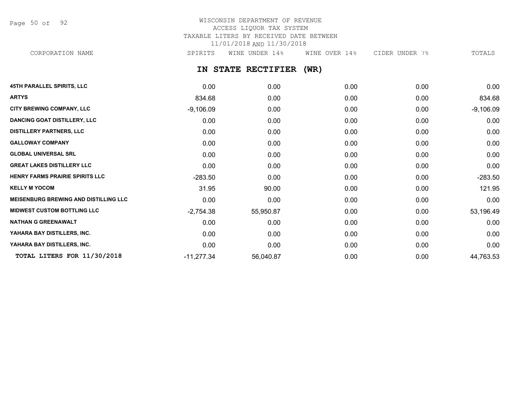Page 50 of 92

# WISCONSIN DEPARTMENT OF REVENUE ACCESS LIQUOR TAX SYSTEM TAXABLE LITERS BY RECEIVED DATE BETWEEN 11/01/2018 AND 11/30/2018

CORPORATION NAME SPIRITS WINE UNDER 14% WINE OVER 14% CIDER UNDER 7% TOTALS

**IN STATE RECTIFIER (WR)**

| <b>45TH PARALLEL SPIRITS, LLC</b>            | 0.00         | 0.00      | 0.00 | 0.00 | 0.00        |
|----------------------------------------------|--------------|-----------|------|------|-------------|
| <b>ARTYS</b>                                 | 834.68       | 0.00      | 0.00 | 0.00 | 834.68      |
| <b>CITY BREWING COMPANY, LLC</b>             | $-9,106.09$  | 0.00      | 0.00 | 0.00 | $-9,106.09$ |
| <b>DANCING GOAT DISTILLERY, LLC</b>          | 0.00         | 0.00      | 0.00 | 0.00 | 0.00        |
| <b>DISTILLERY PARTNERS, LLC</b>              | 0.00         | 0.00      | 0.00 | 0.00 | 0.00        |
| <b>GALLOWAY COMPANY</b>                      | 0.00         | 0.00      | 0.00 | 0.00 | 0.00        |
| <b>GLOBAL UNIVERSAL SRL</b>                  | 0.00         | 0.00      | 0.00 | 0.00 | 0.00        |
| <b>GREAT LAKES DISTILLERY LLC</b>            | 0.00         | 0.00      | 0.00 | 0.00 | 0.00        |
| HENRY FARMS PRAIRIE SPIRITS LLC              | $-283.50$    | 0.00      | 0.00 | 0.00 | $-283.50$   |
| <b>KELLY M YOCOM</b>                         | 31.95        | 90.00     | 0.00 | 0.00 | 121.95      |
| <b>MEISENBURG BREWING AND DISTILLING LLC</b> | 0.00         | 0.00      | 0.00 | 0.00 | 0.00        |
| <b>MIDWEST CUSTOM BOTTLING LLC</b>           | $-2,754.38$  | 55,950.87 | 0.00 | 0.00 | 53,196.49   |
| <b>NATHAN G GREENAWALT</b>                   | 0.00         | 0.00      | 0.00 | 0.00 | 0.00        |
| YAHARA BAY DISTILLERS, INC.                  | 0.00         | 0.00      | 0.00 | 0.00 | 0.00        |
| YAHARA BAY DISTILLERS, INC.                  | 0.00         | 0.00      | 0.00 | 0.00 | 0.00        |
| TOTAL LITERS FOR 11/30/2018                  | $-11,277.34$ | 56,040.87 | 0.00 | 0.00 | 44,763.53   |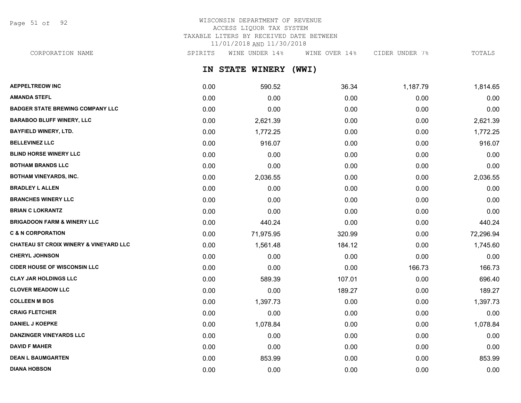Page 51 of 92

# WISCONSIN DEPARTMENT OF REVENUE ACCESS LIQUOR TAX SYSTEM TAXABLE LITERS BY RECEIVED DATE BETWEEN 11/01/2018 AND 11/30/2018

CORPORATION NAME SPIRITS WINE UNDER 14% WINE OVER 14% CIDER UNDER 7% TOTALS

**IN STATE WINERY (WWI)**

| <b>AEPPELTREOW INC</b>                            | 0.00 | 590.52    | 36.34  | 1,187.79 | 1,814.65  |
|---------------------------------------------------|------|-----------|--------|----------|-----------|
| <b>AMANDA STEFL</b>                               | 0.00 | 0.00      | 0.00   | 0.00     | 0.00      |
| <b>BADGER STATE BREWING COMPANY LLC</b>           | 0.00 | 0.00      | 0.00   | 0.00     | 0.00      |
| <b>BARABOO BLUFF WINERY, LLC</b>                  | 0.00 | 2,621.39  | 0.00   | 0.00     | 2,621.39  |
| <b>BAYFIELD WINERY, LTD.</b>                      | 0.00 | 1,772.25  | 0.00   | 0.00     | 1,772.25  |
| <b>BELLEVINEZ LLC</b>                             | 0.00 | 916.07    | 0.00   | 0.00     | 916.07    |
| <b>BLIND HORSE WINERY LLC</b>                     | 0.00 | 0.00      | 0.00   | 0.00     | 0.00      |
| <b>BOTHAM BRANDS LLC</b>                          | 0.00 | 0.00      | 0.00   | 0.00     | 0.00      |
| <b>BOTHAM VINEYARDS, INC.</b>                     | 0.00 | 2,036.55  | 0.00   | 0.00     | 2,036.55  |
| <b>BRADLEY L ALLEN</b>                            | 0.00 | 0.00      | 0.00   | 0.00     | 0.00      |
| <b>BRANCHES WINERY LLC</b>                        | 0.00 | 0.00      | 0.00   | 0.00     | 0.00      |
| <b>BRIAN C LOKRANTZ</b>                           | 0.00 | 0.00      | 0.00   | 0.00     | 0.00      |
| <b>BRIGADOON FARM &amp; WINERY LLC</b>            | 0.00 | 440.24    | 0.00   | 0.00     | 440.24    |
| <b>C &amp; N CORPORATION</b>                      | 0.00 | 71,975.95 | 320.99 | 0.00     | 72,296.94 |
| <b>CHATEAU ST CROIX WINERY &amp; VINEYARD LLC</b> | 0.00 | 1,561.48  | 184.12 | 0.00     | 1,745.60  |
| <b>CHERYL JOHNSON</b>                             | 0.00 | 0.00      | 0.00   | 0.00     | 0.00      |
| <b>CIDER HOUSE OF WISCONSIN LLC</b>               | 0.00 | 0.00      | 0.00   | 166.73   | 166.73    |
| <b>CLAY JAR HOLDINGS LLC</b>                      | 0.00 | 589.39    | 107.01 | 0.00     | 696.40    |
| <b>CLOVER MEADOW LLC</b>                          | 0.00 | 0.00      | 189.27 | 0.00     | 189.27    |
| <b>COLLEEN M BOS</b>                              | 0.00 | 1,397.73  | 0.00   | 0.00     | 1,397.73  |
| <b>CRAIG FLETCHER</b>                             | 0.00 | 0.00      | 0.00   | 0.00     | 0.00      |
| <b>DANIEL J KOEPKE</b>                            | 0.00 | 1,078.84  | 0.00   | 0.00     | 1,078.84  |
| <b>DANZINGER VINEYARDS LLC</b>                    | 0.00 | 0.00      | 0.00   | 0.00     | 0.00      |
| <b>DAVID F MAHER</b>                              | 0.00 | 0.00      | 0.00   | 0.00     | 0.00      |
| <b>DEAN L BAUMGARTEN</b>                          | 0.00 | 853.99    | 0.00   | 0.00     | 853.99    |
| <b>DIANA HOBSON</b>                               | 0.00 | 0.00      | 0.00   | 0.00     | 0.00      |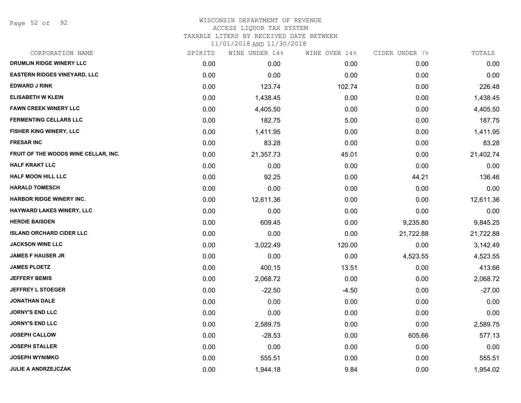Page 52 of 92

## WISCONSIN DEPARTMENT OF REVENUE ACCESS LIQUOR TAX SYSTEM TAXABLE LITERS BY RECEIVED DATE BETWEEN

| CORPORATION NAME                     | SPIRITS | WINE UNDER 14% | WINE OVER 14% | CIDER UNDER 7% | TOTALS    |
|--------------------------------------|---------|----------------|---------------|----------------|-----------|
| DRUMLIN RIDGE WINERY LLC             | 0.00    | 0.00           | 0.00          | 0.00           | 0.00      |
| <b>EASTERN RIDGES VINEYARD, LLC</b>  | 0.00    | 0.00           | 0.00          | 0.00           | 0.00      |
| <b>EDWARD J RINK</b>                 | 0.00    | 123.74         | 102.74        | 0.00           | 226.48    |
| <b>ELISABETH W KLEIN</b>             | 0.00    | 1,438.45       | 0.00          | 0.00           | 1,438.45  |
| <b>FAWN CREEK WINERY LLC</b>         | 0.00    | 4,405.50       | 0.00          | 0.00           | 4,405.50  |
| <b>FERMENTING CELLARS LLC</b>        | 0.00    | 182.75         | 5.00          | 0.00           | 187.75    |
| FISHER KING WINERY, LLC              | 0.00    | 1,411.95       | 0.00          | 0.00           | 1,411.95  |
| <b>FRESAR INC</b>                    | 0.00    | 83.28          | 0.00          | 0.00           | 83.28     |
| FRUIT OF THE WOODS WINE CELLAR, INC. | 0.00    | 21,357.73      | 45.01         | 0.00           | 21,402.74 |
| <b>HALF KRAKT LLC</b>                | 0.00    | 0.00           | 0.00          | 0.00           | 0.00      |
| <b>HALF MOON HILL LLC</b>            | 0.00    | 92.25          | 0.00          | 44.21          | 136.46    |
| <b>HARALD TOMESCH</b>                | 0.00    | 0.00           | 0.00          | 0.00           | 0.00      |
| <b>HARBOR RIDGE WINERY INC.</b>      | 0.00    | 12,611.36      | 0.00          | 0.00           | 12,611.36 |
| <b>HAYWARD LAKES WINERY, LLC</b>     | 0.00    | 0.00           | 0.00          | 0.00           | 0.00      |
| <b>HERDIE BAISDEN</b>                | 0.00    | 609.45         | 0.00          | 9,235.80       | 9,845.25  |
| <b>ISLAND ORCHARD CIDER LLC</b>      | 0.00    | 0.00           | 0.00          | 21,722.88      | 21,722.88 |
| <b>JACKSON WINE LLC</b>              | 0.00    | 3,022.49       | 120.00        | 0.00           | 3,142.49  |
| <b>JAMES F HAUSER JR</b>             | 0.00    | 0.00           | 0.00          | 4,523.55       | 4,523.55  |
| <b>JAMES PLOETZ</b>                  | 0.00    | 400.15         | 13.51         | 0.00           | 413.66    |
| <b>JEFFERY BEMIS</b>                 | 0.00    | 2,068.72       | 0.00          | 0.00           | 2,068.72  |
| <b>JEFFREY L STOEGER</b>             | 0.00    | $-22.50$       | $-4.50$       | 0.00           | $-27.00$  |
| JONATHAN DALE                        | 0.00    | 0.00           | 0.00          | 0.00           | 0.00      |
| <b>JORNY'S END LLC</b>               | 0.00    | 0.00           | 0.00          | 0.00           | 0.00      |
| <b>JORNY'S END LLC</b>               | 0.00    | 2,589.75       | 0.00          | 0.00           | 2,589.75  |
| <b>JOSEPH CALLOW</b>                 | 0.00    | $-28.53$       | 0.00          | 605.66         | 577.13    |
| <b>JOSEPH STALLER</b>                | 0.00    | 0.00           | 0.00          | 0.00           | 0.00      |
| <b>JOSEPH WYNIMKO</b>                | 0.00    | 555.51         | 0.00          | 0.00           | 555.51    |
| <b>JULIE A ANDRZEJCZAK</b>           | 0.00    | 1,944.18       | 9.84          | 0.00           | 1,954.02  |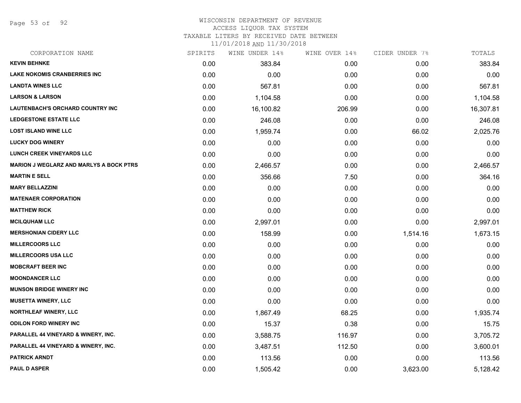Page 53 of 92

### WISCONSIN DEPARTMENT OF REVENUE ACCESS LIQUOR TAX SYSTEM

TAXABLE LITERS BY RECEIVED DATE BETWEEN

| CORPORATION NAME                               | SPIRITS | WINE UNDER 14% | WINE OVER 14% | CIDER UNDER 7% | TOTALS    |
|------------------------------------------------|---------|----------------|---------------|----------------|-----------|
| <b>KEVIN BEHNKE</b>                            | 0.00    | 383.84         | 0.00          | 0.00           | 383.84    |
| <b>LAKE NOKOMIS CRANBERRIES INC</b>            | 0.00    | 0.00           | 0.00          | 0.00           | 0.00      |
| <b>LANDTA WINES LLC</b>                        | 0.00    | 567.81         | 0.00          | 0.00           | 567.81    |
| <b>LARSON &amp; LARSON</b>                     | 0.00    | 1,104.58       | 0.00          | 0.00           | 1,104.58  |
| <b>LAUTENBACH'S ORCHARD COUNTRY INC</b>        | 0.00    | 16,100.82      | 206.99        | 0.00           | 16,307.81 |
| <b>LEDGESTONE ESTATE LLC</b>                   | 0.00    | 246.08         | 0.00          | 0.00           | 246.08    |
| <b>LOST ISLAND WINE LLC</b>                    | 0.00    | 1,959.74       | 0.00          | 66.02          | 2,025.76  |
| <b>LUCKY DOG WINERY</b>                        | 0.00    | 0.00           | 0.00          | 0.00           | 0.00      |
| <b>LUNCH CREEK VINEYARDS LLC</b>               | 0.00    | 0.00           | 0.00          | 0.00           | 0.00      |
| <b>MARION J WEGLARZ AND MARLYS A BOCK PTRS</b> | 0.00    | 2,466.57       | 0.00          | 0.00           | 2,466.57  |
| <b>MARTIN E SELL</b>                           | 0.00    | 356.66         | 7.50          | 0.00           | 364.16    |
| <b>MARY BELLAZZINI</b>                         | 0.00    | 0.00           | 0.00          | 0.00           | 0.00      |
| <b>MATENAER CORPORATION</b>                    | 0.00    | 0.00           | 0.00          | 0.00           | 0.00      |
| <b>MATTHEW RICK</b>                            | 0.00    | 0.00           | 0.00          | 0.00           | 0.00      |
| <b>MCILQUHAM LLC</b>                           | 0.00    | 2,997.01       | 0.00          | 0.00           | 2,997.01  |
| <b>MERSHONIAN CIDERY LLC</b>                   | 0.00    | 158.99         | 0.00          | 1,514.16       | 1,673.15  |
| <b>MILLERCOORS LLC</b>                         | 0.00    | 0.00           | 0.00          | 0.00           | 0.00      |
| <b>MILLERCOORS USA LLC</b>                     | 0.00    | 0.00           | 0.00          | 0.00           | 0.00      |
| <b>MOBCRAFT BEER INC</b>                       | 0.00    | 0.00           | 0.00          | 0.00           | 0.00      |
| <b>MOONDANCER LLC</b>                          | 0.00    | 0.00           | 0.00          | 0.00           | 0.00      |
| <b>MUNSON BRIDGE WINERY INC</b>                | 0.00    | 0.00           | 0.00          | 0.00           | 0.00      |
| <b>MUSETTA WINERY, LLC</b>                     | 0.00    | 0.00           | 0.00          | 0.00           | 0.00      |
| NORTHLEAF WINERY, LLC                          | 0.00    | 1,867.49       | 68.25         | 0.00           | 1,935.74  |
| <b>ODILON FORD WINERY INC</b>                  | 0.00    | 15.37          | 0.38          | 0.00           | 15.75     |
| PARALLEL 44 VINEYARD & WINERY, INC.            | 0.00    | 3,588.75       | 116.97        | 0.00           | 3,705.72  |
| PARALLEL 44 VINEYARD & WINERY, INC.            | 0.00    | 3,487.51       | 112.50        | 0.00           | 3,600.01  |
| <b>PATRICK ARNDT</b>                           | 0.00    | 113.56         | 0.00          | 0.00           | 113.56    |
| <b>PAUL D ASPER</b>                            | 0.00    | 1,505.42       | 0.00          | 3,623.00       | 5,128.42  |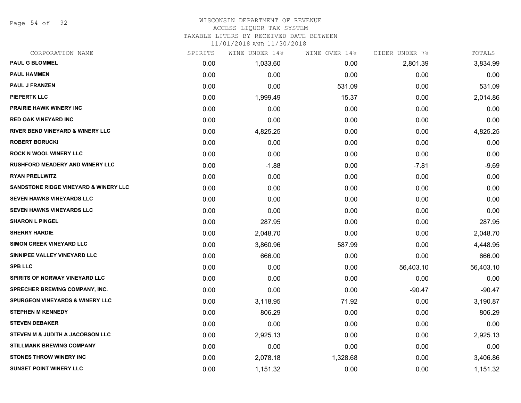Page 54 of 92

### WISCONSIN DEPARTMENT OF REVENUE ACCESS LIQUOR TAX SYSTEM

TAXABLE LITERS BY RECEIVED DATE BETWEEN

| CORPORATION NAME                            | SPIRITS | WINE UNDER 14% | WINE OVER 14% | CIDER UNDER 7% | TOTALS    |
|---------------------------------------------|---------|----------------|---------------|----------------|-----------|
| <b>PAUL G BLOMMEL</b>                       | 0.00    | 1,033.60       | 0.00          | 2,801.39       | 3,834.99  |
| <b>PAUL HAMMEN</b>                          | 0.00    | 0.00           | 0.00          | 0.00           | 0.00      |
| <b>PAUL J FRANZEN</b>                       | 0.00    | 0.00           | 531.09        | 0.00           | 531.09    |
| <b>PIEPERTK LLC</b>                         | 0.00    | 1,999.49       | 15.37         | 0.00           | 2,014.86  |
| <b>PRAIRIE HAWK WINERY INC</b>              | 0.00    | 0.00           | 0.00          | 0.00           | 0.00      |
| <b>RED OAK VINEYARD INC</b>                 | 0.00    | 0.00           | 0.00          | 0.00           | 0.00      |
| <b>RIVER BEND VINEYARD &amp; WINERY LLC</b> | 0.00    | 4,825.25       | 0.00          | 0.00           | 4,825.25  |
| <b>ROBERT BORUCKI</b>                       | 0.00    | 0.00           | 0.00          | 0.00           | 0.00      |
| <b>ROCK N WOOL WINERY LLC</b>               | 0.00    | 0.00           | 0.00          | 0.00           | 0.00      |
| <b>RUSHFORD MEADERY AND WINERY LLC</b>      | 0.00    | $-1.88$        | 0.00          | $-7.81$        | $-9.69$   |
| <b>RYAN PRELLWITZ</b>                       | 0.00    | 0.00           | 0.00          | 0.00           | 0.00      |
| SANDSTONE RIDGE VINEYARD & WINERY LLC       | 0.00    | 0.00           | 0.00          | 0.00           | 0.00      |
| <b>SEVEN HAWKS VINEYARDS LLC</b>            | 0.00    | 0.00           | 0.00          | 0.00           | 0.00      |
| <b>SEVEN HAWKS VINEYARDS LLC</b>            | 0.00    | 0.00           | 0.00          | 0.00           | 0.00      |
| <b>SHARON L PINGEL</b>                      | 0.00    | 287.95         | 0.00          | 0.00           | 287.95    |
| <b>SHERRY HARDIE</b>                        | 0.00    | 2,048.70       | 0.00          | 0.00           | 2,048.70  |
| <b>SIMON CREEK VINEYARD LLC</b>             | 0.00    | 3,860.96       | 587.99        | 0.00           | 4,448.95  |
| SINNIPEE VALLEY VINEYARD LLC                | 0.00    | 666.00         | 0.00          | 0.00           | 666.00    |
| <b>SPB LLC</b>                              | 0.00    | 0.00           | 0.00          | 56,403.10      | 56,403.10 |
| <b>SPIRITS OF NORWAY VINEYARD LLC</b>       | 0.00    | 0.00           | 0.00          | 0.00           | 0.00      |
| SPRECHER BREWING COMPANY, INC.              | 0.00    | 0.00           | 0.00          | $-90.47$       | $-90.47$  |
| <b>SPURGEON VINEYARDS &amp; WINERY LLC</b>  | 0.00    | 3,118.95       | 71.92         | 0.00           | 3,190.87  |
| <b>STEPHEN M KENNEDY</b>                    | 0.00    | 806.29         | 0.00          | 0.00           | 806.29    |
| <b>STEVEN DEBAKER</b>                       | 0.00    | 0.00           | 0.00          | 0.00           | 0.00      |
| STEVEN M & JUDITH A JACOBSON LLC            | 0.00    | 2,925.13       | 0.00          | 0.00           | 2,925.13  |
| <b>STILLMANK BREWING COMPANY</b>            | 0.00    | 0.00           | 0.00          | 0.00           | 0.00      |
| <b>STONES THROW WINERY INC</b>              | 0.00    | 2,078.18       | 1,328.68      | 0.00           | 3,406.86  |
| <b>SUNSET POINT WINERY LLC</b>              | 0.00    | 1,151.32       | 0.00          | 0.00           | 1,151.32  |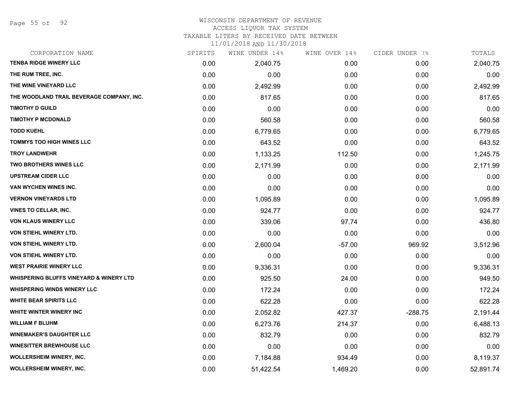### WISCONSIN DEPARTMENT OF REVENUE

### ACCESS LIQUOR TAX SYSTEM

TAXABLE LITERS BY RECEIVED DATE BETWEEN

| CORPORATION NAME                                   | SPIRITS | WINE UNDER 14% | WINE OVER 14% | CIDER UNDER 7% | TOTALS    |
|----------------------------------------------------|---------|----------------|---------------|----------------|-----------|
| <b>TENBA RIDGE WINERY LLC</b>                      | 0.00    | 2,040.75       | 0.00          | 0.00           | 2,040.75  |
| THE RUM TREE, INC.                                 | 0.00    | 0.00           | 0.00          | 0.00           | 0.00      |
| THE WINE VINEYARD LLC                              | 0.00    | 2,492.99       | 0.00          | 0.00           | 2,492.99  |
| THE WOODLAND TRAIL BEVERAGE COMPANY, INC.          | 0.00    | 817.65         | 0.00          | 0.00           | 817.65    |
| <b>TIMOTHY D GUILD</b>                             | 0.00    | 0.00           | 0.00          | 0.00           | 0.00      |
| <b>TIMOTHY P MCDONALD</b>                          | 0.00    | 560.58         | 0.00          | 0.00           | 560.58    |
| <b>TODD KUEHL</b>                                  | 0.00    | 6,779.65       | 0.00          | 0.00           | 6,779.65  |
| <b>TOMMYS TOO HIGH WINES LLC</b>                   | 0.00    | 643.52         | 0.00          | 0.00           | 643.52    |
| <b>TROY LANDWEHR</b>                               | 0.00    | 1,133.25       | 112.50        | 0.00           | 1,245.75  |
| <b>TWO BROTHERS WINES LLC</b>                      | 0.00    | 2,171.99       | 0.00          | 0.00           | 2,171.99  |
| <b>UPSTREAM CIDER LLC</b>                          | 0.00    | 0.00           | 0.00          | 0.00           | 0.00      |
| VAN WYCHEN WINES INC.                              | 0.00    | 0.00           | 0.00          | 0.00           | 0.00      |
| <b>VERNON VINEYARDS LTD</b>                        | 0.00    | 1,095.89       | 0.00          | 0.00           | 1,095.89  |
| <b>VINES TO CELLAR, INC.</b>                       | 0.00    | 924.77         | 0.00          | 0.00           | 924.77    |
| <b>VON KLAUS WINERY LLC</b>                        | 0.00    | 339.06         | 97.74         | 0.00           | 436.80    |
| <b>VON STIEHL WINERY LTD.</b>                      | 0.00    | 0.00           | 0.00          | 0.00           | 0.00      |
| VON STIEHL WINERY LTD.                             | 0.00    | 2,600.04       | $-57.00$      | 969.92         | 3,512.96  |
| VON STIEHL WINERY LTD.                             | 0.00    | 0.00           | 0.00          | 0.00           | 0.00      |
| <b>WEST PRAIRIE WINERY LLC</b>                     | 0.00    | 9,336.31       | 0.00          | 0.00           | 9,336.31  |
| <b>WHISPERING BLUFFS VINEYARD &amp; WINERY LTD</b> | 0.00    | 925.50         | 24.00         | 0.00           | 949.50    |
| <b>WHISPERING WINDS WINERY LLC</b>                 | 0.00    | 172.24         | 0.00          | 0.00           | 172.24    |
| <b>WHITE BEAR SPIRITS LLC</b>                      | 0.00    | 622.28         | 0.00          | 0.00           | 622.28    |
| WHITE WINTER WINERY INC                            | 0.00    | 2,052.82       | 427.37        | $-288.75$      | 2,191.44  |
| <b>WILLIAM F BLUHM</b>                             | 0.00    | 6,273.76       | 214.37        | 0.00           | 6,488.13  |
| <b>WINEMAKER'S DAUGHTER LLC</b>                    | 0.00    | 832.79         | 0.00          | 0.00           | 832.79    |
| <b>WINESITTER BREWHOUSE LLC</b>                    | 0.00    | 0.00           | 0.00          | 0.00           | 0.00      |
| <b>WOLLERSHEIM WINERY, INC.</b>                    | 0.00    | 7,184.88       | 934.49        | 0.00           | 8,119.37  |
| <b>WOLLERSHEIM WINERY, INC.</b>                    | 0.00    | 51,422.54      | 1,469.20      | 0.00           | 52,891.74 |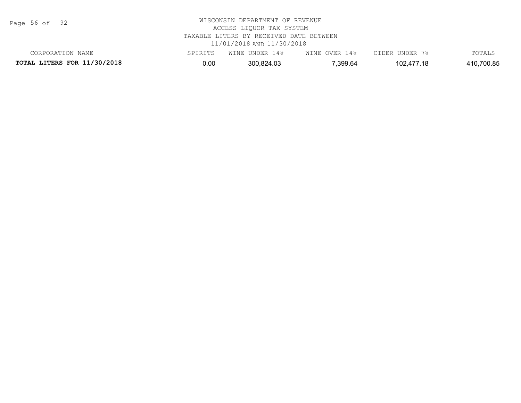| Page | 56 of |  | 92 |
|------|-------|--|----|
|------|-------|--|----|

# WISCONSIN DEPARTMENT OF REVENUE ACCESS LIQUOR TAX SYSTEM TAXABLE LITERS BY RECEIVED DATE BETWEEN 11/01/2018 AND 11/30/2018

**TOTAL LITERS FOR 11/30/2018** 0.00 300,824.03 7,399.64 102,477.18 410,700.85 CORPORATION NAME SPIRITS WINE UNDER 14% WINE OVER 14% CIDER UNDER 7% TOTALS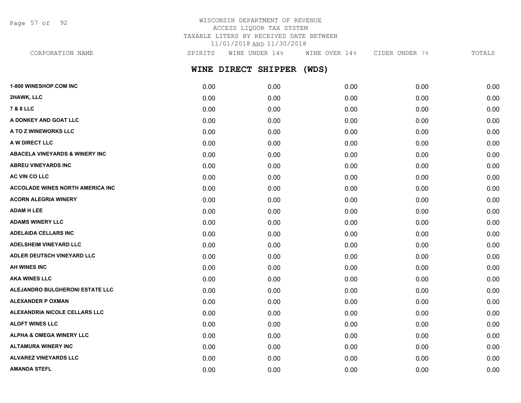Page 57 of 92

### WISCONSIN DEPARTMENT OF REVENUE ACCESS LIQUOR TAX SYSTEM TAXABLE LITERS BY RECEIVED DATE BETWEEN 11/01/2018 AND 11/30/2018

**WINE DIRECT SHIPPER (WDS) 1-800 WINESHOP.COM INC** 0.00 0.00 0.00 0.00 0.00 CORPORATION NAME SPIRITS WINE UNDER 14% WINE OVER 14% CIDER UNDER 7% TOTALS

| 2HAWK, LLC                                | 0.00 | 0.00 | 0.00 | 0.00 | 0.00 |
|-------------------------------------------|------|------|------|------|------|
| <b>7 &amp; 8 LLC</b>                      | 0.00 | 0.00 | 0.00 | 0.00 | 0.00 |
| A DONKEY AND GOAT LLC                     | 0.00 | 0.00 | 0.00 | 0.00 | 0.00 |
| A TO Z WINEWORKS LLC                      | 0.00 | 0.00 | 0.00 | 0.00 | 0.00 |
| A W DIRECT LLC                            | 0.00 | 0.00 | 0.00 | 0.00 | 0.00 |
| <b>ABACELA VINEYARDS &amp; WINERY INC</b> | 0.00 | 0.00 | 0.00 | 0.00 | 0.00 |
| <b>ABREU VINEYARDS INC</b>                | 0.00 | 0.00 | 0.00 | 0.00 | 0.00 |
| AC VIN CO LLC                             | 0.00 | 0.00 | 0.00 | 0.00 | 0.00 |
| <b>ACCOLADE WINES NORTH AMERICA INC</b>   | 0.00 | 0.00 | 0.00 | 0.00 | 0.00 |
| <b>ACORN ALEGRIA WINERY</b>               | 0.00 | 0.00 | 0.00 | 0.00 | 0.00 |
| <b>ADAM H LEE</b>                         | 0.00 | 0.00 | 0.00 | 0.00 | 0.00 |
| <b>ADAMS WINERY LLC</b>                   | 0.00 | 0.00 | 0.00 | 0.00 | 0.00 |
| <b>ADELAIDA CELLARS INC</b>               | 0.00 | 0.00 | 0.00 | 0.00 | 0.00 |
| <b>ADELSHEIM VINEYARD LLC</b>             | 0.00 | 0.00 | 0.00 | 0.00 | 0.00 |
| ADLER DEUTSCH VINEYARD LLC                | 0.00 | 0.00 | 0.00 | 0.00 | 0.00 |
| AH WINES INC                              | 0.00 | 0.00 | 0.00 | 0.00 | 0.00 |
| <b>AKA WINES LLC</b>                      | 0.00 | 0.00 | 0.00 | 0.00 | 0.00 |
| ALEJANDRO BULGHERONI ESTATE LLC           | 0.00 | 0.00 | 0.00 | 0.00 | 0.00 |
| <b>ALEXANDER P OXMAN</b>                  | 0.00 | 0.00 | 0.00 | 0.00 | 0.00 |
| ALEXANDRIA NICOLE CELLARS LLC             | 0.00 | 0.00 | 0.00 | 0.00 | 0.00 |
| <b>ALOFT WINES LLC</b>                    | 0.00 | 0.00 | 0.00 | 0.00 | 0.00 |
| <b>ALPHA &amp; OMEGA WINERY LLC</b>       | 0.00 | 0.00 | 0.00 | 0.00 | 0.00 |
| <b>ALTAMURA WINERY INC</b>                | 0.00 | 0.00 | 0.00 | 0.00 | 0.00 |
| <b>ALVAREZ VINEYARDS LLC</b>              | 0.00 | 0.00 | 0.00 | 0.00 | 0.00 |
| <b>AMANDA STEFL</b>                       | 0.00 | 0.00 | 0.00 | 0.00 | 0.00 |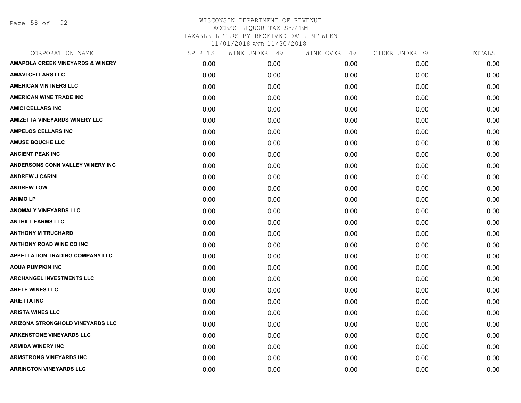Page 58 of 92

| CORPORATION NAME                            | SPIRITS | WINE UNDER 14% | WINE OVER 14% | CIDER UNDER 7% | TOTALS |
|---------------------------------------------|---------|----------------|---------------|----------------|--------|
| <b>AMAPOLA CREEK VINEYARDS &amp; WINERY</b> | 0.00    | 0.00           | 0.00          | 0.00           | 0.00   |
| <b>AMAVI CELLARS LLC</b>                    | 0.00    | 0.00           | 0.00          | 0.00           | 0.00   |
| <b>AMERICAN VINTNERS LLC</b>                | 0.00    | 0.00           | 0.00          | 0.00           | 0.00   |
| <b>AMERICAN WINE TRADE INC</b>              | 0.00    | 0.00           | 0.00          | 0.00           | 0.00   |
| <b>AMICI CELLARS INC</b>                    | 0.00    | 0.00           | 0.00          | 0.00           | 0.00   |
| <b>AMIZETTA VINEYARDS WINERY LLC</b>        | 0.00    | 0.00           | 0.00          | 0.00           | 0.00   |
| <b>AMPELOS CELLARS INC</b>                  | 0.00    | 0.00           | 0.00          | 0.00           | 0.00   |
| <b>AMUSE BOUCHE LLC</b>                     | 0.00    | 0.00           | 0.00          | 0.00           | 0.00   |
| <b>ANCIENT PEAK INC</b>                     | 0.00    | 0.00           | 0.00          | 0.00           | 0.00   |
| ANDERSONS CONN VALLEY WINERY INC            | 0.00    | 0.00           | 0.00          | 0.00           | 0.00   |
| <b>ANDREW J CARINI</b>                      | 0.00    | 0.00           | 0.00          | 0.00           | 0.00   |
| <b>ANDREW TOW</b>                           | 0.00    | 0.00           | 0.00          | 0.00           | 0.00   |
| <b>ANIMOLP</b>                              | 0.00    | 0.00           | 0.00          | 0.00           | 0.00   |
| <b>ANOMALY VINEYARDS LLC</b>                | 0.00    | 0.00           | 0.00          | 0.00           | 0.00   |
| <b>ANTHILL FARMS LLC</b>                    | 0.00    | 0.00           | 0.00          | 0.00           | 0.00   |
| <b>ANTHONY M TRUCHARD</b>                   | 0.00    | 0.00           | 0.00          | 0.00           | 0.00   |
| <b>ANTHONY ROAD WINE CO INC</b>             | 0.00    | 0.00           | 0.00          | 0.00           | 0.00   |
| <b>APPELLATION TRADING COMPANY LLC</b>      | 0.00    | 0.00           | 0.00          | 0.00           | 0.00   |
| <b>AQUA PUMPKIN INC</b>                     | 0.00    | 0.00           | 0.00          | 0.00           | 0.00   |
| <b>ARCHANGEL INVESTMENTS LLC</b>            | 0.00    | 0.00           | 0.00          | 0.00           | 0.00   |
| <b>ARETE WINES LLC</b>                      | 0.00    | 0.00           | 0.00          | 0.00           | 0.00   |
| <b>ARIETTA INC</b>                          | 0.00    | 0.00           | 0.00          | 0.00           | 0.00   |
| <b>ARISTA WINES LLC</b>                     | 0.00    | 0.00           | 0.00          | 0.00           | 0.00   |
| ARIZONA STRONGHOLD VINEYARDS LLC            | 0.00    | 0.00           | 0.00          | 0.00           | 0.00   |
| <b>ARKENSTONE VINEYARDS LLC</b>             | 0.00    | 0.00           | 0.00          | 0.00           | 0.00   |
| <b>ARMIDA WINERY INC</b>                    | 0.00    | 0.00           | 0.00          | 0.00           | 0.00   |
| <b>ARMSTRONG VINEYARDS INC</b>              | 0.00    | 0.00           | 0.00          | 0.00           | 0.00   |
| <b>ARRINGTON VINEYARDS LLC</b>              | 0.00    | 0.00           | 0.00          | 0.00           | 0.00   |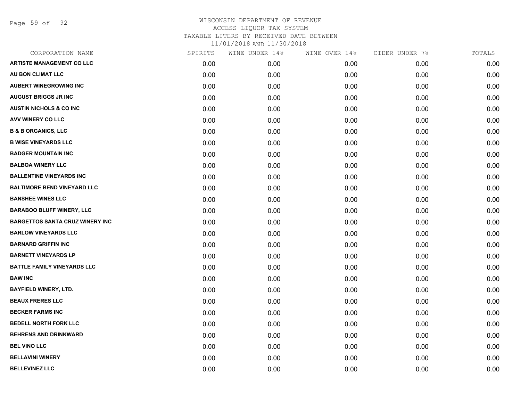Page 59 of 92

| CORPORATION NAME                       | SPIRITS | WINE UNDER 14% | WINE OVER 14% | CIDER UNDER 7% | TOTALS |
|----------------------------------------|---------|----------------|---------------|----------------|--------|
| <b>ARTISTE MANAGEMENT CO LLC</b>       | 0.00    | 0.00           | 0.00          | 0.00           | 0.00   |
| AU BON CLIMAT LLC                      | 0.00    | 0.00           | 0.00          | 0.00           | 0.00   |
| <b>AUBERT WINEGROWING INC</b>          | 0.00    | 0.00           | 0.00          | 0.00           | 0.00   |
| <b>AUGUST BRIGGS JR INC</b>            | 0.00    | 0.00           | 0.00          | 0.00           | 0.00   |
| <b>AUSTIN NICHOLS &amp; CO INC</b>     | 0.00    | 0.00           | 0.00          | 0.00           | 0.00   |
| AVV WINERY CO LLC                      | 0.00    | 0.00           | 0.00          | 0.00           | 0.00   |
| <b>B &amp; B ORGANICS, LLC</b>         | 0.00    | 0.00           | 0.00          | 0.00           | 0.00   |
| <b>B WISE VINEYARDS LLC</b>            | 0.00    | 0.00           | 0.00          | 0.00           | 0.00   |
| <b>BADGER MOUNTAIN INC</b>             | 0.00    | 0.00           | 0.00          | 0.00           | 0.00   |
| <b>BALBOA WINERY LLC</b>               | 0.00    | 0.00           | 0.00          | 0.00           | 0.00   |
| <b>BALLENTINE VINEYARDS INC</b>        | 0.00    | 0.00           | 0.00          | 0.00           | 0.00   |
| <b>BALTIMORE BEND VINEYARD LLC</b>     | 0.00    | 0.00           | 0.00          | 0.00           | 0.00   |
| <b>BANSHEE WINES LLC</b>               | 0.00    | 0.00           | 0.00          | 0.00           | 0.00   |
| <b>BARABOO BLUFF WINERY, LLC</b>       | 0.00    | 0.00           | 0.00          | 0.00           | 0.00   |
| <b>BARGETTOS SANTA CRUZ WINERY INC</b> | 0.00    | 0.00           | 0.00          | 0.00           | 0.00   |
| <b>BARLOW VINEYARDS LLC</b>            | 0.00    | 0.00           | 0.00          | 0.00           | 0.00   |
| <b>BARNARD GRIFFIN INC</b>             | 0.00    | 0.00           | 0.00          | 0.00           | 0.00   |
| <b>BARNETT VINEYARDS LP</b>            | 0.00    | 0.00           | 0.00          | 0.00           | 0.00   |
| <b>BATTLE FAMILY VINEYARDS LLC</b>     | 0.00    | 0.00           | 0.00          | 0.00           | 0.00   |
| <b>BAW INC</b>                         | 0.00    | 0.00           | 0.00          | 0.00           | 0.00   |
| <b>BAYFIELD WINERY, LTD.</b>           | 0.00    | 0.00           | 0.00          | 0.00           | 0.00   |
| <b>BEAUX FRERES LLC</b>                | 0.00    | 0.00           | 0.00          | 0.00           | 0.00   |
| <b>BECKER FARMS INC</b>                | 0.00    | 0.00           | 0.00          | 0.00           | 0.00   |
| <b>BEDELL NORTH FORK LLC</b>           | 0.00    | 0.00           | 0.00          | 0.00           | 0.00   |
| <b>BEHRENS AND DRINKWARD</b>           | 0.00    | 0.00           | 0.00          | 0.00           | 0.00   |
| <b>BEL VINO LLC</b>                    | 0.00    | 0.00           | 0.00          | 0.00           | 0.00   |
| <b>BELLAVINI WINERY</b>                | 0.00    | 0.00           | 0.00          | 0.00           | 0.00   |
| <b>BELLEVINEZ LLC</b>                  | 0.00    | 0.00           | 0.00          | 0.00           | 0.00   |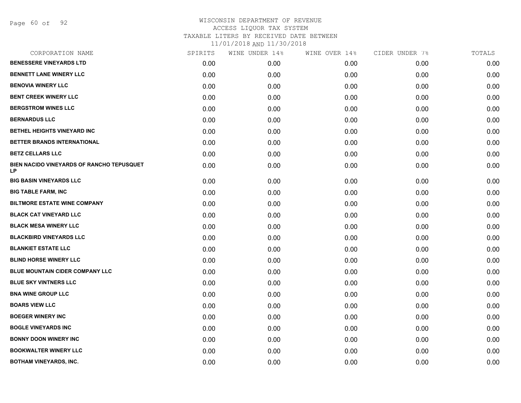Page 60 of 92

| CORPORATION NAME                                       | SPIRITS | WINE UNDER 14% | WINE OVER 14% | CIDER UNDER 7% | TOTALS |
|--------------------------------------------------------|---------|----------------|---------------|----------------|--------|
| <b>BENESSERE VINEYARDS LTD</b>                         | 0.00    | 0.00           | 0.00          | 0.00           | 0.00   |
| <b>BENNETT LANE WINERY LLC</b>                         | 0.00    | 0.00           | 0.00          | 0.00           | 0.00   |
| <b>BENOVIA WINERY LLC</b>                              | 0.00    | 0.00           | 0.00          | 0.00           | 0.00   |
| <b>BENT CREEK WINERY LLC</b>                           | 0.00    | 0.00           | 0.00          | 0.00           | 0.00   |
| <b>BERGSTROM WINES LLC</b>                             | 0.00    | 0.00           | 0.00          | 0.00           | 0.00   |
| <b>BERNARDUS LLC</b>                                   | 0.00    | 0.00           | 0.00          | 0.00           | 0.00   |
| BETHEL HEIGHTS VINEYARD INC                            | 0.00    | 0.00           | 0.00          | 0.00           | 0.00   |
| BETTER BRANDS INTERNATIONAL                            | 0.00    | 0.00           | 0.00          | 0.00           | 0.00   |
| <b>BETZ CELLARS LLC</b>                                | 0.00    | 0.00           | 0.00          | 0.00           | 0.00   |
| BIEN NACIDO VINEYARDS OF RANCHO TEPUSQUET<br><b>LP</b> | 0.00    | 0.00           | 0.00          | 0.00           | 0.00   |
| <b>BIG BASIN VINEYARDS LLC</b>                         | 0.00    | 0.00           | 0.00          | 0.00           | 0.00   |
| <b>BIG TABLE FARM, INC</b>                             | 0.00    | 0.00           | 0.00          | 0.00           | 0.00   |
| <b>BILTMORE ESTATE WINE COMPANY</b>                    | 0.00    | 0.00           | 0.00          | 0.00           | 0.00   |
| <b>BLACK CAT VINEYARD LLC</b>                          | 0.00    | 0.00           | 0.00          | 0.00           | 0.00   |
| <b>BLACK MESA WINERY LLC</b>                           | 0.00    | 0.00           | 0.00          | 0.00           | 0.00   |
| <b>BLACKBIRD VINEYARDS LLC</b>                         | 0.00    | 0.00           | 0.00          | 0.00           | 0.00   |
| <b>BLANKIET ESTATE LLC</b>                             | 0.00    | 0.00           | 0.00          | 0.00           | 0.00   |
| <b>BLIND HORSE WINERY LLC</b>                          | 0.00    | 0.00           | 0.00          | 0.00           | 0.00   |
| BLUE MOUNTAIN CIDER COMPANY LLC                        | 0.00    | 0.00           | 0.00          | 0.00           | 0.00   |
| <b>BLUE SKY VINTNERS LLC</b>                           | 0.00    | 0.00           | 0.00          | 0.00           | 0.00   |
| <b>BNA WINE GROUP LLC</b>                              | 0.00    | 0.00           | 0.00          | 0.00           | 0.00   |
| <b>BOARS VIEW LLC</b>                                  | 0.00    | 0.00           | 0.00          | 0.00           | 0.00   |
| <b>BOEGER WINERY INC</b>                               | 0.00    | 0.00           | 0.00          | 0.00           | 0.00   |
| <b>BOGLE VINEYARDS INC</b>                             | 0.00    | 0.00           | 0.00          | 0.00           | 0.00   |
| <b>BONNY DOON WINERY INC</b>                           | 0.00    | 0.00           | 0.00          | 0.00           | 0.00   |
| <b>BOOKWALTER WINERY LLC</b>                           | 0.00    | 0.00           | 0.00          | 0.00           | 0.00   |
| <b>BOTHAM VINEYARDS, INC.</b>                          | 0.00    | 0.00           | 0.00          | 0.00           | 0.00   |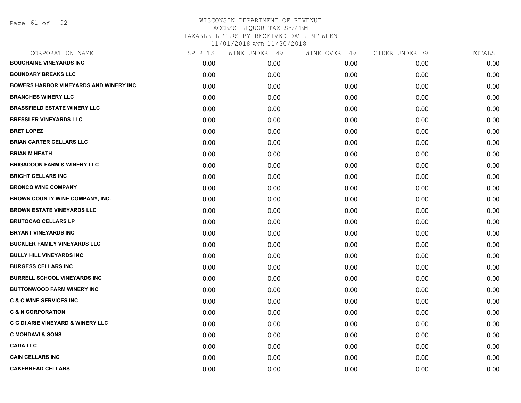| CORPORATION NAME                              | SPIRITS | WINE UNDER 14% | WINE OVER 14% | CIDER UNDER 7% | TOTALS |
|-----------------------------------------------|---------|----------------|---------------|----------------|--------|
| <b>BOUCHAINE VINEYARDS INC</b>                | 0.00    | 0.00           | 0.00          | 0.00           | 0.00   |
| <b>BOUNDARY BREAKS LLC</b>                    | 0.00    | 0.00           | 0.00          | 0.00           | 0.00   |
| <b>BOWERS HARBOR VINEYARDS AND WINERY INC</b> | 0.00    | 0.00           | 0.00          | 0.00           | 0.00   |
| <b>BRANCHES WINERY LLC</b>                    | 0.00    | 0.00           | 0.00          | 0.00           | 0.00   |
| <b>BRASSFIELD ESTATE WINERY LLC</b>           | 0.00    | 0.00           | 0.00          | 0.00           | 0.00   |
| <b>BRESSLER VINEYARDS LLC</b>                 | 0.00    | 0.00           | 0.00          | 0.00           | 0.00   |
| <b>BRET LOPEZ</b>                             | 0.00    | 0.00           | 0.00          | 0.00           | 0.00   |
| <b>BRIAN CARTER CELLARS LLC</b>               | 0.00    | 0.00           | 0.00          | 0.00           | 0.00   |
| <b>BRIAN M HEATH</b>                          | 0.00    | 0.00           | 0.00          | 0.00           | 0.00   |
| <b>BRIGADOON FARM &amp; WINERY LLC</b>        | 0.00    | 0.00           | 0.00          | 0.00           | 0.00   |
| <b>BRIGHT CELLARS INC</b>                     | 0.00    | 0.00           | 0.00          | 0.00           | 0.00   |
| <b>BRONCO WINE COMPANY</b>                    | 0.00    | 0.00           | 0.00          | 0.00           | 0.00   |
| <b>BROWN COUNTY WINE COMPANY, INC.</b>        | 0.00    | 0.00           | 0.00          | 0.00           | 0.00   |
| <b>BROWN ESTATE VINEYARDS LLC</b>             | 0.00    | 0.00           | 0.00          | 0.00           | 0.00   |
| <b>BRUTOCAO CELLARS LP</b>                    | 0.00    | 0.00           | 0.00          | 0.00           | 0.00   |
| <b>BRYANT VINEYARDS INC</b>                   | 0.00    | 0.00           | 0.00          | 0.00           | 0.00   |
| <b>BUCKLER FAMILY VINEYARDS LLC</b>           | 0.00    | 0.00           | 0.00          | 0.00           | 0.00   |
| <b>BULLY HILL VINEYARDS INC</b>               | 0.00    | 0.00           | 0.00          | 0.00           | 0.00   |
| <b>BURGESS CELLARS INC</b>                    | 0.00    | 0.00           | 0.00          | 0.00           | 0.00   |
| <b>BURRELL SCHOOL VINEYARDS INC</b>           | 0.00    | 0.00           | 0.00          | 0.00           | 0.00   |
| <b>BUTTONWOOD FARM WINERY INC</b>             | 0.00    | 0.00           | 0.00          | 0.00           | 0.00   |
| <b>C &amp; C WINE SERVICES INC</b>            | 0.00    | 0.00           | 0.00          | 0.00           | 0.00   |
| <b>C &amp; N CORPORATION</b>                  | 0.00    | 0.00           | 0.00          | 0.00           | 0.00   |
| <b>C G DI ARIE VINEYARD &amp; WINERY LLC</b>  | 0.00    | 0.00           | 0.00          | 0.00           | 0.00   |
| <b>C MONDAVI &amp; SONS</b>                   | 0.00    | 0.00           | 0.00          | 0.00           | 0.00   |
| <b>CADA LLC</b>                               | 0.00    | 0.00           | 0.00          | 0.00           | 0.00   |
| <b>CAIN CELLARS INC</b>                       | 0.00    | 0.00           | 0.00          | 0.00           | 0.00   |
| <b>CAKEBREAD CELLARS</b>                      | 0.00    | 0.00           | 0.00          | 0.00           | 0.00   |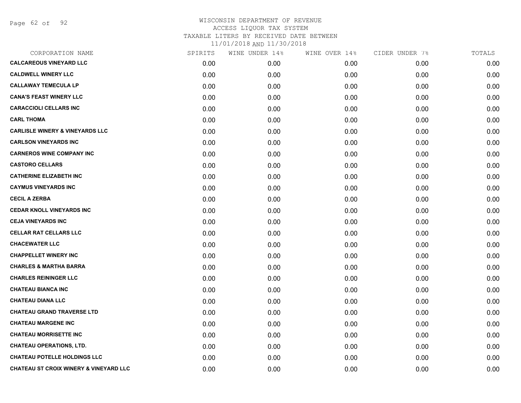Page 62 of 92

| CORPORATION NAME                           | SPIRITS | WINE UNDER 14% | WINE OVER 14% | CIDER UNDER 7% | TOTALS |
|--------------------------------------------|---------|----------------|---------------|----------------|--------|
| <b>CALCAREOUS VINEYARD LLC</b>             | 0.00    | 0.00           | 0.00          | 0.00           | 0.00   |
| <b>CALDWELL WINERY LLC</b>                 | 0.00    | 0.00           | 0.00          | 0.00           | 0.00   |
| <b>CALLAWAY TEMECULA LP</b>                | 0.00    | 0.00           | 0.00          | 0.00           | 0.00   |
| <b>CANA'S FEAST WINERY LLC</b>             | 0.00    | 0.00           | 0.00          | 0.00           | 0.00   |
| <b>CARACCIOLI CELLARS INC</b>              | 0.00    | 0.00           | 0.00          | 0.00           | 0.00   |
| <b>CARL THOMA</b>                          | 0.00    | 0.00           | 0.00          | 0.00           | 0.00   |
| <b>CARLISLE WINERY &amp; VINEYARDS LLC</b> | 0.00    | 0.00           | 0.00          | 0.00           | 0.00   |
| <b>CARLSON VINEYARDS INC</b>               | 0.00    | 0.00           | 0.00          | 0.00           | 0.00   |
| <b>CARNEROS WINE COMPANY INC</b>           | 0.00    | 0.00           | 0.00          | 0.00           | 0.00   |
| <b>CASTORO CELLARS</b>                     | 0.00    | 0.00           | 0.00          | 0.00           | 0.00   |
| <b>CATHERINE ELIZABETH INC</b>             | 0.00    | 0.00           | 0.00          | 0.00           | 0.00   |
| <b>CAYMUS VINEYARDS INC</b>                | 0.00    | 0.00           | 0.00          | 0.00           | 0.00   |
| <b>CECIL A ZERBA</b>                       | 0.00    | 0.00           | 0.00          | 0.00           | 0.00   |
| <b>CEDAR KNOLL VINEYARDS INC</b>           | 0.00    | 0.00           | 0.00          | 0.00           | 0.00   |
| <b>CEJA VINEYARDS INC</b>                  | 0.00    | 0.00           | 0.00          | 0.00           | 0.00   |
| <b>CELLAR RAT CELLARS LLC</b>              | 0.00    | 0.00           | 0.00          | 0.00           | 0.00   |
| <b>CHACEWATER LLC</b>                      | 0.00    | 0.00           | 0.00          | 0.00           | 0.00   |
| <b>CHAPPELLET WINERY INC</b>               | 0.00    | 0.00           | 0.00          | 0.00           | 0.00   |
| <b>CHARLES &amp; MARTHA BARRA</b>          | 0.00    | 0.00           | 0.00          | 0.00           | 0.00   |
| <b>CHARLES REININGER LLC</b>               | 0.00    | 0.00           | 0.00          | 0.00           | 0.00   |
| <b>CHATEAU BIANCA INC</b>                  | 0.00    | 0.00           | 0.00          | 0.00           | 0.00   |
| <b>CHATEAU DIANA LLC</b>                   | 0.00    | 0.00           | 0.00          | 0.00           | 0.00   |
| <b>CHATEAU GRAND TRAVERSE LTD</b>          | 0.00    | 0.00           | 0.00          | 0.00           | 0.00   |
| <b>CHATEAU MARGENE INC</b>                 | 0.00    | 0.00           | 0.00          | 0.00           | 0.00   |
| <b>CHATEAU MORRISETTE INC</b>              | 0.00    | 0.00           | 0.00          | 0.00           | 0.00   |
| <b>CHATEAU OPERATIONS, LTD.</b>            | 0.00    | 0.00           | 0.00          | 0.00           | 0.00   |
| <b>CHATEAU POTELLE HOLDINGS LLC</b>        | 0.00    | 0.00           | 0.00          | 0.00           | 0.00   |
| CHATEAU ST CROIX WINERY & VINEYARD LLC     | 0.00    | 0.00           | 0.00          | 0.00           | 0.00   |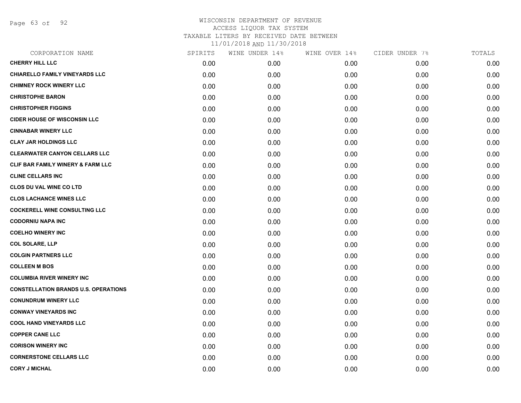Page 63 of 92

| CORPORATION NAME                            | SPIRITS | WINE UNDER 14% | WINE OVER 14% | CIDER UNDER 7% | TOTALS |
|---------------------------------------------|---------|----------------|---------------|----------------|--------|
| <b>CHERRY HILL LLC</b>                      | 0.00    | 0.00           | 0.00          | 0.00           | 0.00   |
| CHIARELLO FAMILY VINEYARDS LLC              | 0.00    | 0.00           | 0.00          | 0.00           | 0.00   |
| <b>CHIMNEY ROCK WINERY LLC</b>              | 0.00    | 0.00           | 0.00          | 0.00           | 0.00   |
| <b>CHRISTOPHE BARON</b>                     | 0.00    | 0.00           | 0.00          | 0.00           | 0.00   |
| <b>CHRISTOPHER FIGGINS</b>                  | 0.00    | 0.00           | 0.00          | 0.00           | 0.00   |
| <b>CIDER HOUSE OF WISCONSIN LLC</b>         | 0.00    | 0.00           | 0.00          | 0.00           | 0.00   |
| <b>CINNABAR WINERY LLC</b>                  | 0.00    | 0.00           | 0.00          | 0.00           | 0.00   |
| <b>CLAY JAR HOLDINGS LLC</b>                | 0.00    | 0.00           | 0.00          | 0.00           | 0.00   |
| <b>CLEARWATER CANYON CELLARS LLC</b>        | 0.00    | 0.00           | 0.00          | 0.00           | 0.00   |
| CLIF BAR FAMILY WINERY & FARM LLC           | 0.00    | 0.00           | 0.00          | 0.00           | 0.00   |
| <b>CLINE CELLARS INC</b>                    | 0.00    | 0.00           | 0.00          | 0.00           | 0.00   |
| CLOS DU VAL WINE CO LTD                     | 0.00    | 0.00           | 0.00          | 0.00           | 0.00   |
| <b>CLOS LACHANCE WINES LLC</b>              | 0.00    | 0.00           | 0.00          | 0.00           | 0.00   |
| <b>COCKERELL WINE CONSULTING LLC</b>        | 0.00    | 0.00           | 0.00          | 0.00           | 0.00   |
| <b>CODORNIU NAPA INC</b>                    | 0.00    | 0.00           | 0.00          | 0.00           | 0.00   |
| <b>COELHO WINERY INC</b>                    | 0.00    | 0.00           | 0.00          | 0.00           | 0.00   |
| <b>COL SOLARE, LLP</b>                      | 0.00    | 0.00           | 0.00          | 0.00           | 0.00   |
| <b>COLGIN PARTNERS LLC</b>                  | 0.00    | 0.00           | 0.00          | 0.00           | 0.00   |
| <b>COLLEEN M BOS</b>                        | 0.00    | 0.00           | 0.00          | 0.00           | 0.00   |
| <b>COLUMBIA RIVER WINERY INC</b>            | 0.00    | 0.00           | 0.00          | 0.00           | 0.00   |
| <b>CONSTELLATION BRANDS U.S. OPERATIONS</b> | 0.00    | 0.00           | 0.00          | 0.00           | 0.00   |
| <b>CONUNDRUM WINERY LLC</b>                 | 0.00    | 0.00           | 0.00          | 0.00           | 0.00   |
| <b>CONWAY VINEYARDS INC</b>                 | 0.00    | 0.00           | 0.00          | 0.00           | 0.00   |
| <b>COOL HAND VINEYARDS LLC</b>              | 0.00    | 0.00           | 0.00          | 0.00           | 0.00   |
| <b>COPPER CANE LLC</b>                      | 0.00    | 0.00           | 0.00          | 0.00           | 0.00   |
| <b>CORISON WINERY INC</b>                   | 0.00    | 0.00           | 0.00          | 0.00           | 0.00   |
| <b>CORNERSTONE CELLARS LLC</b>              | 0.00    | 0.00           | 0.00          | 0.00           | 0.00   |
| <b>CORY J MICHAL</b>                        | 0.00    | 0.00           | 0.00          | 0.00           | 0.00   |
|                                             |         |                |               |                |        |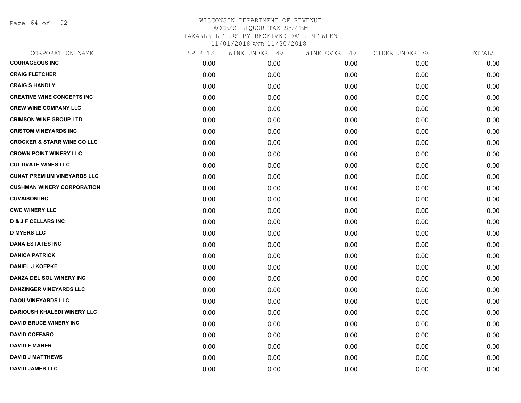Page 64 of 92

| CORPORATION NAME                       | SPIRITS | WINE UNDER 14% | WINE OVER 14% | CIDER UNDER 7% | TOTALS |
|----------------------------------------|---------|----------------|---------------|----------------|--------|
| <b>COURAGEOUS INC</b>                  | 0.00    | 0.00           | 0.00          | 0.00           | 0.00   |
| <b>CRAIG FLETCHER</b>                  | 0.00    | 0.00           | 0.00          | 0.00           | 0.00   |
| <b>CRAIG S HANDLY</b>                  | 0.00    | 0.00           | 0.00          | 0.00           | 0.00   |
| <b>CREATIVE WINE CONCEPTS INC</b>      | 0.00    | 0.00           | 0.00          | 0.00           | 0.00   |
| <b>CREW WINE COMPANY LLC</b>           | 0.00    | 0.00           | 0.00          | 0.00           | 0.00   |
| <b>CRIMSON WINE GROUP LTD</b>          | 0.00    | 0.00           | 0.00          | 0.00           | 0.00   |
| <b>CRISTOM VINEYARDS INC</b>           | 0.00    | 0.00           | 0.00          | 0.00           | 0.00   |
| <b>CROCKER &amp; STARR WINE CO LLC</b> | 0.00    | 0.00           | 0.00          | 0.00           | 0.00   |
| <b>CROWN POINT WINERY LLC</b>          | 0.00    | 0.00           | 0.00          | 0.00           | 0.00   |
| <b>CULTIVATE WINES LLC</b>             | 0.00    | 0.00           | 0.00          | 0.00           | 0.00   |
| <b>CUNAT PREMIUM VINEYARDS LLC</b>     | 0.00    | 0.00           | 0.00          | 0.00           | 0.00   |
| <b>CUSHMAN WINERY CORPORATION</b>      | 0.00    | 0.00           | 0.00          | 0.00           | 0.00   |
| <b>CUVAISON INC</b>                    | 0.00    | 0.00           | 0.00          | 0.00           | 0.00   |
| <b>CWC WINERY LLC</b>                  | 0.00    | 0.00           | 0.00          | 0.00           | 0.00   |
| <b>D &amp; J F CELLARS INC</b>         | 0.00    | 0.00           | 0.00          | 0.00           | 0.00   |
| <b>D MYERS LLC</b>                     | 0.00    | 0.00           | 0.00          | 0.00           | 0.00   |
| <b>DANA ESTATES INC</b>                | 0.00    | 0.00           | 0.00          | 0.00           | 0.00   |
| <b>DANICA PATRICK</b>                  | 0.00    | 0.00           | 0.00          | 0.00           | 0.00   |
| <b>DANIEL J KOEPKE</b>                 | 0.00    | 0.00           | 0.00          | 0.00           | 0.00   |
| DANZA DEL SOL WINERY INC               | 0.00    | 0.00           | 0.00          | 0.00           | 0.00   |
| <b>DANZINGER VINEYARDS LLC</b>         | 0.00    | 0.00           | 0.00          | 0.00           | 0.00   |
| <b>DAOU VINEYARDS LLC</b>              | 0.00    | 0.00           | 0.00          | 0.00           | 0.00   |
| <b>DARIOUSH KHALEDI WINERY LLC</b>     | 0.00    | 0.00           | 0.00          | 0.00           | 0.00   |
| <b>DAVID BRUCE WINERY INC</b>          | 0.00    | 0.00           | 0.00          | 0.00           | 0.00   |
| <b>DAVID COFFARO</b>                   | 0.00    | 0.00           | 0.00          | 0.00           | 0.00   |
| <b>DAVID F MAHER</b>                   | 0.00    | 0.00           | 0.00          | 0.00           | 0.00   |
| <b>DAVID J MATTHEWS</b>                | 0.00    | 0.00           | 0.00          | 0.00           | 0.00   |
| <b>DAVID JAMES LLC</b>                 | 0.00    | 0.00           | 0.00          | 0.00           | 0.00   |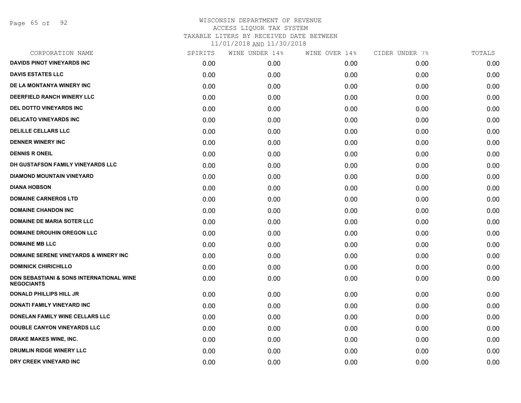Page 65 of 92

| CORPORATION NAME                                              | SPIRITS | WINE UNDER 14% | WINE OVER 14% | CIDER UNDER 7% | TOTALS |
|---------------------------------------------------------------|---------|----------------|---------------|----------------|--------|
| <b>DAVIDS PINOT VINEYARDS INC</b>                             | 0.00    | 0.00           | 0.00          | 0.00           | 0.00   |
| <b>DAVIS ESTATES LLC</b>                                      | 0.00    | 0.00           | 0.00          | 0.00           | 0.00   |
| DE LA MONTANYA WINERY INC                                     | 0.00    | 0.00           | 0.00          | 0.00           | 0.00   |
| <b>DEERFIELD RANCH WINERY LLC</b>                             | 0.00    | 0.00           | 0.00          | 0.00           | 0.00   |
| DEL DOTTO VINEYARDS INC                                       | 0.00    | 0.00           | 0.00          | 0.00           | 0.00   |
| <b>DELICATO VINEYARDS INC</b>                                 | 0.00    | 0.00           | 0.00          | 0.00           | 0.00   |
| <b>DELILLE CELLARS LLC</b>                                    | 0.00    | 0.00           | 0.00          | 0.00           | 0.00   |
| <b>DENNER WINERY INC</b>                                      | 0.00    | 0.00           | 0.00          | 0.00           | 0.00   |
| <b>DENNIS R ONEIL</b>                                         | 0.00    | 0.00           | 0.00          | 0.00           | 0.00   |
| DH GUSTAFSON FAMILY VINEYARDS LLC                             | 0.00    | 0.00           | 0.00          | 0.00           | 0.00   |
| <b>DIAMOND MOUNTAIN VINEYARD</b>                              | 0.00    | 0.00           | 0.00          | 0.00           | 0.00   |
| <b>DIANA HOBSON</b>                                           | 0.00    | 0.00           | 0.00          | 0.00           | 0.00   |
| <b>DOMAINE CARNEROS LTD</b>                                   | 0.00    | 0.00           | 0.00          | 0.00           | 0.00   |
| <b>DOMAINE CHANDON INC</b>                                    | 0.00    | 0.00           | 0.00          | 0.00           | 0.00   |
| <b>DOMAINE DE MARIA SOTER LLC</b>                             | 0.00    | 0.00           | 0.00          | 0.00           | 0.00   |
| <b>DOMAINE DROUHIN OREGON LLC</b>                             | 0.00    | 0.00           | 0.00          | 0.00           | 0.00   |
| <b>DOMAINE MB LLC</b>                                         | 0.00    | 0.00           | 0.00          | 0.00           | 0.00   |
| <b>DOMAINE SERENE VINEYARDS &amp; WINERY INC.</b>             | 0.00    | 0.00           | 0.00          | 0.00           | 0.00   |
| <b>DOMINICK CHIRICHILLO</b>                                   | 0.00    | 0.00           | 0.00          | 0.00           | 0.00   |
| DON SEBASTIANI & SONS INTERNATIONAL WINE<br><b>NEGOCIANTS</b> | 0.00    | 0.00           | 0.00          | 0.00           | 0.00   |
| <b>DONALD PHILLIPS HILL JR</b>                                | 0.00    | 0.00           | 0.00          | 0.00           | 0.00   |
| DONATI FAMILY VINEYARD INC                                    | 0.00    | 0.00           | 0.00          | 0.00           | 0.00   |
| DONELAN FAMILY WINE CELLARS LLC                               | 0.00    | 0.00           | 0.00          | 0.00           | 0.00   |
| DOUBLE CANYON VINEYARDS LLC                                   | 0.00    | 0.00           | 0.00          | 0.00           | 0.00   |
| DRAKE MAKES WINE, INC.                                        | 0.00    | 0.00           | 0.00          | 0.00           | 0.00   |
| DRUMLIN RIDGE WINERY LLC                                      | 0.00    | 0.00           | 0.00          | 0.00           | 0.00   |
| DRY CREEK VINEYARD INC                                        | 0.00    | 0.00           | 0.00          | 0.00           | 0.00   |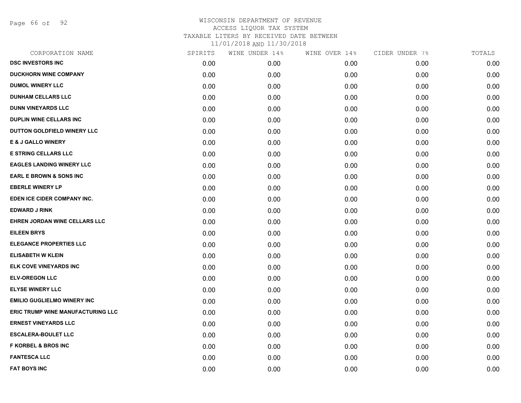Page 66 of 92

| CORPORATION NAME                   | SPIRITS | WINE UNDER 14% | WINE OVER 14% | CIDER UNDER 7% | TOTALS |
|------------------------------------|---------|----------------|---------------|----------------|--------|
| <b>DSC INVESTORS INC</b>           | 0.00    | 0.00           | 0.00          | 0.00           | 0.00   |
| <b>DUCKHORN WINE COMPANY</b>       | 0.00    | 0.00           | 0.00          | 0.00           | 0.00   |
| <b>DUMOL WINERY LLC</b>            | 0.00    | 0.00           | 0.00          | 0.00           | 0.00   |
| <b>DUNHAM CELLARS LLC</b>          | 0.00    | 0.00           | 0.00          | 0.00           | 0.00   |
| <b>DUNN VINEYARDS LLC</b>          | 0.00    | 0.00           | 0.00          | 0.00           | 0.00   |
| <b>DUPLIN WINE CELLARS INC</b>     | 0.00    | 0.00           | 0.00          | 0.00           | 0.00   |
| DUTTON GOLDFIELD WINERY LLC        | 0.00    | 0.00           | 0.00          | 0.00           | 0.00   |
| <b>E &amp; J GALLO WINERY</b>      | 0.00    | 0.00           | 0.00          | 0.00           | 0.00   |
| <b>E STRING CELLARS LLC</b>        | 0.00    | 0.00           | 0.00          | 0.00           | 0.00   |
| <b>EAGLES LANDING WINERY LLC</b>   | 0.00    | 0.00           | 0.00          | 0.00           | 0.00   |
| <b>EARL E BROWN &amp; SONS INC</b> | 0.00    | 0.00           | 0.00          | 0.00           | 0.00   |
| <b>EBERLE WINERY LP</b>            | 0.00    | 0.00           | 0.00          | 0.00           | 0.00   |
| EDEN ICE CIDER COMPANY INC.        | 0.00    | 0.00           | 0.00          | 0.00           | 0.00   |
| <b>EDWARD J RINK</b>               | 0.00    | 0.00           | 0.00          | 0.00           | 0.00   |
| EHREN JORDAN WINE CELLARS LLC      | 0.00    | 0.00           | 0.00          | 0.00           | 0.00   |
| <b>EILEEN BRYS</b>                 | 0.00    | 0.00           | 0.00          | 0.00           | 0.00   |
| <b>ELEGANCE PROPERTIES LLC</b>     | 0.00    | 0.00           | 0.00          | 0.00           | 0.00   |
| <b>ELISABETH W KLEIN</b>           | 0.00    | 0.00           | 0.00          | 0.00           | 0.00   |
| ELK COVE VINEYARDS INC             | 0.00    | 0.00           | 0.00          | 0.00           | 0.00   |
| <b>ELV-OREGON LLC</b>              | 0.00    | 0.00           | 0.00          | 0.00           | 0.00   |
| <b>ELYSE WINERY LLC</b>            | 0.00    | 0.00           | 0.00          | 0.00           | 0.00   |
| <b>EMILIO GUGLIELMO WINERY INC</b> | 0.00    | 0.00           | 0.00          | 0.00           | 0.00   |
| ERIC TRUMP WINE MANUFACTURING LLC  | 0.00    | 0.00           | 0.00          | 0.00           | 0.00   |
| <b>ERNEST VINEYARDS LLC</b>        | 0.00    | 0.00           | 0.00          | 0.00           | 0.00   |
| <b>ESCALERA-BOULET LLC</b>         | 0.00    | 0.00           | 0.00          | 0.00           | 0.00   |
| <b>F KORBEL &amp; BROS INC</b>     | 0.00    | 0.00           | 0.00          | 0.00           | 0.00   |
| <b>FANTESCA LLC</b>                | 0.00    | 0.00           | 0.00          | 0.00           | 0.00   |
| <b>FAT BOYS INC</b>                | 0.00    | 0.00           | 0.00          | 0.00           | 0.00   |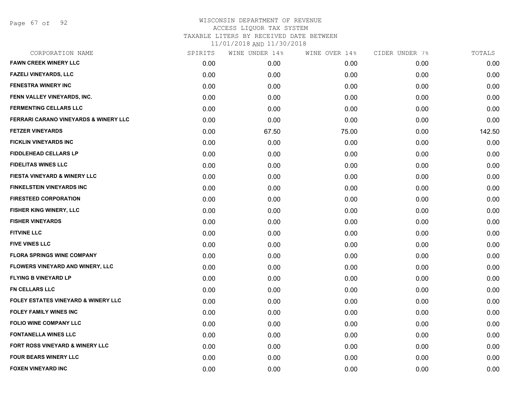Page 67 of 92

# WISCONSIN DEPARTMENT OF REVENUE ACCESS LIQUOR TAX SYSTEM TAXABLE LITERS BY RECEIVED DATE BETWEEN

| CORPORATION NAME                               | SPIRITS | WINE UNDER 14% | WINE OVER 14% | CIDER UNDER 7% | TOTALS |
|------------------------------------------------|---------|----------------|---------------|----------------|--------|
| <b>FAWN CREEK WINERY LLC</b>                   | 0.00    | 0.00           | 0.00          | 0.00           | 0.00   |
| <b>FAZELI VINEYARDS, LLC</b>                   | 0.00    | 0.00           | 0.00          | 0.00           | 0.00   |
| <b>FENESTRA WINERY INC</b>                     | 0.00    | 0.00           | 0.00          | 0.00           | 0.00   |
| FENN VALLEY VINEYARDS, INC.                    | 0.00    | 0.00           | 0.00          | 0.00           | 0.00   |
| <b>FERMENTING CELLARS LLC</b>                  | 0.00    | 0.00           | 0.00          | 0.00           | 0.00   |
| FERRARI CARANO VINEYARDS & WINERY LLC          | 0.00    | 0.00           | 0.00          | 0.00           | 0.00   |
| <b>FETZER VINEYARDS</b>                        | 0.00    | 67.50          | 75.00         | 0.00           | 142.50 |
| <b>FICKLIN VINEYARDS INC</b>                   | 0.00    | 0.00           | 0.00          | 0.00           | 0.00   |
| <b>FIDDLEHEAD CELLARS LP</b>                   | 0.00    | 0.00           | 0.00          | 0.00           | 0.00   |
| <b>FIDELITAS WINES LLC</b>                     | 0.00    | 0.00           | 0.00          | 0.00           | 0.00   |
| FIESTA VINEYARD & WINERY LLC                   | 0.00    | 0.00           | 0.00          | 0.00           | 0.00   |
| <b>FINKELSTEIN VINEYARDS INC</b>               | 0.00    | 0.00           | 0.00          | 0.00           | 0.00   |
| <b>FIRESTEED CORPORATION</b>                   | 0.00    | 0.00           | 0.00          | 0.00           | 0.00   |
| <b>FISHER KING WINERY, LLC</b>                 | 0.00    | 0.00           | 0.00          | 0.00           | 0.00   |
| <b>FISHER VINEYARDS</b>                        | 0.00    | 0.00           | 0.00          | 0.00           | 0.00   |
| <b>FITVINE LLC</b>                             | 0.00    | 0.00           | 0.00          | 0.00           | 0.00   |
| <b>FIVE VINES LLC</b>                          | 0.00    | 0.00           | 0.00          | 0.00           | 0.00   |
| <b>FLORA SPRINGS WINE COMPANY</b>              | 0.00    | 0.00           | 0.00          | 0.00           | 0.00   |
| FLOWERS VINEYARD AND WINERY, LLC               | 0.00    | 0.00           | 0.00          | 0.00           | 0.00   |
| <b>FLYING B VINEYARD LP</b>                    | 0.00    | 0.00           | 0.00          | 0.00           | 0.00   |
| <b>FN CELLARS LLC</b>                          | 0.00    | 0.00           | 0.00          | 0.00           | 0.00   |
| <b>FOLEY ESTATES VINEYARD &amp; WINERY LLC</b> | 0.00    | 0.00           | 0.00          | 0.00           | 0.00   |
| <b>FOLEY FAMILY WINES INC</b>                  | 0.00    | 0.00           | 0.00          | 0.00           | 0.00   |
| <b>FOLIO WINE COMPANY LLC</b>                  | 0.00    | 0.00           | 0.00          | 0.00           | 0.00   |
| <b>FONTANELLA WINES LLC</b>                    | 0.00    | 0.00           | 0.00          | 0.00           | 0.00   |
| <b>FORT ROSS VINEYARD &amp; WINERY LLC</b>     | 0.00    | 0.00           | 0.00          | 0.00           | 0.00   |
| <b>FOUR BEARS WINERY LLC</b>                   | 0.00    | 0.00           | 0.00          | 0.00           | 0.00   |
| <b>FOXEN VINEYARD INC</b>                      | 0.00    | 0.00           | 0.00          | 0.00           | 0.00   |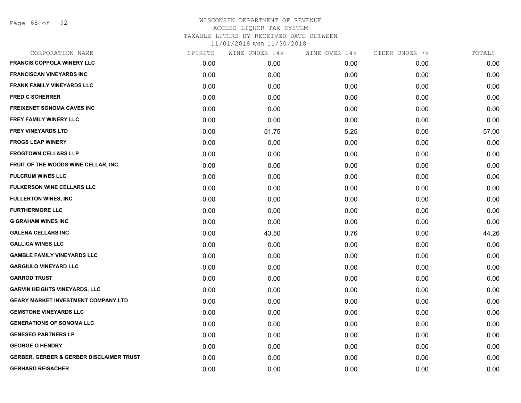Page 68 of 92

| CORPORATION NAME                                    | SPIRITS | WINE UNDER 14% | WINE OVER 14% | CIDER UNDER 7% | TOTALS |
|-----------------------------------------------------|---------|----------------|---------------|----------------|--------|
| <b>FRANCIS COPPOLA WINERY LLC</b>                   | 0.00    | 0.00           | 0.00          | 0.00           | 0.00   |
| <b>FRANCISCAN VINEYARDS INC</b>                     | 0.00    | 0.00           | 0.00          | 0.00           | 0.00   |
| <b>FRANK FAMILY VINEYARDS LLC</b>                   | 0.00    | 0.00           | 0.00          | 0.00           | 0.00   |
| <b>FRED C SCHERRER</b>                              | 0.00    | 0.00           | 0.00          | 0.00           | 0.00   |
| <b>FREIXENET SONOMA CAVES INC</b>                   | 0.00    | 0.00           | 0.00          | 0.00           | 0.00   |
| <b>FREY FAMILY WINERY LLC</b>                       | 0.00    | 0.00           | 0.00          | 0.00           | 0.00   |
| <b>FREY VINEYARDS LTD</b>                           | 0.00    | 51.75          | 5.25          | 0.00           | 57.00  |
| <b>FROGS LEAP WINERY</b>                            | 0.00    | 0.00           | 0.00          | 0.00           | 0.00   |
| <b>FROGTOWN CELLARS LLP</b>                         | 0.00    | 0.00           | 0.00          | 0.00           | 0.00   |
| FRUIT OF THE WOODS WINE CELLAR, INC.                | 0.00    | 0.00           | 0.00          | 0.00           | 0.00   |
| <b>FULCRUM WINES LLC</b>                            | 0.00    | 0.00           | 0.00          | 0.00           | 0.00   |
| <b>FULKERSON WINE CELLARS LLC</b>                   | 0.00    | 0.00           | 0.00          | 0.00           | 0.00   |
| <b>FULLERTON WINES, INC</b>                         | 0.00    | 0.00           | 0.00          | 0.00           | 0.00   |
| <b>FURTHERMORE LLC</b>                              | 0.00    | 0.00           | 0.00          | 0.00           | 0.00   |
| <b>G GRAHAM WINES INC</b>                           | 0.00    | 0.00           | 0.00          | 0.00           | 0.00   |
| <b>GALENA CELLARS INC</b>                           | 0.00    | 43.50          | 0.76          | 0.00           | 44.26  |
| <b>GALLICA WINES LLC</b>                            | 0.00    | 0.00           | 0.00          | 0.00           | 0.00   |
| <b>GAMBLE FAMILY VINEYARDS LLC</b>                  | 0.00    | 0.00           | 0.00          | 0.00           | 0.00   |
| <b>GARGIULO VINEYARD LLC</b>                        | 0.00    | 0.00           | 0.00          | 0.00           | 0.00   |
| <b>GARROD TRUST</b>                                 | 0.00    | 0.00           | 0.00          | 0.00           | 0.00   |
| <b>GARVIN HEIGHTS VINEYARDS, LLC</b>                | 0.00    | 0.00           | 0.00          | 0.00           | 0.00   |
| <b>GEARY MARKET INVESTMENT COMPANY LTD</b>          | 0.00    | 0.00           | 0.00          | 0.00           | 0.00   |
| <b>GEMSTONE VINEYARDS LLC</b>                       | 0.00    | 0.00           | 0.00          | 0.00           | 0.00   |
| <b>GENERATIONS OF SONOMA LLC</b>                    | 0.00    | 0.00           | 0.00          | 0.00           | 0.00   |
| <b>GENESEO PARTNERS LP</b>                          | 0.00    | 0.00           | 0.00          | 0.00           | 0.00   |
| <b>GEORGE O HENDRY</b>                              | 0.00    | 0.00           | 0.00          | 0.00           | 0.00   |
| <b>GERBER, GERBER &amp; GERBER DISCLAIMER TRUST</b> | 0.00    | 0.00           | 0.00          | 0.00           | 0.00   |
| <b>GERHARD REISACHER</b>                            | 0.00    | 0.00           | 0.00          | 0.00           | 0.00   |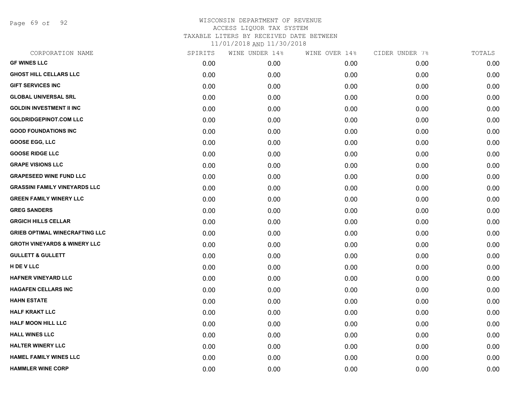Page 69 of 92

| CORPORATION NAME                        | SPIRITS | WINE UNDER 14% | WINE OVER 14% | CIDER UNDER 7% | TOTALS |
|-----------------------------------------|---------|----------------|---------------|----------------|--------|
| <b>GF WINES LLC</b>                     | 0.00    | 0.00           | 0.00          | 0.00           | 0.00   |
| <b>GHOST HILL CELLARS LLC</b>           | 0.00    | 0.00           | 0.00          | 0.00           | 0.00   |
| <b>GIFT SERVICES INC</b>                | 0.00    | 0.00           | 0.00          | 0.00           | 0.00   |
| <b>GLOBAL UNIVERSAL SRL</b>             | 0.00    | 0.00           | 0.00          | 0.00           | 0.00   |
| <b>GOLDIN INVESTMENT II INC</b>         | 0.00    | 0.00           | 0.00          | 0.00           | 0.00   |
| <b>GOLDRIDGEPINOT.COM LLC</b>           | 0.00    | 0.00           | 0.00          | 0.00           | 0.00   |
| <b>GOOD FOUNDATIONS INC</b>             | 0.00    | 0.00           | 0.00          | 0.00           | 0.00   |
| <b>GOOSE EGG, LLC</b>                   | 0.00    | 0.00           | 0.00          | 0.00           | 0.00   |
| <b>GOOSE RIDGE LLC</b>                  | 0.00    | 0.00           | 0.00          | 0.00           | 0.00   |
| <b>GRAPE VISIONS LLC</b>                | 0.00    | 0.00           | 0.00          | 0.00           | 0.00   |
| <b>GRAPESEED WINE FUND LLC</b>          | 0.00    | 0.00           | 0.00          | 0.00           | 0.00   |
| <b>GRASSINI FAMILY VINEYARDS LLC</b>    | 0.00    | 0.00           | 0.00          | 0.00           | 0.00   |
| <b>GREEN FAMILY WINERY LLC</b>          | 0.00    | 0.00           | 0.00          | 0.00           | 0.00   |
| <b>GREG SANDERS</b>                     | 0.00    | 0.00           | 0.00          | 0.00           | 0.00   |
| <b>GRGICH HILLS CELLAR</b>              | 0.00    | 0.00           | 0.00          | 0.00           | 0.00   |
| <b>GRIEB OPTIMAL WINECRAFTING LLC</b>   | 0.00    | 0.00           | 0.00          | 0.00           | 0.00   |
| <b>GROTH VINEYARDS &amp; WINERY LLC</b> | 0.00    | 0.00           | 0.00          | 0.00           | 0.00   |
| <b>GULLETT &amp; GULLETT</b>            | 0.00    | 0.00           | 0.00          | 0.00           | 0.00   |
| H DE V LLC                              | 0.00    | 0.00           | 0.00          | 0.00           | 0.00   |
| <b>HAFNER VINEYARD LLC</b>              | 0.00    | 0.00           | 0.00          | 0.00           | 0.00   |
| <b>HAGAFEN CELLARS INC</b>              | 0.00    | 0.00           | 0.00          | 0.00           | 0.00   |
| <b>HAHN ESTATE</b>                      | 0.00    | 0.00           | 0.00          | 0.00           | 0.00   |
| <b>HALF KRAKT LLC</b>                   | 0.00    | 0.00           | 0.00          | 0.00           | 0.00   |
| <b>HALF MOON HILL LLC</b>               | 0.00    | 0.00           | 0.00          | 0.00           | 0.00   |
| <b>HALL WINES LLC</b>                   | 0.00    | 0.00           | 0.00          | 0.00           | 0.00   |
| <b>HALTER WINERY LLC</b>                | 0.00    | 0.00           | 0.00          | 0.00           | 0.00   |
| <b>HAMEL FAMILY WINES LLC</b>           | 0.00    | 0.00           | 0.00          | 0.00           | 0.00   |
| <b>HAMMLER WINE CORP</b>                | 0.00    | 0.00           | 0.00          | 0.00           | 0.00   |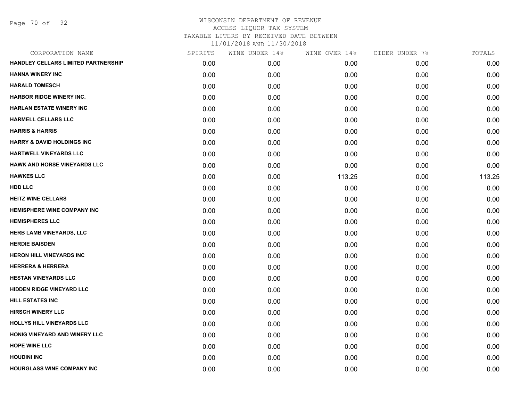Page 70 of 92

| CORPORATION NAME                      | SPIRITS | WINE UNDER 14% | WINE OVER 14% | CIDER UNDER 7% | TOTALS |
|---------------------------------------|---------|----------------|---------------|----------------|--------|
| HANDLEY CELLARS LIMITED PARTNERSHIP   | 0.00    | 0.00           | 0.00          | 0.00           | 0.00   |
| <b>HANNA WINERY INC</b>               | 0.00    | 0.00           | 0.00          | 0.00           | 0.00   |
| <b>HARALD TOMESCH</b>                 | 0.00    | 0.00           | 0.00          | 0.00           | 0.00   |
| <b>HARBOR RIDGE WINERY INC.</b>       | 0.00    | 0.00           | 0.00          | 0.00           | 0.00   |
| <b>HARLAN ESTATE WINERY INC</b>       | 0.00    | 0.00           | 0.00          | 0.00           | 0.00   |
| <b>HARMELL CELLARS LLC</b>            | 0.00    | 0.00           | 0.00          | 0.00           | 0.00   |
| <b>HARRIS &amp; HARRIS</b>            | 0.00    | 0.00           | 0.00          | 0.00           | 0.00   |
| <b>HARRY &amp; DAVID HOLDINGS INC</b> | 0.00    | 0.00           | 0.00          | 0.00           | 0.00   |
| HARTWELL VINEYARDS LLC                | 0.00    | 0.00           | 0.00          | 0.00           | 0.00   |
| <b>HAWK AND HORSE VINEYARDS LLC</b>   | 0.00    | 0.00           | 0.00          | 0.00           | 0.00   |
| <b>HAWKES LLC</b>                     | 0.00    | 0.00           | 113.25        | 0.00           | 113.25 |
| HDD LLC                               | 0.00    | 0.00           | 0.00          | 0.00           | 0.00   |
| <b>HEITZ WINE CELLARS</b>             | 0.00    | 0.00           | 0.00          | 0.00           | 0.00   |
| <b>HEMISPHERE WINE COMPANY INC</b>    | 0.00    | 0.00           | 0.00          | 0.00           | 0.00   |
| <b>HEMISPHERES LLC</b>                | 0.00    | 0.00           | 0.00          | 0.00           | 0.00   |
| HERB LAMB VINEYARDS, LLC              | 0.00    | 0.00           | 0.00          | 0.00           | 0.00   |
| <b>HERDIE BAISDEN</b>                 | 0.00    | 0.00           | 0.00          | 0.00           | 0.00   |
| <b>HERON HILL VINEYARDS INC</b>       | 0.00    | 0.00           | 0.00          | 0.00           | 0.00   |
| <b>HERRERA &amp; HERRERA</b>          | 0.00    | 0.00           | 0.00          | 0.00           | 0.00   |
| <b>HESTAN VINEYARDS LLC</b>           | 0.00    | 0.00           | 0.00          | 0.00           | 0.00   |
| <b>HIDDEN RIDGE VINEYARD LLC</b>      | 0.00    | 0.00           | 0.00          | 0.00           | 0.00   |
| <b>HILL ESTATES INC</b>               | 0.00    | 0.00           | 0.00          | 0.00           | 0.00   |
| <b>HIRSCH WINERY LLC</b>              | 0.00    | 0.00           | 0.00          | 0.00           | 0.00   |
| HOLLYS HILL VINEYARDS LLC             | 0.00    | 0.00           | 0.00          | 0.00           | 0.00   |
| HONIG VINEYARD AND WINERY LLC         | 0.00    | 0.00           | 0.00          | 0.00           | 0.00   |
| <b>HOPE WINE LLC</b>                  | 0.00    | 0.00           | 0.00          | 0.00           | 0.00   |
| <b>HOUDINI INC</b>                    | 0.00    | 0.00           | 0.00          | 0.00           | 0.00   |
| <b>HOURGLASS WINE COMPANY INC</b>     | 0.00    | 0.00           | 0.00          | 0.00           | 0.00   |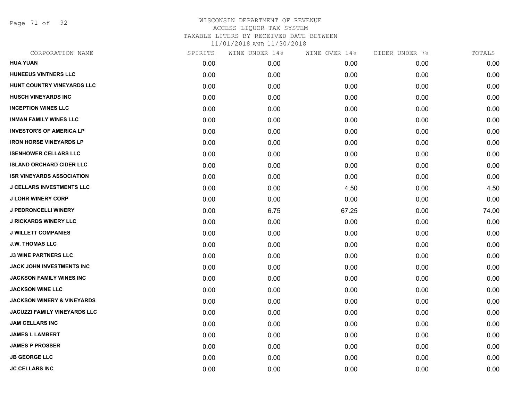Page 71 of 92

| CORPORATION NAME                      | SPIRITS | WINE UNDER 14% | WINE OVER 14% | CIDER UNDER 7% | TOTALS |
|---------------------------------------|---------|----------------|---------------|----------------|--------|
| <b>HUA YUAN</b>                       | 0.00    | 0.00           | 0.00          | 0.00           | 0.00   |
| <b>HUNEEUS VINTNERS LLC</b>           | 0.00    | 0.00           | 0.00          | 0.00           | 0.00   |
| HUNT COUNTRY VINEYARDS LLC            | 0.00    | 0.00           | 0.00          | 0.00           | 0.00   |
| <b>HUSCH VINEYARDS INC</b>            | 0.00    | 0.00           | 0.00          | 0.00           | 0.00   |
| <b>INCEPTION WINES LLC</b>            | 0.00    | 0.00           | 0.00          | 0.00           | 0.00   |
| <b>INMAN FAMILY WINES LLC</b>         | 0.00    | 0.00           | 0.00          | 0.00           | 0.00   |
| <b>INVESTOR'S OF AMERICA LP</b>       | 0.00    | 0.00           | 0.00          | 0.00           | 0.00   |
| <b>IRON HORSE VINEYARDS LP</b>        | 0.00    | 0.00           | 0.00          | 0.00           | 0.00   |
| <b>ISENHOWER CELLARS LLC</b>          | 0.00    | 0.00           | 0.00          | 0.00           | 0.00   |
| <b>ISLAND ORCHARD CIDER LLC</b>       | 0.00    | 0.00           | 0.00          | 0.00           | 0.00   |
| <b>ISR VINEYARDS ASSOCIATION</b>      | 0.00    | 0.00           | 0.00          | 0.00           | 0.00   |
| <b>J CELLARS INVESTMENTS LLC</b>      | 0.00    | 0.00           | 4.50          | 0.00           | 4.50   |
| <b>J LOHR WINERY CORP</b>             | 0.00    | 0.00           | 0.00          | 0.00           | 0.00   |
| J PEDRONCELLI WINERY                  | 0.00    | 6.75           | 67.25         | 0.00           | 74.00  |
| <b>J RICKARDS WINERY LLC</b>          | 0.00    | 0.00           | 0.00          | 0.00           | 0.00   |
| <b>J WILLETT COMPANIES</b>            | 0.00    | 0.00           | 0.00          | 0.00           | 0.00   |
| <b>J.W. THOMAS LLC</b>                | 0.00    | 0.00           | 0.00          | 0.00           | 0.00   |
| <b>J3 WINE PARTNERS LLC</b>           | 0.00    | 0.00           | 0.00          | 0.00           | 0.00   |
| JACK JOHN INVESTMENTS INC             | 0.00    | 0.00           | 0.00          | 0.00           | 0.00   |
| JACKSON FAMILY WINES INC              | 0.00    | 0.00           | 0.00          | 0.00           | 0.00   |
| <b>JACKSON WINE LLC</b>               | 0.00    | 0.00           | 0.00          | 0.00           | 0.00   |
| <b>JACKSON WINERY &amp; VINEYARDS</b> | 0.00    | 0.00           | 0.00          | 0.00           | 0.00   |
| <b>JACUZZI FAMILY VINEYARDS LLC</b>   | 0.00    | 0.00           | 0.00          | 0.00           | 0.00   |
| <b>JAM CELLARS INC</b>                | 0.00    | 0.00           | 0.00          | 0.00           | 0.00   |
| <b>JAMES L LAMBERT</b>                | 0.00    | 0.00           | 0.00          | 0.00           | 0.00   |
| <b>JAMES P PROSSER</b>                | 0.00    | 0.00           | 0.00          | 0.00           | 0.00   |
| <b>JB GEORGE LLC</b>                  | 0.00    | 0.00           | 0.00          | 0.00           | 0.00   |
| <b>JC CELLARS INC</b>                 | 0.00    | 0.00           | 0.00          | 0.00           | 0.00   |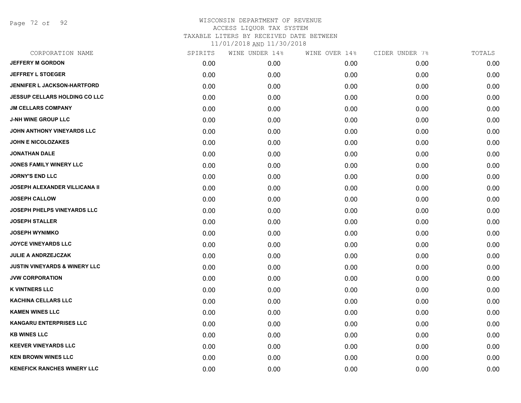Page 72 of 92

| CORPORATION NAME                         | SPIRITS | WINE UNDER 14% | WINE OVER 14% | CIDER UNDER 7% | TOTALS |
|------------------------------------------|---------|----------------|---------------|----------------|--------|
| <b>JEFFERY M GORDON</b>                  | 0.00    | 0.00           | 0.00          | 0.00           | 0.00   |
| <b>JEFFREY L STOEGER</b>                 | 0.00    | 0.00           | 0.00          | 0.00           | 0.00   |
| <b>JENNIFER L JACKSON-HARTFORD</b>       | 0.00    | 0.00           | 0.00          | 0.00           | 0.00   |
| <b>JESSUP CELLARS HOLDING CO LLC</b>     | 0.00    | 0.00           | 0.00          | 0.00           | 0.00   |
| <b>JM CELLARS COMPANY</b>                | 0.00    | 0.00           | 0.00          | 0.00           | 0.00   |
| <b>J-NH WINE GROUP LLC</b>               | 0.00    | 0.00           | 0.00          | 0.00           | 0.00   |
| JOHN ANTHONY VINEYARDS LLC               | 0.00    | 0.00           | 0.00          | 0.00           | 0.00   |
| <b>JOHN E NICOLOZAKES</b>                | 0.00    | 0.00           | 0.00          | 0.00           | 0.00   |
| <b>JONATHAN DALE</b>                     | 0.00    | 0.00           | 0.00          | 0.00           | 0.00   |
| JONES FAMILY WINERY LLC                  | 0.00    | 0.00           | 0.00          | 0.00           | 0.00   |
| <b>JORNY'S END LLC</b>                   | 0.00    | 0.00           | 0.00          | 0.00           | 0.00   |
| JOSEPH ALEXANDER VILLICANA II            | 0.00    | 0.00           | 0.00          | 0.00           | 0.00   |
| <b>JOSEPH CALLOW</b>                     | 0.00    | 0.00           | 0.00          | 0.00           | 0.00   |
| JOSEPH PHELPS VINEYARDS LLC              | 0.00    | 0.00           | 0.00          | 0.00           | 0.00   |
| <b>JOSEPH STALLER</b>                    | 0.00    | 0.00           | 0.00          | 0.00           | 0.00   |
| <b>JOSEPH WYNIMKO</b>                    | 0.00    | 0.00           | 0.00          | 0.00           | 0.00   |
| <b>JOYCE VINEYARDS LLC</b>               | 0.00    | 0.00           | 0.00          | 0.00           | 0.00   |
| <b>JULIE A ANDRZEJCZAK</b>               | 0.00    | 0.00           | 0.00          | 0.00           | 0.00   |
| <b>JUSTIN VINEYARDS &amp; WINERY LLC</b> | 0.00    | 0.00           | 0.00          | 0.00           | 0.00   |
| <b>JVW CORPORATION</b>                   | 0.00    | 0.00           | 0.00          | 0.00           | 0.00   |
| <b>K VINTNERS LLC</b>                    | 0.00    | 0.00           | 0.00          | 0.00           | 0.00   |
| <b>KACHINA CELLARS LLC</b>               | 0.00    | 0.00           | 0.00          | 0.00           | 0.00   |
| <b>KAMEN WINES LLC</b>                   | 0.00    | 0.00           | 0.00          | 0.00           | 0.00   |
| <b>KANGARU ENTERPRISES LLC</b>           | 0.00    | 0.00           | 0.00          | 0.00           | 0.00   |
| <b>KB WINES LLC</b>                      | 0.00    | 0.00           | 0.00          | 0.00           | 0.00   |
| <b>KEEVER VINEYARDS LLC</b>              | 0.00    | 0.00           | 0.00          | 0.00           | 0.00   |
| <b>KEN BROWN WINES LLC</b>               | 0.00    | 0.00           | 0.00          | 0.00           | 0.00   |
| <b>KENEFICK RANCHES WINERY LLC</b>       | 0.00    | 0.00           | 0.00          | 0.00           | 0.00   |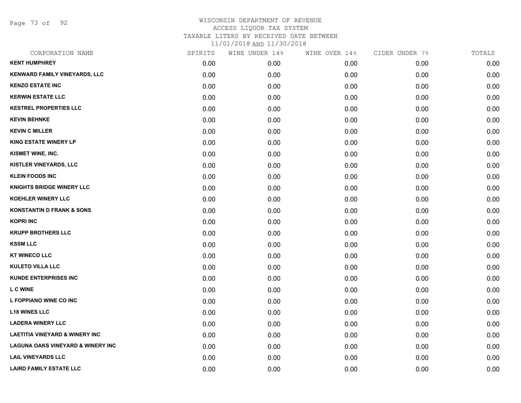Page 73 of 92

| CORPORATION NAME                             | SPIRITS | WINE UNDER 14% | WINE OVER 14% | CIDER UNDER 7% | TOTALS |
|----------------------------------------------|---------|----------------|---------------|----------------|--------|
| <b>KENT HUMPHREY</b>                         | 0.00    | 0.00           | 0.00          | 0.00           | 0.00   |
| <b>KENWARD FAMILY VINEYARDS, LLC</b>         | 0.00    | 0.00           | 0.00          | 0.00           | 0.00   |
| <b>KENZO ESTATE INC</b>                      | 0.00    | 0.00           | 0.00          | 0.00           | 0.00   |
| <b>KERWIN ESTATE LLC</b>                     | 0.00    | 0.00           | 0.00          | 0.00           | 0.00   |
| <b>KESTREL PROPERTIES LLC</b>                | 0.00    | 0.00           | 0.00          | 0.00           | 0.00   |
| <b>KEVIN BEHNKE</b>                          | 0.00    | 0.00           | 0.00          | 0.00           | 0.00   |
| <b>KEVIN C MILLER</b>                        | 0.00    | 0.00           | 0.00          | 0.00           | 0.00   |
| <b>KING ESTATE WINERY LP</b>                 | 0.00    | 0.00           | 0.00          | 0.00           | 0.00   |
| KISMET WINE, INC.                            | 0.00    | 0.00           | 0.00          | 0.00           | 0.00   |
| KISTLER VINEYARDS, LLC                       | 0.00    | 0.00           | 0.00          | 0.00           | 0.00   |
| <b>KLEIN FOODS INC</b>                       | 0.00    | 0.00           | 0.00          | 0.00           | 0.00   |
| <b>KNIGHTS BRIDGE WINERY LLC</b>             | 0.00    | 0.00           | 0.00          | 0.00           | 0.00   |
| <b>KOEHLER WINERY LLC</b>                    | 0.00    | 0.00           | 0.00          | 0.00           | 0.00   |
| <b>KONSTANTIN D FRANK &amp; SONS</b>         | 0.00    | 0.00           | 0.00          | 0.00           | 0.00   |
| <b>KOPRI INC</b>                             | 0.00    | 0.00           | 0.00          | 0.00           | 0.00   |
| <b>KRUPP BROTHERS LLC</b>                    | 0.00    | 0.00           | 0.00          | 0.00           | 0.00   |
| <b>KSSM LLC</b>                              | 0.00    | 0.00           | 0.00          | 0.00           | 0.00   |
| <b>KT WINECO LLC</b>                         | 0.00    | 0.00           | 0.00          | 0.00           | 0.00   |
| <b>KULETO VILLA LLC</b>                      | 0.00    | 0.00           | 0.00          | 0.00           | 0.00   |
| <b>KUNDE ENTERPRISES INC</b>                 | 0.00    | 0.00           | 0.00          | 0.00           | 0.00   |
| <b>L C WINE</b>                              | 0.00    | 0.00           | 0.00          | 0.00           | 0.00   |
| L FOPPIANO WINE CO INC                       | 0.00    | 0.00           | 0.00          | 0.00           | 0.00   |
| <b>L18 WINES LLC</b>                         | 0.00    | 0.00           | 0.00          | 0.00           | 0.00   |
| <b>LADERA WINERY LLC</b>                     | 0.00    | 0.00           | 0.00          | 0.00           | 0.00   |
| <b>LAETITIA VINEYARD &amp; WINERY INC</b>    | 0.00    | 0.00           | 0.00          | 0.00           | 0.00   |
| <b>LAGUNA OAKS VINEYARD &amp; WINERY INC</b> | 0.00    | 0.00           | 0.00          | 0.00           | 0.00   |
| <b>LAIL VINEYARDS LLC</b>                    | 0.00    | 0.00           | 0.00          | 0.00           | 0.00   |
| <b>LAIRD FAMILY ESTATE LLC</b>               | 0.00    | 0.00           | 0.00          | 0.00           | 0.00   |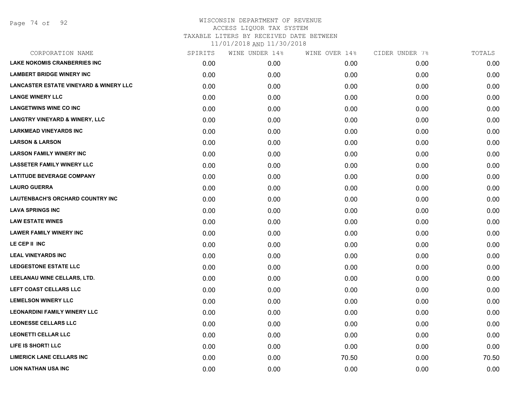| CORPORATION NAME                                  | SPIRITS | WINE UNDER 14% | WINE OVER 14% | CIDER UNDER 7% | TOTALS |
|---------------------------------------------------|---------|----------------|---------------|----------------|--------|
| <b>LAKE NOKOMIS CRANBERRIES INC</b>               | 0.00    | 0.00           | 0.00          | 0.00           | 0.00   |
| <b>LAMBERT BRIDGE WINERY INC</b>                  | 0.00    | 0.00           | 0.00          | 0.00           | 0.00   |
| <b>LANCASTER ESTATE VINEYARD &amp; WINERY LLC</b> | 0.00    | 0.00           | 0.00          | 0.00           | 0.00   |
| <b>LANGE WINERY LLC</b>                           | 0.00    | 0.00           | 0.00          | 0.00           | 0.00   |
| <b>LANGETWINS WINE CO INC</b>                     | 0.00    | 0.00           | 0.00          | 0.00           | 0.00   |
| <b>LANGTRY VINEYARD &amp; WINERY, LLC</b>         | 0.00    | 0.00           | 0.00          | 0.00           | 0.00   |
| <b>LARKMEAD VINEYARDS INC</b>                     | 0.00    | 0.00           | 0.00          | 0.00           | 0.00   |
| <b>LARSON &amp; LARSON</b>                        | 0.00    | 0.00           | 0.00          | 0.00           | 0.00   |
| <b>LARSON FAMILY WINERY INC</b>                   | 0.00    | 0.00           | 0.00          | 0.00           | 0.00   |
| <b>LASSETER FAMILY WINERY LLC</b>                 | 0.00    | 0.00           | 0.00          | 0.00           | 0.00   |
| <b>LATITUDE BEVERAGE COMPANY</b>                  | 0.00    | 0.00           | 0.00          | 0.00           | 0.00   |
| <b>LAURO GUERRA</b>                               | 0.00    | 0.00           | 0.00          | 0.00           | 0.00   |
| <b>LAUTENBACH'S ORCHARD COUNTRY INC</b>           | 0.00    | 0.00           | 0.00          | 0.00           | 0.00   |
| <b>LAVA SPRINGS INC</b>                           | 0.00    | 0.00           | 0.00          | 0.00           | 0.00   |
| <b>LAW ESTATE WINES</b>                           | 0.00    | 0.00           | 0.00          | 0.00           | 0.00   |
| <b>LAWER FAMILY WINERY INC</b>                    | 0.00    | 0.00           | 0.00          | 0.00           | 0.00   |
| LE CEP II INC                                     | 0.00    | 0.00           | 0.00          | 0.00           | 0.00   |
| <b>LEAL VINEYARDS INC</b>                         | 0.00    | 0.00           | 0.00          | 0.00           | 0.00   |
| LEDGESTONE ESTATE LLC                             | 0.00    | 0.00           | 0.00          | 0.00           | 0.00   |
| LEELANAU WINE CELLARS, LTD.                       | 0.00    | 0.00           | 0.00          | 0.00           | 0.00   |
| LEFT COAST CELLARS LLC                            | 0.00    | 0.00           | 0.00          | 0.00           | 0.00   |
| <b>LEMELSON WINERY LLC</b>                        | 0.00    | 0.00           | 0.00          | 0.00           | 0.00   |
| <b>LEONARDINI FAMILY WINERY LLC</b>               | 0.00    | 0.00           | 0.00          | 0.00           | 0.00   |
| <b>LEONESSE CELLARS LLC</b>                       | 0.00    | 0.00           | 0.00          | 0.00           | 0.00   |
| <b>LEONETTI CELLAR LLC</b>                        | 0.00    | 0.00           | 0.00          | 0.00           | 0.00   |
| LIFE IS SHORT! LLC                                | 0.00    | 0.00           | 0.00          | 0.00           | 0.00   |
| <b>LIMERICK LANE CELLARS INC</b>                  | 0.00    | 0.00           | 70.50         | 0.00           | 70.50  |
| <b>LION NATHAN USA INC</b>                        | 0.00    | 0.00           | 0.00          | 0.00           | 0.00   |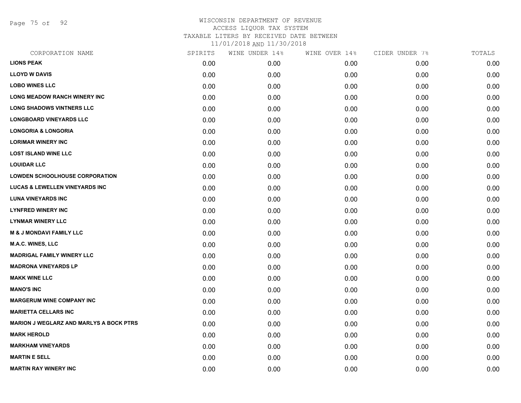Page 75 of 92

| CORPORATION NAME                               | SPIRITS | WINE UNDER 14% | WINE OVER 14% | CIDER UNDER 7% | TOTALS |
|------------------------------------------------|---------|----------------|---------------|----------------|--------|
| <b>LIONS PEAK</b>                              | 0.00    | 0.00           | 0.00          | 0.00           | 0.00   |
| <b>LLOYD W DAVIS</b>                           | 0.00    | 0.00           | 0.00          | 0.00           | 0.00   |
| <b>LOBO WINES LLC</b>                          | 0.00    | 0.00           | 0.00          | 0.00           | 0.00   |
| <b>LONG MEADOW RANCH WINERY INC</b>            | 0.00    | 0.00           | 0.00          | 0.00           | 0.00   |
| <b>LONG SHADOWS VINTNERS LLC</b>               | 0.00    | 0.00           | 0.00          | 0.00           | 0.00   |
| <b>LONGBOARD VINEYARDS LLC</b>                 | 0.00    | 0.00           | 0.00          | 0.00           | 0.00   |
| <b>LONGORIA &amp; LONGORIA</b>                 | 0.00    | 0.00           | 0.00          | 0.00           | 0.00   |
| <b>LORIMAR WINERY INC</b>                      | 0.00    | 0.00           | 0.00          | 0.00           | 0.00   |
| <b>LOST ISLAND WINE LLC</b>                    | 0.00    | 0.00           | 0.00          | 0.00           | 0.00   |
| <b>LOUIDAR LLC</b>                             | 0.00    | 0.00           | 0.00          | 0.00           | 0.00   |
| <b>LOWDEN SCHOOLHOUSE CORPORATION</b>          | 0.00    | 0.00           | 0.00          | 0.00           | 0.00   |
| <b>LUCAS &amp; LEWELLEN VINEYARDS INC</b>      | 0.00    | 0.00           | 0.00          | 0.00           | 0.00   |
| <b>LUNA VINEYARDS INC</b>                      | 0.00    | 0.00           | 0.00          | 0.00           | 0.00   |
| <b>LYNFRED WINERY INC</b>                      | 0.00    | 0.00           | 0.00          | 0.00           | 0.00   |
| <b>LYNMAR WINERY LLC</b>                       | 0.00    | 0.00           | 0.00          | 0.00           | 0.00   |
| <b>M &amp; J MONDAVI FAMILY LLC</b>            | 0.00    | 0.00           | 0.00          | 0.00           | 0.00   |
| <b>M.A.C. WINES, LLC</b>                       | 0.00    | 0.00           | 0.00          | 0.00           | 0.00   |
| <b>MADRIGAL FAMILY WINERY LLC</b>              | 0.00    | 0.00           | 0.00          | 0.00           | 0.00   |
| <b>MADRONA VINEYARDS LP</b>                    | 0.00    | 0.00           | 0.00          | 0.00           | 0.00   |
| <b>MAKK WINE LLC</b>                           | 0.00    | 0.00           | 0.00          | 0.00           | 0.00   |
| <b>MANO'S INC</b>                              | 0.00    | 0.00           | 0.00          | 0.00           | 0.00   |
| <b>MARGERUM WINE COMPANY INC</b>               | 0.00    | 0.00           | 0.00          | 0.00           | 0.00   |
| <b>MARIETTA CELLARS INC</b>                    | 0.00    | 0.00           | 0.00          | 0.00           | 0.00   |
| <b>MARION J WEGLARZ AND MARLYS A BOCK PTRS</b> | 0.00    | 0.00           | 0.00          | 0.00           | 0.00   |
| <b>MARK HEROLD</b>                             | 0.00    | 0.00           | 0.00          | 0.00           | 0.00   |
| <b>MARKHAM VINEYARDS</b>                       | 0.00    | 0.00           | 0.00          | 0.00           | 0.00   |
| <b>MARTIN E SELL</b>                           | 0.00    | 0.00           | 0.00          | 0.00           | 0.00   |
| <b>MARTIN RAY WINERY INC</b>                   | 0.00    | 0.00           | 0.00          | 0.00           | 0.00   |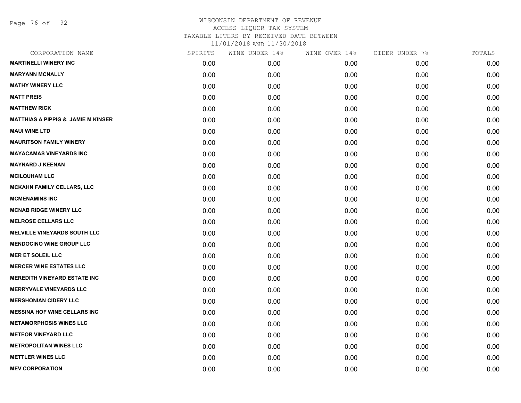Page 76 of 92

| CORPORATION NAME                              | SPIRITS | WINE UNDER 14% | WINE OVER 14% | CIDER UNDER 7% | TOTALS |
|-----------------------------------------------|---------|----------------|---------------|----------------|--------|
| <b>MARTINELLI WINERY INC</b>                  | 0.00    | 0.00           | 0.00          | 0.00           | 0.00   |
| <b>MARYANN MCNALLY</b>                        | 0.00    | 0.00           | 0.00          | 0.00           | 0.00   |
| <b>MATHY WINERY LLC</b>                       | 0.00    | 0.00           | 0.00          | 0.00           | 0.00   |
| <b>MATT PREIS</b>                             | 0.00    | 0.00           | 0.00          | 0.00           | 0.00   |
| <b>MATTHEW RICK</b>                           | 0.00    | 0.00           | 0.00          | 0.00           | 0.00   |
| <b>MATTHIAS A PIPPIG &amp; JAMIE M KINSER</b> | 0.00    | 0.00           | 0.00          | 0.00           | 0.00   |
| <b>MAUI WINE LTD</b>                          | 0.00    | 0.00           | 0.00          | 0.00           | 0.00   |
| <b>MAURITSON FAMILY WINERY</b>                | 0.00    | 0.00           | 0.00          | 0.00           | 0.00   |
| <b>MAYACAMAS VINEYARDS INC</b>                | 0.00    | 0.00           | 0.00          | 0.00           | 0.00   |
| <b>MAYNARD J KEENAN</b>                       | 0.00    | 0.00           | 0.00          | 0.00           | 0.00   |
| <b>MCILQUHAM LLC</b>                          | 0.00    | 0.00           | 0.00          | 0.00           | 0.00   |
| MCKAHN FAMILY CELLARS, LLC                    | 0.00    | 0.00           | 0.00          | 0.00           | 0.00   |
| <b>MCMENAMINS INC</b>                         | 0.00    | 0.00           | 0.00          | 0.00           | 0.00   |
| <b>MCNAB RIDGE WINERY LLC</b>                 | 0.00    | 0.00           | 0.00          | 0.00           | 0.00   |
| <b>MELROSE CELLARS LLC</b>                    | 0.00    | 0.00           | 0.00          | 0.00           | 0.00   |
| <b>MELVILLE VINEYARDS SOUTH LLC</b>           | 0.00    | 0.00           | 0.00          | 0.00           | 0.00   |
| <b>MENDOCINO WINE GROUP LLC</b>               | 0.00    | 0.00           | 0.00          | 0.00           | 0.00   |
| <b>MER ET SOLEIL LLC</b>                      | 0.00    | 0.00           | 0.00          | 0.00           | 0.00   |
| <b>MERCER WINE ESTATES LLC</b>                | 0.00    | 0.00           | 0.00          | 0.00           | 0.00   |
| <b>MEREDITH VINEYARD ESTATE INC</b>           | 0.00    | 0.00           | 0.00          | 0.00           | 0.00   |
| <b>MERRYVALE VINEYARDS LLC</b>                | 0.00    | 0.00           | 0.00          | 0.00           | 0.00   |
| <b>MERSHONIAN CIDERY LLC</b>                  | 0.00    | 0.00           | 0.00          | 0.00           | 0.00   |
| <b>MESSINA HOF WINE CELLARS INC</b>           | 0.00    | 0.00           | 0.00          | 0.00           | 0.00   |
| <b>METAMORPHOSIS WINES LLC</b>                | 0.00    | 0.00           | 0.00          | 0.00           | 0.00   |
| <b>METEOR VINEYARD LLC</b>                    | 0.00    | 0.00           | 0.00          | 0.00           | 0.00   |
| <b>METROPOLITAN WINES LLC</b>                 | 0.00    | 0.00           | 0.00          | 0.00           | 0.00   |
| <b>METTLER WINES LLC</b>                      | 0.00    | 0.00           | 0.00          | 0.00           | 0.00   |
| <b>MEV CORPORATION</b>                        | 0.00    | 0.00           | 0.00          | 0.00           | 0.00   |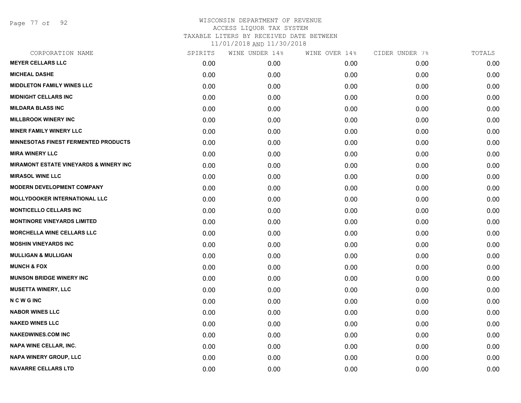Page 77 of 92

| CORPORATION NAME                                  | SPIRITS | WINE UNDER 14% | WINE OVER 14% | CIDER UNDER 7% | TOTALS |
|---------------------------------------------------|---------|----------------|---------------|----------------|--------|
| <b>MEYER CELLARS LLC</b>                          | 0.00    | 0.00           | 0.00          | 0.00           | 0.00   |
| <b>MICHEAL DASHE</b>                              | 0.00    | 0.00           | 0.00          | 0.00           | 0.00   |
| <b>MIDDLETON FAMILY WINES LLC</b>                 | 0.00    | 0.00           | 0.00          | 0.00           | 0.00   |
| <b>MIDNIGHT CELLARS INC</b>                       | 0.00    | 0.00           | 0.00          | 0.00           | 0.00   |
| <b>MILDARA BLASS INC</b>                          | 0.00    | 0.00           | 0.00          | 0.00           | 0.00   |
| <b>MILLBROOK WINERY INC</b>                       | 0.00    | 0.00           | 0.00          | 0.00           | 0.00   |
| <b>MINER FAMILY WINERY LLC</b>                    | 0.00    | 0.00           | 0.00          | 0.00           | 0.00   |
| <b>MINNESOTAS FINEST FERMENTED PRODUCTS</b>       | 0.00    | 0.00           | 0.00          | 0.00           | 0.00   |
| <b>MIRA WINERY LLC</b>                            | 0.00    | 0.00           | 0.00          | 0.00           | 0.00   |
| <b>MIRAMONT ESTATE VINEYARDS &amp; WINERY INC</b> | 0.00    | 0.00           | 0.00          | 0.00           | 0.00   |
| <b>MIRASOL WINE LLC</b>                           | 0.00    | 0.00           | 0.00          | 0.00           | 0.00   |
| <b>MODERN DEVELOPMENT COMPANY</b>                 | 0.00    | 0.00           | 0.00          | 0.00           | 0.00   |
| <b>MOLLYDOOKER INTERNATIONAL LLC</b>              | 0.00    | 0.00           | 0.00          | 0.00           | 0.00   |
| <b>MONTICELLO CELLARS INC</b>                     | 0.00    | 0.00           | 0.00          | 0.00           | 0.00   |
| <b>MONTINORE VINEYARDS LIMITED</b>                | 0.00    | 0.00           | 0.00          | 0.00           | 0.00   |
| <b>MORCHELLA WINE CELLARS LLC</b>                 | 0.00    | 0.00           | 0.00          | 0.00           | 0.00   |
| <b>MOSHIN VINEYARDS INC</b>                       | 0.00    | 0.00           | 0.00          | 0.00           | 0.00   |
| <b>MULLIGAN &amp; MULLIGAN</b>                    | 0.00    | 0.00           | 0.00          | 0.00           | 0.00   |
| <b>MUNCH &amp; FOX</b>                            | 0.00    | 0.00           | 0.00          | 0.00           | 0.00   |
| <b>MUNSON BRIDGE WINERY INC</b>                   | 0.00    | 0.00           | 0.00          | 0.00           | 0.00   |
| <b>MUSETTA WINERY, LLC</b>                        | 0.00    | 0.00           | 0.00          | 0.00           | 0.00   |
| <b>NCWGINC</b>                                    | 0.00    | 0.00           | 0.00          | 0.00           | 0.00   |
| <b>NABOR WINES LLC</b>                            | 0.00    | 0.00           | 0.00          | 0.00           | 0.00   |
| <b>NAKED WINES LLC</b>                            | 0.00    | 0.00           | 0.00          | 0.00           | 0.00   |
| <b>NAKEDWINES.COM INC</b>                         | 0.00    | 0.00           | 0.00          | 0.00           | 0.00   |
| NAPA WINE CELLAR, INC.                            | 0.00    | 0.00           | 0.00          | 0.00           | 0.00   |
| <b>NAPA WINERY GROUP, LLC</b>                     | 0.00    | 0.00           | 0.00          | 0.00           | 0.00   |
| <b>NAVARRE CELLARS LTD</b>                        | 0.00    | 0.00           | 0.00          | 0.00           | 0.00   |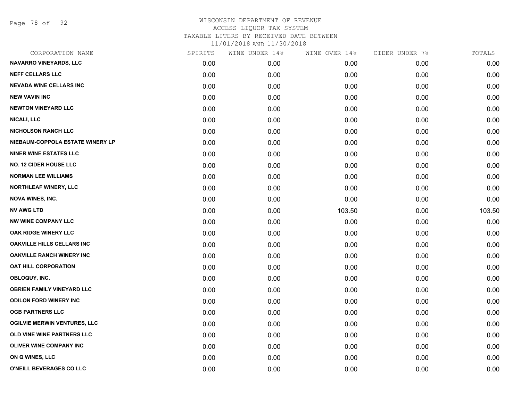Page 78 of 92

| CORPORATION NAME                    | SPIRITS | WINE UNDER 14% | WINE OVER 14% | CIDER UNDER 7% | TOTALS |
|-------------------------------------|---------|----------------|---------------|----------------|--------|
| NAVARRO VINEYARDS, LLC              | 0.00    | 0.00           | 0.00          | 0.00           | 0.00   |
| <b>NEFF CELLARS LLC</b>             | 0.00    | 0.00           | 0.00          | 0.00           | 0.00   |
| <b>NEVADA WINE CELLARS INC</b>      | 0.00    | 0.00           | 0.00          | 0.00           | 0.00   |
| <b>NEW VAVIN INC</b>                | 0.00    | 0.00           | 0.00          | 0.00           | 0.00   |
| <b>NEWTON VINEYARD LLC</b>          | 0.00    | 0.00           | 0.00          | 0.00           | 0.00   |
| <b>NICALI, LLC</b>                  | 0.00    | 0.00           | 0.00          | 0.00           | 0.00   |
| <b>NICHOLSON RANCH LLC</b>          | 0.00    | 0.00           | 0.00          | 0.00           | 0.00   |
| NIEBAUM-COPPOLA ESTATE WINERY LP    | 0.00    | 0.00           | 0.00          | 0.00           | 0.00   |
| <b>NINER WINE ESTATES LLC</b>       | 0.00    | 0.00           | 0.00          | 0.00           | 0.00   |
| <b>NO. 12 CIDER HOUSE LLC</b>       | 0.00    | 0.00           | 0.00          | 0.00           | 0.00   |
| <b>NORMAN LEE WILLIAMS</b>          | 0.00    | 0.00           | 0.00          | 0.00           | 0.00   |
| NORTHLEAF WINERY, LLC               | 0.00    | 0.00           | 0.00          | 0.00           | 0.00   |
| <b>NOVA WINES, INC.</b>             | 0.00    | 0.00           | 0.00          | 0.00           | 0.00   |
| <b>NV AWG LTD</b>                   | 0.00    | 0.00           | 103.50        | 0.00           | 103.50 |
| <b>NW WINE COMPANY LLC</b>          | 0.00    | 0.00           | 0.00          | 0.00           | 0.00   |
| OAK RIDGE WINERY LLC                | 0.00    | 0.00           | 0.00          | 0.00           | 0.00   |
| <b>OAKVILLE HILLS CELLARS INC</b>   | 0.00    | 0.00           | 0.00          | 0.00           | 0.00   |
| <b>OAKVILLE RANCH WINERY INC</b>    | 0.00    | 0.00           | 0.00          | 0.00           | 0.00   |
| <b>OAT HILL CORPORATION</b>         | 0.00    | 0.00           | 0.00          | 0.00           | 0.00   |
| OBLOQUY, INC.                       | 0.00    | 0.00           | 0.00          | 0.00           | 0.00   |
| <b>OBRIEN FAMILY VINEYARD LLC</b>   | 0.00    | 0.00           | 0.00          | 0.00           | 0.00   |
| <b>ODILON FORD WINERY INC</b>       | 0.00    | 0.00           | 0.00          | 0.00           | 0.00   |
| <b>OGB PARTNERS LLC</b>             | 0.00    | 0.00           | 0.00          | 0.00           | 0.00   |
| <b>OGILVIE MERWIN VENTURES, LLC</b> | 0.00    | 0.00           | 0.00          | 0.00           | 0.00   |
| OLD VINE WINE PARTNERS LLC          | 0.00    | 0.00           | 0.00          | 0.00           | 0.00   |
| OLIVER WINE COMPANY INC             | 0.00    | 0.00           | 0.00          | 0.00           | 0.00   |
| ON Q WINES, LLC                     | 0.00    | 0.00           | 0.00          | 0.00           | 0.00   |
| O'NEILL BEVERAGES CO LLC            | 0.00    | 0.00           | 0.00          | 0.00           | 0.00   |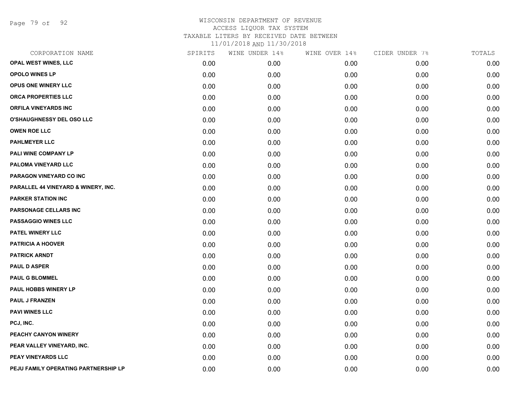Page 79 of 92

## WISCONSIN DEPARTMENT OF REVENUE ACCESS LIQUOR TAX SYSTEM TAXABLE LITERS BY RECEIVED DATE BETWEEN

11/01/2018 AND 11/30/2018

| CORPORATION NAME                     | SPIRITS | WINE UNDER 14% | WINE OVER 14% | CIDER UNDER 7% | TOTALS |
|--------------------------------------|---------|----------------|---------------|----------------|--------|
| OPAL WEST WINES, LLC                 | 0.00    | 0.00           | 0.00          | 0.00           | 0.00   |
| <b>OPOLO WINES LP</b>                | 0.00    | 0.00           | 0.00          | 0.00           | 0.00   |
| OPUS ONE WINERY LLC                  | 0.00    | 0.00           | 0.00          | 0.00           | 0.00   |
| <b>ORCA PROPERTIES LLC</b>           | 0.00    | 0.00           | 0.00          | 0.00           | 0.00   |
| <b>ORFILA VINEYARDS INC</b>          | 0.00    | 0.00           | 0.00          | 0.00           | 0.00   |
| O'SHAUGHNESSY DEL OSO LLC            | 0.00    | 0.00           | 0.00          | 0.00           | 0.00   |
| <b>OWEN ROE LLC</b>                  | 0.00    | 0.00           | 0.00          | 0.00           | 0.00   |
| <b>PAHLMEYER LLC</b>                 | 0.00    | 0.00           | 0.00          | 0.00           | 0.00   |
| PALI WINE COMPANY LP                 | 0.00    | 0.00           | 0.00          | 0.00           | 0.00   |
| PALOMA VINEYARD LLC                  | 0.00    | 0.00           | 0.00          | 0.00           | 0.00   |
| PARAGON VINEYARD CO INC              | 0.00    | 0.00           | 0.00          | 0.00           | 0.00   |
| PARALLEL 44 VINEYARD & WINERY, INC.  | 0.00    | 0.00           | 0.00          | 0.00           | 0.00   |
| <b>PARKER STATION INC</b>            | 0.00    | 0.00           | 0.00          | 0.00           | 0.00   |
| PARSONAGE CELLARS INC                | 0.00    | 0.00           | 0.00          | 0.00           | 0.00   |
| PASSAGGIO WINES LLC                  | 0.00    | 0.00           | 0.00          | 0.00           | 0.00   |
| PATEL WINERY LLC                     | 0.00    | 0.00           | 0.00          | 0.00           | 0.00   |
| <b>PATRICIA A HOOVER</b>             | 0.00    | 0.00           | 0.00          | 0.00           | 0.00   |
| <b>PATRICK ARNDT</b>                 | 0.00    | 0.00           | 0.00          | 0.00           | 0.00   |
| <b>PAUL D ASPER</b>                  | 0.00    | 0.00           | 0.00          | 0.00           | 0.00   |
| <b>PAUL G BLOMMEL</b>                | 0.00    | 0.00           | 0.00          | 0.00           | 0.00   |
| <b>PAUL HOBBS WINERY LP</b>          | 0.00    | 0.00           | 0.00          | 0.00           | 0.00   |
| <b>PAUL J FRANZEN</b>                | 0.00    | 0.00           | 0.00          | 0.00           | 0.00   |
| <b>PAVI WINES LLC</b>                | 0.00    | 0.00           | 0.00          | 0.00           | 0.00   |
| PCJ, INC.                            | 0.00    | 0.00           | 0.00          | 0.00           | 0.00   |
| PEACHY CANYON WINERY                 | 0.00    | 0.00           | 0.00          | 0.00           | 0.00   |
| PEAR VALLEY VINEYARD, INC.           | 0.00    | 0.00           | 0.00          | 0.00           | 0.00   |
| PEAY VINEYARDS LLC                   | 0.00    | 0.00           | 0.00          | 0.00           | 0.00   |
| PEJU FAMILY OPERATING PARTNERSHIP LP | 0.00    | 0.00           | 0.00          | 0.00           | 0.00   |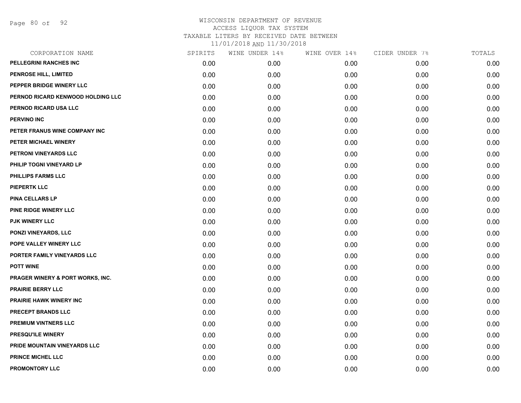Page 80 of 92

| CORPORATION NAME                  | SPIRITS | WINE UNDER 14% | WINE OVER 14% | CIDER UNDER 7% | TOTALS |
|-----------------------------------|---------|----------------|---------------|----------------|--------|
| PELLEGRINI RANCHES INC            | 0.00    | 0.00           | 0.00          | 0.00           | 0.00   |
| PENROSE HILL, LIMITED             | 0.00    | 0.00           | 0.00          | 0.00           | 0.00   |
| PEPPER BRIDGE WINERY LLC          | 0.00    | 0.00           | 0.00          | 0.00           | 0.00   |
| PERNOD RICARD KENWOOD HOLDING LLC | 0.00    | 0.00           | 0.00          | 0.00           | 0.00   |
| PERNOD RICARD USA LLC             | 0.00    | 0.00           | 0.00          | 0.00           | 0.00   |
| <b>PERVINO INC</b>                | 0.00    | 0.00           | 0.00          | 0.00           | 0.00   |
| PETER FRANUS WINE COMPANY INC     | 0.00    | 0.00           | 0.00          | 0.00           | 0.00   |
| PETER MICHAEL WINERY              | 0.00    | 0.00           | 0.00          | 0.00           | 0.00   |
| PETRONI VINEYARDS LLC             | 0.00    | 0.00           | 0.00          | 0.00           | 0.00   |
| PHILIP TOGNI VINEYARD LP          | 0.00    | 0.00           | 0.00          | 0.00           | 0.00   |
| PHILLIPS FARMS LLC                | 0.00    | 0.00           | 0.00          | 0.00           | 0.00   |
| <b>PIEPERTK LLC</b>               | 0.00    | 0.00           | 0.00          | 0.00           | 0.00   |
| <b>PINA CELLARS LP</b>            | 0.00    | 0.00           | 0.00          | 0.00           | 0.00   |
| <b>PINE RIDGE WINERY LLC</b>      | 0.00    | 0.00           | 0.00          | 0.00           | 0.00   |
| <b>PJK WINERY LLC</b>             | 0.00    | 0.00           | 0.00          | 0.00           | 0.00   |
| <b>PONZI VINEYARDS, LLC</b>       | 0.00    | 0.00           | 0.00          | 0.00           | 0.00   |
| POPE VALLEY WINERY LLC            | 0.00    | 0.00           | 0.00          | 0.00           | 0.00   |
| PORTER FAMILY VINEYARDS LLC       | 0.00    | 0.00           | 0.00          | 0.00           | 0.00   |
| <b>POTT WINE</b>                  | 0.00    | 0.00           | 0.00          | 0.00           | 0.00   |
| PRAGER WINERY & PORT WORKS, INC.  | 0.00    | 0.00           | 0.00          | 0.00           | 0.00   |
| <b>PRAIRIE BERRY LLC</b>          | 0.00    | 0.00           | 0.00          | 0.00           | 0.00   |
| <b>PRAIRIE HAWK WINERY INC</b>    | 0.00    | 0.00           | 0.00          | 0.00           | 0.00   |
| PRECEPT BRANDS LLC                | 0.00    | 0.00           | 0.00          | 0.00           | 0.00   |
| PREMIUM VINTNERS LLC              | 0.00    | 0.00           | 0.00          | 0.00           | 0.00   |
| PRESQU'ILE WINERY                 | 0.00    | 0.00           | 0.00          | 0.00           | 0.00   |
| PRIDE MOUNTAIN VINEYARDS LLC      | 0.00    | 0.00           | 0.00          | 0.00           | 0.00   |
| <b>PRINCE MICHEL LLC</b>          | 0.00    | 0.00           | 0.00          | 0.00           | 0.00   |
| PROMONTORY LLC                    | 0.00    | 0.00           | 0.00          | 0.00           | 0.00   |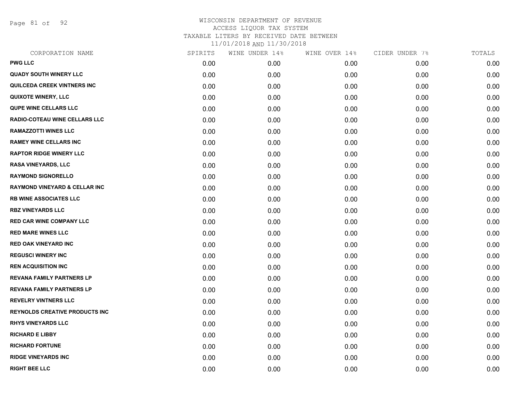Page 81 of 92

| CORPORATION NAME                         | SPIRITS | WINE UNDER 14% | WINE OVER 14% | CIDER UNDER 7% | TOTALS |
|------------------------------------------|---------|----------------|---------------|----------------|--------|
| <b>PWG LLC</b>                           | 0.00    | 0.00           | 0.00          | 0.00           | 0.00   |
| <b>QUADY SOUTH WINERY LLC</b>            | 0.00    | 0.00           | 0.00          | 0.00           | 0.00   |
| QUILCEDA CREEK VINTNERS INC              | 0.00    | 0.00           | 0.00          | 0.00           | 0.00   |
| <b>QUIXOTE WINERY, LLC</b>               | 0.00    | 0.00           | 0.00          | 0.00           | 0.00   |
| <b>QUPE WINE CELLARS LLC</b>             | 0.00    | 0.00           | 0.00          | 0.00           | 0.00   |
| RADIO-COTEAU WINE CELLARS LLC            | 0.00    | 0.00           | 0.00          | 0.00           | 0.00   |
| <b>RAMAZZOTTI WINES LLC</b>              | 0.00    | 0.00           | 0.00          | 0.00           | 0.00   |
| <b>RAMEY WINE CELLARS INC</b>            | 0.00    | 0.00           | 0.00          | 0.00           | 0.00   |
| <b>RAPTOR RIDGE WINERY LLC</b>           | 0.00    | 0.00           | 0.00          | 0.00           | 0.00   |
| <b>RASA VINEYARDS, LLC</b>               | 0.00    | 0.00           | 0.00          | 0.00           | 0.00   |
| <b>RAYMOND SIGNORELLO</b>                | 0.00    | 0.00           | 0.00          | 0.00           | 0.00   |
| <b>RAYMOND VINEYARD &amp; CELLAR INC</b> | 0.00    | 0.00           | 0.00          | 0.00           | 0.00   |
| <b>RB WINE ASSOCIATES LLC</b>            | 0.00    | 0.00           | 0.00          | 0.00           | 0.00   |
| <b>RBZ VINEYARDS LLC</b>                 | 0.00    | 0.00           | 0.00          | 0.00           | 0.00   |
| <b>RED CAR WINE COMPANY LLC</b>          | 0.00    | 0.00           | 0.00          | 0.00           | 0.00   |
| <b>RED MARE WINES LLC</b>                | 0.00    | 0.00           | 0.00          | 0.00           | 0.00   |
| <b>RED OAK VINEYARD INC</b>              | 0.00    | 0.00           | 0.00          | 0.00           | 0.00   |
| <b>REGUSCI WINERY INC</b>                | 0.00    | 0.00           | 0.00          | 0.00           | 0.00   |
| <b>REN ACQUISITION INC</b>               | 0.00    | 0.00           | 0.00          | 0.00           | 0.00   |
| <b>REVANA FAMILY PARTNERS LP</b>         | 0.00    | 0.00           | 0.00          | 0.00           | 0.00   |
| <b>REVANA FAMILY PARTNERS LP</b>         | 0.00    | 0.00           | 0.00          | 0.00           | 0.00   |
| <b>REVELRY VINTNERS LLC</b>              | 0.00    | 0.00           | 0.00          | 0.00           | 0.00   |
| <b>REYNOLDS CREATIVE PRODUCTS INC</b>    | 0.00    | 0.00           | 0.00          | 0.00           | 0.00   |
| <b>RHYS VINEYARDS LLC</b>                | 0.00    | 0.00           | 0.00          | 0.00           | 0.00   |
| <b>RICHARD E LIBBY</b>                   | 0.00    | 0.00           | 0.00          | 0.00           | 0.00   |
| <b>RICHARD FORTUNE</b>                   | 0.00    | 0.00           | 0.00          | 0.00           | 0.00   |
| <b>RIDGE VINEYARDS INC</b>               | 0.00    | 0.00           | 0.00          | 0.00           | 0.00   |
| <b>RIGHT BEE LLC</b>                     | 0.00    | 0.00           | 0.00          | 0.00           | 0.00   |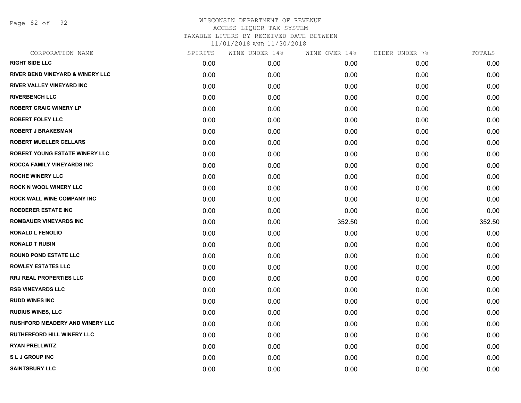Page 82 of 92

| CORPORATION NAME                            | SPIRITS | WINE UNDER 14% | WINE OVER 14% | CIDER UNDER 7% | TOTALS |
|---------------------------------------------|---------|----------------|---------------|----------------|--------|
| <b>RIGHT SIDE LLC</b>                       | 0.00    | 0.00           | 0.00          | 0.00           | 0.00   |
| <b>RIVER BEND VINEYARD &amp; WINERY LLC</b> | 0.00    | 0.00           | 0.00          | 0.00           | 0.00   |
| <b>RIVER VALLEY VINEYARD INC</b>            | 0.00    | 0.00           | 0.00          | 0.00           | 0.00   |
| <b>RIVERBENCH LLC</b>                       | 0.00    | 0.00           | 0.00          | 0.00           | 0.00   |
| <b>ROBERT CRAIG WINERY LP</b>               | 0.00    | 0.00           | 0.00          | 0.00           | 0.00   |
| <b>ROBERT FOLEY LLC</b>                     | 0.00    | 0.00           | 0.00          | 0.00           | 0.00   |
| <b>ROBERT J BRAKESMAN</b>                   | 0.00    | 0.00           | 0.00          | 0.00           | 0.00   |
| <b>ROBERT MUELLER CELLARS</b>               | 0.00    | 0.00           | 0.00          | 0.00           | 0.00   |
| ROBERT YOUNG ESTATE WINERY LLC              | 0.00    | 0.00           | 0.00          | 0.00           | 0.00   |
| ROCCA FAMILY VINEYARDS INC                  | 0.00    | 0.00           | 0.00          | 0.00           | 0.00   |
| <b>ROCHE WINERY LLC</b>                     | 0.00    | 0.00           | 0.00          | 0.00           | 0.00   |
| <b>ROCK N WOOL WINERY LLC</b>               | 0.00    | 0.00           | 0.00          | 0.00           | 0.00   |
| ROCK WALL WINE COMPANY INC                  | 0.00    | 0.00           | 0.00          | 0.00           | 0.00   |
| <b>ROEDERER ESTATE INC</b>                  | 0.00    | 0.00           | 0.00          | 0.00           | 0.00   |
| <b>ROMBAUER VINEYARDS INC</b>               | 0.00    | 0.00           | 352.50        | 0.00           | 352.50 |
| <b>RONALD L FENOLIO</b>                     | 0.00    | 0.00           | 0.00          | 0.00           | 0.00   |
| <b>RONALD T RUBIN</b>                       | 0.00    | 0.00           | 0.00          | 0.00           | 0.00   |
| <b>ROUND POND ESTATE LLC</b>                | 0.00    | 0.00           | 0.00          | 0.00           | 0.00   |
| <b>ROWLEY ESTATES LLC</b>                   | 0.00    | 0.00           | 0.00          | 0.00           | 0.00   |
| <b>RRJ REAL PROPERTIES LLC</b>              | 0.00    | 0.00           | 0.00          | 0.00           | 0.00   |
| <b>RSB VINEYARDS LLC</b>                    | 0.00    | 0.00           | 0.00          | 0.00           | 0.00   |
| <b>RUDD WINES INC</b>                       | 0.00    | 0.00           | 0.00          | 0.00           | 0.00   |
| <b>RUDIUS WINES, LLC</b>                    | 0.00    | 0.00           | 0.00          | 0.00           | 0.00   |
| <b>RUSHFORD MEADERY AND WINERY LLC</b>      | 0.00    | 0.00           | 0.00          | 0.00           | 0.00   |
| <b>RUTHERFORD HILL WINERY LLC</b>           | 0.00    | 0.00           | 0.00          | 0.00           | 0.00   |
| <b>RYAN PRELLWITZ</b>                       | 0.00    | 0.00           | 0.00          | 0.00           | 0.00   |
| <b>SLJ GROUP INC</b>                        | 0.00    | 0.00           | 0.00          | 0.00           | 0.00   |
| <b>SAINTSBURY LLC</b>                       | 0.00    | 0.00           | 0.00          | 0.00           | 0.00   |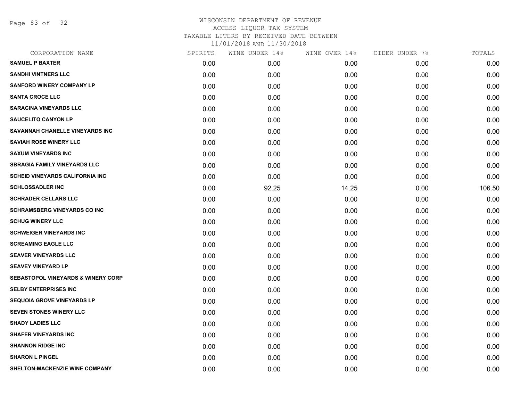Page 83 of 92

| CORPORATION NAME                              | SPIRITS | WINE UNDER 14% | WINE OVER 14% | CIDER UNDER 7% | TOTALS |
|-----------------------------------------------|---------|----------------|---------------|----------------|--------|
| <b>SAMUEL P BAXTER</b>                        | 0.00    | 0.00           | 0.00          | 0.00           | 0.00   |
| <b>SANDHI VINTNERS LLC</b>                    | 0.00    | 0.00           | 0.00          | 0.00           | 0.00   |
| <b>SANFORD WINERY COMPANY LP</b>              | 0.00    | 0.00           | 0.00          | 0.00           | 0.00   |
| <b>SANTA CROCE LLC</b>                        | 0.00    | 0.00           | 0.00          | 0.00           | 0.00   |
| <b>SARACINA VINEYARDS LLC</b>                 | 0.00    | 0.00           | 0.00          | 0.00           | 0.00   |
| <b>SAUCELITO CANYON LP</b>                    | 0.00    | 0.00           | 0.00          | 0.00           | 0.00   |
| SAVANNAH CHANELLE VINEYARDS INC               | 0.00    | 0.00           | 0.00          | 0.00           | 0.00   |
| <b>SAVIAH ROSE WINERY LLC</b>                 | 0.00    | 0.00           | 0.00          | 0.00           | 0.00   |
| <b>SAXUM VINEYARDS INC</b>                    | 0.00    | 0.00           | 0.00          | 0.00           | 0.00   |
| <b>SBRAGIA FAMILY VINEYARDS LLC</b>           | 0.00    | 0.00           | 0.00          | 0.00           | 0.00   |
| <b>SCHEID VINEYARDS CALIFORNIA INC</b>        | 0.00    | 0.00           | 0.00          | 0.00           | 0.00   |
| <b>SCHLOSSADLER INC</b>                       | 0.00    | 92.25          | 14.25         | 0.00           | 106.50 |
| <b>SCHRADER CELLARS LLC</b>                   | 0.00    | 0.00           | 0.00          | 0.00           | 0.00   |
| <b>SCHRAMSBERG VINEYARDS CO INC</b>           | 0.00    | 0.00           | 0.00          | 0.00           | 0.00   |
| <b>SCHUG WINERY LLC</b>                       | 0.00    | 0.00           | 0.00          | 0.00           | 0.00   |
| <b>SCHWEIGER VINEYARDS INC</b>                | 0.00    | 0.00           | 0.00          | 0.00           | 0.00   |
| <b>SCREAMING EAGLE LLC</b>                    | 0.00    | 0.00           | 0.00          | 0.00           | 0.00   |
| <b>SEAVER VINEYARDS LLC</b>                   | 0.00    | 0.00           | 0.00          | 0.00           | 0.00   |
| <b>SEAVEY VINEYARD LP</b>                     | 0.00    | 0.00           | 0.00          | 0.00           | 0.00   |
| <b>SEBASTOPOL VINEYARDS &amp; WINERY CORP</b> | 0.00    | 0.00           | 0.00          | 0.00           | 0.00   |
| <b>SELBY ENTERPRISES INC</b>                  | 0.00    | 0.00           | 0.00          | 0.00           | 0.00   |
| <b>SEQUOIA GROVE VINEYARDS LP</b>             | 0.00    | 0.00           | 0.00          | 0.00           | 0.00   |
| <b>SEVEN STONES WINERY LLC</b>                | 0.00    | 0.00           | 0.00          | 0.00           | 0.00   |
| <b>SHADY LADIES LLC</b>                       | 0.00    | 0.00           | 0.00          | 0.00           | 0.00   |
| <b>SHAFER VINEYARDS INC</b>                   | 0.00    | 0.00           | 0.00          | 0.00           | 0.00   |
| <b>SHANNON RIDGE INC</b>                      | 0.00    | 0.00           | 0.00          | 0.00           | 0.00   |
| <b>SHARON L PINGEL</b>                        | 0.00    | 0.00           | 0.00          | 0.00           | 0.00   |
| <b>SHELTON-MACKENZIE WINE COMPANY</b>         | 0.00    | 0.00           | 0.00          | 0.00           | 0.00   |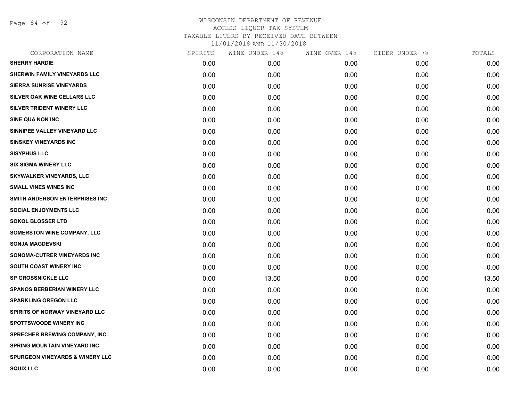Page 84 of 92

| CORPORATION NAME                           | SPIRITS | WINE UNDER 14% | WINE OVER 14% | CIDER UNDER 7% | TOTALS |
|--------------------------------------------|---------|----------------|---------------|----------------|--------|
| <b>SHERRY HARDIE</b>                       | 0.00    | 0.00           | 0.00          | 0.00           | 0.00   |
| SHERWIN FAMILY VINEYARDS LLC               | 0.00    | 0.00           | 0.00          | 0.00           | 0.00   |
| <b>SIERRA SUNRISE VINEYARDS</b>            | 0.00    | 0.00           | 0.00          | 0.00           | 0.00   |
| SILVER OAK WINE CELLARS LLC                | 0.00    | 0.00           | 0.00          | 0.00           | 0.00   |
| SILVER TRIDENT WINERY LLC                  | 0.00    | 0.00           | 0.00          | 0.00           | 0.00   |
| <b>SINE QUA NON INC</b>                    | 0.00    | 0.00           | 0.00          | 0.00           | 0.00   |
| SINNIPEE VALLEY VINEYARD LLC               | 0.00    | 0.00           | 0.00          | 0.00           | 0.00   |
| <b>SINSKEY VINEYARDS INC</b>               | 0.00    | 0.00           | 0.00          | 0.00           | 0.00   |
| <b>SISYPHUS LLC</b>                        | 0.00    | 0.00           | 0.00          | 0.00           | 0.00   |
| <b>SIX SIGMA WINERY LLC</b>                | 0.00    | 0.00           | 0.00          | 0.00           | 0.00   |
| <b>SKYWALKER VINEYARDS, LLC</b>            | 0.00    | 0.00           | 0.00          | 0.00           | 0.00   |
| <b>SMALL VINES WINES INC</b>               | 0.00    | 0.00           | 0.00          | 0.00           | 0.00   |
| SMITH ANDERSON ENTERPRISES INC             | 0.00    | 0.00           | 0.00          | 0.00           | 0.00   |
| <b>SOCIAL ENJOYMENTS LLC</b>               | 0.00    | 0.00           | 0.00          | 0.00           | 0.00   |
| <b>SOKOL BLOSSER LTD</b>                   | 0.00    | 0.00           | 0.00          | 0.00           | 0.00   |
| <b>SOMERSTON WINE COMPANY, LLC</b>         | 0.00    | 0.00           | 0.00          | 0.00           | 0.00   |
| <b>SONJA MAGDEVSKI</b>                     | 0.00    | 0.00           | 0.00          | 0.00           | 0.00   |
| SONOMA-CUTRER VINEYARDS INC                | 0.00    | 0.00           | 0.00          | 0.00           | 0.00   |
| <b>SOUTH COAST WINERY INC</b>              | 0.00    | 0.00           | 0.00          | 0.00           | 0.00   |
| <b>SP GROSSNICKLE LLC</b>                  | 0.00    | 13.50          | 0.00          | 0.00           | 13.50  |
| <b>SPANOS BERBERIAN WINERY LLC</b>         | 0.00    | 0.00           | 0.00          | 0.00           | 0.00   |
| <b>SPARKLING OREGON LLC</b>                | 0.00    | 0.00           | 0.00          | 0.00           | 0.00   |
| SPIRITS OF NORWAY VINEYARD LLC             | 0.00    | 0.00           | 0.00          | 0.00           | 0.00   |
| <b>SPOTTSWOODE WINERY INC</b>              | 0.00    | 0.00           | 0.00          | 0.00           | 0.00   |
| SPRECHER BREWING COMPANY, INC.             | 0.00    | 0.00           | 0.00          | 0.00           | 0.00   |
| SPRING MOUNTAIN VINEYARD INC               | 0.00    | 0.00           | 0.00          | 0.00           | 0.00   |
| <b>SPURGEON VINEYARDS &amp; WINERY LLC</b> | 0.00    | 0.00           | 0.00          | 0.00           | 0.00   |
| <b>SQUIX LLC</b>                           | 0.00    | 0.00           | 0.00          | 0.00           | 0.00   |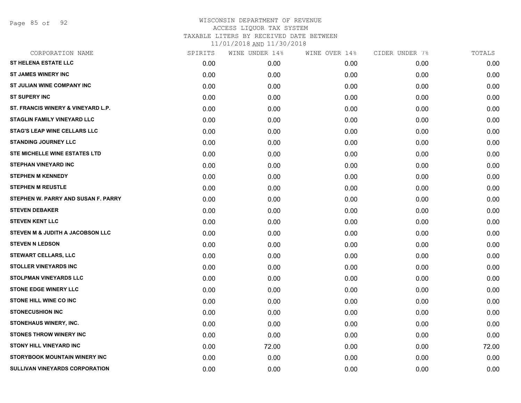Page 85 of 92

| CORPORATION NAME                      | SPIRITS | WINE UNDER 14% | WINE OVER 14% | CIDER UNDER 7% | TOTALS |
|---------------------------------------|---------|----------------|---------------|----------------|--------|
| <b>ST HELENA ESTATE LLC</b>           | 0.00    | 0.00           | 0.00          | 0.00           | 0.00   |
| <b>ST JAMES WINERY INC</b>            | 0.00    | 0.00           | 0.00          | 0.00           | 0.00   |
| ST JULIAN WINE COMPANY INC            | 0.00    | 0.00           | 0.00          | 0.00           | 0.00   |
| <b>ST SUPERY INC</b>                  | 0.00    | 0.00           | 0.00          | 0.00           | 0.00   |
| ST. FRANCIS WINERY & VINEYARD L.P.    | 0.00    | 0.00           | 0.00          | 0.00           | 0.00   |
| <b>STAGLIN FAMILY VINEYARD LLC</b>    | 0.00    | 0.00           | 0.00          | 0.00           | 0.00   |
| <b>STAG'S LEAP WINE CELLARS LLC</b>   | 0.00    | 0.00           | 0.00          | 0.00           | 0.00   |
| <b>STANDING JOURNEY LLC</b>           | 0.00    | 0.00           | 0.00          | 0.00           | 0.00   |
| STE MICHELLE WINE ESTATES LTD         | 0.00    | 0.00           | 0.00          | 0.00           | 0.00   |
| <b>STEPHAN VINEYARD INC</b>           | 0.00    | 0.00           | 0.00          | 0.00           | 0.00   |
| <b>STEPHEN M KENNEDY</b>              | 0.00    | 0.00           | 0.00          | 0.00           | 0.00   |
| <b>STEPHEN M REUSTLE</b>              | 0.00    | 0.00           | 0.00          | 0.00           | 0.00   |
| STEPHEN W. PARRY AND SUSAN F. PARRY   | 0.00    | 0.00           | 0.00          | 0.00           | 0.00   |
| <b>STEVEN DEBAKER</b>                 | 0.00    | 0.00           | 0.00          | 0.00           | 0.00   |
| <b>STEVEN KENT LLC</b>                | 0.00    | 0.00           | 0.00          | 0.00           | 0.00   |
| STEVEN M & JUDITH A JACOBSON LLC      | 0.00    | 0.00           | 0.00          | 0.00           | 0.00   |
| <b>STEVEN N LEDSON</b>                | 0.00    | 0.00           | 0.00          | 0.00           | 0.00   |
| STEWART CELLARS, LLC                  | 0.00    | 0.00           | 0.00          | 0.00           | 0.00   |
| <b>STOLLER VINEYARDS INC</b>          | 0.00    | 0.00           | 0.00          | 0.00           | 0.00   |
| <b>STOLPMAN VINEYARDS LLC</b>         | 0.00    | 0.00           | 0.00          | 0.00           | 0.00   |
| <b>STONE EDGE WINERY LLC</b>          | 0.00    | 0.00           | 0.00          | 0.00           | 0.00   |
| STONE HILL WINE CO INC                | 0.00    | 0.00           | 0.00          | 0.00           | 0.00   |
| <b>STONECUSHION INC</b>               | 0.00    | 0.00           | 0.00          | 0.00           | 0.00   |
| STONEHAUS WINERY, INC.                | 0.00    | 0.00           | 0.00          | 0.00           | 0.00   |
| <b>STONES THROW WINERY INC</b>        | 0.00    | 0.00           | 0.00          | 0.00           | 0.00   |
| <b>STONY HILL VINEYARD INC</b>        | 0.00    | 72.00          | 0.00          | 0.00           | 72.00  |
| STORYBOOK MOUNTAIN WINERY INC         | 0.00    | 0.00           | 0.00          | 0.00           | 0.00   |
| <b>SULLIVAN VINEYARDS CORPORATION</b> | 0.00    | 0.00           | 0.00          | 0.00           | 0.00   |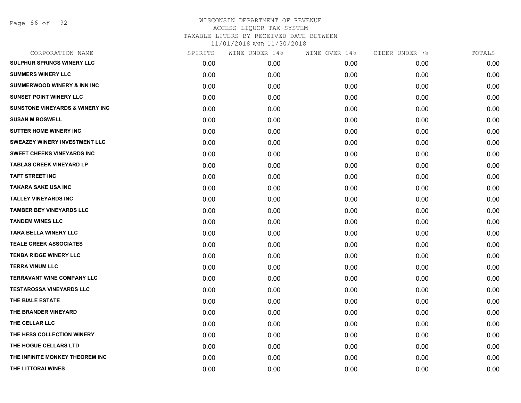|      | WINE UNDER 14% | WINE OVER 14% | CIDER UNDER 7% | TOTALS |
|------|----------------|---------------|----------------|--------|
| 0.00 | 0.00           | 0.00          | 0.00           | 0.00   |
| 0.00 | 0.00           | 0.00          | 0.00           | 0.00   |
| 0.00 | 0.00           | 0.00          | 0.00           | 0.00   |
| 0.00 | 0.00           | 0.00          | 0.00           | 0.00   |
| 0.00 | 0.00           | 0.00          | 0.00           | 0.00   |
| 0.00 | 0.00           | 0.00          | 0.00           | 0.00   |
| 0.00 | 0.00           | 0.00          | 0.00           | 0.00   |
| 0.00 | 0.00           | 0.00          | 0.00           | 0.00   |
| 0.00 | 0.00           | 0.00          | 0.00           | 0.00   |
| 0.00 | 0.00           | 0.00          | 0.00           | 0.00   |
| 0.00 | 0.00           | 0.00          | 0.00           | 0.00   |
| 0.00 | 0.00           | 0.00          | 0.00           | 0.00   |
| 0.00 | 0.00           | 0.00          | 0.00           | 0.00   |
| 0.00 | 0.00           | 0.00          | 0.00           | 0.00   |
| 0.00 | 0.00           | 0.00          | 0.00           | 0.00   |
| 0.00 | 0.00           | 0.00          | 0.00           | 0.00   |
| 0.00 | 0.00           | 0.00          | 0.00           | 0.00   |
| 0.00 | 0.00           | 0.00          | 0.00           | 0.00   |
| 0.00 | 0.00           | 0.00          | 0.00           | 0.00   |
| 0.00 | 0.00           | 0.00          | 0.00           | 0.00   |
| 0.00 | 0.00           | 0.00          | 0.00           | 0.00   |
| 0.00 | 0.00           | 0.00          | 0.00           | 0.00   |
| 0.00 | 0.00           | 0.00          | 0.00           | 0.00   |
| 0.00 | 0.00           | 0.00          | 0.00           | 0.00   |
| 0.00 | 0.00           | 0.00          | 0.00           | 0.00   |
| 0.00 | 0.00           | 0.00          | 0.00           | 0.00   |
| 0.00 | 0.00           | 0.00          | 0.00           | 0.00   |
| 0.00 | 0.00           | 0.00          | 0.00           | 0.00   |
|      | SPIRITS        |               |                |        |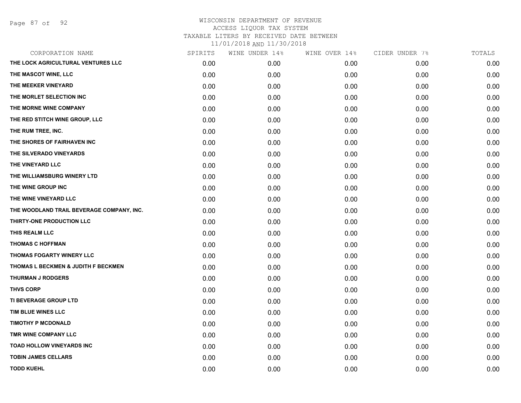Page 87 of 92

| CORPORATION NAME                          | SPIRITS | WINE UNDER 14% | WINE OVER 14% | CIDER UNDER 7% | TOTALS |
|-------------------------------------------|---------|----------------|---------------|----------------|--------|
| THE LOCK AGRICULTURAL VENTURES LLC        | 0.00    | 0.00           | 0.00          | 0.00           | 0.00   |
| THE MASCOT WINE, LLC                      | 0.00    | 0.00           | 0.00          | 0.00           | 0.00   |
| THE MEEKER VINEYARD                       | 0.00    | 0.00           | 0.00          | 0.00           | 0.00   |
| THE MORLET SELECTION INC                  | 0.00    | 0.00           | 0.00          | 0.00           | 0.00   |
| THE MORNE WINE COMPANY                    | 0.00    | 0.00           | 0.00          | 0.00           | 0.00   |
| THE RED STITCH WINE GROUP, LLC            | 0.00    | 0.00           | 0.00          | 0.00           | 0.00   |
| THE RUM TREE, INC.                        | 0.00    | 0.00           | 0.00          | 0.00           | 0.00   |
| THE SHORES OF FAIRHAVEN INC               | 0.00    | 0.00           | 0.00          | 0.00           | 0.00   |
| THE SILVERADO VINEYARDS                   | 0.00    | 0.00           | 0.00          | 0.00           | 0.00   |
| THE VINEYARD LLC                          | 0.00    | 0.00           | 0.00          | 0.00           | 0.00   |
| THE WILLIAMSBURG WINERY LTD               | 0.00    | 0.00           | 0.00          | 0.00           | 0.00   |
| THE WINE GROUP INC                        | 0.00    | 0.00           | 0.00          | 0.00           | 0.00   |
| THE WINE VINEYARD LLC                     | 0.00    | 0.00           | 0.00          | 0.00           | 0.00   |
| THE WOODLAND TRAIL BEVERAGE COMPANY, INC. | 0.00    | 0.00           | 0.00          | 0.00           | 0.00   |
| THIRTY-ONE PRODUCTION LLC                 | 0.00    | 0.00           | 0.00          | 0.00           | 0.00   |
| THIS REALM LLC                            | 0.00    | 0.00           | 0.00          | 0.00           | 0.00   |
| <b>THOMAS C HOFFMAN</b>                   | 0.00    | 0.00           | 0.00          | 0.00           | 0.00   |
| THOMAS FOGARTY WINERY LLC                 | 0.00    | 0.00           | 0.00          | 0.00           | 0.00   |
| THOMAS L BECKMEN & JUDITH F BECKMEN       | 0.00    | 0.00           | 0.00          | 0.00           | 0.00   |
| <b>THURMAN J RODGERS</b>                  | 0.00    | 0.00           | 0.00          | 0.00           | 0.00   |
| <b>THVS CORP</b>                          | 0.00    | 0.00           | 0.00          | 0.00           | 0.00   |
| TI BEVERAGE GROUP LTD                     | 0.00    | 0.00           | 0.00          | 0.00           | 0.00   |
| TIM BLUE WINES LLC                        | 0.00    | 0.00           | 0.00          | 0.00           | 0.00   |
| <b>TIMOTHY P MCDONALD</b>                 | 0.00    | 0.00           | 0.00          | 0.00           | 0.00   |
| TMR WINE COMPANY LLC                      | 0.00    | 0.00           | 0.00          | 0.00           | 0.00   |
| <b>TOAD HOLLOW VINEYARDS INC</b>          | 0.00    | 0.00           | 0.00          | 0.00           | 0.00   |
| <b>TOBIN JAMES CELLARS</b>                | 0.00    | 0.00           | 0.00          | 0.00           | 0.00   |
| <b>TODD KUEHL</b>                         | 0.00    | 0.00           | 0.00          | 0.00           | 0.00   |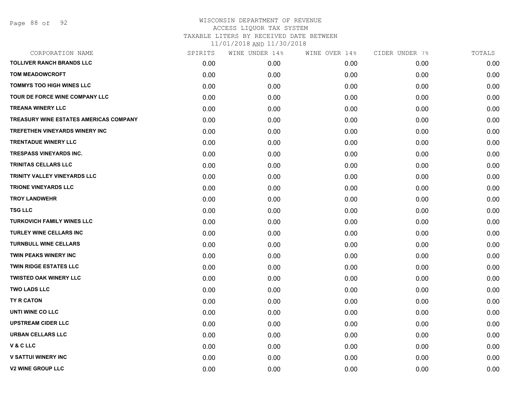| CORPORATION NAME                       | SPIRITS | WINE UNDER 14% | WINE OVER 14% | CIDER UNDER 7% | TOTALS |
|----------------------------------------|---------|----------------|---------------|----------------|--------|
| <b>TOLLIVER RANCH BRANDS LLC</b>       | 0.00    | 0.00           | 0.00          | 0.00           | 0.00   |
| <b>TOM MEADOWCROFT</b>                 | 0.00    | 0.00           | 0.00          | 0.00           | 0.00   |
| <b>TOMMYS TOO HIGH WINES LLC</b>       | 0.00    | 0.00           | 0.00          | 0.00           | 0.00   |
| <b>TOUR DE FORCE WINE COMPANY LLC</b>  | 0.00    | 0.00           | 0.00          | 0.00           | 0.00   |
| <b>TREANA WINERY LLC</b>               | 0.00    | 0.00           | 0.00          | 0.00           | 0.00   |
| TREASURY WINE ESTATES AMERICAS COMPANY | 0.00    | 0.00           | 0.00          | 0.00           | 0.00   |
| <b>TREFETHEN VINEYARDS WINERY INC</b>  | 0.00    | 0.00           | 0.00          | 0.00           | 0.00   |
| <b>TRENTADUE WINERY LLC</b>            | 0.00    | 0.00           | 0.00          | 0.00           | 0.00   |
| <b>TRESPASS VINEYARDS INC.</b>         | 0.00    | 0.00           | 0.00          | 0.00           | 0.00   |
| <b>TRINITAS CELLARS LLC</b>            | 0.00    | 0.00           | 0.00          | 0.00           | 0.00   |
| TRINITY VALLEY VINEYARDS LLC           | 0.00    | 0.00           | 0.00          | 0.00           | 0.00   |
| <b>TRIONE VINEYARDS LLC</b>            | 0.00    | 0.00           | 0.00          | 0.00           | 0.00   |
| <b>TROY LANDWEHR</b>                   | 0.00    | 0.00           | 0.00          | 0.00           | 0.00   |
| <b>TSG LLC</b>                         | 0.00    | 0.00           | 0.00          | 0.00           | 0.00   |
| <b>TURKOVICH FAMILY WINES LLC</b>      | 0.00    | 0.00           | 0.00          | 0.00           | 0.00   |
| TURLEY WINE CELLARS INC                | 0.00    | 0.00           | 0.00          | 0.00           | 0.00   |
| <b>TURNBULL WINE CELLARS</b>           | 0.00    | 0.00           | 0.00          | 0.00           | 0.00   |
| <b>TWIN PEAKS WINERY INC</b>           | 0.00    | 0.00           | 0.00          | 0.00           | 0.00   |
| <b>TWIN RIDGE ESTATES LLC</b>          | 0.00    | 0.00           | 0.00          | 0.00           | 0.00   |
| <b>TWISTED OAK WINERY LLC</b>          | 0.00    | 0.00           | 0.00          | 0.00           | 0.00   |
| <b>TWO LADS LLC</b>                    | 0.00    | 0.00           | 0.00          | 0.00           | 0.00   |
| TY R CATON                             | 0.00    | 0.00           | 0.00          | 0.00           | 0.00   |
| UNTI WINE CO LLC                       | 0.00    | 0.00           | 0.00          | 0.00           | 0.00   |
| <b>UPSTREAM CIDER LLC</b>              | 0.00    | 0.00           | 0.00          | 0.00           | 0.00   |
| <b>URBAN CELLARS LLC</b>               | 0.00    | 0.00           | 0.00          | 0.00           | 0.00   |
| V & C LLC                              | 0.00    | 0.00           | 0.00          | 0.00           | 0.00   |
| <b>V SATTUI WINERY INC</b>             | 0.00    | 0.00           | 0.00          | 0.00           | 0.00   |
| <b>V2 WINE GROUP LLC</b>               | 0.00    | 0.00           | 0.00          | 0.00           | 0.00   |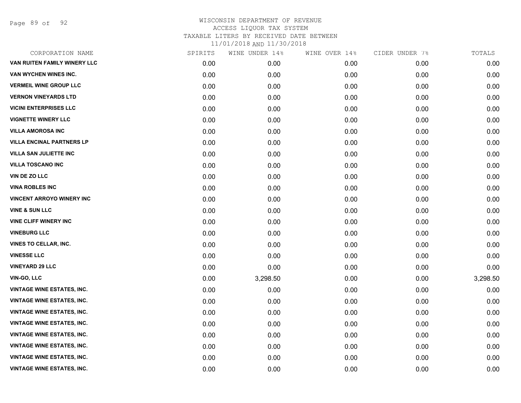Page 89 of 92

| CORPORATION NAME                  | SPIRITS | WINE UNDER 14% | WINE OVER 14% | CIDER UNDER 7% | TOTALS   |
|-----------------------------------|---------|----------------|---------------|----------------|----------|
| VAN RUITEN FAMILY WINERY LLC      | 0.00    | 0.00           | 0.00          | 0.00           | 0.00     |
| VAN WYCHEN WINES INC.             | 0.00    | 0.00           | 0.00          | 0.00           | 0.00     |
| <b>VERMEIL WINE GROUP LLC</b>     | 0.00    | 0.00           | 0.00          | 0.00           | 0.00     |
| <b>VERNON VINEYARDS LTD</b>       | 0.00    | 0.00           | 0.00          | 0.00           | 0.00     |
| <b>VICINI ENTERPRISES LLC</b>     | 0.00    | 0.00           | 0.00          | 0.00           | 0.00     |
| <b>VIGNETTE WINERY LLC</b>        | 0.00    | 0.00           | 0.00          | 0.00           | 0.00     |
| <b>VILLA AMOROSA INC</b>          | 0.00    | 0.00           | 0.00          | 0.00           | 0.00     |
| <b>VILLA ENCINAL PARTNERS LP</b>  | 0.00    | 0.00           | 0.00          | 0.00           | 0.00     |
| <b>VILLA SAN JULIETTE INC</b>     | 0.00    | 0.00           | 0.00          | 0.00           | 0.00     |
| <b>VILLA TOSCANO INC</b>          | 0.00    | 0.00           | 0.00          | 0.00           | 0.00     |
| VIN DE ZO LLC                     | 0.00    | 0.00           | 0.00          | 0.00           | 0.00     |
| <b>VINA ROBLES INC</b>            | 0.00    | 0.00           | 0.00          | 0.00           | 0.00     |
| <b>VINCENT ARROYO WINERY INC</b>  | 0.00    | 0.00           | 0.00          | 0.00           | 0.00     |
| <b>VINE &amp; SUN LLC</b>         | 0.00    | 0.00           | 0.00          | 0.00           | 0.00     |
| <b>VINE CLIFF WINERY INC</b>      | 0.00    | 0.00           | 0.00          | 0.00           | 0.00     |
| <b>VINEBURG LLC</b>               | 0.00    | 0.00           | 0.00          | 0.00           | 0.00     |
| <b>VINES TO CELLAR, INC.</b>      | 0.00    | 0.00           | 0.00          | 0.00           | 0.00     |
| <b>VINESSE LLC</b>                | 0.00    | 0.00           | 0.00          | 0.00           | 0.00     |
| <b>VINEYARD 29 LLC</b>            | 0.00    | 0.00           | 0.00          | 0.00           | 0.00     |
| VIN-GO, LLC                       | 0.00    | 3,298.50       | 0.00          | 0.00           | 3,298.50 |
| <b>VINTAGE WINE ESTATES, INC.</b> | 0.00    | 0.00           | 0.00          | 0.00           | 0.00     |
| <b>VINTAGE WINE ESTATES, INC.</b> | 0.00    | 0.00           | 0.00          | 0.00           | 0.00     |
| <b>VINTAGE WINE ESTATES, INC.</b> | 0.00    | 0.00           | 0.00          | 0.00           | 0.00     |
| <b>VINTAGE WINE ESTATES, INC.</b> | 0.00    | 0.00           | 0.00          | 0.00           | 0.00     |
| <b>VINTAGE WINE ESTATES, INC.</b> | 0.00    | 0.00           | 0.00          | 0.00           | 0.00     |
| <b>VINTAGE WINE ESTATES, INC.</b> | 0.00    | 0.00           | 0.00          | 0.00           | 0.00     |
| <b>VINTAGE WINE ESTATES, INC.</b> | 0.00    | 0.00           | 0.00          | 0.00           | 0.00     |
| <b>VINTAGE WINE ESTATES, INC.</b> | 0.00    | 0.00           | 0.00          | 0.00           | 0.00     |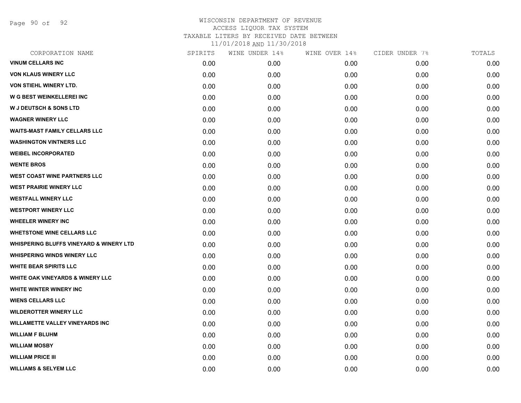Page 90 of 92

| CORPORATION NAME                                   | SPIRITS | WINE UNDER 14% | WINE OVER 14% | CIDER UNDER 7% | TOTALS |
|----------------------------------------------------|---------|----------------|---------------|----------------|--------|
| <b>VINUM CELLARS INC</b>                           | 0.00    | 0.00           | 0.00          | 0.00           | 0.00   |
| <b>VON KLAUS WINERY LLC</b>                        | 0.00    | 0.00           | 0.00          | 0.00           | 0.00   |
| <b>VON STIEHL WINERY LTD.</b>                      | 0.00    | 0.00           | 0.00          | 0.00           | 0.00   |
| <b>W G BEST WEINKELLEREI INC</b>                   | 0.00    | 0.00           | 0.00          | 0.00           | 0.00   |
| <b>W J DEUTSCH &amp; SONS LTD</b>                  | 0.00    | 0.00           | 0.00          | 0.00           | 0.00   |
| <b>WAGNER WINERY LLC</b>                           | 0.00    | 0.00           | 0.00          | 0.00           | 0.00   |
| <b>WAITS-MAST FAMILY CELLARS LLC</b>               | 0.00    | 0.00           | 0.00          | 0.00           | 0.00   |
| <b>WASHINGTON VINTNERS LLC</b>                     | 0.00    | 0.00           | 0.00          | 0.00           | 0.00   |
| <b>WEIBEL INCORPORATED</b>                         | 0.00    | 0.00           | 0.00          | 0.00           | 0.00   |
| <b>WENTE BROS</b>                                  | 0.00    | 0.00           | 0.00          | 0.00           | 0.00   |
| <b>WEST COAST WINE PARTNERS LLC</b>                | 0.00    | 0.00           | 0.00          | 0.00           | 0.00   |
| <b>WEST PRAIRIE WINERY LLC</b>                     | 0.00    | 0.00           | 0.00          | 0.00           | 0.00   |
| <b>WESTFALL WINERY LLC</b>                         | 0.00    | 0.00           | 0.00          | 0.00           | 0.00   |
| <b>WESTPORT WINERY LLC</b>                         | 0.00    | 0.00           | 0.00          | 0.00           | 0.00   |
| <b>WHEELER WINERY INC</b>                          | 0.00    | 0.00           | 0.00          | 0.00           | 0.00   |
| <b>WHETSTONE WINE CELLARS LLC</b>                  | 0.00    | 0.00           | 0.00          | 0.00           | 0.00   |
| <b>WHISPERING BLUFFS VINEYARD &amp; WINERY LTD</b> | 0.00    | 0.00           | 0.00          | 0.00           | 0.00   |
| <b>WHISPERING WINDS WINERY LLC</b>                 | 0.00    | 0.00           | 0.00          | 0.00           | 0.00   |
| <b>WHITE BEAR SPIRITS LLC</b>                      | 0.00    | 0.00           | 0.00          | 0.00           | 0.00   |
| <b>WHITE OAK VINEYARDS &amp; WINERY LLC</b>        | 0.00    | 0.00           | 0.00          | 0.00           | 0.00   |
| WHITE WINTER WINERY INC                            | 0.00    | 0.00           | 0.00          | 0.00           | 0.00   |
| <b>WIENS CELLARS LLC</b>                           | 0.00    | 0.00           | 0.00          | 0.00           | 0.00   |
| <b>WILDEROTTER WINERY LLC</b>                      | 0.00    | 0.00           | 0.00          | 0.00           | 0.00   |
| <b>WILLAMETTE VALLEY VINEYARDS INC</b>             | 0.00    | 0.00           | 0.00          | 0.00           | 0.00   |
| <b>WILLIAM F BLUHM</b>                             | 0.00    | 0.00           | 0.00          | 0.00           | 0.00   |
| <b>WILLIAM MOSBY</b>                               | 0.00    | 0.00           | 0.00          | 0.00           | 0.00   |
| <b>WILLIAM PRICE III</b>                           | 0.00    | 0.00           | 0.00          | 0.00           | 0.00   |
| <b>WILLIAMS &amp; SELYEM LLC</b>                   | 0.00    | 0.00           | 0.00          | 0.00           | 0.00   |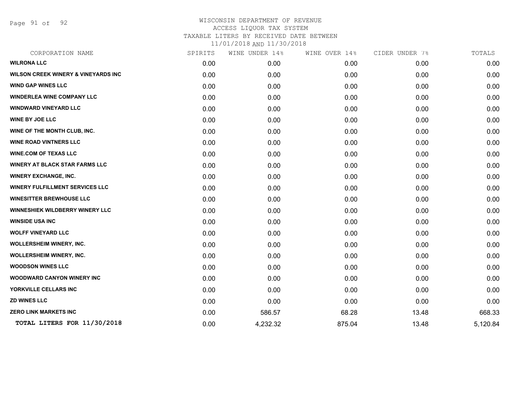Page 91 of 92

| CORPORATION NAME                               | SPIRITS | WINE UNDER 14% | WINE OVER 14% | CIDER UNDER 7% | TOTALS   |
|------------------------------------------------|---------|----------------|---------------|----------------|----------|
| <b>WILRONA LLC</b>                             | 0.00    | 0.00           | 0.00          | 0.00           | 0.00     |
| <b>WILSON CREEK WINERY &amp; VINEYARDS INC</b> | 0.00    | 0.00           | 0.00          | 0.00           | 0.00     |
| <b>WIND GAP WINES LLC</b>                      | 0.00    | 0.00           | 0.00          | 0.00           | 0.00     |
| <b>WINDERLEA WINE COMPANY LLC</b>              | 0.00    | 0.00           | 0.00          | 0.00           | 0.00     |
| <b>WINDWARD VINEYARD LLC</b>                   | 0.00    | 0.00           | 0.00          | 0.00           | 0.00     |
| <b>WINE BY JOE LLC</b>                         | 0.00    | 0.00           | 0.00          | 0.00           | 0.00     |
| WINE OF THE MONTH CLUB, INC.                   | 0.00    | 0.00           | 0.00          | 0.00           | 0.00     |
| <b>WINE ROAD VINTNERS LLC</b>                  | 0.00    | 0.00           | 0.00          | 0.00           | 0.00     |
| <b>WINE.COM OF TEXAS LLC</b>                   | 0.00    | 0.00           | 0.00          | 0.00           | 0.00     |
| <b>WINERY AT BLACK STAR FARMS LLC</b>          | 0.00    | 0.00           | 0.00          | 0.00           | 0.00     |
| <b>WINERY EXCHANGE, INC.</b>                   | 0.00    | 0.00           | 0.00          | 0.00           | 0.00     |
| <b>WINERY FULFILLMENT SERVICES LLC</b>         | 0.00    | 0.00           | 0.00          | 0.00           | 0.00     |
| <b>WINESITTER BREWHOUSE LLC</b>                | 0.00    | 0.00           | 0.00          | 0.00           | 0.00     |
| <b>WINNESHIEK WILDBERRY WINERY LLC</b>         | 0.00    | 0.00           | 0.00          | 0.00           | 0.00     |
| <b>WINSIDE USA INC</b>                         | 0.00    | 0.00           | 0.00          | 0.00           | 0.00     |
| <b>WOLFF VINEYARD LLC</b>                      | 0.00    | 0.00           | 0.00          | 0.00           | 0.00     |
| <b>WOLLERSHEIM WINERY, INC.</b>                | 0.00    | 0.00           | 0.00          | 0.00           | 0.00     |
| <b>WOLLERSHEIM WINERY, INC.</b>                | 0.00    | 0.00           | 0.00          | 0.00           | 0.00     |
| <b>WOODSON WINES LLC</b>                       | 0.00    | 0.00           | 0.00          | 0.00           | 0.00     |
| <b>WOODWARD CANYON WINERY INC</b>              | 0.00    | 0.00           | 0.00          | 0.00           | 0.00     |
| YORKVILLE CELLARS INC                          | 0.00    | 0.00           | 0.00          | 0.00           | 0.00     |
| <b>ZD WINES LLC</b>                            | 0.00    | 0.00           | 0.00          | 0.00           | 0.00     |
| <b>ZERO LINK MARKETS INC</b>                   | 0.00    | 586.57         | 68.28         | 13.48          | 668.33   |
| TOTAL LITERS FOR 11/30/2018                    | 0.00    | 4,232.32       | 875.04        | 13.48          | 5,120.84 |